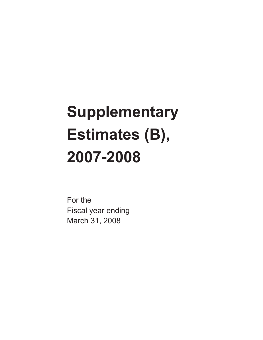# **Supplementary Estimates (B), 2007-2008**

For the Fiscal year ending March 31, 2008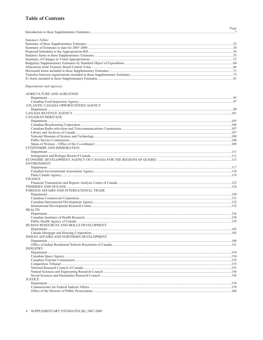### **Table of Contents**

| Summary Tables                          |  |
|-----------------------------------------|--|
|                                         |  |
|                                         |  |
|                                         |  |
|                                         |  |
|                                         |  |
|                                         |  |
|                                         |  |
|                                         |  |
|                                         |  |
| Departments and Agencies                |  |
| AGRICULTURE AND AGRI-FOOD               |  |
|                                         |  |
|                                         |  |
| ATLANTIC CANADA OPPORTUNITIES AGENCY    |  |
|                                         |  |
|                                         |  |
| <b>CANADIAN HERITAGE</b>                |  |
|                                         |  |
|                                         |  |
|                                         |  |
|                                         |  |
|                                         |  |
|                                         |  |
| CITIZENSHIP AND IMMIGRATION             |  |
|                                         |  |
|                                         |  |
|                                         |  |
| <b>ENVIRONMENT</b>                      |  |
|                                         |  |
|                                         |  |
|                                         |  |
| <b>FINANCE</b>                          |  |
|                                         |  |
|                                         |  |
| FOREIGN AFFAIRS AND INTERNATIONAL TRADE |  |
|                                         |  |
|                                         |  |
|                                         |  |
|                                         |  |
| <b>HEALTH</b>                           |  |
|                                         |  |
|                                         |  |
| HUMAN RESOURCES AND SKILLS DEVELOPMENT  |  |
|                                         |  |
|                                         |  |
| INDIAN AFFAIRS AND NORTHERN DEVELOPMENT |  |
|                                         |  |
|                                         |  |
| <b>INDUSTRY</b>                         |  |
|                                         |  |
|                                         |  |
|                                         |  |
|                                         |  |
|                                         |  |
|                                         |  |
|                                         |  |
| <b>JUSTICE</b>                          |  |
|                                         |  |
|                                         |  |
|                                         |  |

Page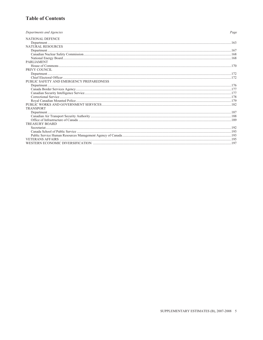### **Table of Contents**

| Departments and Agencies                 | Page |
|------------------------------------------|------|
| NATIONAL DEFENCE                         |      |
|                                          |      |
| NATURAL RESOURCES                        |      |
|                                          |      |
|                                          |      |
|                                          |      |
| <b>PARLIAMENT</b>                        |      |
|                                          |      |
| PRIVY COUNCIL                            |      |
|                                          |      |
|                                          |      |
| PUBLIC SAFETY AND EMERGENCY PREPAREDNESS |      |
|                                          |      |
|                                          |      |
|                                          |      |
|                                          |      |
|                                          |      |
|                                          |      |
| <b>TRANSPORT</b>                         |      |
|                                          |      |
|                                          |      |
|                                          |      |
| <b>TREASURY BOARD</b>                    |      |
|                                          |      |
|                                          |      |
|                                          |      |
|                                          |      |
|                                          |      |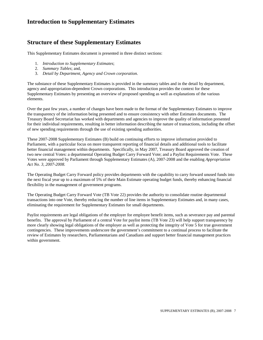### <span id="page-3-0"></span>**Structure of these Supplementary Estimates**

This Supplementary Estimates document is presented in three distinct sections:

- 1. *Introduction to Supplementary Estimates*;
- 2. *Summary Tables*; and,
- 3. *Detail by Department, Agency and Crown corporation.*

The substance of these Supplementary Estimates is provided in the summary tables and in the detail by department, agency and appropriation-dependent Crown corporations. This introduction provides the context for these Supplementary Estimates by presenting an overview of proposed spending as well as explanations of the various elements.

Over the past few years, a number of changes have been made to the format of the Supplementary Estimates to improve the transparency of the information being presented and to ensure consistency with other Estimates documents. The Treasury Board Secretariat has worked with departments and agencies to improve the quality of information presented for their individual requirements, resulting in better information describing the nature of transactions, including the offset of new spending requirements through the use of existing spending authorities.

These 2007-2008 Supplementary Estimates (B) build on continuing efforts to improve information provided to Parliament, with a particular focus on more transparent reporting of financial details and additional tools to facilitate better financial management within departments. Specifically, in May 2007, Treasury Board approved the creation of two new central Votes: a departmental Operating Budget Carry Forward Vote; and a Paylist Requirements Vote. These Votes were approved by Parliament through Supplementary Estimates (A), 2007-2008 and the enabling *Appropriation Act No. 3, 2007-2008.*

The Operating Budget Carry Forward policy provides departments with the capability to carry forward unused funds into the next fiscal year up to a maximum of 5% of their Main Estimate operating budget funds, thereby enhancing financial flexibility in the management of government programs.

The Operating Budget Carry Forward Vote (TB Vote 22) provides the authority to consolidate routine departmental transactions into one Vote, thereby reducing the number of line items in Supplementary Estimates and, in many cases, eliminating the requirement for Supplementary Estimates for small departments.

Paylist requirements are legal obligations of the employer for employee benefit items, such as severance pay and parental benefits. The approval by Parliament of a central Vote for paylist items (TB Vote 23) will help support transparency by more clearly showing legal obligations of the employer as well as protecting the integrity of Vote 5 for true government contingencies. These improvements underscore the government's commitment to a continual process to facilitate the review of Estimates by researchers, Parliamentarians and Canadians and support better financial management practices within government.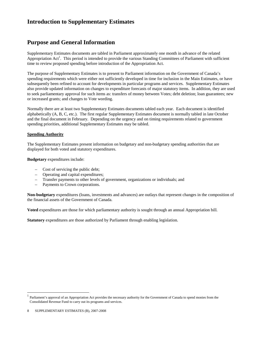### **Purpose and General Information**

Supplementary Estimates documents are tabled in Parliament approximately one month in advance of the related Appropriation  $Act^1$ . This period is intended to provide the various Standing Committees of Parliament with sufficient time to review proposed spending before introduction of the Appropriation Act.

The purpose of Supplementary Estimates is to present to Parliament information on the Government of Canada's spending requirements which were either not sufficiently developed in time for inclusion in the Main Estimates, or have subsequently been refined to account for developments in particular programs and services. Supplementary Estimates also provide updated information on changes to expenditure forecasts of major statutory items. In addition, they are used to seek parliamentary approval for such items as: transfers of money between Votes; debt deletion; loan guarantees; new or increased grants; and changes to Vote wording.

Normally there are at least two Supplementary Estimates documents tabled each year. Each document is identified alphabetically (A, B, C, etc.). The first regular Supplementary Estimates document is normally tabled in late October and the final document in February. Depending on the urgency and on timing requirements related to government spending priorities, additional Supplementary Estimates may be tabled.

### **Spending Authority**

The Supplementary Estimates present information on budgetary and non-budgetary spending authorities that are displayed for both voted and statutory expenditures.

**Budgetary** expenditures include:

- Cost of servicing the public debt;
- Operating and capital expenditures;
- Transfer payments to other levels of government, organizations or individuals; and
- Payments to Crown corporations.

**Non-budgetary** expenditures (loans, investments and advances) are outlays that represent changes in the composition of the financial assets of the Government of Canada.

**Voted** expenditures are those for which parliamentary authority is sought through an annual Appropriation bill.

**Statutory** expenditures are those authorized by Parliament through enabling legislation.

 $\overline{a}$ 

<sup>1</sup> Parliament's approval of an Appropriation Act provides the necessary authority for the Government of Canada to spend monies from the Consolidated Revenue Fund to carry out its programs and services.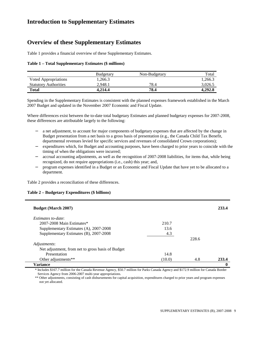### **Overview of these Supplementary Estimates**

Table 1 provides a financial overview of these Supplementary Estimates.

### **Table 1 – Total Supplementary Estimates (\$ millions)**

|                              | <b>Budgetary</b> | Non-Budgetary | Total   |
|------------------------------|------------------|---------------|---------|
| <b>Voted Appropriations</b>  | 1.266.3          |               | 1,266.3 |
| <b>Statutory Authorities</b> | 2.948.1          | 78.4          | 3.026.5 |
| Total                        | 4.214.4          | 78.4          | 4.292.8 |

Spending in the Supplementary Estimates is consistent with the planned expenses framework established in the March 2007 Budget and updated in the November 2007 Economic and Fiscal Update.

Where differences exist between the to-date total budgetary Estimates and planned budgetary expenses for 2007-2008, these differences are attributable largely to the following:

- a net adjustment, to account for major components of budgetary expenses that are affected by the change in Budget presentation from a net basis to a gross basis of presentation (e.g., the Canada Child Tax Benefit, departmental revenues levied for specific services and revenues of consolidated Crown corporations);
- expenditures which, for Budget and accounting purposes, have been charged to prior years to coincide with the timing of when the obligations were incurred;
- accrual accounting adjustments, as well as the recognition of 2007-2008 liabilities, for items that, while being recognized, do not require appropriations (i.e., cash) this year; and,
- − program expenses identified in a Budget or an Economic and Fiscal Update that have yet to be allocated to a department.

Table 2 provides a reconciliation of these differences.

#### **Table 2 – Budgetary Expenditures (\$ billions)**

| 14.8<br>(10.0) | 4.8   | 233.4 |
|----------------|-------|-------|
|                |       |       |
|                |       |       |
|                |       |       |
|                |       |       |
|                | 228.6 |       |
| 4.3            |       |       |
| 13.6           |       |       |
| 210.7          |       |       |
|                |       |       |
|                |       | 233.4 |
|                |       |       |

\* Includes \$167.7 million for the Canada Revenue Agency, \$50.7 million for Parks Canada Agency and \$172.9 million for Canada Border Services Agency from 2006-2007 multi-year appropriations.

\*\* Other adjustments, consisting of cash disbursements for capital acquisition, expenditures charged to prior years and program expenses not yet allocated.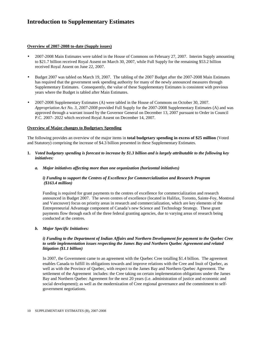#### **Overview of 2007-2008 to-date (Supply issues)**

- 2007-2008 Main Estimates were tabled in the House of Commons on February 27, 2007. Interim Supply amounting to \$21.7 billion received Royal Assent on March 30, 2007, while Full Supply for the remaining \$53.2 billion received Royal Assent on June 22, 2007.
- Budget 2007 was tabled on March 19, 2007. The tabling of the 2007 Budget after the 2007-2008 Main Estimates has required that the government seek spending authority for many of the newly announced measures through Supplementary Estimates. Consequently, the value of these Supplementary Estimates is consistent with previous years where the Budget is tabled after Main Estimates.
- 2007-2008 Supplementary Estimates (A) were tabled in the House of Commons on October 30, 2007. *Appropriation Act No. 3, 2007-2008* provided Full Supply for the 2007-2008 Supplementary Estimates (A) and was approved through a warrant issued by the Governor General on December 13, 2007 pursuant to Order in Council P.C. 2007- 2022 which received Royal Assent on December 14, 2007.

#### **Overview of Major changes to Budgetary Spending**

The following provides an overview of the major items in **total budgetary spending in excess of \$25 million** (Voted and Statutory) comprising the increase of \$4.3 billion presented in these Supplementary Estimates.

- **1.** *Voted budgetary spending is forecast to increase by \$1.3 billion and is largely attributable to the following key initiatives:* 
	- *a. Major initiatives affecting more than one organization (horizontal initiatives)*

### *i) Funding to support the Centres of Excellence for Commercialization and Research Program (\$163.4 million)*

Funding is required for grant payments to the centres of excellence for commercialization and research announced in Budget 2007. The seven centres of excellence (located in Halifax, Toronto, Sainte-Foy, Montreal and Vancouver) focus on priority areas in research and commercialization, which are key elements of the Entrepreneurial Advantage component of Canada's new Science and Technology Strategy. These grant payments flow through each of the three federal granting agencies, due to varying areas of research being conducted at the centres.

### *b. Major Specific Initiatives:*

### *i) Funding to the Department of Indian Affairs and Northern Development for payment to the Quebec Cree to settle implementation issues respecting the James Bay and Northern Quebec Agreement and related litigation (\$1.1 billion)*

In 2007, the Government came to an agreement with the Quebec Cree totalling \$1.4 billion. The agreement enables Canada to fulfill its obligations towards and improve relations with the Cree and Inuit of Quebec, as well as with the Province of Quebec, with respect to the James Bay and Northern Quebec Agreement. The settlement of the Agreement includes: the Cree taking on certain implementation obligations under the James Bay and Northern Quebec Agreement for the next 20 years (i.e. administration of justice and economic and social development); as well as the modernization of Cree regional governance and the commitment to selfgovernment negotiations.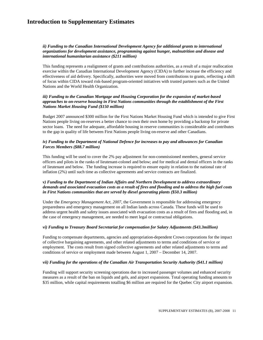### *ii) Funding to the Canadian International Development Agency for additional grants to international organizations for development assistance, programming against hunger, malnutrition and disease and international humanitarian assistance (\$211 million)*

This funding represents a realignment of grants and contributions authorities, as a result of a major reallocation exercise within the Canadian International Development Agency (CIDA) to further increase the efficiency and effectiveness of aid delivery. Specifically, authorities were moved from contributions to grants, reflecting a shift of focus within CIDA toward risk-based program-oriented initiatives with trusted partners such as the United Nations and the World Health Organization.

### *iii) Funding to the Canadian Mortgage and Housing Corporation for the expansion of market-based approaches to on-reserve housing in First Nations communities through the establishment of the First Nations Market Housing Fund (\$150 million)*

Budget 2007 announced \$300 million for the First Nations Market Housing Fund which is intended to give First Nations people living on-reserves a better chance to own their own home by providing a backstop for private sector loans. The need for adequate, affordable housing in reserve communities is considerable and contributes to the gap in quality of life between First Nations people living on-reserve and other Canadians.

#### *iv) Funding to the Department of National Defence for increases to pay and allowances for Canadian Forces Members (\$88.7 million)*

This funding will be used to cover the 2% pay adjustment for non-commissioned members, general service officers and pilots in the ranks of lieutenant-colonel and below; and for medical and dental officers in the ranks of lieutenant and below. The funding increase is required to ensure equity in relation to the national rate of inflation (2%) until such time as collective agreements and service contracts are finalized.

### *v) Funding to the Department of Indian Affairs and Northern Development to address extraordinary demands and associated evacuation costs as a result of fires and flooding and to address the high fuel costs in First Nations communities that are served by diesel generating plants (\$50.3 million)*

Under the *Emergency Management Act, 2007*, the Government is responsible for addressing emergency preparedness and emergency management on all Indian lands across Canada. These funds will be used to address urgent health and safety issues associated with evacuation costs as a result of fires and flooding and, in the case of emergency management, are needed to meet legal or contractual obligations.

### *vi) Funding to Treasury Board Secretariat for compensation for Salary Adjustments (\$43.3million)*

Funding to compensate departments, agencies and appropriation-dependent Crown corporations for the impact of collective bargaining agreements, and other related adjustments to terms and conditions of service or employment. The costs result from signed collective agreements and other related adjustments to terms and conditions of service or employment made between August 1, 2007 – December 14, 2007.

#### *vii) Funding for the operations of the Canadian Air Transportation Security Authority (\$41.1 million)*

Funding will support security screening operations due to increased passenger volumes and enhanced security measures as a result of the ban on liquids and gels, and airport expansions. Total operating funding amounts to \$35 million, while capital requirements totalling \$6 million are required for the Quebec City airport expansion.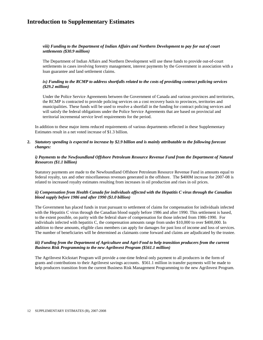### *viii) Funding to the Department of Indian Affairs and Northern Development to pay for out of court settlements (\$30.9 million)*

The Department of Indian Affairs and Northern Development will use these funds to provide out-of-court settlements in cases involving forestry management, interest payments by the Government in association with a loan guarantee and land settlement claims.

### *ix) Funding to the RCMP to address shortfalls related to the costs of providing contract policing services (\$29.2 million)*

Under the Police Service Agreements between the Government of Canada and various provinces and territories, the RCMP is contracted to provide policing services on a cost recovery basis to provinces, territories and municipalities. These funds will be used to resolve a shortfall in the funding for contract policing services and will satisfy the federal obligations under the Police Service Agreements that are based on provincial and territorial incremental service level requirements for the period.

In addition to these major items reduced requirements of various departments reflected in these Supplementary Estimates result in a net voted increase of \$1.3 billion.

#### **2.** *Statutory spending is expected to increase by \$2.9 billion and is mainly attributable to the following forecast changes:*

### *i) Payments to the Newfoundland Offshore Petroleum Resource Revenue Fund from the Department of Natural Resources (\$1.1 billion)*

Statutory payments are made to the Newfoundland Offshore Petroleum Resource Revenue Fund in amounts equal to federal royalty, tax and other miscellaneous revenues generated in the offshore. The \$400M increase for 2007-08 is related to increased royalty estimates resulting from increases in oil production and rises in oil prices.

### *ii) Compensation from Health Canada for individuals affected with the Hepatitis C virus through the Canadian blood supply before 1986 and after 1990 (\$1.0 billion)*

The Government has placed funds in trust pursuant to settlement of claims for compensation for individuals infected with the Hepatitis C virus through the Canadian blood supply before 1986 and after 1990. This settlement is based, to the extent possible, on parity with the federal share of compensation for those infected from 1986-1990. For individuals infected with hepatitis C, the compensation amounts range from under \$10,000 to over \$400,000. In addition to these amounts, eligible class members can apply for damages for past loss of income and loss of services. The number of beneficiaries will be determined as claimants come forward and claims are adjudicated by the trustee.

### *iii) Funding from the Department of Agriculture and Agri-Food to help transition producers from the current Business Risk Programming to the new Agrilnvest Program (\$561.1 million)*

The AgriInvest Kickstart Program will provide a one-time federal only payment to all producers in the form of grants and contributions to their AgriInvest savings accounts. \$561.1 million in transfer payments will be made to help producers transition from the current Business Risk Management Programming to the new AgriInvest Program.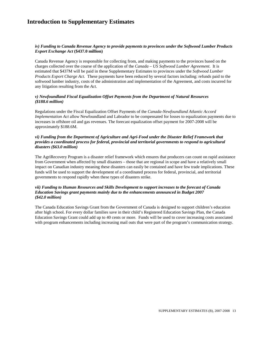### *iv) Funding to Canada Revenue Agency to provide payments to provinces under the Softwood Lumber Products Export Exchange Act* **(\$437.0 million)**

Canada Revenue Agency is responsible for collecting from, and making payments to the provinces based on the charges collected over the course of the application of the *Canada – US Softwood Lumber Agreement*. It is estimated that \$437M will be paid in these Supplementary Estimates to provinces under the *Softwood Lumber Products Export Charge Act.* These payments have been reduced by several factors including: refunds paid to the softwood lumber industry, costs of the administration and implementation of the Agreement, and costs incurred for any litigation resulting from the *Act.*

#### *v) Newfoundland Fiscal Equalization Offset Payments from the Department of Natural Resources (\$188.6 million)*

Regulations under the Fiscal Equalization Offset Payments of the *Canada-Newfoundland Atlantic Accord Implementation Act* allow Newfoundland and Labrador to be compensated for losses to equalization payments due to increases in offshore oil and gas revenues. The forecast equalization offset payment for 2007-2008 will be approximately \$188.6M.

#### *vi) Funding from the Department of Agriculture and Agri-Food under the Disaster Relief Framework that provides a coordinated process for federal, provincial and territorial governments to respond to agricultural disasters (\$63.0 million)*

The AgriRecovery Program is a disaster relief framework which ensures that producers can count on rapid assistance from Government when affected by small disasters – those that are regional in scope and have a relatively small impact on Canadian industry meaning these disasters can easily be contained and have few trade implications. These funds will be used to support the development of a coordinated process for federal, provincial, and territorial governments to respond rapidly when these types of disasters strike.

#### *vii) Funding to Human Resources and Skills Development to support increases to the forecast of Canada Education Savings grant payments mainly due to the enhancements announced in Budget 2007 (\$42.0 million)*

The Canada Education Savings Grant from the Government of Canada is designed to support children's education after high school. For every dollar families save in their child's Registered Education Savings Plan, the Canada Education Savings Grant could add up to 40 cents or more. Funds will be used to cover increasing costs associated with program enhancements including increasing mail outs that were part of the program's communication strategy.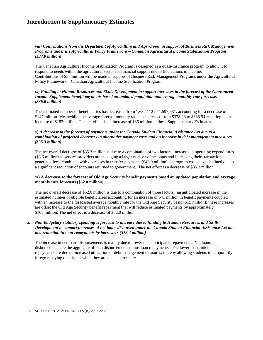### *viii) Contributions from the Department of Agriculture and Agri-Food in support of Business Risk Management Programs under the Agricultural Policy Framework – Canadian Agricultural income Stabilization Program (\$37.0 million)*

The Canadian Agricultural Income Stabilization Program is designed as a quasi-insurance program to allow it to respond to needs within the agricultural sector for financial support due to fluctuations in income. Contributions of \$37 million will be made in support of Business Risk Management Programs under the Agricultural Policy Framework – Canadian Agricultural Income Stabilization Program.

#### *ix) Funding to Human Resources and Skills Development to support increases to the forecast of the Guaranteed Income Supplement benefit payments based on updated population and average monthly rate forecasts (\$36.0 million)*

The estimated number of beneficiaries has decreased from 1,634,112 to 1,597,631, accounting for a decrease of \$147 million. Meanwhile, the average forecast monthly rate has increased from \$378.03 to \$388.54 resulting in an increase of \$183 million. The net effect is an increase of \$36 million in these Supplementary Estimates.

#### *x) A decrease to the forecast of payments under the Canada Student Financial Assistance Act due to a combination of projected decreases in alternative payment costs and an increase in debt management measures. (\$35.3 million)*

The net overall decrease of \$35.3 million is due to a combination of two factors: increases in operating expenditures (\$8.6 million) as service providers are managing a larger number of accounts and increasing their transaction generated fees; combined with decreases in transfer payments (\$43.9 million) as program costs have declined due to a significant reduction of accounts returned to government. The net effect is a decrease of \$35.3 million.

### *xi***) A decrease to the forecast of Old Age Security benefit payments based on updated population and average monthly rate forecasts (\$52.0 million)**

The net overall decrease of \$52.0 million is due to a combination of three factors: an anticipated increase in the estimated number of eligible beneficiaries accounting for an increase of \$41 million in benefit payments coupled with an increase to the forecasted average monthly rate for the Old Age Security basic (\$15 million); these increases are offset the Old Age Security benefit repayment that will reduce estimated payments by approximately \$108 million. The net effect is a decrease of \$52.0 million.

#### *3. Non-budgetary statutory spending is forecast to increase due to funding to Human Resources and Skills Development to support increases of net loans disbursed under the Canada Student Financial Assistance Act due to a reduction in loan repayments by borrowers (\$78.4 million)*

The increase in net loans disbursements is mainly due to lower than anticipated repayments. Net loans disbursements are the aggregate of loan disbursements minus loan repayments. The lower than anticipated repayments are due to increased utilization of debt management measures, thereby allowing students to temporarily forego repaying their loans while they are on such measures.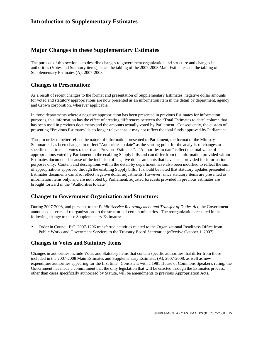### **Major Changes in these Supplementary Estimates**

The purpose of this section is to describe changes to government organization and structure and changes in authorities (Votes and Statutory items), since the tabling of the 2007-2008 Main Estimates and the tabling of Supplementary Estimates (A), 2007-2008.

### **Changes to Presentation:**

As a result of recent changes to the format and presentation of Supplementary Estimates, negative dollar amounts for voted and statutory appropriations are now presented as an information item in the detail by department, agency and Crown corporation, wherever applicable.

In those departments where a negative appropriation has been presented in previous Estimates for information purposes, this information has the effect of creating differences between the "Total Estimates to date" column that has been used in previous documents and the amounts actually voted by Parliament. Consequently, the custom of presenting "Previous Estimates" is no longer relevant as it may not reflect the total funds approved by Parliament.

Thus, in order to better reflect the nature of information presented to Parliament, the format of the Ministry Summaries has been changed to reflect "Authorities to date" as the starting point for the analysis of changes to specific departmental votes rather than "Previous Estimates". "Authorities to date" reflect the total value of appropriations voted by Parliament in the enabling Supply bills and can differ from the information provided within Estimates documents because of the inclusion of negative dollar amounts that have been provided for information purposes only. Content and descriptions within the detail by department have also been modified to reflect the sum of appropriations approved through the enabling Supply bills. It should be noted that statutory updates presented in Estimates documents can also reflect negative dollar adjustments. However, since statutory items are presented as information items only, and are not voted by Parliament, adjusted forecasts provided in previous estimates are brought forward in the "Authorities to date".

### **Changes to Government Organization and Structure:**

During 2007-2008, and pursuant to the *Public Service Rearrangement and Transfer of Duties Act,* the Government announced a series of reorganizations to the structure of certain ministries. The reorganizations resulted in the following change to these Supplementary Estimates:

• Order in Council P.C. 2007-1296 transferred activities related to the Organizational Readiness Office from Public Works and Government Services to the Treasury Board Secretariat (effective October 1, 2007).

### **Changes to Votes and Statutory Items**

Changes in authorities include Votes and Statutory items that contain specific authorities that differ from those included in the 2007-2008 Main Estimates and Supplementary Estimates (A), 2007-2008, as well as new expenditure authorities appearing for the first time. Consistent with a 1981 House of Commons Speaker's ruling, the Government has made a commitment that the only legislation that will be enacted through the Estimates process, other than cases specifically authorized by Statute, will be amendments to previous Appropriation Acts.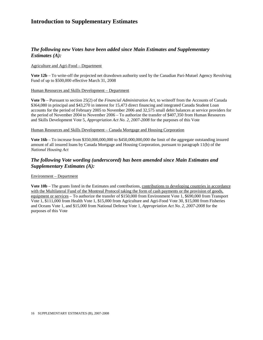### *The following new Votes have been added since Main Estimates and Supplementary Estimates (A):*

#### Agriculture and Agri-Food – Department

**Vote 12b** – To write-off the projected net drawdown authority used by the Canadian Pari-Mutuel Agency Revolving Fund of up to \$500,000 effective March 31, 2008

#### Human Resources and Skills Development – Department

**Vote 7b** – Pursuant to section 25(2) of the *Financial Administration Act*, to writeoff from the Accounts of Canada \$364,080 in principal and \$43,270 in interest for 15,473 direct financing and integrated Canada Student Loan accounts for the period of February 2005 to November 2006 and 32,575 small debit balances at service providers for the period of November 2004 to November 2006 – To authorize the transfer of \$407,350 from Human Resources and Skills Development Vote 5, *Appropriation Act No. 2, 2007-2008* for the purposes of this Vote

#### Human Resources and Skills Development – Canada Mortgage and Housing Corporation

**Vote 16b** – To increase from \$350,000,000,000 to \$450,000,000,000 the limit of the aggregate outstanding insured amount of all insured loans by Canada Mortgage and Housing Corporation, pursuant to paragraph 11(b) of the *National Housing Act*

### *The following Vote wording (underscored) has been amended since Main Estimates and Supplementary Estimates (A):*

### Environment – Department

Vote 10b – The grants listed in the Estimates and contributions, contributions to developing countries in accordance with the Multilateral Fund of the Montreal Protocol taking the form of cash payments or the provision of goods, equipment or services – To authorize the transfer of \$150,000 from Environment Vote 1, \$690,000 from Transport Vote 1, \$111,000 from Health Vote 1, \$15,000 from Agriculture and Agri-Food Vote 30, \$15,000 from Fisheries and Oceans Vote 1, and \$15,000 from National Defence Vote 1, *Appropriation Act No. 2, 2007-2008* for the purposes of this Vote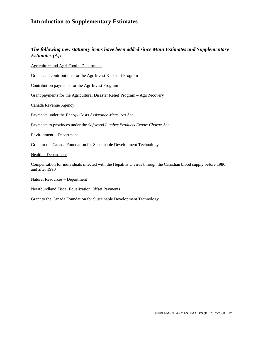### *The following new statutory items have been added since Main Estimates and Supplementary Estimates (A):*

Agriculture and Agri-Food – Department

Grants and contributions for the AgriInvest Kickstart Program

Contribution payments for the AgriInvest Program

Grant payments for the Agricultural Disaster Relief Program – AgriRecovery

Canada Revenue Agency

Payments under the *Energy Costs Assistance Measures Act* 

Payments to provinces under the *Softwood Lumber Products Export Charge Act*

Environment – Department

Grant to the Canada Foundation for Sustainable Development Technology

Health – Department

Compensation for individuals infected with the Hepatitis C virus through the Canadian blood supply before 1986 and after 1990

Natural Resources – Department

Newfoundland Fiscal Equalization Offset Payments

Grant to the Canada Foundation for Sustainable Development Technology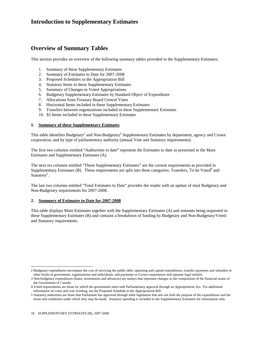### **Overview of Summary Tables**

This section provides an overview of the following summary tables provided in the Supplementary Estimates.

- 1. Summary of these Supplementary Estimates
- 2. Summary of Estimates to Date for 2007-2008
- 3. Proposed Schedules to the Appropriation Bill
- 4. Statutory Items in these Supplementary Estimates
- 5. Summary of Changes to Voted Appropriations
- 6. Budgetary Supplementary Estimates by Standard Object of Expenditure
- 7. Allocations from Treasury Board Central Votes
- 8. Horizontal Items included in these Supplementary Estimates
- 9. Transfers between organizations included in these Supplementary Estimates
- 10. \$1 Items included in these Supplementary Estimates

### **1. Summary of these Supplementary Estimates**

This table identifies Budgetary<sup>2</sup> and Non-Budgetary<sup>3</sup> Supplementary Estimates by department, agency and Crown corporation, and by type of parliamentary authority (annual Vote and Statutory requirements).

The first two columns entitled "Authorities to date" represent the Estimates to date as presented in the Main Estimates and Supplementary Estimates (A).

The next six columns entitled "These Supplementary Estimates" are the current requirements as provided in Supplementary Estimates (B). These requirements are split into three categories: Transfers, To be Voted<sup>4</sup> and Statutory<sup>5</sup>.

The last two columns entitled "Total Estimates to Date" provides the reader with an update of total Budgetary and Non-Budgetary requirements for 2007-2008.

### **2. Summary of Estimates to Date for 2007-2008**

This table displays Main Estimates together with the Supplementary Estimates (A) and amounts being requested in these Supplementary Estimates (B) and contains a breakdown of funding by Budgetary and Non-Budgetary/Voted and Statutory requirements.

 $\overline{a}$ 2 Budgetary expenditures encompass the cost of servicing the public debt; operating and capital expenditures; transfer payments and subsidies to other levels of government, organizations and individuals; and payments to Crown corporations and separate legal entities.

<sup>3</sup> Non-budgetary expenditures (loans, investments and advances) are outlays that represent changes in the composition of the financial assets of the Government of Canada.

<sup>4</sup> Voted requirements are those for which the government must seek Parliamentary approval through an Appropriation Act. For additional information on votes and vote wording, see the Proposed Schedule to the Appropriation Bill.

<sup>5</sup> Statutory authorities are those that Parliament has approved through other legislation that sets out both the purpose of the expenditures and the terms and conditions under which they may be made. Statutory spending is included in the Supplementary Estimates for information only.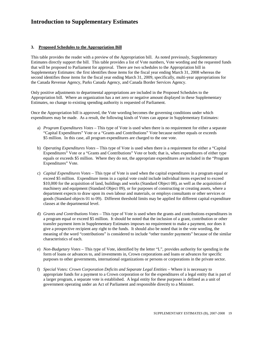### **3. Proposed Schedules to the Appropriation Bill**

This table provides the reader with a preview of the Appropriation bill. As noted previously, Supplementary Estimates directly support the bill. This table provides a list of Vote numbers, Vote wording and the requested funds that will be proposed to Parliament for approval. There are two schedules to the Appropriation bill in Supplementary Estimates: the first identifies those items for the fiscal year ending March 31, 2008 whereas the second identifies those items for the fiscal year ending March 31, 2009, specifically, multi-year appropriations for the Canada Revenue Agency, Parks Canada Agency, and Canada Border Services Agency.

Only positive adjustments to departmental appropriations are included in the Proposed Schedules to the Appropriation bill. Where an organization has a net zero or negative amount displayed in these Supplementary Estimates, no change to existing spending authority is requested of Parliament.

Once the Appropriation bill is approved, the Vote wording becomes the governing conditions under which expenditures may be made. As a result, the following kinds of Votes can appear in Supplementary Estimates:

- a) *Program Expenditures Votes* This type of Vote is used when there is no requirement for either a separate "Capital Expenditures" Vote or a "Grants and Contributions" Vote because neither equals or exceeds \$5 million. In this case, all program expenditures are charged to the one vote.
- b) *Operating Expenditures Votes* This type of Vote is used when there is a requirement for either a "Capital Expenditures" Vote or a "Grants and Contributions" Vote or both; that is, when expenditures of either type equals or exceeds \$5 million. Where they do not, the appropriate expenditures are included in the "Program Expenditures" Vote.
- c) *Capital Expenditures Votes*  This type of Vote is used when the capital expenditures in a program equal or exceed \$5 million. Expenditure items in a capital vote could include individual items expected to exceed \$10,000 for the acquisition of land, buildings and works (Standard Object 08), as well as the acquisition of machinery and equipment (Standard Object 09), or for purposes of constructing or creating assets, where a department expects to draw upon its own labour and materials, or employs consultants or other services or goods (Standard objects 01 to 09). Different threshold limits may be applied for different capital expenditure classes at the departmental level.
- d) *Grants and Contributions Votes* This type of Vote is used when the grants and contributions expenditures in a program equal or exceed \$5 million. It should be noted that the inclusion of a grant, contribution or other transfer payment item in Supplementary Estimates imposes no requirement to make a payment, nor does it give a prospective recipient any right to the funds. It should also be noted that in the vote wording, the meaning of the word "contributions" is considered to include "other transfer payments" because of the similar characteristics of each.
- e) *Non-Budgetary Votes* This type of Vote, identified by the letter "L", provides authority for spending in the form of loans or advances to, and investments in, Crown corporations and loans or advances for specific purposes to other governments, international organizations or persons or corporations in the private sector.
- f) *Special Votes: Crown Corporation Deficits and Separate Legal Entities –* Where it is necessary to appropriate funds for a payment to a Crown corporation or for the expenditures of a legal entity that is part of a larger program, a separate vote is established. A legal entity for these purposes is defined as a unit of government operating under an Act of Parliament and responsible directly to a Minister.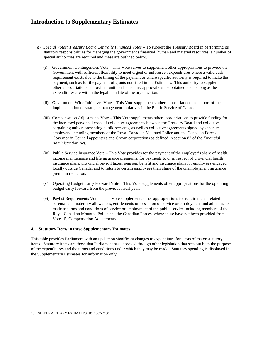- g) *Special Votes: Treasury Board Centrally Financed Votes* To support the Treasury Board in performing its statutory responsibilities for managing the government's financial, human and materiel resources, a number of special authorities are required and these are outlined below.
	- (i) Government Contingencies Vote This Vote serves to supplement other appropriations to provide the Government with sufficient flexibility to meet urgent or unforeseen expenditures where a valid cash requirement exists due to the timing of the payment or where specific authority is required to make the payment, such as for the payment of grants not listed in the Estimates. This authority to supplement other appropriations is provided until parliamentary approval can be obtained and as long as the expenditures are within the legal mandate of the organization.
	- (ii) Government-Wide Initiatives Vote This Vote supplements other appropriations in support of the implementation of strategic management initiatives in the Public Service of Canada.
	- (iii) Compensation Adjustments Vote This Vote supplements other appropriations to provide funding for the increased personnel costs of collective agreements between the Treasury Board and collective bargaining units representing public servants, as well as collective agreements signed by separate employers, including members of the Royal Canadian Mounted Police and the Canadian Forces, Governor in Council appointees and Crown corporations as defined in section 83 of the *Financial Administration Act*.
	- (iv) Public Service Insurance Vote This Vote provides for the payment of the employer's share of health, income maintenance and life insurance premiums; for payments to or in respect of provincial health insurance plans; provincial payroll taxes; pension, benefit and insurance plans for employees engaged locally outside Canada; and to return to certain employees their share of the unemployment insurance premium reduction.
	- (v) Operating Budget Carry Forward Vote This Vote supplements other appropriations for the operating budget carry forward from the previous fiscal year.
	- (vi) Paylist Requirements Vote This Vote supplements other appropriations for requirements related to parental and maternity allowances, entitlements on cessation of service or employment and adjustments made to terms and conditions of service or employment of the public service including members of the Royal Canadian Mounted Police and the Canadian Forces, where these have not been provided from Vote 15, Compensation Adjustments.

### **4. Statutory Items in these Supplementary Estimates**

This table provides Parliament with an update on significant changes to expenditure forecasts of major statutory items. Statutory items are those that Parliament has approved through other legislation that sets out both the purpose of the expenditures and the terms and conditions under which they may be made. Statutory spending is displayed in the Supplementary Estimates for information only.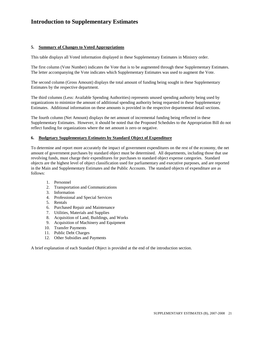### **5. Summary of Changes to Voted Appropriations**

This table displays all Voted information displayed in these Supplementary Estimates in Ministry order.

The first column (Vote Number) indicates the Vote that is to be augmented through these Supplementary Estimates. The letter accompanying the Vote indicates which Supplementary Estimates was used to augment the Vote.

The second column (Gross Amount) displays the total amount of funding being sought in these Supplementary Estimates by the respective department.

The third columns (Less: Available Spending Authorities) represents unused spending authority being used by organizations to minimize the amount of additional spending authority being requested in these Supplementary Estimates. Additional information on these amounts is provided in the respective departmental detail sections.

The fourth column (Net Amount) displays the net amount of incremental funding being reflected in these Supplementary Estimates. However, it should be noted that the Proposed Schedules to the Appropriation Bill do not reflect funding for organizations where the net amount is zero or negative.

#### **6. Budgetary Supplementary Estimates by Standard Object of Expenditure**

To determine and report more accurately the impact of government expenditures on the rest of the economy, the net amount of government purchases by standard object must be determined. All departments, including those that use revolving funds, must charge their expenditures for purchases to standard object expense categories. Standard objects are the highest level of object classification used for parliamentary and executive purposes, and are reported in the Main and Supplementary Estimates and the Public Accounts. The standard objects of expenditure are as follows:

- 1. Personnel
- 2. Transportation and Communications
- 3. Information
- 4. Professional and Special Services
- 5. Rentals
- 6. Purchased Repair and Maintenance
- 7. Utilities, Materials and Supplies
- 8. Acquisition of Land, Buildings, and Works
- 9. Acquisition of Machinery and Equipment
- 10. Transfer Payments
- 11. Public Debt Charges
- 12. Other Subsidies and Payments

A brief explanation of each Standard Object is provided at the end of the introduction section.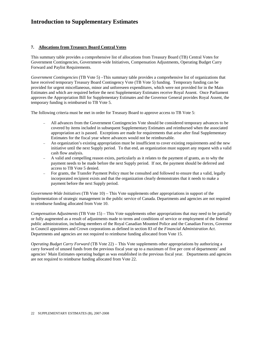### **7. Allocations from Treasury Board Central Votes**

This summary table provides a comprehensive list of allocations from Treasury Board (TB) Central Votes for Government Contingencies, Government-wide Initiatives, Compensation Adjustments, Operating Budget Carry Forward and Paylist Requirements.

*Government Contingencies* (TB Vote 5) –This summary table provides a comprehensive list of organizations that have received temporary Treasury Board Contingency Vote (TB Vote 5) funding. Temporary funding can be provided for urgent miscellaneous, minor and unforeseen expenditures, which were not provided for in the Main Estimates and which are required before the next Supplementary Estimates receive Royal Assent. Once Parliament approves the Appropriation Bill for Supplementary Estimates and the Governor General provides Royal Assent, the temporary funding is reimbursed to TB Vote 5.

The following criteria must be met in order for Treasury Board to approve access to TB Vote 5:

- All advances from the Government Contingencies Vote should be considered temporary advances to be covered by items included in subsequent Supplementary Estimates and reimbursed when the associated appropriation act is passed. Exceptions are made for requirements that arise after final Supplementary Estimates for the fiscal year where advances would not be reimbursable.
- An organization's existing appropriation must be insufficient to cover existing requirements and the new initiative until the next Supply period. To that end, an organization must support any request with a valid cash flow analysis.
- A valid and compelling reason exists, particularly as it relates to the payment of grants, as to why the payment needs to be made before the next Supply period. If not, the payment should be deferred and access to TB Vote 5 denied.
- For grants, the Transfer Payment Policy must be consulted and followed to ensure that a valid, legally incorporated recipient exists and that the organization clearly demonstrates that it needs to make a payment before the next Supply period.

*Government-Wide Initiatives* (TB Vote 10) – This Vote supplements other appropriations in support of the implementation of strategic management in the public service of Canada. Departments and agencies are not required to reimburse funding allocated from Vote 10.

*Compensation Adjustments* (TB Vote 15) – This Vote supplements other appropriations that may need to be partially or fully augmented as a result of adjustments made to terms and conditions of service or employment of the federal public administration, including members of the Royal Canadian Mounted Police and the Canadian Forces, Governor in Council appointees and Crown corporations as defined in section 83 of the *Financial Administration Act*. Departments and agencies are not required to reimburse funding allocated from Vote 15.

*Operating Budget Carry Forward* (TB Vote 22) – This Vote supplements other appropriations by authorizing a carry forward of unused funds from the previous fiscal year up to a maximum of five per cent of departments' and agencies' Main Estimates operating budget as was established in the previous fiscal year. Departments and agencies are not required to reimburse funding allocated from Vote 22.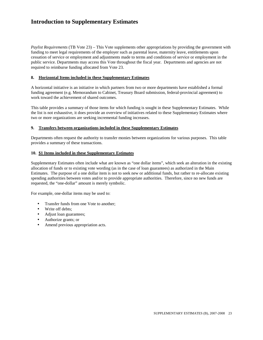*Paylist Requirements* (TB Vote 23) – This Vote supplements other appropriations by providing the government with funding to meet legal requirements of the employer such as parental leave, maternity leave, entitlements upon cessation of service or employment and adjustments made to terms and conditions of service or employment in the public service. Departments may access this Vote throughout the fiscal year. Departments and agencies are not required to reimburse funding allocated from Vote 23.

#### **8. Horizontal Items included in these Supplementary Estimates**

A horizontal initiative is an initiative in which partners from two or more departments have established a formal funding agreement (e.g. Memorandum to Cabinet, Treasury Board submission, federal-provincial agreement) to work toward the achievement of shared outcomes.

This table provides a summary of those items for which funding is sought in these Supplementary Estimates. While the list is not exhaustive, it does provide an overview of initiatives related to these Supplementary Estimates where two or more organizations are seeking incremental funding increases.

#### **9. Transfers between organizations included in these Supplementary Estimates**

Departments often request the authority to transfer monies between organizations for various purposes. This table provides a summary of these transactions.

#### **10. \$1 Items included in these Supplementary Estimates**

Supplementary Estimates often include what are known as "one dollar items", which seek an alteration in the existing allocation of funds or to existing vote wording (as in the case of loan guarantees) as authorized in the Main Estimates. The purpose of a one dollar item is not to seek new or additional funds, but rather to re-allocate existing spending authorities between votes and/or to provide appropriate authorities. Therefore, since no new funds are requested, the "one-dollar" amount is merely symbolic.

For example, one-dollar items may be used to:

- Transfer funds from one Vote to another;
- Write off debts;
- Adjust loan guarantees;
- Authorize grants; or
- Amend previous appropriation acts.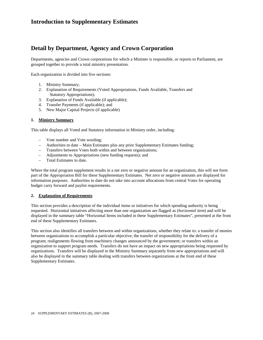### **Detail by Department, Agency and Crown Corporation**

Departments, agencies and Crown corporations for which a Minister is responsible, or reports to Parliament, are grouped together to provide a total ministry presentation.

Each organization is divided into five sections:

- 1. Ministry Summary;
- 2. Explanation of Requirements (Voted Appropriations, Funds Available, Transfers and Statutory Appropriations);
- 3. Explanation of Funds Available (if applicable);
- 4. Transfer Payments (if applicable); and
- 5. New Major Capital Projects (if applicable)

#### **1. Ministry Summary**

This table displays all Voted and Statutory information in Ministry order, including:

- Vote number and Vote wording;
- Authorities to date Main Estimates plus any prior Supplementary Estimates funding;
- Transfers between Votes both within and between organizations;
- Adjustments to Appropriations (new funding requests); and
- Total Estimates to date.

Where the total program supplement results in a net zero or negative amount for an organization, this will not form part of the Appropriation Bill for these Supplementary Estimates. Net zero or negative amounts are displayed for information purposes. Authorities to date do not take into account allocations from central Votes for operating budget carry forward and paylist requirements.

### **2. Explanation of Requirements**

This section provides a description of the individual items or initiatives for which spending authority is being requested. Horizontal initiatives affecting more than one organization are flagged as (*horizontal item*) and will be displayed in the summary table "Horizontal Items included in these Supplementary Estimates", presented at the front end of these Supplementary Estimates.

This section also identifies all transfers between and within organizations, whether they relate to: a transfer of monies between organizations to accomplish a particular objective; the transfer of responsibility for the delivery of a program; realignments flowing from machinery changes announced by the government; or transfers within an organization to support program needs. Transfers do not have an impact on new appropriations being requested by organizations. Transfers will be displayed in the Ministry Summary separately from new appropriations and will also be displayed in the summary table dealing with transfers between organizations at the front end of these Supplementary Estimates.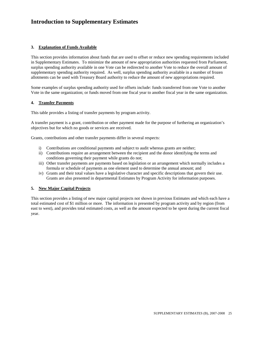### **3. Explanation of Funds Available**

This section provides information about funds that are used to offset or reduce new spending requirements included in Supplementary Estimates. To minimize the amount of new appropriation authorities requested from Parliament, surplus spending authority available in one Vote can be redirected to another Vote to reduce the overall amount of supplementary spending authority required. As well, surplus spending authority available in a number of frozen allotments can be used with Treasury Board authority to reduce the amount of new appropriations required.

Some examples of surplus spending authority used for offsets include: funds transferred from one Vote to another Vote in the same organization; or funds moved from one fiscal year to another fiscal year in the same organization.

#### **4. Transfer Payments**

This table provides a listing of transfer payments by program activity.

A transfer payment is a grant, contribution or other payment made for the purpose of furthering an organization's objectives but for which no goods or services are received.

Grants, contributions and other transfer payments differ in several respects:

- i) Contributions are conditional payments and subject to audit whereas grants are neither;
- ii) Contributions require an arrangement between the recipient and the donor identifying the terms and conditions governing their payment while grants do not;
- iii) Other transfer payments are payments based on legislation or an arrangement which normally includes a formula or schedule of payments as one element used to determine the annual amount; and
- iv) Grants and their total values have a legislative character and specific descriptions that govern their use. Grants are also presented in departmental Estimates by Program Activity for information purposes.

### **5. New Major Capital Projects**

This section provides a listing of new major capital projects not shown in previous Estimates and which each have a total estimated cost of \$1 million or more. The information is presented by program activity and by region (from east to west), and provides total estimated costs, as well as the amount expected to be spent during the current fiscal year.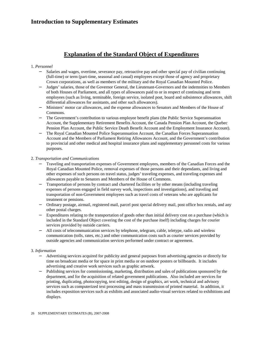### **Explanation of the Standard Object of Expenditures**

### 1. *Personnel*

- Salaries and wages, overtime, severance pay, retroactive pay and other special pay of civilian continuing (full-time) or term (part-time, seasonal and casual) employees except those of agency and proprietary Crown corporations, as well as members of the military and the Royal Canadian Mounted Police.
- − Judges' salaries, those of the Governor General, the Lieutenant-Governors and the indemnities to Members of both Houses of Parliament, and all types of allowances paid to or in respect of continuing and term employees (such as living, terminable, foreign service, isolated post, board and subsistence allowances, shift differential allowances for assistants, and other such allowances).
- − Ministers' motor car allowances, and the expense allowances to Senators and Members of the House of Commons.
- The Government's contribution to various employee benefit plans (the Public Service Superannuation Account, the Supplementary Retirement Benefits Account, the Canada Pension Plan Account, the Quebec Pension Plan Account, the Public Service Death Benefit Account and the Employment Insurance Account).
- The Royal Canadian Mounted Police Superannuation Account, the Canadian Forces Superannuation Account and the Members of Parliament Retiring Allowances Account, and the Government's contribution to provincial and other medical and hospital insurance plans and supplementary personnel costs for various purposes.

### 2. *Transportation and Communications*

- Traveling and transportation expenses of Government employees, members of the Canadian Forces and the Royal Canadian Mounted Police, removal expenses of those persons and their dependants, and living and other expenses of such persons on travel status, judges' traveling expenses, and traveling expenses and allowances payable to Senators and Members of the House of Commons.
- Transportation of persons by contract and chartered facilities or by other means (including traveling expenses of persons engaged in field survey work, inspections and investigations), and traveling and transportation of non-Government employees such as travel costs of veterans who are applicants for treatment or pensions.
- − Ordinary postage, airmail, registered mail, parcel post special delivery mail, post office box rentals, and any other postal charges.
- Expenditures relating to the transportation of goods other than initial delivery cost on a purchase (which is included in the Standard Object covering the cost of the purchase itself) including charges for courier services provided by outside carriers.
- − All costs of telecommunication services by telephone, telegram, cable, teletype, radio and wireless communication (tolls, rates, etc.) and other communication costs such as courier services provided by outside agencies and communication services performed under contract or agreement.

### 3. *Information*

- − Advertising services acquired for publicity and general purposes from advertising agencies or directly for time on broadcast media or for space in print media or on outdoor posters or billboards. It includes advertising and creative work services such as graphic artwork.
- − Publishing services for commissioning, marketing, distribution and sales of publications sponsored by the department, and for the acquisition of related government publications. Also included are services for printing, duplicating, photocopying, text editing, design of graphics, art work, technical and advisory services such as computerized text processing and mass transmission of printed material. In addition, it includes exposition services such as exhibits and associated audio-visual services related to exhibitions and displays.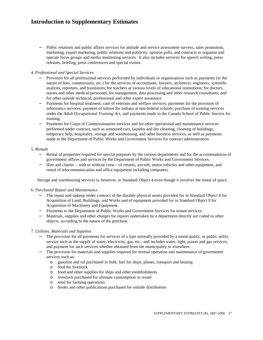Public relations and public affairs services for attitude and service assessment surveys, sales promotion, marketing, export marketing, public relations and publicity, opinion polls, and contracts to organize and operate focus groups and media monitoring services. It also includes services for speech writing, press releases, briefing, press conferences and special events.

#### 4. *Professional and Special Services*

- Provision for all professional services performed by individuals or organizations such as payments (in the nature of fees, commissions, etc.) for the services of accountants, lawyers, architects, engineers, scientific analysts, reporters, and translators; for teachers at various levels of educational institutions; for doctors, nurses and other medical personnel; for management, data processing and other research consultants; and for other outside technical, professional and other expert assistance.
- Payments for hospital treatment, care of veterans and welfare services, payments for the provision of informatics services, payment of tuition for Indians at non-federal schools, purchase of training services under the *Adult Occupational Training Act*, and payments made to the Canada School of Public Service for training.
- − Payments for Corps of Commissionaires services and for other operational and maintenance services performed under contract, such as armoured cars, laundry and dry cleaning, cleaning of buildings, temporary help, hospitality, storage and warehousing, and other business services, as well as payments made to the Department of Public Works and Government Services for contract administration.

#### 5. *Rentals*

- Rental of properties required for special purposes by the various departments and for the accommodation of government offices and services by the Department of Public Works and Government Services.
- − Hire and charter with or without crew of vessels, aircraft, motor vehicles and other equipment, and rental of telecommunication and office equipment including computers.

Storage and warehousing services is, however, in Standard Object 4 even though it involves the rental of space.

#### 6. *Purchased Repair and Maintenance*

- The repair and upkeep under contract of the durable physical assets provided for in Standard Object 8 for Acquisition of Land, Buildings, and Works and of equipment provided for in Standard Object 9 for Acquisition of Machinery and Equipment.
- − Payments to the Department of Public Works and Government Services for tenant services.
- − Materials, supplies and other charges for repairs undertaken by a department directly are coded to other objects, according to the nature of the purchase.

### 7. *Utilities, Materials and Supplies*

- − The provision for all payments for services of a type normally provided by a municipality, or public utility service such as the supply of water, electricity, gas, etc., and includes water, light, power and gas services, and payment for such services whether obtained from the municipality or elsewhere.
- The provision for materials and supplies required for normal operation and maintenance of government services such as:
	- o gasoline and oil purchased in bulk; fuel for ships, planes, transport and heating
	- o feed for livestock
	- o food and other supplies for ships and other establishments
	- o livestock purchased for ultimate consumption or resale
	- o seed for farming operations
	- o books and other publications purchased for outside distribution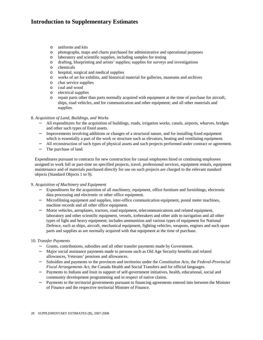- o uniforms and kits
- o photographs, maps and charts purchased for administrative and operational purposes
- o laboratory and scientific supplies, including samples for testing
- o drafting, blueprinting and artists' supplies; supplies for surveys and investigations
- o chemicals
- o hospital, surgical and medical supplies
- o works of art for exhibits, and historical material for galleries, museums and archives
- o char service supplies
- o coal and wood
- o electrical supplies
- o repair parts other than parts normally acquired with equipment at the time of purchase for aircraft, ships, road vehicles, and for communication and other equipment; and all other materials and supplies.

### 8. *Acquisition of Land, Buildings, and Works*

- − All expenditures for the acquisition of buildings, roads, irrigation works, canals, airports, wharves, bridges and other such types of fixed assets.
- − Improvements involving additions or changes of a structural nature, and for installing fixed equipment which is essentially a part of the work or structure such as elevators, heating and ventilating equipment.
- − All reconstruction of such types of physical assets and such projects performed under contract or agreement.
- − The purchase of land.

Expenditures pursuant to contracts for new construction for casual employees hired or continuing employees assigned to work full or part-time on specified projects, travel, professional services, equipment rentals, equipment maintenance and of materials purchased directly for use on such projects are charged to the relevant standard objects (Standard Objects 1 to 9).

#### 9. *Acquisition of Machinery and Equipment*

- Expenditures for the acquisition of all machinery, equipment, office furniture and furnishings, electronic data processing and electronic or other office equipment.
- − Microfilming equipment and supplies, inter-office communication equipment, postal meter machines, machine records and all other office equipment.
- − Motor vehicles, aeroplanes, tractors, road equipment, telecommunications and related equipment, laboratory and other scientific equipment, vessels, icebreakers and other aids to navigation and all other types of light and heavy equipment; includes ammunition and various types of equipment for National Defence, such as ships, aircraft, mechanical equipment, fighting vehicles, weapons, engines and such spare parts and supplies as are normally acquired with that equipment at the time of purchase.

### 10. *Transfer Payments*

- − Grants, contributions, subsidies and all other transfer payments made by Government.
- − Major social assistance payments made to persons such as Old Age Security benefits and related allowances, Veterans' pensions and allowances.
- − Subsidies and payments to the provinces and territories under the *Constitution Acts*, the *Federal-Provincial Fiscal Arrangements Act*, the Canada Health and Social Transfers and for official languages.
- − Payments to Indians and Inuit in support of self-government initiatives, health, educational, social and community development programming and in respect of native claims.
- Payments to the territorial governments pursuant to financing agreements entered into between the Minister of Finance and the respective territorial Minister of Finance.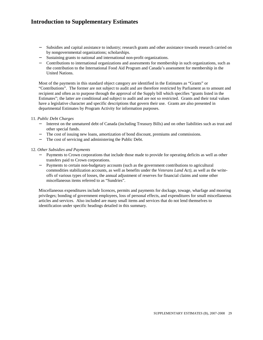- − Subsidies and capital assistance to industry; research grants and other assistance towards research carried on by nongovernmental organizations; scholarships.
- − Sustaining grants to national and international non-profit organizations.
- − Contributions to international organizations and assessments for membership in such organizations, such as the contribution to the International Food Aid Program and Canada's assessment for membership in the United Nations.

Most of the payments in this standard object category are identified in the Estimates as "Grants" or "Contributions". The former are not subject to audit and are therefore restricted by Parliament as to amount and recipient and often as to purpose through the approval of the Supply bill which specifies "grants listed in the Estimates"; the latter are conditional and subject to audit and are not so restricted. Grants and their total values have a legislative character and specific descriptions that govern their use. Grants are also presented in departmental Estimates by Program Activity for information purposes.

#### 11. *Public Debt Charges*

- − Interest on the unmatured debt of Canada (including Treasury Bills) and on other liabilities such as trust and other special funds.
- − The cost of issuing new loans, amortization of bond discount, premiums and commissions.
- − The cost of servicing and administering the Public Debt.

#### 12. *Other Subsidies and Payments*

- − Payments to Crown corporations that include those made to provide for operating deficits as well as other transfers paid to Crown corporations.
- − Payments to certain non-budgetary accounts (such as the government contributions to agricultural commodities stabilization accounts, as well as benefits under the *Veterans Land Act),* as well as the writeoffs of various types of losses, the annual adjustment of reserves for financial claims and some other miscellaneous items referred to as "Sundries".

Miscellaneous expenditures include licences, permits and payments for dockage, towage, wharfage and mooring privileges; bonding of government employees, loss of personal effects, and expenditures for small miscellaneous articles and services. Also included are many small items and services that do not lend themselves to identification under specific headings detailed in this summary.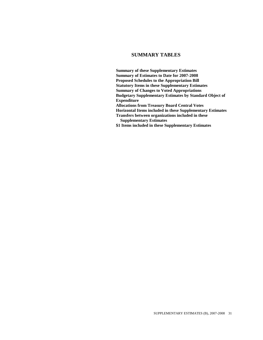### **SUMMARY TABLES**

**Summary of these Supplementary Estimates Summary of Estimates to Date for 2007-2008 Proposed Schedules to the Appropriation Bill Statutory Items in these Supplementary Estimates Summary of Changes to Voted Appropriations Budgetary Supplementary Estimates by Standard Object of Expenditure Allocations from Treasury Board Central Votes Horizontal Items included in these Supplementary Estimates Transfers between organizations included in these Supplementary Estimates \$1 Items included in these Supplementary Estimates**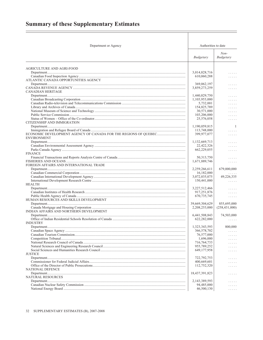# <span id="page-28-0"></span>**Summary of these Supplementary Estimates**

 $=$ 

| Department or Agency                    | Authorities to date        |                                        |
|-----------------------------------------|----------------------------|----------------------------------------|
|                                         | Budgetary                  | $Non-$<br>Budgetary                    |
| AGRICULTURE AND AGRI-FOOD               |                            |                                        |
|                                         | 3,014,828,716              | .                                      |
|                                         | 610,060,288                | .                                      |
| ATLANTIC CANADA OPPORTUNITIES AGENCY    |                            |                                        |
|                                         | 369,062,197                | .                                      |
| CANADIAN HERITAGE                       | 3,859,273,259              | .                                      |
|                                         | 1,440,829,750              | .                                      |
|                                         | 1,103,953,000              | .                                      |
|                                         | 5,732,001                  | .                                      |
|                                         | 154,825,789                | .                                      |
|                                         | 30,571,000                 | .                                      |
|                                         | 103,206,000                | .                                      |
|                                         | 25,576,058                 | .                                      |
| CITIZENSHIP AND IMMIGRATION             |                            |                                        |
|                                         | 1,190,059,815              | 1                                      |
|                                         | 113,748,000                | .                                      |
| <b>ENVIRONMENT</b>                      | 399,977,077                | .                                      |
|                                         | 1,132,669,713              | .                                      |
|                                         | 22,422,326                 | .                                      |
|                                         | 662,229,055                | .                                      |
| <b>FINANCE</b>                          |                            |                                        |
|                                         | 50, 313, 750               | .                                      |
|                                         | 1,671,889,746              | $\ldots \ldots$                        |
| FOREIGN AFFAIRS AND INTERNATIONAL TRADE |                            |                                        |
|                                         | 2,259,266,611              | 679,000,000                            |
|                                         | 16,182,000                 |                                        |
|                                         | 3,072,035,075              | 49,226,335                             |
| <b>HEALTH</b>                           | 150,441,000                | $\ldots \ldots$                        |
|                                         | 3,227,512,466              | .                                      |
|                                         | 917,251,876                | .                                      |
|                                         | 670, 735, 745              | $\mathbb{Z}^2$ . In the $\mathbb{Z}^2$ |
| HUMAN RESOURCES AND SKILLS DEVELOPMENT  |                            |                                        |
|                                         | 39,669,304,629             | 855,695,000                            |
|                                         | 2,208,253,000              | (258, 431, 000)                        |
| INDIAN AFFAIRS AND NORTHERN DEVELOPMENT |                            |                                        |
|                                         | 6,441,508,843              | 74,503,000                             |
| <b>INDUSTRY</b>                         | 622,282,000                | $\mathbb{Z}^2$ . In the $\mathbb{Z}^2$ |
|                                         | 1,323,343,593              | 800,000                                |
|                                         | 366,578,702                | .                                      |
|                                         | 76,577,000                 | .                                      |
|                                         | 1,696,000                  | .                                      |
|                                         | 716, 764, 733              | $\ldots$ .                             |
|                                         | 955,789,252                | $\ldots$ .                             |
|                                         | 649, 177, 958              | .                                      |
| <b>JUSTICE</b>                          |                            |                                        |
|                                         | 722, 792, 753              | .                                      |
|                                         | 400,669,601<br>112,752,320 | .                                      |
| <b>NATIONAL DEFENCE</b>                 |                            | .                                      |
|                                         | 18,437,391,823             | .                                      |
| NATURAL RESOURCES                       |                            |                                        |
|                                         | 2, 143, 389, 593           | .                                      |
|                                         | 94,485,000                 | $\ldots$ .                             |
|                                         | 46,500,130                 | .                                      |

 $\equiv$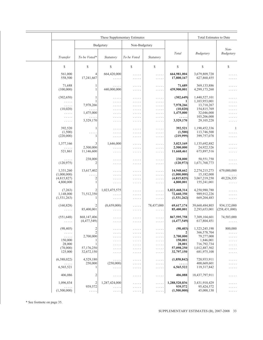| These Supplementary Estimates                    |                                                  |                                                  |                                                                          | Total Estimates to Date                                                    |                           |                              |                 |
|--------------------------------------------------|--------------------------------------------------|--------------------------------------------------|--------------------------------------------------------------------------|----------------------------------------------------------------------------|---------------------------|------------------------------|-----------------|
|                                                  |                                                  | Budgetary                                        | Non-Budgetary                                                            |                                                                            |                           |                              |                 |
|                                                  |                                                  |                                                  |                                                                          |                                                                            |                           |                              | $Non-$          |
| Transfer                                         | To be Voted*                                     | Statutory                                        | To be Voted                                                              | Statutory                                                                  | Total                     | Budgetary                    | Budgetary       |
| \$                                               | \$                                               | \$                                               | \$                                                                       | \$                                                                         | \$                        | \$                           | \$              |
|                                                  |                                                  |                                                  |                                                                          |                                                                            |                           |                              |                 |
| 561,000<br>558,500                               | 4<br>17,241,667                                  | 664,420,000<br>$\alpha$ , $\alpha$ , $\alpha$    | $\ldots$<br>$\ldots$                                                     | $\ldots$<br>$\ldots$                                                       | 664,981,004<br>17,800,167 | 3,679,809,720<br>627,860,455 | .<br>.          |
| 71,688                                           | 1                                                | $\ldots$                                         | $\alpha$ is a second .                                                   | .                                                                          | 71,689                    | 369,133,886                  | .               |
| (100,000)                                        | $\mathbf{1}$                                     | 440,000,000                                      | $\alpha$ is a second                                                     | $\ldots$                                                                   | 439,900,001               | 4,299,173,260                | .               |
| (302, 650)                                       | 1                                                | $\ldots$                                         | $\ldots$                                                                 | .                                                                          | (302, 649)                | 1,440,527,101                | .               |
| $\mathbb{Z}^2$ . The set of $\mathbb{Z}^2$       | 1                                                | $\ldots$                                         | $\ldots$                                                                 | .                                                                          | 1                         | 1,103,953,001                | .               |
| $\ldots$                                         | 7,978,266                                        | $\dots$                                          | $\ldots$                                                                 | $\ldots$                                                                   | 7,978,266                 | 13,710,267<br>154,815,769    | .               |
| (10,020)<br>$\ldots$                             | $\alpha$ , $\alpha$ , $\alpha$<br>1,475,000      | $\ldots$<br>$\ldots$                             | $\ldots$<br>$\ldots$                                                     | .<br>$\ldots$                                                              | (10, 020)<br>1,475,000    | 32,046,000                   | .<br>.          |
| $\mathbb{Z}^n$ . $\mathbb{Z}^n$ , $\mathbb{Z}^n$ | $\mathbb{R}^2$ , $\mathbb{R}^2$ , $\mathbb{R}^2$ | $\ldots$                                         | $\ldots$                                                                 | .                                                                          | .                         | 103,206,000                  | .               |
| $\epsilon$ , $\epsilon$ , $\epsilon$             | 3,529,170                                        | $\ldots$                                         | $\alpha$ is a second                                                     | $\ldots$                                                                   | 3,529,170                 | 29, 105, 228                 | .               |
| 392,520                                          | 1                                                | $\dots$                                          | $\ldots$                                                                 | .                                                                          | 392,521                   | 1,190,452,336                | $\mathbf{1}$    |
| (1,500)                                          | $\ldots$                                         | $\cdots$                                         | $\ldots$                                                                 | $\ldots$                                                                   | (1,500)                   | 113,746,500                  | .               |
| (220,000)                                        | 1                                                | $\dots$                                          | $\ldots$                                                                 | $\ldots$                                                                   | (219,999)                 | 399,757,078                  | .               |
| 1,377,166                                        | 3                                                | 1,646,000                                        | $\alpha$ is a second                                                     | .                                                                          | 3,023,169                 | 1,135,692,882                | .               |
| .                                                | 2,500,000                                        | $\ldots$                                         | $\alpha$ is a second .                                                   | .                                                                          | 2,500,000                 | 24,922,326                   | .               |
| 521,861                                          | 11,146,600                                       | $\mathbb{Z}^2$ . $\mathbb{Z}^2$ , $\mathbb{Z}^2$ | $\ldots$                                                                 | $\ldots$                                                                   | 11,668,461                | 673,897,516                  | .               |
|                                                  | 238,000                                          |                                                  |                                                                          |                                                                            | 238,000                   | 50,551,750                   |                 |
| $\ldots$<br>(120, 975)                           | 2                                                | .<br>$\ldots$                                    | $\ldots$<br>$\epsilon$ is a set                                          | $\ldots$<br>$\ldots$                                                       | (120, 973)                | 1,671,768,773                | .<br>.          |
|                                                  |                                                  |                                                  |                                                                          |                                                                            |                           |                              |                 |
| 1,331,260                                        | 13,617,402                                       | $\alpha$ , $\alpha$ , $\alpha$                   | $\alpha$ is a second                                                     | .                                                                          | 14,948,662                | 2,274,215,273                | 679,000,000     |
| (1,000,000)                                      | $\ldots$                                         | $\mathbb{Z}^2$ . $\mathbb{Z}^2$ , $\mathbb{Z}^2$ | $\alpha$ is a second .                                                   | .                                                                          | (1,000,000)               | 15,182,000                   |                 |
| (4,815,827)<br>4,800,000                         | $\overline{c}$<br>$\mathbf{1}$                   | .                                                | $\alpha$ is a second                                                     | $\ldots$                                                                   | (4,815,825)<br>4,800,001  | 3,067,219,250<br>155,241,001 | 49,226,335<br>. |
|                                                  |                                                  | .                                                | $\epsilon$ is a set                                                      | $\ldots$                                                                   |                           |                              |                 |
| (7,263)                                          |                                                  | 1,023,475,575                                    | $\ldots$                                                                 | $\mathbb{Z}^2$ . $\mathbb{Z}^2$ , $\mathbb{Z}^2$                           | 1,023,468,314             | 4,250,980,780                | .               |
| 1,148,000                                        | 71,512,350                                       | $\alpha$ , $\alpha$ , $\alpha$                   | $\ldots$                                                                 | $\ldots$                                                                   | 72,660,350                | 989,912,226                  | .               |
| (1,531,263)                                      | 1                                                | $\epsilon$ is a set                              | $\ldots$                                                                 | $\ldots$                                                                   | (1,531,262)               | 669, 204, 483                | .               |
| (160, 828)                                       | 2                                                | (8,659,000)                                      | $\alpha$ is a second .                                                   | 78,437,000                                                                 | 69,617,174                | 39,660,484,803               | 934,132,000     |
| $\epsilon$ is a set of                           | 85,400,001                                       | $\alpha$ , $\alpha$ , $\alpha$                   | $\ldots$                                                                 | $\ldots$                                                                   | 85,400,001                | 2,293,653,001                | (258, 431, 000) |
| (551, 648)                                       | 868,147,406                                      |                                                  |                                                                          |                                                                            | 867,595,758               | 7,309,104,601                | 74,503,000      |
| $\ldots$                                         | (4,477,549)                                      | $\ldots$<br>$\ldots$                             | $\ldots$<br>$\ldots$                                                     | $\mathbb{Z}^2$ . $\mathbb{Z}^2$ , $\mathbb{Z}^2$<br>$\alpha$ is a second . | (4, 477, 549)             | 617,804,451                  | $\ldots$        |
|                                                  |                                                  |                                                  |                                                                          |                                                                            |                           |                              |                 |
| (98, 405)                                        | $\overline{c}$                                   | .                                                | .                                                                        | .                                                                          | (98, 403)                 | 1,323,245,190                | 800,000         |
| $\mathbb{Z}^n$ . $\mathbb{Z}^n$ , $\mathbb{Z}^n$ | $\mathfrak{2}$                                   |                                                  | .                                                                        | .                                                                          | 2                         | 366,578,704                  | .               |
| $\ldots$<br>150,000                              | 2,700,000                                        |                                                  | .                                                                        | .                                                                          | 2,700,000                 | 79,277,000<br>1,846,001      | .               |
| 28,000                                           | 1<br>1                                           |                                                  | $\sim$ $\sim$ $\sim$ $\sim$ $\sim$                                       | .                                                                          | 150,001<br>28,001         | 716,792,734                  |                 |
| (78,000)                                         | 57,176,250                                       | .                                                | $\sim$ $\sim$ $\sim$ $\sim$ $\sim$<br>$\sim$ $\sim$ $\sim$ $\sim$ $\sim$ | .<br>.                                                                     | 57,098,250                | 1,012,887,502                |                 |
| 125,000                                          | 32,672,150                                       | .                                                | .                                                                        | .                                                                          | 32,797,150                | 681,975,108                  | .               |
| (6,388,022)                                      | 4,529,180                                        |                                                  |                                                                          |                                                                            | (1,858,842)               | 720,933,911                  |                 |
| .                                                | 250,000                                          | .<br>(250,000)                                   | .<br>.                                                                   | .<br>.                                                                     |                           | 400,669,601                  | .               |
| 6,565,521                                        | 1                                                | .                                                | $\sim$ $\sim$ $\sim$ $\sim$ $\sim$                                       | .                                                                          | 6,565,522                 | 119,317,842                  | $\ldots$        |
| 406,086                                          | 2                                                | .                                                | $\dots$                                                                  | .                                                                          | 406,088                   | 18,437,797,911               | .               |
| 1,096,834                                        | 2                                                | 1,287,424,000                                    |                                                                          |                                                                            | 1,288,520,836             | 3,431,910,429                |                 |
| .                                                | 939,572                                          | .                                                | $\sim$ $\sim$ $\sim$ $\sim$ $\sim$<br>$\sim$ $\sim$ $\sim$ $\sim$ $\sim$ | .<br>.                                                                     | 939,572                   | 95,424,572                   | .               |
| (1,500,000)                                      | .                                                | $\cdots$                                         | $\epsilon$ , and $\epsilon$                                              | $\epsilon$ , and $\epsilon$                                                | (1,500,000)               | 45,000,130                   | .               |

\* See footnote on page 35.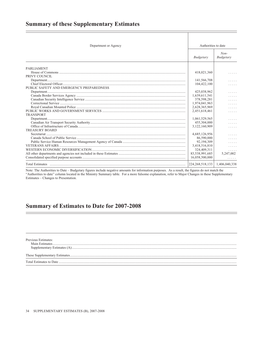### <span id="page-30-0"></span>**Summary of these Supplementary Estimates**

| Department or Agency                                                                                                                                                                                                                                                                                                                                                                                                                                                                                                                                                                                                     | Authorities to date |                     |
|--------------------------------------------------------------------------------------------------------------------------------------------------------------------------------------------------------------------------------------------------------------------------------------------------------------------------------------------------------------------------------------------------------------------------------------------------------------------------------------------------------------------------------------------------------------------------------------------------------------------------|---------------------|---------------------|
|                                                                                                                                                                                                                                                                                                                                                                                                                                                                                                                                                                                                                          | Budgetary           | $Non-$<br>Budgetary |
| <b>PARLIAMENT</b>                                                                                                                                                                                                                                                                                                                                                                                                                                                                                                                                                                                                        |                     |                     |
|                                                                                                                                                                                                                                                                                                                                                                                                                                                                                                                                                                                                                          | 418,021,360         |                     |
| PRIVY COUNCIL                                                                                                                                                                                                                                                                                                                                                                                                                                                                                                                                                                                                            |                     | .                   |
|                                                                                                                                                                                                                                                                                                                                                                                                                                                                                                                                                                                                                          | 141,566,708         |                     |
|                                                                                                                                                                                                                                                                                                                                                                                                                                                                                                                                                                                                                          | 104,422,100         | .                   |
| PUBLIC SAFETY AND EMERGENCY PREPAREDNESS                                                                                                                                                                                                                                                                                                                                                                                                                                                                                                                                                                                 |                     |                     |
| $Department \textbf{Department} \textbf{Output} \textbf{Output} \textbf{Output} \textbf{Output} \textbf{Output} \textbf{Output} \textbf{Output} \textbf{Output} \textbf{Output} \textbf{Output} \textbf{Output} \textbf{Output} \textbf{Output} \textbf{Output} \textbf{Output} \textbf{Output} \textbf{Output} \textbf{Output} \textbf{Output} \textbf{Output} \textbf{Output} \textbf{Output} \textbf{Output} \textbf{Output} \textbf{Output} \textbf{Output} \textbf{Output} \textbf{Output} \textbf{Output} \textbf{Output} \textbf{Output} \textbf{Output} \textbf{Output} \textbf{Output} \textbf{Output} \textbf$ | 425,038,962         | .                   |
|                                                                                                                                                                                                                                                                                                                                                                                                                                                                                                                                                                                                                          | 1,639,611,541       | .                   |
|                                                                                                                                                                                                                                                                                                                                                                                                                                                                                                                                                                                                                          | 378,598,281         |                     |
|                                                                                                                                                                                                                                                                                                                                                                                                                                                                                                                                                                                                                          | 1,974,041,963       | .                   |
|                                                                                                                                                                                                                                                                                                                                                                                                                                                                                                                                                                                                                          | 2,628,365,969       | .                   |
|                                                                                                                                                                                                                                                                                                                                                                                                                                                                                                                                                                                                                          | 2,451,618,461       | .                   |
| <b>TRANSPORT</b>                                                                                                                                                                                                                                                                                                                                                                                                                                                                                                                                                                                                         |                     |                     |
|                                                                                                                                                                                                                                                                                                                                                                                                                                                                                                                                                                                                                          | 1,061,529,565       | .                   |
|                                                                                                                                                                                                                                                                                                                                                                                                                                                                                                                                                                                                                          | 455,304,000         | .                   |
|                                                                                                                                                                                                                                                                                                                                                                                                                                                                                                                                                                                                                          | 3,122,160,909       |                     |
| <b>TREASURY BOARD</b>                                                                                                                                                                                                                                                                                                                                                                                                                                                                                                                                                                                                    |                     |                     |
|                                                                                                                                                                                                                                                                                                                                                                                                                                                                                                                                                                                                                          | 4,685,126,956       | .                   |
|                                                                                                                                                                                                                                                                                                                                                                                                                                                                                                                                                                                                                          | 86,590,000          |                     |
|                                                                                                                                                                                                                                                                                                                                                                                                                                                                                                                                                                                                                          | 92,194,309          |                     |
|                                                                                                                                                                                                                                                                                                                                                                                                                                                                                                                                                                                                                          | 3,418,516,810       | 1.1.1.1             |
|                                                                                                                                                                                                                                                                                                                                                                                                                                                                                                                                                                                                                          | 324,409,311         | .                   |
|                                                                                                                                                                                                                                                                                                                                                                                                                                                                                                                                                                                                                          | 83,538,991,685      | 5,247,002           |
|                                                                                                                                                                                                                                                                                                                                                                                                                                                                                                                                                                                                                          | 16,058,500,000      | .                   |
|                                                                                                                                                                                                                                                                                                                                                                                                                                                                                                                                                                                                                          | 224, 268, 518, 133  | 1,406,040,338       |

Note: The Authorities to Date - Budgetary figures include negative amounts for information purposes. As a result, the figures do not match the "Authorities to date" column located in the Ministry Summary table. For a more fulsome explanation, refer to Major Changes in these Supplementary Estimates - Changes to Presentation.

### **Summary of Estimates to Date for 2007-2008**

Previous Estimates: Main Estimates......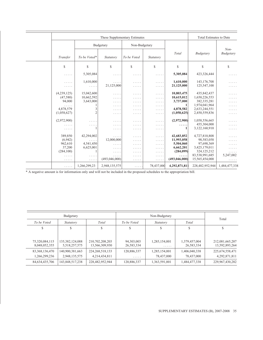|              | These Supplementary Estimates |                                                            |                      |                                                                   |                         | Total Estimates to Date          |                             |
|--------------|-------------------------------|------------------------------------------------------------|----------------------|-------------------------------------------------------------------|-------------------------|----------------------------------|-----------------------------|
| Budgetary    |                               |                                                            | Non-Budgetary        |                                                                   |                         |                                  | $Non-$                      |
| Transfer     | To be Voted*                  | Statutory                                                  | To be Voted          | Statutory                                                         | Total                   | Budgetary                        | Budgetary                   |
| $\mathbb{S}$ | S                             | S                                                          | $\mathbb{S}$         | $\mathbb{S}$                                                      | \$                      | \$                               | \$                          |
| .            | 5,305,084                     | .                                                          | .                    | .                                                                 | 5,305,084               | 423,326,444                      | .                           |
| .<br>.       | 1,610,000<br>.                | .<br>21,125,000                                            | .<br>$\cdots$        | .<br>$\mathbb{Z}^2$ . In the $\mathbb{Z}^2$                       | 1,610,000<br>21,125,000 | 143, 176, 708<br>125,547,100     | .<br>.                      |
| (4,239,125)  | 15,042,600                    | .                                                          | .                    | $\cdots$                                                          | 10,803,475              | 435,842,437                      | .                           |
| (47,580)     | 10,662,592                    | .                                                          | .                    | .                                                                 | 10,615,012              | 1,650,226,553                    | .                           |
| 94,000       | 3,643,000                     | .                                                          | .                    | .                                                                 | 3,737,000<br>1          | 382, 335, 281<br>1,974,041,964   | .                           |
| 4,878,579    | 3                             | .<br>.                                                     | .<br>.               | .<br>.                                                            | 4,878,582               | 2,633,244,551                    | .<br>.                      |
| (1,058,627)  | $\mathfrak{2}$                | .                                                          | .                    | .                                                                 | (1,058,625)             | 2,450,559,836                    | .                           |
| (2,972,900)  | .                             | .                                                          | .                    | $\alpha$ , $\alpha$ , $\alpha$ , $\alpha$                         | (2,972,900)             | 1,058,556,665                    | .                           |
|              | .                             | .                                                          | $\cdots\cdots\cdots$ | .                                                                 | .<br>1                  | 455,304,000<br>3,122,160,910     | $\ldots$ .                  |
| .            |                               | .                                                          | .                    | .                                                                 |                         |                                  | .                           |
| 389,850      | 42,294,002                    | $\ldots$                                                   | .                    | $\cdots$                                                          | 42,683,852              | 4,727,810,808                    | .                           |
| (6,942)      |                               | 12,000,000                                                 | .                    | $\cdots$                                                          | 11,993,058              | 98,583,058                       | .                           |
| 962,610      | 4,541,450                     | $\cdots$                                                   | .                    | $\mathbb{Z}^2$ . $\mathbb{Z}^2$ , $\mathbb{Z}^2$ , $\mathbb{Z}^2$ | 5,504,060               | 97,698,369                       | .                           |
| 37,200       | 6,625,001                     | $\cdots$                                                   | .                    | $\cdots$                                                          | 6,662,201               | 3,425,179,011                    | .                           |
| (284, 100)   | 1                             | $\cdots$                                                   | .                    | .                                                                 | (284,099)               | 324, 125, 212                    | .                           |
| .<br>.       | .<br>.                        | $\alpha$ , $\alpha$ , $\alpha$ , $\alpha$<br>(493,046,000) | .<br>.               | .<br>$\ldots$                                                     | .<br>(493, 046, 000)    | 83,538,991,685<br>15,565,454,000 | 5,247,002<br>$\cdots\cdots$ |
| .            | 1,266,299,23                  | 2,948,135,575                                              | $\cdots$             | 78,437,000                                                        | 4,292,871,811           | 228,482,952,944                  | 1,484,477,338               |

\* A negative amount is for information only and will not be included in the proposed schedules to the appropriation bill.

|                   | Budgetary          |                    |             | Total         |               |                    |
|-------------------|--------------------|--------------------|-------------|---------------|---------------|--------------------|
| To be Voted       | <i>Statutory</i>   | Total              | To be Voted | Statutory     | Total         |                    |
|                   | S                  | S                  | S           |               |               |                    |
|                   |                    |                    |             |               |               |                    |
| 75,320,084,115    | 135, 382, 124, 088 | 210,702,208,203    | 94,303,003  | 1,285,154,001 | 1,379,457,004 | 212,081,665,207    |
| 8,048,052,355     | 5,518,257,575      | 13,566,309,930     | 26,583,334  | .             | 26,583,334    | 13,592,893,264     |
| 83, 368, 136, 470 | 140,900,381,663    | 224, 268, 518, 133 | 120,886,337 | 1,285,154,001 | 1,406,040,338 | 225, 674, 558, 471 |
| 1,266,299,236     | 2,948,135,575      | 4,214,434,811      | .           | 78,437,000    | 78,437,000    | 4,292,871,811      |
| 84, 634, 435, 706 | 143,848,517,238    | 228,482,952,944    | 120,886,337 | 1,363,591,001 | 1,484,477,338 | 229,967,430,282    |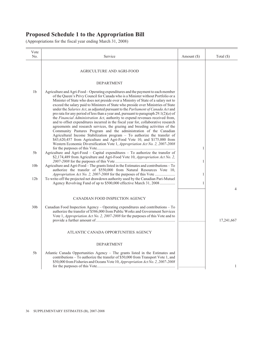<span id="page-32-0"></span>

| Vote<br>No.     | Service                                                                                                                                                                                                                                                                                                                                                                                                                                                                                                                                                                                                                                                                                                                                                                                                                                                                                                                                                                                                                                                                                          | Amount $(\$)$ | Total $(\$)$   |
|-----------------|--------------------------------------------------------------------------------------------------------------------------------------------------------------------------------------------------------------------------------------------------------------------------------------------------------------------------------------------------------------------------------------------------------------------------------------------------------------------------------------------------------------------------------------------------------------------------------------------------------------------------------------------------------------------------------------------------------------------------------------------------------------------------------------------------------------------------------------------------------------------------------------------------------------------------------------------------------------------------------------------------------------------------------------------------------------------------------------------------|---------------|----------------|
|                 | AGRICULTURE AND AGRI-FOOD                                                                                                                                                                                                                                                                                                                                                                                                                                                                                                                                                                                                                                                                                                                                                                                                                                                                                                                                                                                                                                                                        |               |                |
|                 | <b>DEPARTMENT</b>                                                                                                                                                                                                                                                                                                                                                                                                                                                                                                                                                                                                                                                                                                                                                                                                                                                                                                                                                                                                                                                                                |               |                |
| 1 <sub>b</sub>  | Agriculture and Agri-Food – Operating expenditures and the payment to each member<br>of the Queen's Privy Council for Canada who is a Minister without Portfolio or a<br>Minister of State who does not preside over a Ministry of State of a salary not to<br>exceed the salary paid to Ministers of State who preside over Ministries of State<br>under the Salaries Act, as adjusted pursuant to the Parliament of Canada Act and<br>pro rata for any period of less than a year and, pursuant to paragraph $29.1(2)(a)$ of<br>the Financial Administration Act, authority to expend revenues received from,<br>and to offset expenditures incurred in the fiscal year for, collaborative research<br>agreements and research services, the grazing and breeding activities of the<br>Community Pastures Program and the administration of the Canadian<br>Agricultural Income Stabilization program - To authorize the transfer of<br>\$43,620,457 from Agriculture and Agri-Food Vote 10, and \$175,000 from<br>Western Economic Diversification Vote 1, Appropriation Act No. 2, 2007-2008 | 1             |                |
| 5b              | Agriculture and Agri-Food - Capital expenditures - To authorize the transfer of<br>\$2,174,489 from Agriculture and Agri-Food Vote 10, Appropriation Act No. 2,                                                                                                                                                                                                                                                                                                                                                                                                                                                                                                                                                                                                                                                                                                                                                                                                                                                                                                                                  | 1             |                |
| 10 <sub>b</sub> | Agriculture and Agri-Food - The grants listed in the Estimates and contributions - To<br>authorize the transfer of \$550,000 from Natural Resources Vote 10,                                                                                                                                                                                                                                                                                                                                                                                                                                                                                                                                                                                                                                                                                                                                                                                                                                                                                                                                     | $\mathbf{1}$  |                |
| 12 <sub>b</sub> | To write-off the projected net drawdown authority used by the Canadian Pari-Mutuel<br>Agency Revolving Fund of up to \$500,000 effective March 31, 2008                                                                                                                                                                                                                                                                                                                                                                                                                                                                                                                                                                                                                                                                                                                                                                                                                                                                                                                                          | $\mathbf{1}$  | $\overline{4}$ |
|                 | CANADIAN FOOD INSPECTION AGENCY                                                                                                                                                                                                                                                                                                                                                                                                                                                                                                                                                                                                                                                                                                                                                                                                                                                                                                                                                                                                                                                                  |               |                |
| 30 <sub>b</sub> | Canadian Food Inspection Agency – Operating expenditures and contributions – To<br>authorize the transfer of \$586,000 from Public Works and Government Services<br>Vote 1, Appropriation Act No. 2, 2007-2008 for the purposes of this Vote and to                                                                                                                                                                                                                                                                                                                                                                                                                                                                                                                                                                                                                                                                                                                                                                                                                                              |               | 17,241,667     |
|                 | ATLANTIC CANADA OPPORTUNITIES AGENCY                                                                                                                                                                                                                                                                                                                                                                                                                                                                                                                                                                                                                                                                                                                                                                                                                                                                                                                                                                                                                                                             |               |                |
|                 | <b>DEPARTMENT</b>                                                                                                                                                                                                                                                                                                                                                                                                                                                                                                                                                                                                                                                                                                                                                                                                                                                                                                                                                                                                                                                                                |               |                |
| 5b              | Atlantic Canada Opportunities Agency – The grants listed in the Estimates and<br>contributions – To authorize the transfer of \$50,000 from Transport Vote 1, and<br>\$50,000 from Fisheries and Oceans Vote 10, Appropriation Act No. 2, 2007-2008                                                                                                                                                                                                                                                                                                                                                                                                                                                                                                                                                                                                                                                                                                                                                                                                                                              |               | 1              |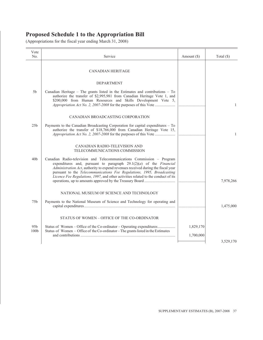| Vote<br>No.      | Service                                                                                                                                                                                                                                                                                                                                                                                                  | Amount $(\$)$ | Total $(\$)$ |
|------------------|----------------------------------------------------------------------------------------------------------------------------------------------------------------------------------------------------------------------------------------------------------------------------------------------------------------------------------------------------------------------------------------------------------|---------------|--------------|
|                  | <b>CANADIAN HERITAGE</b>                                                                                                                                                                                                                                                                                                                                                                                 |               |              |
|                  | <b>DEPARTMENT</b>                                                                                                                                                                                                                                                                                                                                                                                        |               |              |
| 5 <sub>b</sub>   | Canadian Heritage - The grants listed in the Estimates and contributions - To<br>authorize the transfer of \$2,995,981 from Canadian Heritage Vote 1, and<br>\$200,000 from Human Resources and Skills Development Vote 5,                                                                                                                                                                               |               | $\mathbf{1}$ |
|                  | CANADIAN BROADCASTING CORPORATION                                                                                                                                                                                                                                                                                                                                                                        |               |              |
| 25 <sub>b</sub>  | Payments to the Canadian Broadcasting Corporation for capital expenditures - To<br>authorize the transfer of \$18,766,000 from Canadian Heritage Vote 15,                                                                                                                                                                                                                                                |               | $\mathbf{1}$ |
|                  | CANADIAN RADIO-TELEVISION AND<br>TELECOMMUNICATIONS COMMISSION                                                                                                                                                                                                                                                                                                                                           |               |              |
| 40 <sub>b</sub>  | Canadian Radio-television and Telecommunications Commission - Program<br>expenditures and, pursuant to paragraph $29.1(2)(a)$ of the <i>Financial</i><br>Administration Act, authority to expend revenues received during the fiscal year<br>pursuant to the Telecommunications Fee Regulations, 1995, Broadcasting<br>Licence Fee Regulations, 1997, and other activities related to the conduct of its |               | 7,978,266    |
|                  | NATIONAL MUSEUM OF SCIENCE AND TECHNOLOGY                                                                                                                                                                                                                                                                                                                                                                |               |              |
| 75 <sub>b</sub>  | Payments to the National Museum of Science and Technology for operating and                                                                                                                                                                                                                                                                                                                              |               | 1,475,000    |
|                  | STATUS OF WOMEN – OFFICE OF THE CO-ORDINATOR                                                                                                                                                                                                                                                                                                                                                             |               |              |
| 95 <sub>b</sub>  | Status of Women – Office of the Co-ordinator – Operating expenditures                                                                                                                                                                                                                                                                                                                                    | 1,829,170     |              |
| 100 <sub>b</sub> | Status of Women – Office of the Co-ordinator – The grants listed in the Estimates                                                                                                                                                                                                                                                                                                                        | 1,700,000     |              |
|                  |                                                                                                                                                                                                                                                                                                                                                                                                          |               | 3,529,170    |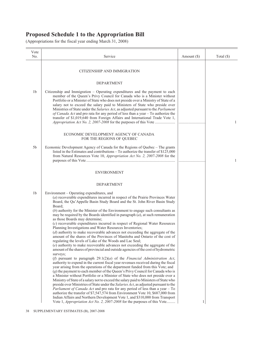| Vote<br>No.    | Service                                                                                                                                                                                                                                                                                                                                                                                                                                                                                                                                                                                                                                                                                                                                                                                                                                                                                                                                                                                                                                                                                                                                                                                                                                                                                                                                                                                                                                                                                                                                                                                                                                                                                                                                                                                                                                                                                                                                            | Amount $(\$)$ | Total $(\$)$ |
|----------------|----------------------------------------------------------------------------------------------------------------------------------------------------------------------------------------------------------------------------------------------------------------------------------------------------------------------------------------------------------------------------------------------------------------------------------------------------------------------------------------------------------------------------------------------------------------------------------------------------------------------------------------------------------------------------------------------------------------------------------------------------------------------------------------------------------------------------------------------------------------------------------------------------------------------------------------------------------------------------------------------------------------------------------------------------------------------------------------------------------------------------------------------------------------------------------------------------------------------------------------------------------------------------------------------------------------------------------------------------------------------------------------------------------------------------------------------------------------------------------------------------------------------------------------------------------------------------------------------------------------------------------------------------------------------------------------------------------------------------------------------------------------------------------------------------------------------------------------------------------------------------------------------------------------------------------------------------|---------------|--------------|
|                | CITIZENSHIP AND IMMIGRATION                                                                                                                                                                                                                                                                                                                                                                                                                                                                                                                                                                                                                                                                                                                                                                                                                                                                                                                                                                                                                                                                                                                                                                                                                                                                                                                                                                                                                                                                                                                                                                                                                                                                                                                                                                                                                                                                                                                        |               |              |
|                | <b>DEPARTMENT</b>                                                                                                                                                                                                                                                                                                                                                                                                                                                                                                                                                                                                                                                                                                                                                                                                                                                                                                                                                                                                                                                                                                                                                                                                                                                                                                                                                                                                                                                                                                                                                                                                                                                                                                                                                                                                                                                                                                                                  |               |              |
| 1 <sub>b</sub> | Citizenship and Immigration – Operating expenditures and the payment to each<br>member of the Queen's Privy Council for Canada who is a Minister without<br>Portfolio or a Minister of State who does not preside over a Ministry of State of a<br>salary not to exceed the salary paid to Ministers of State who preside over<br>Ministries of State under the Salaries Act, as adjusted pursuant to the Parliament<br>of Canada Act and pro rata for any period of less than a year – To authorize the<br>transfer of \$1,019,640 from Foreign Affairs and International Trade Vote 1,<br>Appropriation Act No. 2, 2007-2008 for the purposes of this Vote                                                                                                                                                                                                                                                                                                                                                                                                                                                                                                                                                                                                                                                                                                                                                                                                                                                                                                                                                                                                                                                                                                                                                                                                                                                                                       |               | 1            |
|                | ECONOMIC DEVELOPMENT AGENCY OF CANADA<br>FOR THE REGIONS OF QUEBEC                                                                                                                                                                                                                                                                                                                                                                                                                                                                                                                                                                                                                                                                                                                                                                                                                                                                                                                                                                                                                                                                                                                                                                                                                                                                                                                                                                                                                                                                                                                                                                                                                                                                                                                                                                                                                                                                                 |               |              |
| 5b             | Economic Development Agency of Canada for the Regions of Quebec – The grants<br>listed in the Estimates and contributions – To authorize the transfer of \$125,000<br>from Natural Resources Vote 10, Appropriation Act No. 2, 2007-2008 for the                                                                                                                                                                                                                                                                                                                                                                                                                                                                                                                                                                                                                                                                                                                                                                                                                                                                                                                                                                                                                                                                                                                                                                                                                                                                                                                                                                                                                                                                                                                                                                                                                                                                                                   |               | 1            |
|                | <b>ENVIRONMENT</b>                                                                                                                                                                                                                                                                                                                                                                                                                                                                                                                                                                                                                                                                                                                                                                                                                                                                                                                                                                                                                                                                                                                                                                                                                                                                                                                                                                                                                                                                                                                                                                                                                                                                                                                                                                                                                                                                                                                                 |               |              |
|                | DEPARTMENT                                                                                                                                                                                                                                                                                                                                                                                                                                                                                                                                                                                                                                                                                                                                                                                                                                                                                                                                                                                                                                                                                                                                                                                                                                                                                                                                                                                                                                                                                                                                                                                                                                                                                                                                                                                                                                                                                                                                         |               |              |
| 1b             | Environment – Operating expenditures, and<br>$(a)$ recoverable expenditures incurred in respect of the Prairie Provinces Water<br>Board, the Qu'Appelle Basin Study Board and the St. John River Basin Study<br>Board;<br>$(b)$ authority for the Minister of the Environment to engage such consultants as<br>may be required by the Boards identified in paragraph $(a)$ , at such remuneration<br>as those Boards may determine;<br>(c) recoverable expenditures incurred in respect of Regional Water Resources<br>Planning Investigations and Water Resources Inventories;<br>$(d)$ authority to make recoverable advances not exceeding the aggregate of the<br>amount of the shares of the Provinces of Manitoba and Ontario of the cost of<br>regulating the levels of Lake of the Woods and Lac Seul;<br>(e) authority to make recoverable advances not exceeding the aggregate of the<br>amount of the shares of provincial and outside agencies of the cost of hydrometric<br>surveys;<br>(f) pursuant to paragraph $29.1(2)(a)$ of the Financial Administration Act,<br>authority to expend in the current fiscal year revenues received during the fiscal<br>year arising from the operations of the department funded from this Vote; and<br>(g) the payment to each member of the Queen's Privy Council for Canada who is<br>a Minister without Portfolio or a Minister of State who does not preside over a<br>Ministry of State of a salary not to exceed the salary paid to Ministers of State who<br>preside over Ministries of State under the Salaries Act, as adjusted pursuant to the<br><i>Parliament of Canada Act</i> and pro rata for any period of less than a year – To<br>authorize the transfer of \$7,547,574 from Environment Vote 10, \$687,000 from<br>Indian Affairs and Northern Development Vote 1, and \$310,000 from Transport<br>Vote 1, Appropriation Act No. 2, 2007-2008 for the purposes of this Vote | 1             |              |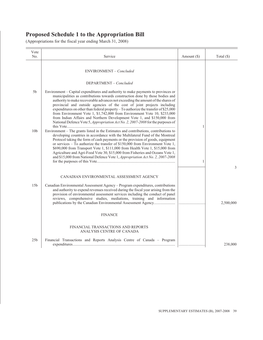| Vote<br>No.     | Service                                                                                                                                                                                                                                                                                                                                                                                                                                                                                                                                                                                                                                                                   | Amount $(\$)$ | Total $(\$)$ |
|-----------------|---------------------------------------------------------------------------------------------------------------------------------------------------------------------------------------------------------------------------------------------------------------------------------------------------------------------------------------------------------------------------------------------------------------------------------------------------------------------------------------------------------------------------------------------------------------------------------------------------------------------------------------------------------------------------|---------------|--------------|
|                 | ENVIRONMENT - Concluded                                                                                                                                                                                                                                                                                                                                                                                                                                                                                                                                                                                                                                                   |               |              |
|                 | DEPARTMENT - Concluded                                                                                                                                                                                                                                                                                                                                                                                                                                                                                                                                                                                                                                                    |               |              |
| 5 <sub>b</sub>  | Environment – Capital expenditures and authority to make payments to provinces or<br>municipalities as contributions towards construction done by those bodies and<br>authority to make recoverable advances not exceeding the amount of the shares of<br>provincial and outside agencies of the cost of joint projects including<br>expenditures on other than federal property - To authorize the transfer of \$25,000<br>from Environment Vote 1, \$1,742,000 from Environment Vote 10, \$233,000<br>from Indian Affairs and Northern Development Vote 1, and \$150,000 from<br>National Defence Vote 5, <i>Appropriation Act No. 2, 2007-2008</i> for the purposes of | 1             |              |
| 10 <sub>b</sub> | Environment – The grants listed in the Estimates and contributions, contributions to<br>developing countries in accordance with the Multilateral Fund of the Montreal<br>Protocol taking the form of cash payments or the provision of goods, equipment<br>or services $-$ To authorize the transfer of \$150,000 from Environment Vote 1,<br>\$690,000 from Transport Vote 1, \$111,000 from Health Vote 1, \$15,000 from<br>Agriculture and Agri-Food Vote 30, \$15,000 from Fisheries and Oceans Vote 1,<br>and \$15,000 from National Defence Vote 1, Appropriation Act No. 2, 2007-2008                                                                              |               | 3            |
| 15 <sub>b</sub> | CANADIAN ENVIRONMENTAL ASSESSMENT AGENCY<br>Canadian Environmental Assessment Agency - Program expenditures, contributions<br>and authority to expend revenues received during the fiscal year arising from the<br>provision of environmental assessment services including the conduct of panel<br>reviews, comprehensive studies, mediations, training and information                                                                                                                                                                                                                                                                                                  |               | 2,500,000    |
|                 | <b>FINANCE</b>                                                                                                                                                                                                                                                                                                                                                                                                                                                                                                                                                                                                                                                            |               |              |
|                 | FINANCIAL TRANSACTIONS AND REPORTS<br>ANALYSIS CENTRE OF CANADA                                                                                                                                                                                                                                                                                                                                                                                                                                                                                                                                                                                                           |               |              |
| 25 <sub>b</sub> | Financial Transactions and Reports Analysis Centre of Canada – Program                                                                                                                                                                                                                                                                                                                                                                                                                                                                                                                                                                                                    |               | 238,000      |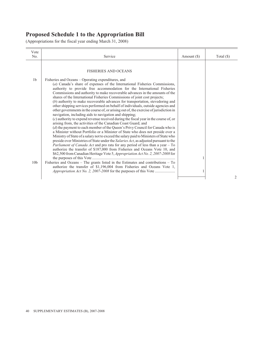| Vote<br>No.                       | Service                                                                                                                                                                                                                                                                                                                                                                                                                                                                                                                                                                                                                                                                                                                                                                                                                                                                                                                                                                                                                                                                                                                                                                                                                                                                                                                                                                                                                                                                                                                                                                                                                                | Amount (\$) | Total $(\$)$ |
|-----------------------------------|----------------------------------------------------------------------------------------------------------------------------------------------------------------------------------------------------------------------------------------------------------------------------------------------------------------------------------------------------------------------------------------------------------------------------------------------------------------------------------------------------------------------------------------------------------------------------------------------------------------------------------------------------------------------------------------------------------------------------------------------------------------------------------------------------------------------------------------------------------------------------------------------------------------------------------------------------------------------------------------------------------------------------------------------------------------------------------------------------------------------------------------------------------------------------------------------------------------------------------------------------------------------------------------------------------------------------------------------------------------------------------------------------------------------------------------------------------------------------------------------------------------------------------------------------------------------------------------------------------------------------------------|-------------|--------------|
|                                   | <b>FISHERIES AND OCEANS</b>                                                                                                                                                                                                                                                                                                                                                                                                                                                                                                                                                                                                                                                                                                                                                                                                                                                                                                                                                                                                                                                                                                                                                                                                                                                                                                                                                                                                                                                                                                                                                                                                            |             |              |
| 1 <sub>b</sub><br>10 <sub>b</sub> | Fisheries and Oceans – Operating expenditures, and<br>(a) Canada's share of expenses of the International Fisheries Commissions,<br>authority to provide free accommodation for the International Fisheries<br>Commissions and authority to make recoverable advances in the amounts of the<br>shares of the International Fisheries Commissions of joint cost projects;<br>$(b)$ authority to make recoverable advances for transportation, stevedoring and<br>other shipping services performed on behalf of individuals, outside agencies and<br>other governments in the course of, or arising out of, the exercise of jurisdiction in<br>navigation, including aids to navigation and shipping;<br>$(c)$ authority to expend revenue received during the fiscal year in the course of, or<br>arising from, the activities of the Canadian Coast Guard; and<br>$(d)$ the payment to each member of the Queen's Privy Council for Canada who is<br>a Minister without Portfolio or a Minister of State who does not preside over a<br>Ministry of State of a salary not to exceed the salary paid to Ministers of State who<br>preside over Ministries of State under the Salaries Act, as adjusted pursuant to the<br>Parliament of Canada Act and pro rata for any period of less than a year - To<br>authorize the transfer of \$187,000 from Fisheries and Oceans Vote 10, and<br>\$62,500 from Canadian Heritage Vote 5, Appropriation Act No. 2, 2007-2008 for<br>Fisheries and Oceans - The grants listed in the Estimates and contributions - To<br>authorize the transfer of \$1,196,004 from Fisheries and Oceans Vote 1, |             |              |
|                                   |                                                                                                                                                                                                                                                                                                                                                                                                                                                                                                                                                                                                                                                                                                                                                                                                                                                                                                                                                                                                                                                                                                                                                                                                                                                                                                                                                                                                                                                                                                                                                                                                                                        |             | 2            |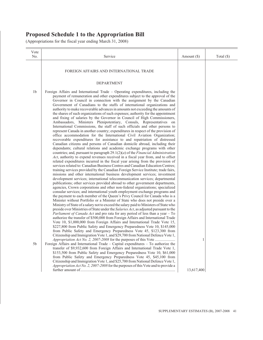| Vote<br>No.                      | Service                                                                                                                                                                                                                                                                                                                                                                                                                                                                                                                                                                                                                                                                                                                                                                                                                                                                                                                                                                                                                                                                                                                                                                                                                                                                                                                                                                                                                                                                                                                                                                                                                                                                                                                                                                                                                                                                                                                                                                                                                                                                                                                                                                                                                                                                                                                                                                                                                                                                                                                                                                                                                                                                                                                                                                                                                                                                                                                                                                                                                                                                                   | Amount $(\$)$ | Total $(\$)$ |
|----------------------------------|-------------------------------------------------------------------------------------------------------------------------------------------------------------------------------------------------------------------------------------------------------------------------------------------------------------------------------------------------------------------------------------------------------------------------------------------------------------------------------------------------------------------------------------------------------------------------------------------------------------------------------------------------------------------------------------------------------------------------------------------------------------------------------------------------------------------------------------------------------------------------------------------------------------------------------------------------------------------------------------------------------------------------------------------------------------------------------------------------------------------------------------------------------------------------------------------------------------------------------------------------------------------------------------------------------------------------------------------------------------------------------------------------------------------------------------------------------------------------------------------------------------------------------------------------------------------------------------------------------------------------------------------------------------------------------------------------------------------------------------------------------------------------------------------------------------------------------------------------------------------------------------------------------------------------------------------------------------------------------------------------------------------------------------------------------------------------------------------------------------------------------------------------------------------------------------------------------------------------------------------------------------------------------------------------------------------------------------------------------------------------------------------------------------------------------------------------------------------------------------------------------------------------------------------------------------------------------------------------------------------------------------------------------------------------------------------------------------------------------------------------------------------------------------------------------------------------------------------------------------------------------------------------------------------------------------------------------------------------------------------------------------------------------------------------------------------------------------------|---------------|--------------|
|                                  | FOREIGN AFFAIRS AND INTERNATIONAL TRADE                                                                                                                                                                                                                                                                                                                                                                                                                                                                                                                                                                                                                                                                                                                                                                                                                                                                                                                                                                                                                                                                                                                                                                                                                                                                                                                                                                                                                                                                                                                                                                                                                                                                                                                                                                                                                                                                                                                                                                                                                                                                                                                                                                                                                                                                                                                                                                                                                                                                                                                                                                                                                                                                                                                                                                                                                                                                                                                                                                                                                                                   |               |              |
|                                  | <b>DEPARTMENT</b>                                                                                                                                                                                                                                                                                                                                                                                                                                                                                                                                                                                                                                                                                                                                                                                                                                                                                                                                                                                                                                                                                                                                                                                                                                                                                                                                                                                                                                                                                                                                                                                                                                                                                                                                                                                                                                                                                                                                                                                                                                                                                                                                                                                                                                                                                                                                                                                                                                                                                                                                                                                                                                                                                                                                                                                                                                                                                                                                                                                                                                                                         |               |              |
| 1 <sub>b</sub><br>5 <sub>b</sub> | Foreign Affairs and International Trade – Operating expenditures, including the<br>payment of remuneration and other expenditures subject to the approval of the<br>Governor in Council in connection with the assignment by the Canadian<br>Government of Canadians to the staffs of international organizations and<br>authority to make recoverable advances in amounts not exceeding the amounts of<br>the shares of such organizations of such expenses; authority for the appointment<br>and fixing of salaries by the Governor in Council of High Commissioners,<br>Ambassadors, Ministers Plenipotentiary, Consuls, Representatives on<br>International Commissions, the staff of such officials and other persons to<br>represent Canada in another country; expenditures in respect of the provision of<br>office accommodation for the International Civil Aviation Organization;<br>recoverable expenditures for assistance to and repatriation of distressed<br>Canadian citizens and persons of Canadian domicile abroad, including their<br>dependants; cultural relations and academic exchange programs with other<br>countries; and, pursuant to paragraph $29.1(2)(a)$ of the <i>Financial Administration</i><br>Act, authority to expend revenues received in a fiscal year from, and to offset<br>related expenditures incurred in the fiscal year arising from the provision of<br>services related to: Canadian Business Centres and Canadian Education Centres;<br>training services provided by the Canadian Foreign Service Institute; trade fairs,<br>missions and other international business development services; investment<br>development services; international telecommunication services; departmental<br>publications; other services provided abroad to other government departments,<br>agencies, Crown corporations and other non-federal organizations; specialized<br>consular services; and international youth employment exchange programs and<br>the payment to each member of the Queen's Privy Council for Canada who is a<br>Minister without Portfolio or a Minister of State who does not preside over a<br>Ministry of State of a salary not to exceed the salary paid to Ministers of State who<br>preside over Ministries of State under the Salaries Act, as adjusted pursuant to the<br><i>Parliament of Canada Act</i> and pro rata for any period of less than a year – To<br>authorize the transfer of \$500,000 from Foreign Affairs and International Trade<br>Vote 10, \$1,000,000 from Foreign Affairs and International Trade Vote 15,<br>\$227,800 from Public Safety and Emergency Preparedness Vote 10, \$145,000<br>from Public Safety and Emergency Preparedness Vote 45, \$123,300 from<br>Citizenship and Immigration Vote 1, and \$29,700 from National Defence Vote 1,<br>Appropriation Act No. 2, 2007-2008 for the purposes of this Vote<br>Foreign Affairs and International Trade – Capital expenditures – To authorize the<br>transfer of \$9,932,600 from Foreign Affairs and International Trade Vote 1, | 1             |              |
|                                  | \$153,500 from Public Safety and Emergency Preparedness Vote 10, \$61,000<br>from Public Safety and Emergency Preparedness Vote 45, \$45,100 from<br>Citizenship and Immigration Vote 1, and \$25,700 from National Defence Vote 1,<br>Appropriation Act No. 2, 2007-2008 for the purposes of this Vote and to provide a                                                                                                                                                                                                                                                                                                                                                                                                                                                                                                                                                                                                                                                                                                                                                                                                                                                                                                                                                                                                                                                                                                                                                                                                                                                                                                                                                                                                                                                                                                                                                                                                                                                                                                                                                                                                                                                                                                                                                                                                                                                                                                                                                                                                                                                                                                                                                                                                                                                                                                                                                                                                                                                                                                                                                                  | 13,617,400    |              |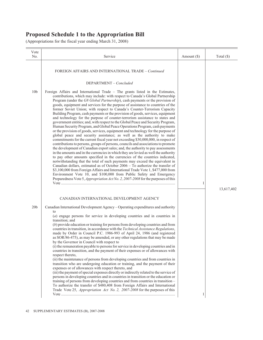| Vote<br>No.     | Service                                                                                                                                                                                                                                                                                                                                                                                                                                                                                                                                                                                                                                                                                                                                                                                                                                                                                                                                                                                                                                                                                                                                                                                                                                                                                                                                                                                                                                  | Amount (\$) | Total $(\$)$ |
|-----------------|------------------------------------------------------------------------------------------------------------------------------------------------------------------------------------------------------------------------------------------------------------------------------------------------------------------------------------------------------------------------------------------------------------------------------------------------------------------------------------------------------------------------------------------------------------------------------------------------------------------------------------------------------------------------------------------------------------------------------------------------------------------------------------------------------------------------------------------------------------------------------------------------------------------------------------------------------------------------------------------------------------------------------------------------------------------------------------------------------------------------------------------------------------------------------------------------------------------------------------------------------------------------------------------------------------------------------------------------------------------------------------------------------------------------------------------|-------------|--------------|
| 10 <sub>b</sub> | FOREIGN AFFAIRS AND INTERNATIONAL TRADE - Continued<br>DEPARTMENT – Concluded<br>Foreign Affairs and International Trade – The grants listed in the Estimates,<br>contributions, which may include: with respect to Canada's Global Partnership<br>Program (under the G8 Global Partnership), cash payments or the provision of<br>goods, equipment and services for the purpose of assistance to countries of the<br>former Soviet Union; with respect to Canada's Counter-Terrorism Capacity<br>Building Program, cash payments or the provision of goods, services, equipment<br>and technology for the purpose of counter-terrorism assistance to states and<br>government entities; and, with respect to the Global Peace and Security Program,<br>Human Security Program, and Global Peace Operations Program, cash payments                                                                                                                                                                                                                                                                                                                                                                                                                                                                                                                                                                                                       |             |              |
|                 | or the provision of goods, services, equipment and technology for the purpose of<br>global peace and security assistance; as well as the authority to make<br>commitments for the current fiscal year not exceeding \$30,000,000, in respect of<br>contributions to persons, groups of persons, councils and associations to promote<br>the development of Canadian export sales; and, the authority to pay assessments<br>in the amounts and in the currencies in which they are levied as well the authority<br>to pay other amounts specified in the currencies of the countries indicated,<br>notwithstanding that the total of such payments may exceed the equivalent in<br>Canadian dollars, estimated as of October $2006 - To$ authorize the transfer of<br>\$3,100,000 from Foreign Affairs and International Trade Vote 1, \$477,000 from<br>Environment Vote 10, and \$100,000 from Public Safety and Emergency<br>Preparedness Vote 5, Appropriation Act No. 2, 2007-2008 for the purposes of this                                                                                                                                                                                                                                                                                                                                                                                                                          | 1           | 13,617,402   |
|                 | CANADIAN INTERNATIONAL DEVELOPMENT AGENCY                                                                                                                                                                                                                                                                                                                                                                                                                                                                                                                                                                                                                                                                                                                                                                                                                                                                                                                                                                                                                                                                                                                                                                                                                                                                                                                                                                                                |             |              |
| 20 <sub>b</sub> | Canadian International Development Agency – Operating expenditures and authority<br>to<br>(a) engage persons for service in developing countries and in countries in<br>transition; and<br>$(b)$ provide education or training for persons from developing countries and from<br>countries in transition, in accordance with the Technical Assistance Regulations,<br>made by Order in Council P.C. 1986-993 of April 24, 1986 (and registered<br>as SOR/86-475), as may be amended, or any other regulations that may be made<br>by the Governor in Council with respect to<br>(i) the remuneration payable to persons for service in developing countries and in<br>countries in transition, and the payment of their expenses or of allowances with<br>respect thereto,<br>(ii) the maintenance of persons from developing countries and from countries in<br>transition who are undergoing education or training, and the payment of their<br>expenses or of allowances with respect thereto, and<br>(iii) the payment of special expenses directly or indirectly related to the service of<br>persons in developing countries and in countries in transition or the education or<br>training of persons from developing countries and from countries in transition -<br>To authorize the transfer of \$480,408 from Foreign Affairs and International<br>Trade Vote 25, Appropriation Act No. 2, 2007-2008 for the purposes of this | 1           |              |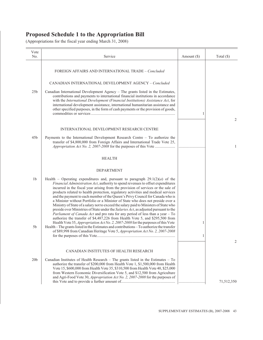| Vote<br>No.                      | Service                                                                                                                                                                                                                                                                                                                                                                                                                                                                                                                                                                                                                                                                                                                                                                                                                                                                                                                                                                                                                                                                                                                              | Amount $(\$)$ | Total $(\$)$ |
|----------------------------------|--------------------------------------------------------------------------------------------------------------------------------------------------------------------------------------------------------------------------------------------------------------------------------------------------------------------------------------------------------------------------------------------------------------------------------------------------------------------------------------------------------------------------------------------------------------------------------------------------------------------------------------------------------------------------------------------------------------------------------------------------------------------------------------------------------------------------------------------------------------------------------------------------------------------------------------------------------------------------------------------------------------------------------------------------------------------------------------------------------------------------------------|---------------|--------------|
|                                  | FOREIGN AFFAIRS AND INTERNATIONAL TRADE - Concluded                                                                                                                                                                                                                                                                                                                                                                                                                                                                                                                                                                                                                                                                                                                                                                                                                                                                                                                                                                                                                                                                                  |               |              |
|                                  | <b>CANADIAN INTERNATIONAL DEVELOPMENT AGENCY - Concluded</b>                                                                                                                                                                                                                                                                                                                                                                                                                                                                                                                                                                                                                                                                                                                                                                                                                                                                                                                                                                                                                                                                         |               |              |
| 25 <sub>b</sub>                  | Canadian International Development Agency – The grants listed in the Estimates,<br>contributions and payments to international financial institutions in accordance<br>with the International Development (Financial Institutions) Assistance Act, for<br>international development assistance, international humanitarian assistance and<br>other specified purposes, in the form of cash payments or the provision of goods,                                                                                                                                                                                                                                                                                                                                                                                                                                                                                                                                                                                                                                                                                                       | 1             |              |
|                                  |                                                                                                                                                                                                                                                                                                                                                                                                                                                                                                                                                                                                                                                                                                                                                                                                                                                                                                                                                                                                                                                                                                                                      |               | 2            |
| 45 <sub>b</sub>                  | INTERNATIONAL DEVELOPMENT RESEARCH CENTRE<br>Payments to the International Development Research Centre $-$ To authorize the                                                                                                                                                                                                                                                                                                                                                                                                                                                                                                                                                                                                                                                                                                                                                                                                                                                                                                                                                                                                          |               |              |
|                                  | transfer of \$4,800,000 from Foreign Affairs and International Trade Vote 25,                                                                                                                                                                                                                                                                                                                                                                                                                                                                                                                                                                                                                                                                                                                                                                                                                                                                                                                                                                                                                                                        |               | 1            |
|                                  | <b>HEALTH</b>                                                                                                                                                                                                                                                                                                                                                                                                                                                                                                                                                                                                                                                                                                                                                                                                                                                                                                                                                                                                                                                                                                                        |               |              |
|                                  | <b>DEPARTMENT</b>                                                                                                                                                                                                                                                                                                                                                                                                                                                                                                                                                                                                                                                                                                                                                                                                                                                                                                                                                                                                                                                                                                                    |               |              |
| 1 <sub>b</sub><br>5 <sub>b</sub> | Health – Operating expenditures and, pursuant to paragraph $29.1(2)(a)$ of the<br>Financial Administration Act, authority to spend revenues to offset expenditures<br>incurred in the fiscal year arising from the provision of services or the sale of<br>products related to health protection, regulatory activities and medical services<br>and the payment to each member of the Queen's Privy Council for Canada who is<br>a Minister without Portfolio or a Minister of State who does not preside over a<br>Ministry of State of a salary not to exceed the salary paid to Ministers of State who<br>preside over Ministries of State under the Salaries Act, as adjusted pursuant to the<br>Parliament of Canada Act and pro rata for any period of less than a year - To<br>authorize the transfer of \$4,487,226 from Health Vote 5, and \$295,500 from<br>Health Vote 35, Appropriation Act No. 2, 2007-2008 for the purposes of this Vote<br>Health – The grants listed in the Estimates and contributions – To authorize the transfer<br>of \$89,998 from Canadian Heritage Vote 5, Appropriation Act No. 2, 2007-2008 | 1<br>1        |              |
|                                  |                                                                                                                                                                                                                                                                                                                                                                                                                                                                                                                                                                                                                                                                                                                                                                                                                                                                                                                                                                                                                                                                                                                                      |               | 2            |
|                                  | CANADIAN INSTITUTES OF HEALTH RESEARCH                                                                                                                                                                                                                                                                                                                                                                                                                                                                                                                                                                                                                                                                                                                                                                                                                                                                                                                                                                                                                                                                                               |               |              |
| 20 <sub>b</sub>                  | Canadian Institutes of Health Research - The grants listed in the Estimates - To<br>authorize the transfer of \$200,000 from Health Vote 1, \$1,500,000 from Health<br>Vote 15, \$600,000 from Health Vote 35, \$310,500 from Health Vote 40, \$25,000<br>from Western Economic Diversification Vote 5, and \$12,500 from Agriculture<br>and Agri-Food Vote 30, Appropriation Act No. 2, 2007-2008 for the purposes of                                                                                                                                                                                                                                                                                                                                                                                                                                                                                                                                                                                                                                                                                                               |               | 71,512,350   |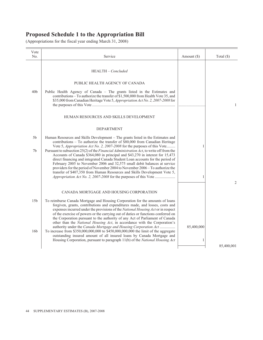| Vote<br>No.          | Service                                                                                                                                                                                                                                                                                                                                                                                                                                                                                             | Amount $(\$)$   | Total $(\$)$ |
|----------------------|-----------------------------------------------------------------------------------------------------------------------------------------------------------------------------------------------------------------------------------------------------------------------------------------------------------------------------------------------------------------------------------------------------------------------------------------------------------------------------------------------------|-----------------|--------------|
|                      | HEALTH - Concluded                                                                                                                                                                                                                                                                                                                                                                                                                                                                                  |                 |              |
|                      | PUBLIC HEALTH AGENCY OF CANADA                                                                                                                                                                                                                                                                                                                                                                                                                                                                      |                 |              |
| 40 <sub>b</sub>      | Public Health Agency of Canada – The grants listed in the Estimates and<br>contributions – To authorize the transfer of \$1,500,000 from Health Vote 35, and<br>\$35,000 from Canadian Heritage Vote 5, Appropriation Act No. 2, 2007-2008 for                                                                                                                                                                                                                                                      |                 | $\mathbf{1}$ |
|                      | HUMAN RESOURCES AND SKILLS DEVELOPMENT                                                                                                                                                                                                                                                                                                                                                                                                                                                              |                 |              |
|                      | <b>DEPARTMENT</b>                                                                                                                                                                                                                                                                                                                                                                                                                                                                                   |                 |              |
| 5 <sub>b</sub><br>7b | Human Resources and Skills Development – The grants listed in the Estimates and<br>contributions - To authorize the transfer of \$80,000 from Canadian Heritage<br>Vote 5, Appropriation Act No. 2, 2007-2008 for the purposes of this Vote<br>Pursuant to subsection 25(2) of the <i>Financial Administration Act</i> , to write off from the                                                                                                                                                      | 1               |              |
|                      | Accounts of Canada \$364,080 in principal and \$43,270 in interest for 15,473<br>direct financing and integrated Canada Student Loan accounts for the period of<br>February 2005 to November 2006 and 32,575 small debit balances at service<br>providers for the period of November 2004 to November 2006 - To authorize the                                                                                                                                                                       |                 |              |
|                      | transfer of \$407,350 from Human Resources and Skills Development Vote 5,                                                                                                                                                                                                                                                                                                                                                                                                                           | 1               |              |
|                      | CANADA MORTGAGE AND HOUSING CORPORATION                                                                                                                                                                                                                                                                                                                                                                                                                                                             |                 | 2            |
| 15 <sub>b</sub>      | To reimburse Canada Mortgage and Housing Corporation for the amounts of loans<br>forgiven, grants, contributions and expenditures made, and losses, costs and<br>expenses incurred under the provisions of the National Housing Act or in respect<br>of the exercise of powers or the carrying out of duties or functions conferred on<br>the Corporation pursuant to the authority of any Act of Parliament of Canada<br>other than the National Housing Act, in accordance with the Corporation's |                 |              |
| 16 <sub>b</sub>      | authority under the Canada Mortgage and Housing Corporation Act<br>To increase from \$350,000,000,000 to \$450,000,000,000 the limit of the aggregate<br>outstanding insured amount of all insured loans by Canada Mortgage and<br>Housing Corporation, pursuant to paragraph 11(b) of the National Housing Act                                                                                                                                                                                     | 85,400,000<br>1 |              |
|                      |                                                                                                                                                                                                                                                                                                                                                                                                                                                                                                     |                 | 85,400,001   |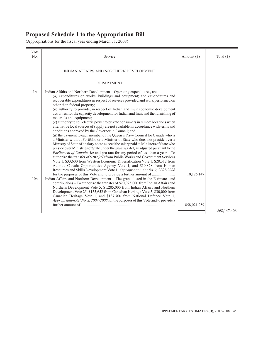| Vote<br>No.                       | Service                                                                                                                                                                                                                                                                                                                                                                                                                                                                                                                                                                                                                                                                                                                                                                                                                                                                                                                                                                                                                                                                                                                                                                                                                                                                                                                                                                                                                                                                                                                                                               | Amount (\$) | Total $(\$)$  |
|-----------------------------------|-----------------------------------------------------------------------------------------------------------------------------------------------------------------------------------------------------------------------------------------------------------------------------------------------------------------------------------------------------------------------------------------------------------------------------------------------------------------------------------------------------------------------------------------------------------------------------------------------------------------------------------------------------------------------------------------------------------------------------------------------------------------------------------------------------------------------------------------------------------------------------------------------------------------------------------------------------------------------------------------------------------------------------------------------------------------------------------------------------------------------------------------------------------------------------------------------------------------------------------------------------------------------------------------------------------------------------------------------------------------------------------------------------------------------------------------------------------------------------------------------------------------------------------------------------------------------|-------------|---------------|
|                                   | INDIAN AFFAIRS AND NORTHERN DEVELOPMENT                                                                                                                                                                                                                                                                                                                                                                                                                                                                                                                                                                                                                                                                                                                                                                                                                                                                                                                                                                                                                                                                                                                                                                                                                                                                                                                                                                                                                                                                                                                               |             |               |
|                                   | <b>DEPARTMENT</b>                                                                                                                                                                                                                                                                                                                                                                                                                                                                                                                                                                                                                                                                                                                                                                                                                                                                                                                                                                                                                                                                                                                                                                                                                                                                                                                                                                                                                                                                                                                                                     |             |               |
| 1 <sub>b</sub><br>10 <sub>b</sub> | Indian Affairs and Northern Development – Operating expenditures, and<br>$(a)$ expenditures on works, buildings and equipment; and expenditures and<br>recoverable expenditures in respect of services provided and work performed on<br>other than federal property;<br>$(b)$ authority to provide, in respect of Indian and Inuit economic development<br>activities, for the capacity development for Indian and Inuit and the furnishing of<br>materials and equipment;<br>$(c)$ authority to sell electric power to private consumers in remote locations when<br>alternative local sources of supply are not available, in accordance with terms and<br>conditions approved by the Governor in Council; and<br>$(d)$ the payment to each member of the Queen's Privy Council for Canada who is<br>a Minister without Portfolio or a Minister of State who does not preside over a<br>Ministry of State of a salary not to exceed the salary paid to Ministers of State who<br>preside over Ministries of State under the Salaries Act, as adjusted pursuant to the<br>Parliament of Canada Act and pro rata for any period of less than a year - To<br>authorize the transfer of \$202,260 from Public Works and Government Services<br>Vote 1, \$33,600 from Western Economic Diversification Vote 1, \$28,312 from<br>Atlantic Canada Opportunities Agency Vote 1, and \$10,828 from Human<br>Resources and Skills Development Vote 1, Appropriation Act No. 2, 2007-2008<br>Indian Affairs and Northern Development - The grants listed in the Estimates and | 10,126,147  |               |
|                                   | contributions - To authorize the transfer of \$20,925,000 from Indian Affairs and<br>Northern Development Vote 5, \$1,285,000 from Indian Affairs and Northern<br>Development Vote 25, \$155,652 from Canadian Heritage Vote 5, \$30,000 from<br>Canadian Heritage Vote 1, and \$137,700 from National Defence Vote 1,<br>Appropriation Act No. 2, 2007-2008 for the purposes of this Vote and to provide a                                                                                                                                                                                                                                                                                                                                                                                                                                                                                                                                                                                                                                                                                                                                                                                                                                                                                                                                                                                                                                                                                                                                                           | 858,021,259 |               |
|                                   |                                                                                                                                                                                                                                                                                                                                                                                                                                                                                                                                                                                                                                                                                                                                                                                                                                                                                                                                                                                                                                                                                                                                                                                                                                                                                                                                                                                                                                                                                                                                                                       |             | 868, 147, 406 |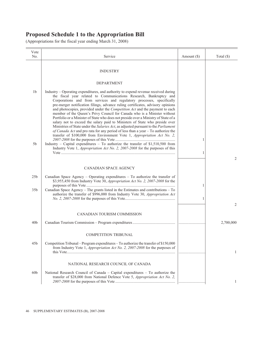| Vote<br>No.     | Service                                                                                                                                                                                                                                                                                                                                                                                                                                                                                                                                                                                                                                                                                                                                     | Amount $(\$)$ | Total $(\$)$ |
|-----------------|---------------------------------------------------------------------------------------------------------------------------------------------------------------------------------------------------------------------------------------------------------------------------------------------------------------------------------------------------------------------------------------------------------------------------------------------------------------------------------------------------------------------------------------------------------------------------------------------------------------------------------------------------------------------------------------------------------------------------------------------|---------------|--------------|
|                 | <b>INDUSTRY</b>                                                                                                                                                                                                                                                                                                                                                                                                                                                                                                                                                                                                                                                                                                                             |               |              |
|                 | <b>DEPARTMENT</b>                                                                                                                                                                                                                                                                                                                                                                                                                                                                                                                                                                                                                                                                                                                           |               |              |
| 1 <sub>b</sub>  | Industry – Operating expenditures, and authority to expend revenue received during<br>the fiscal year related to Communications Research, Bankruptcy and<br>Corporations and from services and regulatory processes, specifically<br>pre-merger notification filings, advance ruling certificates, advisory opinions<br>and photocopies, provided under the Competition Act and the payment to each<br>member of the Queen's Privy Council for Canada who is a Minister without<br>Portfolio or a Minister of State who does not preside over a Ministry of State of a<br>salary not to exceed the salary paid to Ministers of State who preside over<br>Ministries of State under the Salaries Act, as adjusted pursuant to the Parliament |               |              |
|                 | of Canada Act and pro rata for any period of less than a year - To authorize the<br>transfer of \$100,000 from Environment Vote 1, Appropriation Act No. 2,                                                                                                                                                                                                                                                                                                                                                                                                                                                                                                                                                                                 | 1             |              |
| 5b              | Industry - Capital expenditures - To authorize the transfer of \$1,510,500 from<br>Industry Vote 1, <i>Appropriation Act No. 2, 2007-2008</i> for the purposes of this                                                                                                                                                                                                                                                                                                                                                                                                                                                                                                                                                                      | 1             | 2            |
|                 | <b>CANADIAN SPACE AGENCY</b>                                                                                                                                                                                                                                                                                                                                                                                                                                                                                                                                                                                                                                                                                                                |               |              |
| 25 <sub>b</sub> | Canadian Space Agency – Operating expenditures – To authorize the transfer of<br>\$3,955,450 from Industry Vote 30, Appropriation Act No. 2, 2007-2008 for the                                                                                                                                                                                                                                                                                                                                                                                                                                                                                                                                                                              |               |              |
| 35 <sub>b</sub> | Canadian Space Agency – The grants listed in the Estimates and contributions – To<br>authorize the transfer of \$996,000 from Industry Vote 30, Appropriation Act                                                                                                                                                                                                                                                                                                                                                                                                                                                                                                                                                                           | 1<br>1        |              |
|                 |                                                                                                                                                                                                                                                                                                                                                                                                                                                                                                                                                                                                                                                                                                                                             |               | 2            |
|                 | CANADIAN TOURISM COMMISSION                                                                                                                                                                                                                                                                                                                                                                                                                                                                                                                                                                                                                                                                                                                 |               |              |
| 40 <sub>b</sub> |                                                                                                                                                                                                                                                                                                                                                                                                                                                                                                                                                                                                                                                                                                                                             |               | 2,700,000    |
|                 | <b>COMPETITION TRIBUNAL</b>                                                                                                                                                                                                                                                                                                                                                                                                                                                                                                                                                                                                                                                                                                                 |               |              |
| 45 <sub>b</sub> | Competition Tribunal - Program expenditures - To authorize the transfer of \$150,000<br>from Industry Vote 1, Appropriation Act No. 2, 2007-2008 for the purposes of                                                                                                                                                                                                                                                                                                                                                                                                                                                                                                                                                                        |               | 1            |
|                 | NATIONAL RESEARCH COUNCIL OF CANADA                                                                                                                                                                                                                                                                                                                                                                                                                                                                                                                                                                                                                                                                                                         |               |              |
| 60 <sub>b</sub> | National Research Council of Canada – Capital expenditures – To authorize the<br>transfer of \$28,000 from National Defence Vote 5, Appropriation Act No. 2,                                                                                                                                                                                                                                                                                                                                                                                                                                                                                                                                                                                |               |              |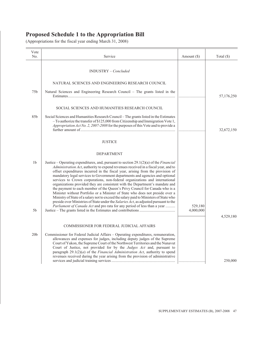| Vote<br>No.                      | Service                                                                                                                                                                                                                                                                                                                                                                                                                                                                                                                                                                                                                                                                                                                                                                                                                                                                                                                                             | Amount (\$)          | Total $(\$)$ |
|----------------------------------|-----------------------------------------------------------------------------------------------------------------------------------------------------------------------------------------------------------------------------------------------------------------------------------------------------------------------------------------------------------------------------------------------------------------------------------------------------------------------------------------------------------------------------------------------------------------------------------------------------------------------------------------------------------------------------------------------------------------------------------------------------------------------------------------------------------------------------------------------------------------------------------------------------------------------------------------------------|----------------------|--------------|
|                                  | INDUSTRY - Concluded                                                                                                                                                                                                                                                                                                                                                                                                                                                                                                                                                                                                                                                                                                                                                                                                                                                                                                                                |                      |              |
|                                  | NATURAL SCIENCES AND ENGINEERING RESEARCH COUNCIL                                                                                                                                                                                                                                                                                                                                                                                                                                                                                                                                                                                                                                                                                                                                                                                                                                                                                                   |                      |              |
| 75 <sub>b</sub>                  | Natural Sciences and Engineering Research Council – The grants listed in the                                                                                                                                                                                                                                                                                                                                                                                                                                                                                                                                                                                                                                                                                                                                                                                                                                                                        |                      | 57,176,250   |
|                                  | SOCIAL SCIENCES AND HUMANITIES RESEARCH COUNCIL                                                                                                                                                                                                                                                                                                                                                                                                                                                                                                                                                                                                                                                                                                                                                                                                                                                                                                     |                      |              |
| 85b                              | Social Sciences and Humanities Research Council - The grants listed in the Estimates<br>$-$ To authorize the transfer of \$125,000 from Citizenship and Immigration Vote 1,<br>Appropriation Act No. 2, 2007-2008 for the purposes of this Vote and to provide a                                                                                                                                                                                                                                                                                                                                                                                                                                                                                                                                                                                                                                                                                    |                      | 32,672,150   |
|                                  | <b>JUSTICE</b>                                                                                                                                                                                                                                                                                                                                                                                                                                                                                                                                                                                                                                                                                                                                                                                                                                                                                                                                      |                      |              |
|                                  | DEPARTMENT                                                                                                                                                                                                                                                                                                                                                                                                                                                                                                                                                                                                                                                                                                                                                                                                                                                                                                                                          |                      |              |
| 1 <sub>b</sub><br>5 <sub>b</sub> | Justice – Operating expenditures, and, pursuant to section $29.1(2)(a)$ of the <i>Financial</i><br>Administration Act, authority to expend revenues received in a fiscal year, and to<br>offset expenditures incurred in the fiscal year, arising from the provision of<br>mandatory legal services to Government departments and agencies and optional<br>services to Crown corporations, non-federal organizations and international<br>organizations provided they are consistent with the Department's mandate and<br>the payment to each member of the Queen's Privy Council for Canada who is a<br>Minister without Portfolio or a Minister of State who does not preside over a<br>Ministry of State of a salary not to exceed the salary paid to Ministers of State who<br>preside over Ministries of State under the Salaries Act, as adjusted pursuant to the<br>Parliament of Canada Act and pro rata for any period of less than a year | 529,180<br>4,000,000 |              |
|                                  |                                                                                                                                                                                                                                                                                                                                                                                                                                                                                                                                                                                                                                                                                                                                                                                                                                                                                                                                                     |                      | 4,529,180    |
|                                  | COMMISSIONER FOR FEDERAL JUDICIAL AFFAIRS                                                                                                                                                                                                                                                                                                                                                                                                                                                                                                                                                                                                                                                                                                                                                                                                                                                                                                           |                      |              |
| 20 <sub>b</sub>                  | Commissioner for Federal Judicial Affairs - Operating expenditures, remuneration,<br>allowances and expenses for judges, including deputy judges of the Supreme<br>Court of Yukon, the Supreme Court of the Northwest Territories and the Nunavut<br>Court of Justice, not provided for by the <i>Judges Act</i> and, pursuant to<br>paragraph $29.1(2)(a)$ of the <i>Financial Administration Act</i> , authority to spend<br>revenues received during the year arising from the provision of administrative                                                                                                                                                                                                                                                                                                                                                                                                                                       |                      | 250,000      |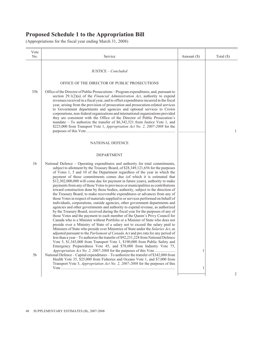| Vote<br>No.                      | Service                                                                                                                                                                                                                                                                                                                                                                                                                                                                                                                                                                                                                                                                                                                                                                                                                                                                                                                                                                                                                                                                                                                                                                                                                                                                                                                                                                                                                                                                                                                                                                                                                                                                                                                                                                                                                                                                                                                                                  | Amount $(\$)$ | Total $(\$)$ |
|----------------------------------|----------------------------------------------------------------------------------------------------------------------------------------------------------------------------------------------------------------------------------------------------------------------------------------------------------------------------------------------------------------------------------------------------------------------------------------------------------------------------------------------------------------------------------------------------------------------------------------------------------------------------------------------------------------------------------------------------------------------------------------------------------------------------------------------------------------------------------------------------------------------------------------------------------------------------------------------------------------------------------------------------------------------------------------------------------------------------------------------------------------------------------------------------------------------------------------------------------------------------------------------------------------------------------------------------------------------------------------------------------------------------------------------------------------------------------------------------------------------------------------------------------------------------------------------------------------------------------------------------------------------------------------------------------------------------------------------------------------------------------------------------------------------------------------------------------------------------------------------------------------------------------------------------------------------------------------------------------|---------------|--------------|
|                                  | JUSTICE - Concluded                                                                                                                                                                                                                                                                                                                                                                                                                                                                                                                                                                                                                                                                                                                                                                                                                                                                                                                                                                                                                                                                                                                                                                                                                                                                                                                                                                                                                                                                                                                                                                                                                                                                                                                                                                                                                                                                                                                                      |               |              |
|                                  | OFFICE OF THE DIRECTOR OF PUBLIC PROSECUTIONS                                                                                                                                                                                                                                                                                                                                                                                                                                                                                                                                                                                                                                                                                                                                                                                                                                                                                                                                                                                                                                                                                                                                                                                                                                                                                                                                                                                                                                                                                                                                                                                                                                                                                                                                                                                                                                                                                                            |               |              |
| 35 <sub>b</sub>                  | Office of the Director of Public Prosecutions – Program expenditures, and, pursuant to<br>section $29.1(2)(a)$ of the <i>Financial Administration Act</i> , authority to expend<br>revenues received in a fiscal year, and to offset expenditures incurred in the fiscal<br>year, arising from the provision of prosecution and prosecution-related services<br>to Government departments and agencies and optional services to Crown<br>corporations, non-federal organizations and international organizations provided<br>they are consistent with the Office of the Director of Public Prosecution's<br>mandate $-$ To authorize the transfer of \$6,342,521 from Justice Vote 1, and<br>\$223,000 from Transport Vote 1, Appropriation Act No. 2, 2007-2008 for the                                                                                                                                                                                                                                                                                                                                                                                                                                                                                                                                                                                                                                                                                                                                                                                                                                                                                                                                                                                                                                                                                                                                                                                 |               | $\mathbf{1}$ |
|                                  | NATIONAL DEFENCE                                                                                                                                                                                                                                                                                                                                                                                                                                                                                                                                                                                                                                                                                                                                                                                                                                                                                                                                                                                                                                                                                                                                                                                                                                                                                                                                                                                                                                                                                                                                                                                                                                                                                                                                                                                                                                                                                                                                         |               |              |
|                                  | <b>DEPARTMENT</b>                                                                                                                                                                                                                                                                                                                                                                                                                                                                                                                                                                                                                                                                                                                                                                                                                                                                                                                                                                                                                                                                                                                                                                                                                                                                                                                                                                                                                                                                                                                                                                                                                                                                                                                                                                                                                                                                                                                                        |               |              |
| 1 <sub>b</sub><br>5 <sub>b</sub> | National Defence – Operating expenditures and authority for total commitments,<br>subject to allotment by the Treasury Board, of \$28,349,121,656 for the purposes<br>of Votes 1, 5 and 10 of the Department regardless of the year in which the<br>payment of those commitments comes due (of which it is estimated that<br>\$12,302,000,000 will come due for payment in future years), authority to make<br>payments from any of those Votes to provinces or municipalities as contributions<br>toward construction done by those bodies, authority, subject to the direction of<br>the Treasury Board, to make recoverable expenditures or advances from any of<br>those Votes in respect of materials supplied to or services performed on behalf of<br>individuals, corporations, outside agencies, other government departments and<br>agencies and other governments and authority to expend revenue, as authorized<br>by the Treasury Board, received during the fiscal year for the purposes of any of<br>those Votes and the payment to each member of the Queen's Privy Council for<br>Canada who is a Minister without Portfolio or a Minister of State who does not<br>preside over a Ministry of State of a salary not to exceed the salary paid to<br>Ministers of State who preside over Ministries of State under the Salaries Act, as<br>adjusted pursuant to the Parliament of Canada Act and pro rata for any period of<br>less than a year - To authorize the transfer of \$92,231,228 from National Defence<br>Vote 5, \$1,343,000 from Transport Vote 1, \$190,000 from Public Safety and<br>Emergency Preparedness Vote 45, and \$78,000 from Industry Vote 75,<br>National Defence - Capital expenditures - To authorize the transfer of \$342,000 from<br>Health Vote 35, \$25,000 from Fisheries and Oceans Vote 1, and \$7,000 from<br>Transport Vote 5, <i>Appropriation Act No. 2, 2007-2008</i> for the purposes of this | 1<br>1        |              |
|                                  |                                                                                                                                                                                                                                                                                                                                                                                                                                                                                                                                                                                                                                                                                                                                                                                                                                                                                                                                                                                                                                                                                                                                                                                                                                                                                                                                                                                                                                                                                                                                                                                                                                                                                                                                                                                                                                                                                                                                                          |               | 2            |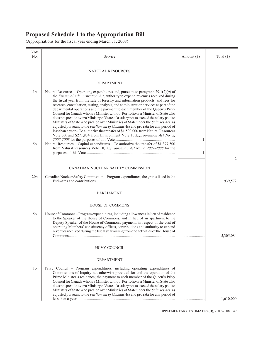| Vote<br>No.     | Service                                                                                                                                                                                                                                                                                                                                                                                                                                                                                                                                                                                                                                                                                                                                                                                                                                                                                                                                                               | Amount (\$) | Total $(\$)$ |
|-----------------|-----------------------------------------------------------------------------------------------------------------------------------------------------------------------------------------------------------------------------------------------------------------------------------------------------------------------------------------------------------------------------------------------------------------------------------------------------------------------------------------------------------------------------------------------------------------------------------------------------------------------------------------------------------------------------------------------------------------------------------------------------------------------------------------------------------------------------------------------------------------------------------------------------------------------------------------------------------------------|-------------|--------------|
|                 | NATURAL RESOURCES                                                                                                                                                                                                                                                                                                                                                                                                                                                                                                                                                                                                                                                                                                                                                                                                                                                                                                                                                     |             |              |
|                 | <b>DEPARTMENT</b>                                                                                                                                                                                                                                                                                                                                                                                                                                                                                                                                                                                                                                                                                                                                                                                                                                                                                                                                                     |             |              |
| 1 <sub>b</sub>  | Natural Resources – Operating expenditures and, pursuant to paragraph $29.1(2)(a)$ of<br>the Financial Administration Act, authority to expend revenues received during<br>the fiscal year from the sale of forestry and information products, and fees for<br>research, consultation, testing, analysis, and administration services as part of the<br>departmental operations and the payment to each member of the Queen's Privy<br>Council for Canada who is a Minister without Portfolio or a Minister of State who<br>does not preside over a Ministry of State of a salary not to exceed the salary paid to<br>Ministers of State who preside over Ministries of State under the Salaries Act, as<br>adjusted pursuant to the <i>Parliament of Canada Act</i> and pro rata for any period of<br>less than a year - To authorize the transfer of \$1,500,000 from Natural Resources<br>Vote 30, and \$271,834 from Environment Vote 1, Appropriation Act No. 2, |             |              |
| 5 <sub>b</sub>  | Natural Resources – Capital expenditures – To authorize the transfer of \$1,377,500<br>from Natural Resources Vote 10, Appropriation Act No. 2, 2007-2008 for the                                                                                                                                                                                                                                                                                                                                                                                                                                                                                                                                                                                                                                                                                                                                                                                                     | 1           |              |
|                 |                                                                                                                                                                                                                                                                                                                                                                                                                                                                                                                                                                                                                                                                                                                                                                                                                                                                                                                                                                       | 1           | 2            |
|                 | CANADIAN NUCLEAR SAFETY COMMISSION                                                                                                                                                                                                                                                                                                                                                                                                                                                                                                                                                                                                                                                                                                                                                                                                                                                                                                                                    |             |              |
| 20 <sub>b</sub> | Canadian Nuclear Safety Commission – Program expenditures, the grants listed in the                                                                                                                                                                                                                                                                                                                                                                                                                                                                                                                                                                                                                                                                                                                                                                                                                                                                                   | .           | 939,572      |
|                 | <b>PARLIAMENT</b>                                                                                                                                                                                                                                                                                                                                                                                                                                                                                                                                                                                                                                                                                                                                                                                                                                                                                                                                                     |             |              |
|                 | <b>HOUSE OF COMMONS</b>                                                                                                                                                                                                                                                                                                                                                                                                                                                                                                                                                                                                                                                                                                                                                                                                                                                                                                                                               |             |              |
| 5 <sub>b</sub>  | House of Commons - Program expenditures, including allowances in lieu of residence<br>to the Speaker of the House of Commons, and in lieu of an apartment to the<br>Deputy Speaker of the House of Commons, payments in respect of the cost of<br>operating Members' constituency offices, contributions and authority to expend<br>revenues received during the fiscal year arising from the activities of the House of                                                                                                                                                                                                                                                                                                                                                                                                                                                                                                                                              |             | 5,305,084    |
|                 | PRIVY COUNCIL                                                                                                                                                                                                                                                                                                                                                                                                                                                                                                                                                                                                                                                                                                                                                                                                                                                                                                                                                         |             |              |
|                 | <b>DEPARTMENT</b>                                                                                                                                                                                                                                                                                                                                                                                                                                                                                                                                                                                                                                                                                                                                                                                                                                                                                                                                                     |             |              |
| 1 <sub>b</sub>  | Privy Council – Program expenditures, including operating expenditures of<br>Commissions of Inquiry not otherwise provided for and the operation of the<br>Prime Minister's residence; the payment to each member of the Queen's Privy<br>Council for Canada who is a Minister without Portfolio or a Minister of State who<br>does not preside over a Ministry of State of a salary not to exceed the salary paid to<br>Ministers of State who preside over Ministries of State under the Salaries Act, as<br>adjusted pursuant to the <i>Parliament of Canada Act</i> and pro rata for any period of                                                                                                                                                                                                                                                                                                                                                                |             | 1,610,000    |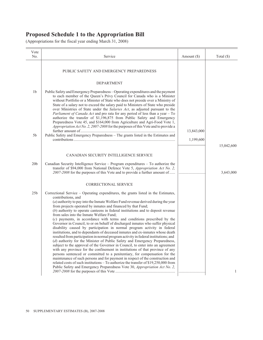| Vote            |                                                                                                                                                                                                                                                                                                                                                                                                                                                                                                                                                                                                                                                                                                                                                                                                                                                                                                                                                                                                                                                                                                                                                                                                                                                                                                                                                                                                            |             |              |
|-----------------|------------------------------------------------------------------------------------------------------------------------------------------------------------------------------------------------------------------------------------------------------------------------------------------------------------------------------------------------------------------------------------------------------------------------------------------------------------------------------------------------------------------------------------------------------------------------------------------------------------------------------------------------------------------------------------------------------------------------------------------------------------------------------------------------------------------------------------------------------------------------------------------------------------------------------------------------------------------------------------------------------------------------------------------------------------------------------------------------------------------------------------------------------------------------------------------------------------------------------------------------------------------------------------------------------------------------------------------------------------------------------------------------------------|-------------|--------------|
| No.             | Service                                                                                                                                                                                                                                                                                                                                                                                                                                                                                                                                                                                                                                                                                                                                                                                                                                                                                                                                                                                                                                                                                                                                                                                                                                                                                                                                                                                                    | Amount (\$) | Total $(\$)$ |
|                 | PUBLIC SAFETY AND EMERGENCY PREPAREDNESS                                                                                                                                                                                                                                                                                                                                                                                                                                                                                                                                                                                                                                                                                                                                                                                                                                                                                                                                                                                                                                                                                                                                                                                                                                                                                                                                                                   |             |              |
|                 | DEPARTMENT                                                                                                                                                                                                                                                                                                                                                                                                                                                                                                                                                                                                                                                                                                                                                                                                                                                                                                                                                                                                                                                                                                                                                                                                                                                                                                                                                                                                 |             |              |
| 1 <sub>b</sub>  | Public Safety and Emergency Preparedness – Operating expenditures and the payment<br>to each member of the Queen's Privy Council for Canada who is a Minister<br>without Portfolio or a Minister of State who does not preside over a Ministry of<br>State of a salary not to exceed the salary paid to Ministers of State who preside<br>over Ministries of State under the Salaries Act, as adjusted pursuant to the<br>Parliament of Canada Act and pro rata for any period of less than a year - To<br>authorize the transfer of \$1,196,875 from Public Safety and Emergency<br>Preparedness Vote 45, and \$164,000 from Agriculture and Agri-Food Vote 1,<br>Appropriation Act No. 2, 2007-2008 for the purposes of this Vote and to provide a                                                                                                                                                                                                                                                                                                                                                                                                                                                                                                                                                                                                                                                       |             |              |
|                 |                                                                                                                                                                                                                                                                                                                                                                                                                                                                                                                                                                                                                                                                                                                                                                                                                                                                                                                                                                                                                                                                                                                                                                                                                                                                                                                                                                                                            | 13,843,000  |              |
| 5 <sub>b</sub>  | Public Safety and Emergency Preparedness - The grants listed in the Estimates and                                                                                                                                                                                                                                                                                                                                                                                                                                                                                                                                                                                                                                                                                                                                                                                                                                                                                                                                                                                                                                                                                                                                                                                                                                                                                                                          | 1,199,600   |              |
|                 |                                                                                                                                                                                                                                                                                                                                                                                                                                                                                                                                                                                                                                                                                                                                                                                                                                                                                                                                                                                                                                                                                                                                                                                                                                                                                                                                                                                                            |             | 15,042,600   |
|                 | CANADIAN SECURITY INTELLIGENCE SERVICE                                                                                                                                                                                                                                                                                                                                                                                                                                                                                                                                                                                                                                                                                                                                                                                                                                                                                                                                                                                                                                                                                                                                                                                                                                                                                                                                                                     |             |              |
| 20 <sub>b</sub> | Canadian Security Intelligence Service – Program expenditures – To authorize the<br>transfer of \$94,000 from National Defence Vote 5, Appropriation Act No. 2,<br>2007-2008 for the purposes of this Vote and to provide a further amount of                                                                                                                                                                                                                                                                                                                                                                                                                                                                                                                                                                                                                                                                                                                                                                                                                                                                                                                                                                                                                                                                                                                                                              |             | 3,643,000    |
|                 | <b>CORRECTIONAL SERVICE</b>                                                                                                                                                                                                                                                                                                                                                                                                                                                                                                                                                                                                                                                                                                                                                                                                                                                                                                                                                                                                                                                                                                                                                                                                                                                                                                                                                                                |             |              |
| 25 <sub>b</sub> | Correctional Service – Operating expenditures, the grants listed in the Estimates,<br>contributions, and<br>$(a)$ authority to pay into the Inmate Welfare Fund revenue derived during the year<br>from projects operated by inmates and financed by that Fund;<br>$(b)$ authority to operate canteens in federal institutions and to deposit revenue<br>from sales into the Inmate Welfare Fund:<br>(c) payments, in accordance with terms and conditions prescribed by the<br>Governor in Council, to or on behalf of discharged inmates who suffer physical<br>disability caused by participation in normal program activity in federal<br>institutions, and to dependants of deceased inmates and ex-inmates whose death<br>resulted from participation in normal program activity in federal institutions; and<br>(d) authority for the Minister of Public Safety and Emergency Preparedness,<br>subject to the approval of the Governor in Council, to enter into an agreement<br>with any province for the confinement in institutions of that province of any<br>persons sentenced or committed to a penitentiary, for compensation for the<br>maintenance of such persons and for payment in respect of the construction and<br>related costs of such institutions - To authorize the transfer of \$19,250,000 from<br>Public Safety and Emergency Preparedness Vote 30, Appropriation Act No. 2, |             | $\mathbf{1}$ |
|                 |                                                                                                                                                                                                                                                                                                                                                                                                                                                                                                                                                                                                                                                                                                                                                                                                                                                                                                                                                                                                                                                                                                                                                                                                                                                                                                                                                                                                            |             |              |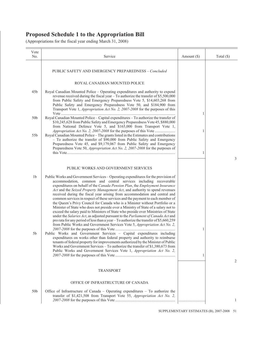| Vote<br>No.     | Service                                                                                                                                                                                                                                                                                                                                                                                                                                                                                                                                                                                                                                                                                                                                                                                                                                                                                                                                                                                                      | Amount $(\$)$ | Total $(\$)$ |
|-----------------|--------------------------------------------------------------------------------------------------------------------------------------------------------------------------------------------------------------------------------------------------------------------------------------------------------------------------------------------------------------------------------------------------------------------------------------------------------------------------------------------------------------------------------------------------------------------------------------------------------------------------------------------------------------------------------------------------------------------------------------------------------------------------------------------------------------------------------------------------------------------------------------------------------------------------------------------------------------------------------------------------------------|---------------|--------------|
|                 | <b>PUBLIC SAFETY AND EMERGENCY PREPAREDNESS - Concluded</b>                                                                                                                                                                                                                                                                                                                                                                                                                                                                                                                                                                                                                                                                                                                                                                                                                                                                                                                                                  |               |              |
|                 | ROYAL CANADIAN MOUNTED POLICE                                                                                                                                                                                                                                                                                                                                                                                                                                                                                                                                                                                                                                                                                                                                                                                                                                                                                                                                                                                |               |              |
| 45 <sub>b</sub> | Royal Canadian Mounted Police – Operating expenditures and authority to expend<br>revenue received during the fiscal year - To authorize the transfer of \$5,500,000<br>from Public Safety and Emergency Preparedness Vote 5, \$14,603,268 from<br>Public Safety and Emergency Preparedness Vote 50, and \$184,900 from<br>Transport Vote 1, <i>Appropriation Act No. 2, 2007-2008</i> for the purposes of this                                                                                                                                                                                                                                                                                                                                                                                                                                                                                                                                                                                              | 1             |              |
| 50 <sub>b</sub> | Royal Canadian Mounted Police - Capital expenditures - To authorize the transfer of<br>\$10,245,628 from Public Safety and Emergency Preparedness Vote 45, \$880,000<br>from National Defence Vote 5, and \$165,000 from Transport Vote 1,                                                                                                                                                                                                                                                                                                                                                                                                                                                                                                                                                                                                                                                                                                                                                                   |               |              |
| 55b             | Royal Canadian Mounted Police - The grants listed in the Estimates and contributions<br>- To authorize the transfer of \$90,000 from Public Safety and Emergency<br>Preparedness Vote 45, and \$9,179,067 from Public Safety and Emergency                                                                                                                                                                                                                                                                                                                                                                                                                                                                                                                                                                                                                                                                                                                                                                   | 1             |              |
|                 | Preparedness Vote 50, <i>Appropriation Act No. 2, 2007-2008</i> for the purposes of                                                                                                                                                                                                                                                                                                                                                                                                                                                                                                                                                                                                                                                                                                                                                                                                                                                                                                                          | 1             | 3            |
|                 | PUBLIC WORKS AND GOVERNMENT SERVICES                                                                                                                                                                                                                                                                                                                                                                                                                                                                                                                                                                                                                                                                                                                                                                                                                                                                                                                                                                         |               |              |
| 1 <sub>b</sub>  | Public Works and Government Services – Operating expenditures for the provision of<br>accommodation, common and central services including recoverable<br>expenditures on behalf of the Canada Pension Plan, the Employment Insurance<br>Act and the Seized Property Management Act, and authority to spend revenues<br>received during the fiscal year arising from accommodation and central and<br>common services in respect of these services and the payment to each member of<br>the Queen's Privy Council for Canada who is a Minister without Portfolio or a<br>Minister of State who does not preside over a Ministry of State of a salary not to<br>exceed the salary paid to Ministers of State who preside over Ministries of State<br>under the Salaries Act, as adjusted pursuant to the Parliament of Canada Act and<br>pro rata for any period of less than a year - To authorize the transfer of \$5,660,259<br>from Public Works and Government Services Vote 5, Appropriation Act No. 2, |               |              |
| 5b              | Public Works and Government Services - Capital expenditures including<br>expenditures on works other than federal property and authority to reimburse<br>tenants of federal property for improvements authorized by the Minister of Public<br>Works and Government Services - To authorize the transfer of \$1,380,673 from<br>Public Works and Government Services Vote 1, Appropriation Act No. 2,                                                                                                                                                                                                                                                                                                                                                                                                                                                                                                                                                                                                         | 1<br>1        |              |
|                 | <b>TRANSPORT</b>                                                                                                                                                                                                                                                                                                                                                                                                                                                                                                                                                                                                                                                                                                                                                                                                                                                                                                                                                                                             |               | 2            |
|                 | OFFICE OF INFRASTRUCTURE OF CANADA                                                                                                                                                                                                                                                                                                                                                                                                                                                                                                                                                                                                                                                                                                                                                                                                                                                                                                                                                                           |               |              |
| 50 <sub>b</sub> | Office of Infrastructure of Canada – Operating expenditures – To authorize the<br>transfer of \$1,421,508 from Transport Vote 55, Appropriation Act No. 2,                                                                                                                                                                                                                                                                                                                                                                                                                                                                                                                                                                                                                                                                                                                                                                                                                                                   | .             | 1            |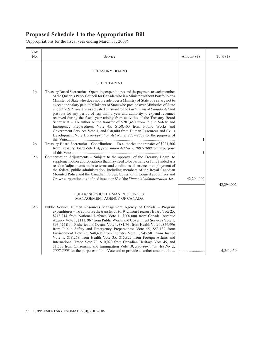| Vote<br>No.     | Service                                                                                                                                                                                                                                                                                                                                                                                                                                                                                                                                                                                                                                                                                                                                                                                                                                                                                                            | Amount $(\$)$ | Total $(\$)$ |
|-----------------|--------------------------------------------------------------------------------------------------------------------------------------------------------------------------------------------------------------------------------------------------------------------------------------------------------------------------------------------------------------------------------------------------------------------------------------------------------------------------------------------------------------------------------------------------------------------------------------------------------------------------------------------------------------------------------------------------------------------------------------------------------------------------------------------------------------------------------------------------------------------------------------------------------------------|---------------|--------------|
|                 | <b>TREASURY BOARD</b>                                                                                                                                                                                                                                                                                                                                                                                                                                                                                                                                                                                                                                                                                                                                                                                                                                                                                              |               |              |
|                 | <b>SECRETARIAT</b>                                                                                                                                                                                                                                                                                                                                                                                                                                                                                                                                                                                                                                                                                                                                                                                                                                                                                                 |               |              |
| 1 <sub>b</sub>  | Treasury Board Secretariat - Operating expenditures and the payment to each member<br>of the Queen's Privy Council for Canada who is a Minister without Portfolio or a<br>Minister of State who does not preside over a Ministry of State of a salary not to<br>exceed the salary paid to Ministers of State who preside over Ministries of State<br>under the Salaries Act, as adjusted pursuant to the Parliament of Canada Act and<br>pro rata for any period of less than a year and authority to expend revenues<br>received during the fiscal year arising from activities of the Treasury Board<br>Secretariat - To authorize the transfer of \$201,450 from Public Safety and<br>Emergency Preparedness Vote 45, \$158,400 from Public Works and<br>Government Services Vote 1, and \$30,000 from Human Resources and Skills<br>Development Vote 1, Appropriation Act No. 2, 2007-2008 for the purposes of | 1             |              |
| 2 <sub>b</sub>  | Treasury Board Secretariat - Contributions - To authorize the transfer of \$221,500<br>from Treasury Board Vote 1, Appropriation Act No. 2, 2007-2008 for the purpose                                                                                                                                                                                                                                                                                                                                                                                                                                                                                                                                                                                                                                                                                                                                              | 1             |              |
| 15 <sub>b</sub> | Compensation Adjustments - Subject to the approval of the Treasury Board, to<br>supplement other appropriations that may need to be partially or fully funded as a<br>result of adjustments made to terms and conditions of service or employment of<br>the federal public administration, including members of the Royal Canadian<br>Mounted Police and the Canadian Forces, Governor in Council appointees and<br>Crown corporations as defined in section 83 of the Financial Administration Act                                                                                                                                                                                                                                                                                                                                                                                                                | 42,294,000    |              |
|                 |                                                                                                                                                                                                                                                                                                                                                                                                                                                                                                                                                                                                                                                                                                                                                                                                                                                                                                                    |               | 42,294,002   |
|                 | PUBLIC SERVICE HUMAN RESOURCES<br>MANAGEMENT AGENCY OF CANADA                                                                                                                                                                                                                                                                                                                                                                                                                                                                                                                                                                                                                                                                                                                                                                                                                                                      |               |              |
| 35 <sub>b</sub> | Public Service Human Resources Management Agency of Canada – Program<br>expenditures - To authorize the transfer of \$6, 942 from Treasury Board Vote 25,<br>\$218,814 from National Defence Vote 1, \$200,000 from Canada Revenue<br>Agency Vote 1, \$111, 967 from Public Works and Government Services Vote 1,<br>\$93,475 from Fisheries and Oceans Vote 1, \$81,761 from Health Vote 1, \$56,996<br>from Public Safety and Emergency Preparedness Vote 45, \$53,139 from<br>Environment Vote 25, \$48,405 from Industry Vote 1, \$45,501 from Justice<br>Vote 1, \$18,263 from Health Vote 35, \$15,827 from Foreign Affairs and<br>International Trade Vote 20, \$10,020 from Canadian Heritage Vote 45, and<br>\$1,500 from Citizenship and Immigration Vote 10, Appropriation Act No. 2,                                                                                                                   |               |              |
|                 | 2007-2008 for the purposes of this Vote and to provide a further amount of                                                                                                                                                                                                                                                                                                                                                                                                                                                                                                                                                                                                                                                                                                                                                                                                                                         |               | 4,541,450    |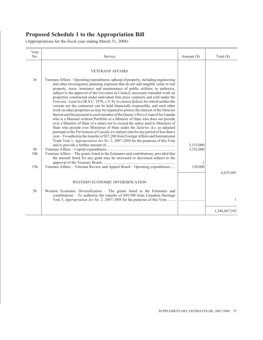| Vote<br>No.                       | Service                                                                                                                                                                                                                                                                                                                                                                                                                                                                                                                                                                                                                                                                                                                                                                                                                                                                                                                                                                                                                                                                                                                              | Amount (\$) | Total $(\$)$  |
|-----------------------------------|--------------------------------------------------------------------------------------------------------------------------------------------------------------------------------------------------------------------------------------------------------------------------------------------------------------------------------------------------------------------------------------------------------------------------------------------------------------------------------------------------------------------------------------------------------------------------------------------------------------------------------------------------------------------------------------------------------------------------------------------------------------------------------------------------------------------------------------------------------------------------------------------------------------------------------------------------------------------------------------------------------------------------------------------------------------------------------------------------------------------------------------|-------------|---------------|
| 1 <sub>b</sub>                    | <b>VETERANS AFFAIRS</b><br>Veterans Affairs – Operating expenditures, upkeep of property, including engineering<br>and other investigatory planning expenses that do not add tangible value to real                                                                                                                                                                                                                                                                                                                                                                                                                                                                                                                                                                                                                                                                                                                                                                                                                                                                                                                                  |             |               |
|                                   | property, taxes, insurance and maintenance of public utilities; to authorize,<br>subject to the approval of the Governor in Council, necessary remedial work on<br>properties constructed under individual firm price contracts and sold under the<br>Veterans' Land Act (R.S.C. 1970, c.V-4), to correct defects for which neither the<br>veteran nor the contractor can be held financially responsible, and such other<br>work on other properties as may be required to protect the interest of the Director<br>therein and the payment to each member of the Queen's Privy Council for Canada<br>who is a Minister without Portfolio or a Minister of State who does not preside<br>over a Ministry of State of a salary not to exceed the salary paid to Ministers of<br>State who preside over Ministries of State under the Salaries Act, as adjusted<br>pursuant to the <i>Parliament of Canada Act</i> and pro rata for any period of less than a<br>year – To authorize the transfer of \$37,200 from Foreign Affairs and International<br>Trade Vote 1, Appropriation Act No. 2, 2007-2008 for the purposes of this Vote | 3,153,000   |               |
| 5 <sub>b</sub><br>10 <sub>b</sub> | Veterans Affairs - The grants listed in the Estimates and contributions, provided that<br>the amount listed for any grant may be increased or decreased subject to the                                                                                                                                                                                                                                                                                                                                                                                                                                                                                                                                                                                                                                                                                                                                                                                                                                                                                                                                                               | 3,352,000   |               |
| 15 <sub>b</sub>                   | Veterans Affairs - Veterans Review and Appeal Board - Operating expenditures                                                                                                                                                                                                                                                                                                                                                                                                                                                                                                                                                                                                                                                                                                                                                                                                                                                                                                                                                                                                                                                         | 120,000     | 6,625,001     |
|                                   | WESTERN ECONOMIC DIVERSIFICATION                                                                                                                                                                                                                                                                                                                                                                                                                                                                                                                                                                                                                                                                                                                                                                                                                                                                                                                                                                                                                                                                                                     |             |               |
| 5 <sub>b</sub>                    | Western Economic Diversification $-$ The grants listed in the Estimates and<br>contributions - To authorize the transfer of \$49,500 from Canadian Heritage<br>Vote 5, <i>Appropriation Act No. 2, 2007-2008</i> for the purposes of this Vote                                                                                                                                                                                                                                                                                                                                                                                                                                                                                                                                                                                                                                                                                                                                                                                                                                                                                       |             | $\mathbf{1}$  |
|                                   |                                                                                                                                                                                                                                                                                                                                                                                                                                                                                                                                                                                                                                                                                                                                                                                                                                                                                                                                                                                                                                                                                                                                      |             | 1,248,967,592 |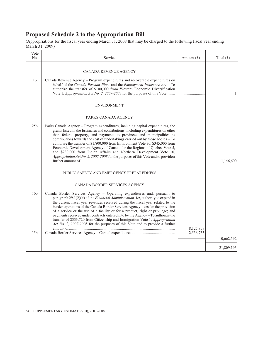(Appropriations for the fiscal year ending March 31, 2008 that may be charged to the following fiscal year ending March 31, 2009)

| Vote<br>No.                        | Service                                                                                                                                                                                                                                                                                                                                                                                                                                                                                                                                                                                                                                                                                                                                                      | Amount $(\$)$          | Total $(\$)$             |
|------------------------------------|--------------------------------------------------------------------------------------------------------------------------------------------------------------------------------------------------------------------------------------------------------------------------------------------------------------------------------------------------------------------------------------------------------------------------------------------------------------------------------------------------------------------------------------------------------------------------------------------------------------------------------------------------------------------------------------------------------------------------------------------------------------|------------------------|--------------------------|
| 1b                                 | <b>CANADA REVENUE AGENCY</b><br>Canada Revenue Agency - Program expenditures and recoverable expenditures on<br>behalf of the Canada Pension Plan and the Employment Insurance $Act - To$<br>authorize the transfer of \$100,000 from Western Economic Diversification<br>Vote 1, <i>Appropriation Act No. 2, 2007-2008</i> for the purposes of this Vote<br><b>ENVIRONMENT</b>                                                                                                                                                                                                                                                                                                                                                                              |                        | $\mathbf{1}$             |
| 25 <sub>b</sub>                    | PARKS CANADA AGENCY<br>Parks Canada Agency – Program expenditures, including capital expenditures, the<br>grants listed in the Estimates and contributions, including expenditures on other<br>than federal property, and payments to provinces and municipalities as<br>contributions towards the cost of undertakings carried out by those bodies - To<br>authorize the transfer of \$1,800,000 from Environment Vote 30, \$345,000 from<br>Economic Development Agency of Canada for the Regions of Quebec Vote 5,<br>and \$230,000 from Indian Affairs and Northern Development Vote 10,<br>Appropriation Act No. 2, 2007-2008 for the purposes of this Vote and to provide a                                                                            |                        | 11,146,600               |
| 10 <sub>b</sub><br>15 <sub>b</sub> | PUBLIC SAFETY AND EMERGENCY PREPAREDNESS<br>CANADA BORDER SERVICES AGENCY<br>Canada Border Services Agency - Operating expenditures and, pursuant to<br>paragraph $29.1(2)(a)$ of the <i>Financial Administration Act</i> , authority to expend in<br>the current fiscal year revenues received during the fiscal year related to the<br>border operations of the Canada Border Services Agency: fees for the provision<br>of a service or the use of a facility or for a product, right or privilege; and<br>payments received under contracts entered into by the Agency - To authorize the<br>transfer of \$333,720 from Citizenship and Immigration Vote 1, Appropriation<br>Act No. 2, 2007-2008 for the purposes of this Vote and to provide a further | 8,125,857<br>2,536,735 | 10,662,592<br>21,809,193 |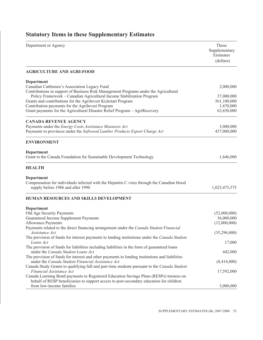### Department or Agency These Supplementary Estimates (dollars) **AGRICULTURE AND AGRI-FOOD Department** Canadian Cattlemen's Association Legacy Fund 2,000,000 Contributions in support of Business Risk Management Programs under the Agricultural Policy Framework – Canadian Agricultural Income Stabilization Program 37,000,000 Grants and contributions for the AgriInvest Kickstart Program 561,100,000 Contribution payments for the AgriInvest Program 1,670,000 Grant payments for the Agricultural Disaster Relief Program – AgriRecovery 62,650,000 62,650,000 **CANADA REVENUE AGENCY** Payments under the *Energy Costs Assistance Measures Act* 3,000,000 Payments to provinces under the *Softwood Lumber Products Export Charge Act* 437,000,000 **ENVIRONMENT Department** Grant to the Canada Foundation for Sustainable Development Technology 1,646,000 **HEALTH Department** Compensation for individuals infected with the Hepatitis C virus through the Canadian blood supply before 1986 and after 1990 1,023,475,575 **HUMAN RESOURCES AND SKILLS DEVELOPMENT Department** Old Age Security Payments (52,000,000) Guaranteed Income Supplement Payments 36,000,000 and 36,000,000 and 36,000,000 and 36,000,000 and 36,000,000 and 36,000,000 and 36,000,000 and 36,000,000 and 36,000,000 and 36,000,000 and 36,000,000 and 36,000,000 and 36,0 Allowance Payments (12,000,000) (12,000,000) Payments related to the direct financing arrangement under the *Canada Student Financial Assistance Act* (35,296,000) The provision of funds for interest payments to lending institutions under the *Canada Student Loans Act* 17,000 The provision of funds for liabilities including liabilities in the form of guaranteed loans under the *Canada Student Loans Act* 442,000 The provision of funds for interest and other payments to lending institutions and liabilities under the *Canada Student Financial Assistance Act* (8,414,000) Canada Study Grants to qualifying full and part-time students pursuant to the *Canada Student Financial Assistance Act* 17,592,000 Canada Learning Bond payments to Registered Education Savings Plans (RESPs) trustees on behalf of RESP beneficiaries to support access to post-secondary education for children from low-income families 3,000,000

### **Statutory Items in these Supplementary Estimates**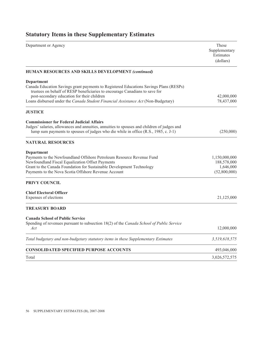| Department or Agency                                                                                                                                                                                                                                                                                                    | These<br>Supplementary<br>Estimates<br>(dollars)          |
|-------------------------------------------------------------------------------------------------------------------------------------------------------------------------------------------------------------------------------------------------------------------------------------------------------------------------|-----------------------------------------------------------|
| <b>HUMAN RESOURCES AND SKILLS DEVELOPMENT (continued)</b>                                                                                                                                                                                                                                                               |                                                           |
| Department<br>Canada Education Savings grant payments to Registered Educations Savings Plans (RESPs)<br>trustees on behalf of RESP beneficiaries to encourage Canadians to save for<br>post-secondary education for their children<br>Loans disbursed under the Canada Student Financial Assistance Act (Non-Budgetary) | 42,000,000<br>78,437,000                                  |
| <b>JUSTICE</b>                                                                                                                                                                                                                                                                                                          |                                                           |
| <b>Commissioner for Federal Judicial Affairs</b><br>Judges' salaries, allowances and annuities, annuities to spouses and children of judges and<br>lump sum payments to spouses of judges who die while in office (R.S., 1985, c. J-1)                                                                                  | (250,000)                                                 |
| <b>NATURAL RESOURCES</b>                                                                                                                                                                                                                                                                                                |                                                           |
| <b>Department</b><br>Payments to the Newfoundland Offshore Petroleum Resource Revenue Fund<br>Newfoundland Fiscal Equalization Offset Payments<br>Grant to the Canada Foundation for Sustainable Development Technology<br>Payments to the Nova Scotia Offshore Revenue Account                                         | 1,150,000,000<br>188,578,000<br>1,646,000<br>(52,800,000) |
| PRIVY COUNCIL                                                                                                                                                                                                                                                                                                           |                                                           |
| <b>Chief Electoral Officer</b><br>Expenses of elections                                                                                                                                                                                                                                                                 | 21,125,000                                                |
| <b>TREASURY BOARD</b>                                                                                                                                                                                                                                                                                                   |                                                           |
| <b>Canada School of Public Service</b><br>Spending of revenues pursuant to subsection 18(2) of the Canada School of Public Service<br>Act                                                                                                                                                                               | 12,000,000                                                |
| Total budgetary and non-budgetary statutory items in these Supplementary Estimates                                                                                                                                                                                                                                      | 3,519,618,575                                             |
| <b>CONSOLIDATED SPECIFIED PURPOSE ACCOUNTS</b>                                                                                                                                                                                                                                                                          | 493,046,000                                               |
| Total                                                                                                                                                                                                                                                                                                                   | 3,026,572,575                                             |

# **Statutory Items in these Supplementary Estimates**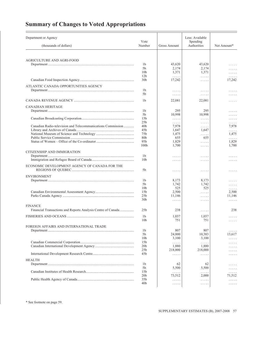# **Summary of Changes to Voted Appropriations**

| Department or Agency                                                           | Vote                               |                                        | Less: Available<br>Spending            |             |
|--------------------------------------------------------------------------------|------------------------------------|----------------------------------------|----------------------------------------|-------------|
| (thousands of dollars)                                                         | Number                             | <b>Gross Amount</b>                    | Authorities                            | Net Amount* |
| AGRICULTURE AND AGRI-FOOD                                                      |                                    |                                        |                                        |             |
|                                                                                | 1 <sub>b</sub>                     | 43,620                                 | 43,620                                 | .           |
|                                                                                | 5b                                 | 2,174                                  | 2,174                                  | .           |
|                                                                                | 10 <sub>b</sub>                    | 1,371                                  | 1,371                                  | .           |
|                                                                                | 12 <sub>b</sub>                    | $\ldots$                               | $\ldots$                               | .           |
|                                                                                | 30 <sub>b</sub>                    | 17,242                                 | $\mathbb{R}^n$ . In the $\mathbb{R}^n$ | 17,242      |
| ATLANTIC CANADA OPPORTUNITIES AGENCY                                           |                                    |                                        |                                        |             |
|                                                                                | 1 <sub>b</sub>                     | .                                      | $\dots$                                | .           |
|                                                                                | 5 <sub>b</sub>                     | $\mathbb{Z}^n$ . In the $\mathbb{Z}^n$ | $\mathbb{Z}^2$ . In the $\mathbb{Z}^2$ | .           |
|                                                                                | 1 <sub>b</sub>                     | 22,081                                 | 22,081                                 | .           |
| <b>CANADIAN HERITAGE</b>                                                       |                                    |                                        |                                        |             |
|                                                                                | 1b                                 | 295                                    | 295                                    | .           |
|                                                                                | 5b                                 | 10,998                                 | 10,998                                 | .           |
|                                                                                | 15b                                | $\ldots$                               | $\alpha$ , $\alpha$ , $\alpha$         | .           |
| Canadian Radio-television and Telecommunications Commission                    | 25 <sub>b</sub><br>40 <sub>b</sub> | .<br>7,978                             | $\ldots \ldots$                        | .<br>7,978  |
|                                                                                | 45b                                | 1,647                                  | $\ldots$<br>1,647                      | .           |
|                                                                                | 75 <sub>b</sub>                    | 1,475                                  | .                                      | 1,475       |
|                                                                                | 80 <sub>b</sub>                    | 655                                    | 655                                    | .           |
|                                                                                | 95 <sub>b</sub>                    | 1,829                                  | $\mathbb{R}^n$ . In the $\mathbb{R}^n$ | 1,829       |
|                                                                                | 100 <sub>b</sub>                   | 1,700                                  | $\alpha$ , $\alpha$ , $\alpha$         | 1,700       |
| CITIZENSHIP AND IMMIGRATION                                                    |                                    |                                        |                                        |             |
|                                                                                | 1 <sub>b</sub>                     | .                                      | .                                      | .           |
|                                                                                | 10 <sub>b</sub>                    | .                                      | $\alpha$ , $\alpha$ , $\alpha$         | .           |
| ECONOMIC DEVELOPMENT AGENCY OF CANADA FOR THE                                  | 5b                                 | .                                      | $\cdots$                               | .           |
|                                                                                |                                    |                                        |                                        |             |
| <b>ENVIRONMENT</b>                                                             | 1b                                 | 8,173                                  | 8,173                                  |             |
|                                                                                | 5b                                 | 1,742                                  | 1,742                                  | .<br>.      |
|                                                                                | 10 <sub>b</sub>                    | 525                                    | 525                                    | .           |
|                                                                                | 15 <sub>b</sub>                    | 2,500                                  | $\ldots \ldots$                        | 2,500       |
|                                                                                | 25 <sub>b</sub>                    | 11,146                                 | $\mathbb{R}^n$ . In the $\mathbb{R}^n$ | 11,146      |
|                                                                                | 30 <sub>b</sub>                    | $\ldots$                               | $\alpha$ , $\alpha$ , $\alpha$         | .           |
| <b>FINANCE</b><br>Financial Transactions and Reports Analysis Centre of Canada | 25 <sub>b</sub>                    | 238                                    | $\ldots$                               | 238         |
|                                                                                |                                    |                                        |                                        |             |
|                                                                                | 1 <sub>b</sub>                     | 1,037                                  | 1,037                                  | .           |
|                                                                                | 10 <sub>b</sub>                    | 751                                    | 751                                    | .           |
| FOREIGN AFFAIRS AND INTERNATIONAL TRADE                                        |                                    |                                        |                                        |             |
|                                                                                | 1 <sub>b</sub>                     | 807                                    | 807                                    | .           |
|                                                                                | 5b                                 | 24,000                                 | 10,383                                 | 13,617      |
|                                                                                | 10 <sub>b</sub><br>15b             | 3,100<br>.                             | 3,100<br>.                             | .<br>.      |
|                                                                                | 20 <sub>b</sub>                    | 1,880                                  | 1,880                                  |             |
|                                                                                | 25 <sub>b</sub>                    | 218,000                                | 218,000                                |             |
|                                                                                | 45b                                | .                                      | $\alpha$ is a second .                 | .           |
| <b>HEALTH</b>                                                                  |                                    |                                        |                                        |             |
|                                                                                | 1b                                 | 62                                     | 62                                     | .           |
|                                                                                | 5b                                 | 5,500                                  | 5,500                                  | .           |
|                                                                                | 15 <sub>b</sub>                    | $\ldots$                               | .                                      | .           |
|                                                                                | 20 <sub>b</sub><br>35b             | 73,512                                 | 2,000                                  | 71.512      |
|                                                                                | 40 <sub>b</sub>                    | $\alpha$ is a second<br>.              | $\ldots$<br>.                          | .<br>.      |
|                                                                                |                                    |                                        |                                        |             |

\* See footnote on page 59.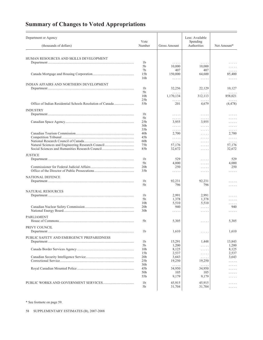# **Summary of Changes to Voted Appropriations**

| Department or Agency                                      | Vote                               |                                            | Less: Available<br><b>Spending</b>        |                                                                                  |
|-----------------------------------------------------------|------------------------------------|--------------------------------------------|-------------------------------------------|----------------------------------------------------------------------------------|
| (thousands of dollars)                                    | Number                             | <b>Gross Amount</b>                        | Authorities                               | Net Amount*                                                                      |
| HUMAN RESOURCES AND SKILLS DEVELOPMENT                    |                                    |                                            |                                           |                                                                                  |
|                                                           | 1 <sub>b</sub>                     | $\cdots$                                   | $\ldots$                                  | .                                                                                |
|                                                           | 5b                                 | 10,000                                     | 10,000                                    | $\cdots$                                                                         |
|                                                           | 7b                                 | 407                                        | 407                                       | $\mathbb{Z}^2$ . $\mathbb{Z}^2$ , $\mathbb{Z}^2$                                 |
|                                                           | 15 <sub>b</sub>                    | 150,000                                    | 64,600                                    | 85,400                                                                           |
|                                                           | 16 <sub>b</sub>                    | $\ldots$                                   | $\ldots$                                  | $\dots$                                                                          |
| INDIAN AFFAIRS AND NORTHERN DEVELOPMENT                   |                                    |                                            |                                           |                                                                                  |
|                                                           | 1 <sub>b</sub>                     | 32,256                                     | 22,129                                    | 10,127                                                                           |
|                                                           | 5b<br>10 <sub>b</sub>              | .<br>1,170,134                             | $\alpha$ , $\alpha$ , $\alpha$<br>312,113 | .<br>858,021                                                                     |
|                                                           | 25 <sub>b</sub>                    | $\ldots$                                   | .                                         | $\ldots$                                                                         |
| Office of Indian Residential Schools Resolution of Canada | 55b                                | 201                                        | 4,679                                     | (4, 478)                                                                         |
| <b>INDUSTRY</b>                                           |                                    |                                            |                                           |                                                                                  |
|                                                           | 1 <sub>b</sub>                     | $\dots$                                    | $\cdots$                                  | .                                                                                |
|                                                           | 5b                                 | $\ldots$                                   | $\cdots$                                  | .                                                                                |
|                                                           | 25 <sub>b</sub>                    | 3,955                                      | 3,955                                     | .                                                                                |
|                                                           | 30 <sub>b</sub>                    | $\mathbb{R}^n$ . In the $\mathbb{R}^n$     | $\mathbb{Z}^2$ . In the $\mathbb{Z}^2$    | $\mathbb{Z}^2$ . $\mathbb{Z}^2$ , $\mathbb{Z}^2$                                 |
|                                                           | 35 <sub>b</sub>                    | 1.1.1.1                                    | 1.1.1.1                                   | .                                                                                |
|                                                           | 40 <sub>b</sub><br>45 <sub>b</sub> | 2,700                                      | $\ldots$                                  | 2,700                                                                            |
|                                                           | 60 <sub>b</sub>                    | $\alpha$ , $\alpha$ , $\alpha$<br>$\ldots$ | 1.1.1.1<br>1.1.1.1                        | $\mathbb{Z}^2$ . In the $\mathbb{Z}^2$<br>$\mathbb{Z}^2$ . In the $\mathbb{Z}^2$ |
|                                                           | 75 <sub>b</sub>                    | 57,176                                     | 1.1.1.1                                   | 57,176                                                                           |
|                                                           | 85b                                | 32,672                                     | $\cdots$                                  | 32,672                                                                           |
| <b>JUSTICE</b>                                            |                                    |                                            |                                           |                                                                                  |
|                                                           | 1 <sub>b</sub>                     | 529                                        | $\cdots$                                  | 529                                                                              |
|                                                           | 5b                                 | 4,000                                      | .                                         | 4,000                                                                            |
|                                                           | 20 <sub>b</sub>                    | 250                                        | $\ldots$                                  | 250                                                                              |
|                                                           | 35 <sub>b</sub>                    | $\ldots$                                   | $\cdots$                                  | .                                                                                |
| NATIONAL DEFENCE                                          |                                    |                                            |                                           |                                                                                  |
|                                                           | 1 <sub>b</sub>                     | 92,231                                     | 92,231                                    | .                                                                                |
|                                                           | 5b                                 | 796                                        | 796                                       | $\cdots$                                                                         |
| NATURAL RESOURCES                                         |                                    |                                            |                                           |                                                                                  |
|                                                           | 1 <sub>b</sub>                     | 2,991                                      | 2,991                                     | .                                                                                |
|                                                           | 5b                                 | 1,378                                      | 1,378                                     | .                                                                                |
|                                                           | 10 <sub>b</sub>                    | 5,510                                      | 5,510                                     | $\cdots$                                                                         |
|                                                           | 20 <sub>b</sub>                    | 940                                        | $\mathbb{R}^n$ . In the $\mathbb{R}^n$    | 940                                                                              |
|                                                           | 30 <sub>b</sub>                    | $\ldots$                                   | $\ldots$                                  | .                                                                                |
| PARLIAMENT                                                |                                    |                                            |                                           |                                                                                  |
|                                                           | 5b                                 | 5,305                                      | $\cdots$                                  | 5,305                                                                            |
| PRIVY COUNCIL                                             |                                    |                                            |                                           |                                                                                  |
|                                                           | 1 <sub>b</sub>                     | 1,610                                      | .                                         | 1,610                                                                            |
| PUBLIC SAFETY AND EMERGENCY PREPAREDNESS                  |                                    |                                            |                                           |                                                                                  |
|                                                           | 1 <sub>b</sub>                     | 15,291                                     | 1,448                                     | 13,843                                                                           |
|                                                           | 5b                                 | 1,200                                      | $\alpha$ , $\alpha$ , $\alpha$ , $\alpha$ | 1,200                                                                            |
|                                                           | 10 <sub>b</sub>                    | 8,125                                      | $\ldots$                                  | 8,125                                                                            |
|                                                           | 15b                                | 2,537                                      | $\ldots$                                  | 2,537                                                                            |
|                                                           | 20 <sub>b</sub>                    | 3,643                                      | $\ldots$                                  | 3,643                                                                            |
|                                                           | 25 <sub>b</sub><br>30 <sub>b</sub> | 19,250                                     | 19,250                                    | .                                                                                |
|                                                           | 45b                                | $\alpha$ , $\alpha$ , $\alpha$<br>34,950   | $\alpha$ , $\alpha$ , $\alpha$<br>34,950  | .                                                                                |
|                                                           | 50 <sub>b</sub>                    | 105                                        | 105                                       |                                                                                  |
|                                                           | 55b                                | 9,179                                      | 9,179                                     |                                                                                  |
|                                                           | 1 <sub>b</sub>                     | 45,915                                     | 45,915                                    |                                                                                  |
|                                                           | 5b                                 | 31,704                                     | 31,704                                    | .<br>.                                                                           |
|                                                           |                                    |                                            |                                           |                                                                                  |

\* See footnote on page 59.

58 SUPPLEMENTARY ESTIMATES (B), 2007-2008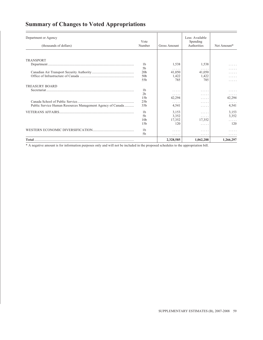### **Summary of Changes to Voted Appropriations**

| Department or Agency                                       | Vote                                                                                                                                                                                                                                                                                                                                                                                    |             | Less: Available<br>Spending |           |
|------------------------------------------------------------|-----------------------------------------------------------------------------------------------------------------------------------------------------------------------------------------------------------------------------------------------------------------------------------------------------------------------------------------------------------------------------------------|-------------|-----------------------------|-----------|
| (thousands of dollars)                                     | Authorities<br>Number<br>Gross Amount<br>1,538<br>1 <sub>b</sub><br>5b<br>.<br>20 <sub>b</sub><br>41,050<br>50 <sub>b</sub><br>1,422<br>785<br>55b<br>1b<br>.<br>2 <sub>b</sub><br>.<br>15 <sub>b</sub><br>42,294<br>25 <sub>b</sub><br>.<br>35 <sub>b</sub><br>4,541<br>3,153<br>1 <sub>b</sub><br>3,352<br>5 <sub>b</sub><br>.<br>17,352<br>10 <sub>b</sub><br>15 <sub>b</sub><br>120 | Net Amount* |                             |           |
|                                                            |                                                                                                                                                                                                                                                                                                                                                                                         |             |                             |           |
| <b>TRANSPORT</b>                                           |                                                                                                                                                                                                                                                                                                                                                                                         |             |                             |           |
|                                                            |                                                                                                                                                                                                                                                                                                                                                                                         |             | 1,538                       |           |
|                                                            |                                                                                                                                                                                                                                                                                                                                                                                         |             | .                           | .         |
|                                                            |                                                                                                                                                                                                                                                                                                                                                                                         |             | 41,050                      | .         |
|                                                            |                                                                                                                                                                                                                                                                                                                                                                                         |             | 1,422                       | .         |
|                                                            |                                                                                                                                                                                                                                                                                                                                                                                         |             | 785                         | .         |
| <b>TREASURY BOARD</b>                                      |                                                                                                                                                                                                                                                                                                                                                                                         |             |                             |           |
|                                                            |                                                                                                                                                                                                                                                                                                                                                                                         |             |                             |           |
|                                                            |                                                                                                                                                                                                                                                                                                                                                                                         |             | .                           | .         |
|                                                            |                                                                                                                                                                                                                                                                                                                                                                                         |             | .                           | 42,294    |
|                                                            |                                                                                                                                                                                                                                                                                                                                                                                         |             | .                           |           |
| Public Service Human Resources Management Agency of Canada |                                                                                                                                                                                                                                                                                                                                                                                         |             | .                           | 4,541     |
|                                                            |                                                                                                                                                                                                                                                                                                                                                                                         |             | .                           | 3,153     |
|                                                            |                                                                                                                                                                                                                                                                                                                                                                                         |             |                             | 3,352     |
|                                                            |                                                                                                                                                                                                                                                                                                                                                                                         |             | 17,352                      | .         |
|                                                            |                                                                                                                                                                                                                                                                                                                                                                                         |             | .                           | 120       |
|                                                            | 1 <sub>b</sub>                                                                                                                                                                                                                                                                                                                                                                          | .           | .                           |           |
|                                                            | 5 <sub>b</sub>                                                                                                                                                                                                                                                                                                                                                                          | .           | .                           | .         |
|                                                            |                                                                                                                                                                                                                                                                                                                                                                                         | 2,328,585   | 1,062,288                   | 1,266,297 |

\* A negative amount is for information purposes only and will not be included in the proposed schedules to the appropriation bill.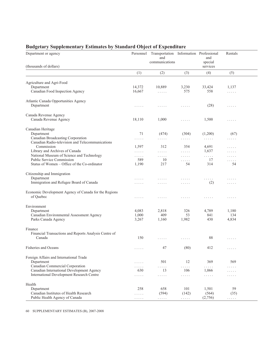| Department or agency                                                                                                                                                               | Personnel                                      | Transportation Information Professional<br>and<br>communications            |                                                                                             | and<br>special                   | Rentals                                     |
|------------------------------------------------------------------------------------------------------------------------------------------------------------------------------------|------------------------------------------------|-----------------------------------------------------------------------------|---------------------------------------------------------------------------------------------|----------------------------------|---------------------------------------------|
| (thousands of dollars)                                                                                                                                                             |                                                |                                                                             |                                                                                             | services                         |                                             |
|                                                                                                                                                                                    | (1)                                            | (2)                                                                         | (3)                                                                                         | (4)                              | (5)                                         |
| Agriculture and Agri-Food<br>Department<br>Canadian Food Inspection Agency                                                                                                         | 14,372<br>16,667                               | 10,889<br>$\mathbb{Z}^2$ . $\mathbb{Z}^2$ , $\mathbb{Z}^2$ , $\mathbb{Z}^2$ | 3,230<br>575                                                                                | 33,424<br>558                    | 1,137<br>1.1.1.1                            |
| Atlantic Canada Opportunities Agency<br>Department                                                                                                                                 | .                                              | .                                                                           | .                                                                                           | (28)                             | .                                           |
| Canada Revenue Agency<br>Canada Revenue Agency                                                                                                                                     | 18,110                                         | 1,000                                                                       | 1.1.1.1                                                                                     | 1,500                            | 1.1.1.1                                     |
| Canadian Heritage<br>Department<br>Canadian Broadcasting Corporation                                                                                                               | 71<br>.                                        | (474)<br>.                                                                  | (304)<br>.                                                                                  | (1,200)<br>$\ldots$              | (67)<br>.                                   |
| Canadian Radio-television and Telecommunications<br>Commission<br>Library and Archives of Canada<br>National Museum of Science and Technology<br><b>Public Service Commission</b>  | 1,597<br>.<br>.<br>589                         | 312<br>$\mathbb{Z}^n$ . The set of $\mathbb{Z}^n$<br>$\cdots$<br>10         | 354<br>$\alpha$ , $\alpha$ , $\alpha$ , $\alpha$<br>$\sim$ $\sim$ $\sim$ $\sim$ $\sim$<br>. | 4,691<br>1,637<br>$\ldots$<br>17 | $\cdots$<br>$\cdots$<br>$\cdots$<br>1.1.1.1 |
| Status of Women – Office of the Co-ordinator<br>Citizenship and Immigration<br>Department<br>Immigration and Refugee Board of Canada                                               | 1,190<br>.<br>.                                | 217<br>.<br>$\sim$ $\sim$ $\sim$ $\sim$ $\sim$                              | 54<br>.<br>$\cdots$                                                                         | 314<br>.<br>(2)                  | 54<br>.<br>1.1.1.1                          |
| Economic Development Agency of Canada for the Regions<br>of Quebec                                                                                                                 | .                                              | .                                                                           | $\sim$ $\sim$ $\sim$ $\sim$ $\sim$                                                          | .                                | .                                           |
| Environment<br>Department<br>Canadian Environmental Assessment Agency<br>Parks Canada Agency                                                                                       | 4,083<br>1,000<br>3,267                        | 2,818<br>409<br>1,160                                                       | 326<br>53<br>1,982                                                                          | 4,789<br>841<br>430              | 1,180<br>134<br>4,834                       |
| Finance<br>Financial Transactions and Reports Analysis Centre of<br>Canada                                                                                                         | 150                                            | $\mathbb{Z}^n$ . The set of $\mathbb{Z}^n$                                  | $\sim$ $\sim$ $\sim$ $\sim$ $\sim$                                                          | 88                               | $\cdots$                                    |
| <b>Fisheries and Oceans</b>                                                                                                                                                        | $\cdots$                                       | 47                                                                          | (80)                                                                                        | 412                              | $\cdots$                                    |
| Foreign Affairs and International Trade<br>Department<br>Canadian Commercial Corporation<br>Canadian International Development Agency<br>International Development Research Centre | .<br>.<br>630<br>.                             | 501<br>.<br>13<br>$\mathbb{Z}^n$ . The set of $\mathbb{Z}^n$                | 12<br>1.1.1.1<br>106<br>$\ldots$                                                            | 369<br>.<br>1,066<br>$\ldots$    | 569<br>1.1.1.1<br>.<br>.                    |
| Health<br>Department<br>Canadian Institutes of Health Research<br>Public Health Agency of Canada                                                                                   | 258<br>$\sim$ $\sim$ $\sim$ $\sim$ $\sim$<br>. | 658<br>(594)<br>$\ldots$                                                    | 101<br>(142)<br>$\sim$ $\sim$ $\sim$ $\sim$ $\sim$                                          | 1,501<br>(564)<br>(2,756)        | 59<br>(35)<br>.                             |

### **Budgetary Supplementary Estimates by Standard Object of Expenditure**

60 SUPPLEMENTARY ESTIMATES (B), 2007-2008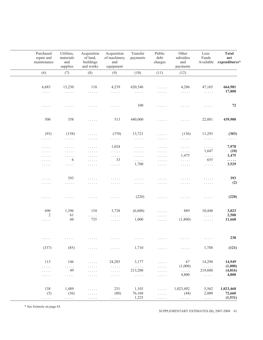| Purchased<br>repair and<br>maintenance         | Utilities,<br>materials<br>and<br>supplies | Acquisition<br>of land,<br>buildings<br>and works | Acquisition<br>of machinery<br>and<br>equipment  | Transfer<br>payments               | Public<br>debt<br>charges                     | Other<br>subsidies<br>and<br>payments | Less:<br>Funds<br>Available                      | <b>Total</b><br>$\mathbf{net}$<br>expenditures* |
|------------------------------------------------|--------------------------------------------|---------------------------------------------------|--------------------------------------------------|------------------------------------|-----------------------------------------------|---------------------------------------|--------------------------------------------------|-------------------------------------------------|
| (6)                                            | (7)                                        | (8)                                               | (9)                                              | (10)                               | (11)                                          | (12)                                  |                                                  |                                                 |
|                                                |                                            |                                                   |                                                  |                                    |                                               |                                       |                                                  |                                                 |
| 6,683                                          | 13,230                                     | 110                                               | 4,239                                            | 620,546                            | $\ldots$                                      | 4,286                                 | 47,165                                           | 664,981                                         |
| $\ldots$                                       | $\sim$ $\sim$ $\sim$ $\sim$ $\sim$         | .                                                 | $\mathbb{Z}^n$ . The set of $\mathbb{Z}^n$       | $\sim$ $\sim$ $\sim$ $\sim$ $\sim$ | $\cdots$                                      | $\ldots$                              | $\alpha$ , $\alpha$ , $\alpha$                   | 17,800                                          |
| .                                              | .                                          | .                                                 | $\cdots$                                         | 100                                | $\ldots$                                      | .                                     | $\ldots$                                         | 72                                              |
| 500                                            | 358                                        | $\sim$ $\sim$ $\sim$ $\sim$ $\sim$                | 513                                              | 440,000                            | $\sim$ $\sim$ $\sim$ $\sim$ $\sim$            | .                                     | 22,081                                           | 439,900                                         |
| (93)                                           | (158)                                      | $\ldots$                                          | (370)                                            | 13,721                             | $\sim$ $\sim$ $\sim$ $\sim$ $\sim$            | (136)                                 | 11,293                                           | (303)                                           |
| $\sim$ $\sim$ $\sim$ $\sim$ $\sim$             | $\sim$ $\sim$ $\sim$ $\sim$ $\sim$         | $\sim$ $\sim$ $\sim$ $\sim$ $\sim$                | $\sim$ $\sim$ $\sim$ $\sim$ $\sim$               | $\ldots$                           | $\sim$ $\sim$ $\sim$ $\sim$ $\sim$            | $\sim$ $\sim$ $\sim$ $\sim$ $\sim$    | $\sim$ $\sim$ $\sim$ $\sim$ $\sim$               | $\ldots$                                        |
|                                                | $\sim$ $\sim$ $\sim$ $\sim$ $\sim$         | $\sim$ $\sim$ $\sim$ $\sim$ $\sim$                | 1,024                                            | $\sim$ $\sim$ $\sim$ $\sim$ $\sim$ | $\sim$ $\sim$ $\sim$ $\sim$ $\sim$            | $\sim$ $\sim$ $\sim$ $\sim$ $\sim$    | $\mathbb{Z}^2$ . The set of $\mathbb{Z}^2$       | 7,978                                           |
| $\sim$ $\sim$ $\sim$ $\sim$ $\sim$<br>$\cdots$ | $\ldots$                                   | $\ldots$                                          | $\mathbb{Z}^2$ . The set of $\mathbb{Z}^2$       | $\sim$ $\sim$ $\sim$ $\sim$ $\sim$ | $\ldots$                                      | $\ldots$                              | 1,647                                            | (10)                                            |
| $\sim$ $\sim$ $\sim$ $\sim$ $\sim$             | $\sim$ $\sim$ $\sim$ $\sim$ $\sim$         | $\sim$ $\sim$ $\sim$ $\sim$ $\sim$                | $\ldots$                                         | $\sim$ $\sim$ $\sim$ $\sim$ $\sim$ | $\ldots$                                      | 1,475                                 | $\sim$ $\sim$ $\sim$ $\sim$                      | 1,475                                           |
| $\cdots$                                       | 6                                          | $\ldots$                                          | 33                                               | $\ldots$                           | $\ldots$                                      | $\alpha$ , $\alpha$ , $\alpha$        | 655                                              | .                                               |
| $\sim$ $\sim$ $\sim$ $\sim$ $\sim$             | $\ldots$                                   | $\sim$ $\sim$ $\sim$ $\sim$ $\sim$                | $\alpha$ , $\alpha$ , $\alpha$                   | 1,700                              | $\sim$ $\sim$ $\sim$ $\sim$ $\sim$            | $\ldots$                              | $\alpha$ is a set of                             | 3,529                                           |
| $\sim$ $\sim$ $\sim$ $\sim$ $\sim$             | 393                                        | $\sim$ $\sim$ $\sim$ $\sim$ $\sim$                | $\cdots$                                         | $\sim$ $\sim$ $\sim$ $\sim$ $\sim$ | .                                             | .                                     | $\cdots$                                         | 393                                             |
| $\sim$ $\sim$ $\sim$ $\sim$ $\sim$             | $\ldots$                                   | $\cdots$                                          | $\cdots$                                         | $\ldots$                           | $\cdots$                                      | .                                     | $\sim$ $\sim$ $\sim$ $\sim$ $\sim$               | (2)                                             |
| $\sim$ $\sim$ $\sim$ $\sim$ $\sim$             | .                                          | .                                                 | $\ldots$                                         | (220)                              | .                                             | .                                     | $\ldots$                                         | (220)                                           |
| 690                                            | 1,396                                      | 154                                               | 3,738                                            | (6,600)                            | $\sim$ $\sim$ $\sim$ $\sim$ $\sim$            | 889                                   | 10,440                                           | 3,023                                           |
| 2                                              | 61                                         | .                                                 | $\ldots$                                         | .                                  | $\sim$ $\sim$ $\sim$ $\sim$ $\sim$            | $\ldots$                              | $\mathbb{Z}^2$ . $\mathbb{Z}^2$ , $\mathbb{Z}^2$ | 2,500                                           |
| $\sim$ $\sim$ $\sim$ $\sim$ $\sim$             | 60                                         | 735                                               | $\ldots$                                         | 1,000                              | $\ldots$                                      | (1,800)                               | $\alpha$ , $\alpha$ , $\alpha$                   | 11,668                                          |
| $\sim$ $\sim$ $\sim$ $\sim$ $\sim$             | .                                          | .                                                 | .                                                | .                                  | .                                             | .                                     | $\sim$ $\sim$ $\sim$ $\sim$ $\sim$               | 238                                             |
| (337)                                          | (85)                                       | $\ldots$                                          | $\ldots$                                         | 1,710                              | $\ldots$                                      | $\ldots$                              | 1,788                                            | (121)                                           |
|                                                |                                            |                                                   |                                                  |                                    |                                               |                                       |                                                  |                                                 |
| 113                                            | 146                                        | $\ldots$                                          | 24,285                                           | 3,177                              | $\sim$ $\sim$ $\sim$ $\sim$ $\sim$            | 67<br>(1,000)                         | 14,290                                           | 14,949<br>(1,000)                               |
| $\ldots$<br>$\cdots$                           | $\ldots$<br>49                             | .<br>$\sim$ $\sim$ $\sim$ $\sim$ $\sim$           | .<br>.                                           | $\ldots$<br>213,200                | 1.1.1.1<br>$\sim$ $\sim$ $\sim$ $\sim$ $\sim$ | .                                     | $\bar{z}$ is a set<br>219,880                    | (4, 816)                                        |
| $\sim$ $\sim$ $\sim$ $\sim$ $\sim$             | $\ldots$                                   | $\sim$ $\sim$ $\sim$ $\sim$ $\sim$                | $\sim$ $\sim$ $\sim$ $\sim$ $\sim$               | $\ldots$                           | $\sim$ $\sim$ $\sim$ $\sim$ $\sim$            | 4,800                                 | $\ldots$                                         | 4,800                                           |
| 138                                            | 1,489                                      | $\ldots$                                          | 231                                              | 1,103                              | $\ldots$                                      | 1,023,492                             | 5,562                                            | 1,023,468                                       |
| (5)                                            | (36)                                       | $\alpha$ , $\alpha$ , $\alpha$                    | (80)                                             | 76,160                             | $\alpha$ , $\alpha$ , $\alpha$                | (44)                                  | 2,000                                            | 72,660                                          |
| $\alpha$ is a set of                           | $\alpha$ is a set of                       | $\alpha$ , $\alpha$ , $\alpha$                    | $\mathbb{Z}^2$ , $\mathbb{Z}^2$ , $\mathbb{Z}^2$ | 1,225                              | $\alpha$ , $\alpha$ , $\alpha$                | $\bar{z}$ is a set                    | $\sim$ $\sim$ $\sim$ $\sim$                      | (1, 531)                                        |

SUPPLEMENTARY ESTIMATES (B), 2007-2008 61

\* See footnote on page 65.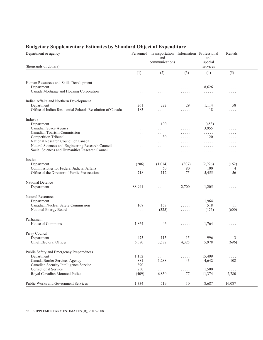### **Budgetary Supplementary Estimates by Standard Object of Expenditure**

| Department or agency                                        | Personnel | Transportation Information Professional<br>and |                                                  | and                 | Rentals  |  |
|-------------------------------------------------------------|-----------|------------------------------------------------|--------------------------------------------------|---------------------|----------|--|
| (thousands of dollars)                                      |           | communications                                 |                                                  | special<br>services |          |  |
|                                                             | (1)       | (2)                                            | (3)                                              | (4)                 | (5)      |  |
| Human Resources and Skills Development                      |           |                                                |                                                  |                     |          |  |
| Department                                                  | .         | .                                              | $\cdots$                                         | 8,626               | 1.1.1.1  |  |
| Canada Mortgage and Housing Corporation                     | .         | .                                              | .                                                | .                   | .        |  |
| Indian Affairs and Northern Development                     |           |                                                |                                                  |                     |          |  |
| Department                                                  | 261       | 222                                            | 29                                               | 1,114               | 58       |  |
| Office of Indian Residential Schools Resolution of Canada   | 183       | $\sim$ $\sim$ $\sim$ $\sim$ $\sim$             | $\sim$ $\sim$ $\sim$ $\sim$ $\sim$               | 18                  | .        |  |
| Industry                                                    |           |                                                |                                                  |                     |          |  |
| Department                                                  | .         | 100                                            | $\alpha$ , $\alpha$ , $\alpha$                   | (453)               | 1.1.1.1  |  |
| Canadian Space Agency                                       | .         | .                                              | $\cdots$                                         | 3,955               | $\cdots$ |  |
| Canadian Tourism Commission                                 | $\cdot$   | $\cdots$                                       | .                                                | $\ldots$            | .        |  |
| Competition Tribunal<br>National Research Council of Canada | .         | 30                                             | $\sim$ $\sim$ $\sim$ $\sim$ $\sim$               | 120                 | .        |  |
| Natural Sciences and Engineering Research Council           | .         | $\cdots$                                       | .                                                | $\cdots$            | $\cdots$ |  |
| Social Sciences and Humanities Research Council             | .         | $\cdots$                                       | $\cdots\cdots\cdots$                             | $\cdots$            | $\ldots$ |  |
|                                                             | .         | .                                              | .                                                | .                   | .        |  |
| Justice                                                     |           |                                                |                                                  |                     |          |  |
| Department                                                  | (286)     | (1,014)                                        | (307)                                            | (2,926)             | (162)    |  |
| Commissioner for Federal Judicial Affairs                   | .         | 60                                             | 80                                               | 100                 | 4        |  |
| Office of the Director of Public Prosecutions               | 718       | 112                                            | 75                                               | 5,455               | 56       |  |
| National Defence                                            |           |                                                |                                                  |                     |          |  |
| Department                                                  | 88,941    | 1.1.1.1                                        | 2,700                                            | 1,205               | .        |  |
|                                                             |           |                                                |                                                  |                     |          |  |
| Natural Resources                                           |           |                                                |                                                  |                     |          |  |
| Department                                                  | .         | .                                              | 1.1.1.1                                          | 1,964               | 1.1.1.1  |  |
| Canadian Nuclear Safety Commission                          | 108       | 157                                            | $\ldots$                                         | 518                 | 11       |  |
| National Energy Board                                       | .         | (325)                                          | $\ldots$                                         | (475)               | (600)    |  |
| Parliament                                                  |           |                                                |                                                  |                     |          |  |
| House of Commons                                            | 1,864     | 46                                             | $\ldots$                                         | 1,764               | $\cdots$ |  |
| Privy Council                                               |           |                                                |                                                  |                     |          |  |
| Department                                                  | 473       | 115                                            | 15                                               | 996                 | 3        |  |
| Chief Electoral Officer                                     | 6,580     | 3,582                                          | 4,325                                            | 5,978               | (696)    |  |
| Public Safety and Emergency Preparedness                    |           |                                                |                                                  |                     |          |  |
| Department                                                  | 1,152     | $\ldots$                                       | $\mathbb{R}^n$ . $\mathbb{R}^n$ , $\mathbb{R}^n$ | 15,499              | .        |  |
| Canada Border Services Agency                               | 881       | 1,288                                          | 43                                               | 4,642               | 108      |  |
| Canadian Security Intelligence Service                      | 390       | $\ldots$ .                                     | $\ldots$                                         | $\ldots$            | .        |  |
| Correctional Service                                        | 250       | .                                              | .                                                | 1,500               | .        |  |
| Royal Canadian Mounted Police                               | (409)     | 6,850                                          | 77                                               | 11,374              | 2,780    |  |
| Public Works and Government Services                        | 1,334     | 519                                            | 10                                               | 8,687               | 16,087   |  |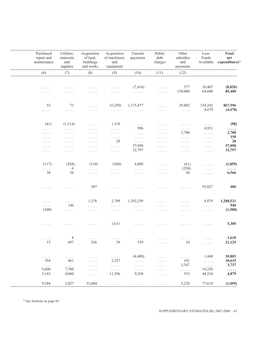| Purchased<br>repair and<br>maintenance | Utilities,<br>materials<br>and<br>supplies | Acquisition<br>of land,<br>buildings<br>and works | Acquisition<br>of machinery<br>and<br>equipment  | Transfer<br>payments               | Public<br>debt<br>charges          | Other<br>subsidies<br>and<br>payments | Less:<br>Funds<br>Available                    | <b>Total</b><br>$\mathbf{net}$<br>expenditures* |
|----------------------------------------|--------------------------------------------|---------------------------------------------------|--------------------------------------------------|------------------------------------|------------------------------------|---------------------------------------|------------------------------------------------|-------------------------------------------------|
| (6)                                    | (7)                                        | (8)                                               | (9)                                              | (10)                               | (11)                               | (12)                                  |                                                |                                                 |
|                                        |                                            |                                                   |                                                  |                                    |                                    |                                       |                                                |                                                 |
|                                        | .                                          | .                                                 | $\sim$ $\sim$ $\sim$ $\sim$ $\sim$               | (7, 416)                           | $\cdots$                           | 377                                   | 10,407                                         | (8, 820)                                        |
| $\cdots$<br>.                          | .                                          | .                                                 | .                                                | $\ldots$                           | $\ldots$                           | 150,000                               | 64,600                                         | 85,400                                          |
|                                        |                                            |                                                   |                                                  |                                    |                                    |                                       |                                                |                                                 |
| 52                                     | 73                                         | $\mathbb{Z}^2$ . $\mathbb{Z}^2$ , $\mathbb{Z}^2$  | (5,250)                                          | 1,175,477                          | .                                  | 29,802                                | 334,242                                        | 867,596                                         |
| .                                      | $\ldots$                                   | $\ldots$                                          | $\sim$ $\sim$ $\sim$ $\sim$ $\sim$               | $\ldots$                           | $\sim$ $\sim$ $\sim$ $\sim$ $\sim$ | $\alpha$ , $\alpha$ , $\alpha$        | 4,679                                          | (4, 478)                                        |
|                                        |                                            |                                                   |                                                  |                                    |                                    |                                       |                                                |                                                 |
| (41)                                   | (1,214)                                    | .                                                 | 1,510                                            | .                                  | $\dots$                            | $\sim$ $\sim$ $\sim$ $\sim$ $\sim$    | $\ldots$                                       | (98)                                            |
| $\sim$ $\sim$ $\sim$ $\sim$ $\sim$     | $\sim$ $\sim$ $\sim$ $\sim$ $\sim$         | .                                                 | .                                                | 996                                | $\cdots$                           | .                                     | 4,951                                          | .                                               |
| $\sim$ $\sim$ $\sim$ $\sim$ $\sim$     | $\sim$ $\sim$ $\sim$ $\sim$ $\sim$         | $\sim$ $\sim$ $\sim$ $\sim$ $\sim$                | $\sim$ $\sim$ $\sim$ $\sim$ $\sim$               | $\ldots$                           | $\sim$ $\sim$ $\sim$ $\sim$ $\sim$ | 2,700                                 | $\alpha$ is a set of                           | 2,700                                           |
| .                                      | $\sim$ $\sim$ $\sim$ $\sim$ $\sim$         | $\sim$ $\sim$ $\sim$ $\sim$ $\sim$                | .                                                | $\sim$ $\sim$ $\sim$ $\sim$ $\sim$ | $\sim$ $\sim$ $\sim$ $\sim$ $\sim$ | $\ldots$                              | $\sim$ $\sim$ $\sim$ $\sim$ $\sim$             | <b>150</b>                                      |
| $\sim$ $\sim$ $\sim$ $\sim$ $\sim$     | $\sim$ $\sim$ $\sim$ $\sim$ $\sim$         | $\cdots\cdots\cdots$                              | 28                                               | $\alpha$ is a set of               | $\sim$ $\sim$ $\sim$ $\sim$ $\sim$ | $\sim$ $\sim$ $\sim$ $\sim$ $\sim$    | $\sim$ $\sim$ $\sim$ $\sim$ $\sim$             | 28                                              |
| $\sim$ $\sim$ $\sim$ $\sim$ $\sim$     | $\sim$ $\sim$ $\sim$ $\sim$ $\sim$         | $\sim$ $\sim$ $\sim$ $\sim$ $\sim$                | $\ldots$                                         | 57,098                             | $\sim$ $\sim$ $\sim$ $\sim$ $\sim$ | $\ldots$                              | $\sim$ $\sim$ $\sim$ $\sim$ $\sim$             | 57,098                                          |
| .                                      | .                                          | .                                                 | .                                                | 32,797                             | $\sim$ $\sim$ $\sim$ $\sim$ $\sim$ | $\sim$ $\sim$ $\sim$ $\sim$ $\sim$    | $\sim$ $\sim$ $\sim$ $\sim$ $\sim$             | 32,797                                          |
|                                        |                                            |                                                   |                                                  |                                    |                                    |                                       |                                                |                                                 |
| (117)                                  | (284)                                      | (134)                                             | (568)                                            | 4,000                              | .                                  | (61)                                  | $\cdots$                                       | (1,859)                                         |
| .                                      | 6                                          | .                                                 | .                                                | $\ldots$                           | $\sim$ $\sim$ $\sim$ $\sim$ $\sim$ | (250)                                 | $\cdots$                                       | .                                               |
| 38                                     | 56                                         | .                                                 | .                                                | .                                  | .                                  | 56                                    | $\ldots$                                       | 6,566                                           |
| .                                      | .                                          | 587                                               | .                                                | .                                  | .                                  | .                                     | 93,027                                         | 406                                             |
|                                        |                                            |                                                   |                                                  | 1,292,259                          |                                    |                                       | 9,879                                          | 1,288,521                                       |
| .                                      | .<br>146                                   | 1,378                                             | 2,799                                            |                                    | .                                  | .                                     |                                                | 940                                             |
| .                                      |                                            | $\ldots$                                          | $\sim$ $\sim$ $\sim$ $\sim$ $\sim$               | .                                  | $\sim$ $\sim$ $\sim$ $\sim$ $\sim$ | $\sim$ $\sim$ $\sim$ $\sim$ $\sim$    | $\ldots$                                       |                                                 |
| (100)                                  | $\ldots$                                   | $\sim$ $\sim$ $\sim$ $\sim$ $\sim$                | $\sim$ $\sim$ $\sim$ $\sim$ $\sim$               | $\sim$ $\sim$ $\sim$ $\sim$ $\sim$ | $\sim$ $\sim$ $\sim$ $\sim$ $\sim$ | $\sim$ $\sim$ $\sim$ $\sim$ $\sim$    | $\sim$ $\sim$ $\sim$ $\sim$ $\sim$             | (1,500)                                         |
| .                                      | .                                          | .                                                 | 1,631                                            | $\sim$ $\sim$ $\sim$ $\sim$ $\sim$ | .                                  | .                                     | .                                              | 5,305                                           |
|                                        |                                            |                                                   |                                                  |                                    |                                    |                                       |                                                |                                                 |
| $\ldots$<br>15                         | 8<br>697                                   | .<br>256                                          | $\sim$ $\sim$ $\sim$ $\sim$ $\sim$<br>39         | .<br>339                           | .<br>$\ldots$                      | .<br>$10\,$                           | $\ldots$<br>$\sim$ $\sim$ $\sim$ $\sim$ $\sim$ | 1,610<br>21,125                                 |
|                                        |                                            |                                                   |                                                  |                                    |                                    |                                       |                                                |                                                 |
| $\ldots$                               | $\dots$                                    | .                                                 | $\ldots$                                         | (4,400)                            | $\cdots$                           | $\ldots$                              | 1,448                                          | 10,803                                          |
| 554                                    | 461                                        | .                                                 | 2,537                                            | .                                  | $\sim$ $\sim$ $\sim$ $\sim$ $\sim$ | 101                                   | $\sim$ $\sim$ $\sim$ $\sim$                    | 10,615                                          |
| .                                      | .                                          | .                                                 | $\ldots$                                         | $\ldots$                           | $\sim$ $\sim$ $\sim$ $\sim$ $\sim$ | 3,347                                 | $\ldots$ .                                     | 3,737                                           |
| 9,800                                  | 7,700                                      | .                                                 | $\mathbb{Z}^2$ . $\mathbb{Z}^2$ , $\mathbb{Z}^2$ | $\dots$                            | $\sim$ $\sim$ $\sim$ $\sim$ $\sim$ | .                                     | 19,250                                         | .                                               |
| 3,163                                  | 4,060                                      | .                                                 | 11,396                                           | 9,269                              | $\cdots$                           | 553                                   | 44,234                                         | 4,879                                           |
| 9,584                                  | 2,027                                      | 33,084                                            | $\alpha$ , $\alpha$ , $\alpha$ , $\alpha$        | .                                  | $\sim$ $\sim$ $\sim$ $\sim$ $\sim$ | 5,228                                 | 77,619                                         | (1,059)                                         |

\* See footnote on page 65.

SUPPLEMENTARY ESTIMATES (B), 2007-2008 63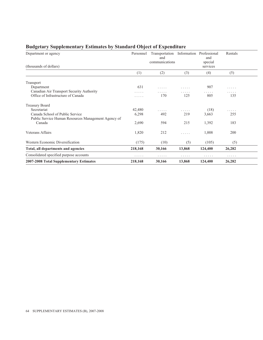| Department or agency<br>(thousands of dollars)      | Personnel | Transportation Information Professional<br>and<br>communications |        | and<br>special<br>services | Rentals |  |
|-----------------------------------------------------|-----------|------------------------------------------------------------------|--------|----------------------------|---------|--|
|                                                     | (1)       | (2)                                                              | (3)    | (4)                        | (5)     |  |
|                                                     |           |                                                                  |        |                            |         |  |
| Transport                                           |           |                                                                  |        |                            |         |  |
| Department                                          | 631       | .                                                                | .      | 907                        | .       |  |
| Canadian Air Transport Security Authority           | .         | .                                                                | .      | .                          | .       |  |
| Office of Infrastructure of Canada                  | .         | 170                                                              | 125    | 805                        | 135     |  |
| <b>Treasury Board</b>                               |           |                                                                  |        |                            |         |  |
| Secretariat                                         | 42,480    | .                                                                | .      | (18)                       | .       |  |
| Canada School of Public Service                     | 6,298     | 492                                                              | 219    | 3,663                      | 255     |  |
| Public Service Human Resources Management Agency of |           |                                                                  |        |                            |         |  |
| Canada                                              | 2,690     | 594                                                              | 215    | 1,392                      | 183     |  |
| Veterans Affairs                                    | 1,820     | 212                                                              | .      | 1,008                      | 200     |  |
| Western Economic Diversification                    | (175)     | (10)                                                             | (5)    | (105)                      | (5)     |  |
| Total, all departments and agencies                 | 218,168   | 30,166                                                           | 13,868 | 124,400                    | 26,282  |  |
| Consolidated specified purpose accounts             | .         | .                                                                | .      | .                          | .       |  |
| 2007-2008 Total Supplementary Estimates             | 218,168   | 30,166                                                           | 13,868 | 124,400                    | 26,282  |  |

### **Budgetary Supplementary Estimates by Standard Object of Expenditure**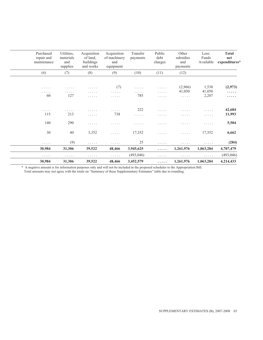| Purchased<br>repair and<br>maintenance | Utilities,<br>materials<br>and<br>supplies | Acquisition<br>of land.<br>buildings<br>and works | Acquisition<br>of machinery<br>and<br>equipment | Transfer<br>payments | Public<br>debt<br>charges | Other<br>subsidies<br>and<br>payments | Less:<br>Funds<br>Available           | <b>Total</b><br>net<br>expenditures* |
|----------------------------------------|--------------------------------------------|---------------------------------------------------|-------------------------------------------------|----------------------|---------------------------|---------------------------------------|---------------------------------------|--------------------------------------|
| (6)                                    | (7)                                        | (8)                                               | (9)                                             | (10)                 | (11)                      | (12)                                  |                                       |                                      |
|                                        |                                            |                                                   |                                                 |                      |                           |                                       |                                       |                                      |
| .<br>.<br>60                           | .<br>.<br>127                              | .<br>.<br>.                                       | (7)<br>.<br>$\cdots\cdots\cdots$                | .<br>.<br>785        | .<br>$\cdots$<br>.        | (2,966)<br>41,050<br>.                | 1,538<br>41,050<br>2,207              | (2,973)<br>.<br>.                    |
| .<br>115                               | .<br>213                                   | .<br>.                                            | .<br>738                                        | 222<br>.             | .<br>.                    | .<br>.                                | .<br>.                                | 42,684<br>11,993                     |
| 140                                    | 290                                        | .                                                 | .                                               | .                    | .                         | .                                     | .                                     | 5,504                                |
| 30                                     | 40                                         | 3,352                                             | .                                               | 17,352               | .                         | .                                     | 17,352                                | 6,662                                |
| .                                      | (9)                                        | .                                                 | .                                               | 25                   | .                         | .                                     | .                                     | (284)                                |
| 30,984                                 | 31,306                                     | 39,522                                            | 48,466                                          | 3,945,625            | .                         | 1,261,976                             | 1,063,284                             | 4,707,479                            |
| .                                      | .                                          | .                                                 | .                                               | (493, 046)           | .                         | .                                     | $\mathbf{r}$ , and $\mathbf{r}$ , and | (493, 046)                           |
| 30,984                                 | 31,306                                     | 39,522                                            | 48,466                                          | 3,452,579            | .                         | 1,261,976                             | 1,063,284                             | 4,214,433                            |

\* A negative amount is for information purposes only and will not be included in the proposed schedules to the Appropriation Bill. Total amounts may not agree with the totals on "Summary of these Supplementary Estimates" table due to rounding.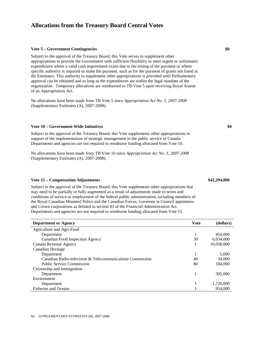#### **Vote 5 – Government Contingencies \$0**

Subject to the approval of the Treasury Board, this Vote serves to supplement other appropriations to provide the Government with sufficient flexibility to meet urgent or unforeseen expenditures where a valid cash requirement exists due to the timing of the payment or where specific authority is required to make the payment, such as for the payment of grants not listed in the Estimates. This authority to supplement other appropriations is provided until Parliamentary approval can be obtained and as long as the expenditures are within the legal mandate of the organization. Temporary allocations are reimbursed to TB Vote 5 upon receiving Royal Assent of an Appropriation Act.

No allocations have been made from TB Vote 5 since *Appropriation Act No. 3, 2007-2008*  (Supplementary Estimates (A), 2007-2008).

#### **Vote 10 – Government-Wide Initiatives \$0**

Subject to the approval of the Treasury Board, this Vote supplements other appropriations in support of the implementation of strategic management in the public service of Canada. Departments and agencies are not required to reimburse funding allocated from Vote 10.

No allocations have been made from TB Vote 10 since *Appropriation Act No. 3, 2007-2008*  (Supplementary Estimates (A), 2007-2008).

#### **Vote 15 – Compensation Adjustments \$42,294,000**

Subject to the approval of the Treasury Board, this Vote supplements other appropriations that may need to be partially or fully augmented as a result of adjustments made to terms and conditions of service or employment of the federal public administration, including members of the Royal Canadian Mounted Police and the Canadian Forces, Governor in Council appointees and Crown corporations as defined in section 83 of the *Financial Administration Act*. Departments and agencies are not required to reimburse funding allocated from Vote 15.

| <b>Department or Agency</b>                               | <b>Vote</b> | (dollars)  |
|-----------------------------------------------------------|-------------|------------|
| Agriculture and Agri-Food                                 |             |            |
| Department                                                |             | 454,000    |
| Canadian Food Inspection Agency                           | 30          | 6,034,000  |
| Canada Revenue Agency                                     |             | 10,058,000 |
| Canadian Heritage                                         |             |            |
| Department                                                |             | 5,000      |
| Canadian Radio-television & Telecommunications Commission | 40          | 34,000     |
| <b>Public Service Commission</b>                          | 80          | 184,000    |
| Citizenship and Immigration                               |             |            |
| Department                                                |             | 305,000    |
| Environment                                               |             |            |
| Department                                                |             | 1,720,000  |
| <b>Fisheries and Oceans</b>                               |             | 954,000    |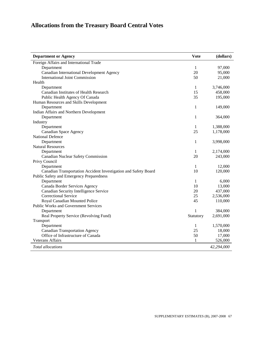| <b>Department or Agency</b>                                     | <b>Vote</b>  | (dollars)  |
|-----------------------------------------------------------------|--------------|------------|
| Foreign Affairs and International Trade                         |              |            |
| Department                                                      | 1            | 97,000     |
| Canadian International Development Agency                       | 20           | 95,000     |
| <b>International Joint Commission</b>                           | 50           | 21,000     |
| Health                                                          |              |            |
| Department                                                      | 1            | 3,746,000  |
| Canadian Institutes of Health Research                          | 15           | 458,000    |
| Public Health Agency Of Canada                                  | 35           | 195,000    |
| Human Resources and Skills Development                          |              |            |
| Department                                                      | $\mathbf{1}$ | 149,000    |
| Indian Affairs and Northern Development                         |              |            |
| Department                                                      | 1            | 364,000    |
| Industry                                                        |              |            |
| Department                                                      | 1            | 1,388,000  |
| Canadian Space Agency                                           | 25           | 1,178,000  |
| <b>National Defence</b>                                         |              |            |
| Department                                                      | $\mathbf{1}$ | 3,998,000  |
| <b>Natural Resources</b>                                        |              |            |
| Department                                                      | 1            | 2,174,000  |
| <b>Canadian Nuclear Safety Commission</b>                       | 20           | 243,000    |
| Privy Council                                                   |              |            |
| Department                                                      | $\mathbf{1}$ | 12,000     |
| Canadian Transportation Accident Investigation and Safety Board | 10           | 120,000    |
| Public Safety and Emergency Preparedness                        |              |            |
| Department                                                      | $\mathbf{1}$ | 6,000      |
| Canada Border Services Agency                                   | 10           | 13,000     |
| Canadian Security Intelligence Service                          | 20           | 437,000    |
| <b>Correctional Service</b>                                     | 25           | 2,536,000  |
| Royal Canadian Mounted Police                                   | 45           | 110,000    |
| <b>Public Works and Government Services</b>                     |              |            |
| Department                                                      | 1            | 384,000    |
| Real Property Service (Revolving Fund)                          | Statutory    | 2,691,000  |
| Transport                                                       |              |            |
| Department                                                      | 1            | 1,570,000  |
| <b>Canadian Transportation Agency</b>                           | 25           | 18,000     |
| Office of Infrastructure of Canada                              | 50           | 17,000     |
| <b>Veterans Affairs</b>                                         | 1            | 526,000    |
| <b>Total allocations</b>                                        |              | 42,294,000 |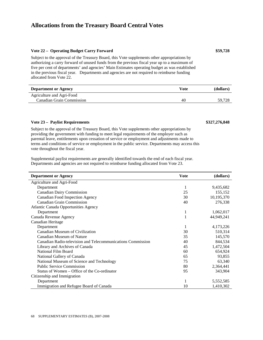#### **Vote 22 – Operating Budget Carry Forward \$59,728**

Subject to the approval of the Treasury Board, this Vote supplements other appropriations by authorizing a carry forward of unused funds from the previous fiscal year up to a maximum of five per cent of departments' and agencies' Main Estimates operating budget as was established in the previous fiscal year. Departments and agencies are not required to reimburse funding allocated from Vote 22.

| <b>Department or Agency</b> | Vote | (dollars) |
|-----------------------------|------|-----------|
| Agriculture and Agri-Food   |      |           |
| Canadian Grain Commission   | 40   | 59.728    |

#### **Vote 23 – Paylist Requirements \$327,276,848**

Subject to the approval of the Treasury Board, this Vote supplements other appropriations by providing the government with funding to meet legal requirements of the employer such as parental leave, entitlements upon cessation of service or employment and adjustments made to terms and conditions of service or employment in the public service. Departments may access this vote throughout the fiscal year.

Supplemental paylist requirements are generally identified towards the end of each fiscal year. Departments and agencies are not required to reimburse funding allocated from Vote 23.

| <b>Department or Agency</b>                                 | <b>Vote</b> | (dollars)  |
|-------------------------------------------------------------|-------------|------------|
| Agriculture and Agri-Food                                   |             |            |
| Department                                                  | 1           | 9,435,682  |
| <b>Canadian Dairy Commission</b>                            | 25          | 155,152    |
| Canadian Food Inspection Agency                             | 30          | 10,195,370 |
| <b>Canadian Grain Commission</b>                            | 40          | 276,338    |
| <b>Atlantic Canada Opportunities Agency</b>                 |             |            |
| Department                                                  | 1           | 1,062,017  |
| Canada Revenue Agency                                       |             | 44,949,241 |
| Canadian Heritage                                           |             |            |
| Department                                                  |             | 4,173,226  |
| Canadian Museum of Civilization                             | 30          | 510,314    |
| Canadian Museum of Nature                                   | 35          | 145,570    |
| Canadian Radio-television and Telecommunications Commission | 40          | 844,534    |
| Library and Archives of Canada                              | 45          | 1,472,504  |
| National Film Board                                         | 60          | 654,924    |
| National Gallery of Canada                                  | 65          | 93,855     |
| National Museum of Science and Technology                   | 75          | 63,340     |
| <b>Public Service Commission</b>                            | 80          | 2,364,441  |
| Status of Women – Office of the Co-ordinator                | 95          | 343,904    |
| Citizenship and Immigration                                 |             |            |
| Department                                                  | 1           | 5,552,585  |
| Immigration and Refugee Board of Canada                     | 10          | 1,410,302  |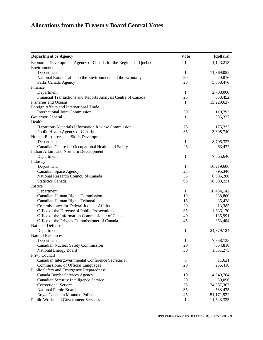| <b>Department or Agency</b>                                     | <b>Vote</b>  | (dollars)  |
|-----------------------------------------------------------------|--------------|------------|
| Economic Development Agency of Canada for the Regions of Quebec | $\mathbf{1}$ | 1,143,213  |
| Environment                                                     |              |            |
| Department                                                      | 1            | 11,369,052 |
| National Round Table on the Environment and the Economy         | 20           | 20,816     |
| Parks Canada Agency                                             | 25           | 5,558,476  |
| Finance                                                         |              |            |
| Department                                                      | 1            | 2,700,000  |
| Financial Transactions and Reports Analysis Centre of Canada    | 25           | 638,452    |
| <b>Fisheries and Oceans</b>                                     | 1            | 15,229,637 |
| Foreign Affairs and International Trade                         |              |            |
| <b>International Joint Commission</b>                           | 50           | 119,793    |
| Governor General                                                |              |            |
|                                                                 | 1            | 385,327    |
| Health                                                          |              |            |
| Hazardous Materials Information Review Commission               | 25           | 175,333    |
| Public Health Agency of Canada                                  | 35           | 3,398,740  |
| Human Resources and Skills Development                          |              |            |
| Department                                                      | 1            | 8,705,327  |
| Canadian Centre for Occupational Health and Safety              | 25           | 63,477     |
| Indian Affairs and Northern Development                         |              |            |
| Department                                                      | 1            | 7,665,646  |
| Industry                                                        |              |            |
| Department                                                      | 1            | 10,219,606 |
| <b>Canadian Space Agency</b>                                    | 25           | 795,346    |
| National Research Council of Canada                             | 55           | 6,985,280  |
| <b>Statistics Canada</b>                                        | 95           | 10,600,221 |
| Justice                                                         |              |            |
| Department                                                      | 1            | 10,434,142 |
| Canadian Human Rights Commission                                | 10           | 288,800    |
| Canadian Human Rights Tribunal                                  | 15           | 35,428     |
| <b>Commissioner for Federal Judicial Affairs</b>                | 20           | 13,385     |
| Office of the Director of Public Prosecutions                   | 35           | 1,636,120  |
| Office of the Information Commissioner of Canada                | 40           | 185,991    |
| Office of the Privacy Commissioner of Canada                    | 45           | 363,404    |
| <b>National Defence</b>                                         |              |            |
| Department                                                      | 1            | 21,379,124 |
| <b>Natural Resources</b>                                        |              |            |
| Department                                                      | 1            | 7,958,735  |
| Canadian Nuclear Safety Commission                              | 20           | 664,810    |
|                                                                 |              |            |
| National Energy Board                                           | 30           | 1,051,275  |
| Privy Council                                                   |              |            |
| Canadian Intergovernmental Conference Secretariat               | 5            | 11,621     |
| <b>Commissioner of Official Languages</b>                       | 20           | 265,418    |
| Public Safety and Emergency Preparedness                        |              |            |
| Canada Border Services Agency                                   | 10           | 14,340,764 |
| Canadian Security Intelligence Service                          | 20           | 50,096     |
| <b>Correctional Service</b>                                     | 25           | 24,357,367 |
| National Parole Board                                           | 35           | 583,425    |
| Royal Canadian Mounted Police                                   | 45           | 51,171,922 |
| <b>Public Works and Government Services</b>                     | 1            | 11,543,325 |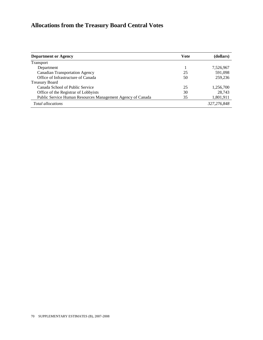| <b>Department or Agency</b>                                | Vote | (dollars)   |
|------------------------------------------------------------|------|-------------|
| <b>Transport</b>                                           |      |             |
| Department                                                 |      | 7,526,967   |
| <b>Canadian Transportation Agency</b>                      | 25   | 591.098     |
| Office of Infrastructure of Canada                         | 50   | 259,236     |
| <b>Treasury Board</b>                                      |      |             |
| Canada School of Public Service                            | 25   | 1,256,700   |
| Office of the Registrar of Lobbyists                       | 30   | 28.743      |
| Public Service Human Resources Management Agency of Canada | 35   | 1,801,911   |
| <b>Total allocations</b>                                   |      | 327,276,848 |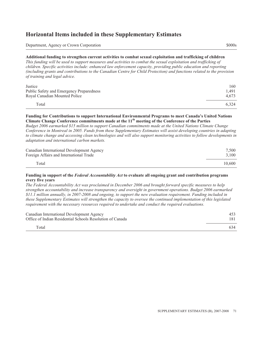### **Horizontal Items included in these Supplementary Estimates**

Department, Agency or Crown Corporation \$000s

#### **Additional funding to strengthen current activities to combat sexual exploitation and trafficking of children**

*This funding will be used to support measures and activities to combat the sexual exploitation and trafficking of children. Specific activities include: enhanced law enforcement capacity, providing public education and reporting (including grants and contributions to the Canadian Centre for Child Protection) and functions related to the provision of training and legal advice.*

| Justice                                  | 160   |
|------------------------------------------|-------|
| Public Safety and Emergency Preparedness | 1.491 |
| Royal Canadian Mounted Police            | 4.673 |
| Total                                    | 6.324 |

#### **Funding for Contributions to support International Environmental Programs to meet Canada's United Nations Climate Change Conference commitments made at the 11th meeting of the Conference of the Parties**

*Budget 2006 earmarked \$15 million to support Canadian commitments made at the United Nations Climate Change Conference in Montreal in 2005. Funds from these Supplementary Estimates will assist developing countries in adapting to climate change and accessing clean technologies and will also support monitoring activities to follow developments in adaptation and international carbon markets.*

| Canadian International Development Agency | 7.500  |
|-------------------------------------------|--------|
| Foreign Affairs and International Trade   | 3.100  |
| Total                                     | 10.600 |

#### **Funding in support of the** *Federal Accountability Act* **to evaluate all ongoing grant and contribution programs every five years**

*The Federal Accountability Act was proclaimed in December 2006 and brought forward specific measures to help strengthen accountability and increase transparency and oversight in government operations. Budget 2006 earmarked \$11.1 million annually, in 2007-2008 and ongoing, to support the new evaluation requirement. Funding included in these Supplementary Estimates will strengthen the capacity to oversee the continued implementation of this legislated requirement with the necessary resources required to undertake and conduct the required evaluations.*

| Canadian International Development Agency                 | 453 |
|-----------------------------------------------------------|-----|
| Office of Indian Residential Schools Resolution of Canada | 181 |
| Total                                                     | 634 |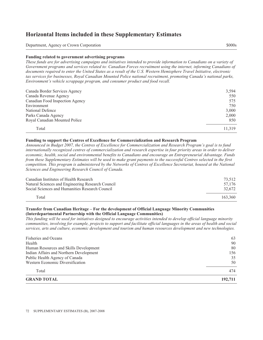### **Horizontal Items included in these Supplementary Estimates**

Department, Agency or Crown Corporation \$000s

#### **Funding related to government advertising programs**

*These funds are for advertising campaigns and initiatives intended to provide information to Canadians on a variety of Government programs and services related to: Canadian Forces recruitment using the internet, informing Canadians of documents required to enter the United States as a result of the U.S. Western Hemisphere Travel Initiative, electronic tax services for businesses, Royal Canadian Mounted Police national recruitment, promoting Canada's national parks, Environment's vehicle scrappage program, and consumer product and food recall.*

| Canada Border Services Agency   | 3,594  |
|---------------------------------|--------|
| Canada Revenue Agency           | 550    |
| Canadian Food Inspection Agency | 575    |
| Environment                     | 750    |
| National Defence                | 3,000  |
| Parks Canada Agency             | 2.000  |
| Royal Canadian Mounted Police   | 850    |
| Total                           | 11.319 |

#### **Funding to support the Centres of Excellence for Commercialization and Research Program**

*Announced in Budget 2007, the Centres of Excellence for Commercialization and Research Program's goal is to fund internationally recognized centres of commercialization and research expertise in four priority areas in order to deliver economic, health, social and environmental benefits to Canadians and encourage an Entrepreneurial Advantage. Funds from these Supplementary Estimates will be used to make grant payments to the successful Centres selected in the first competition. This program is administered by the Networks of Centres of Excellence Secretariat, housed at the National Sciences and Engineering Research Council of Canada.*

| Canadian Institutes of Health Research<br>Natural Sciences and Engineering Research Council | 73.512<br>57.176 |
|---------------------------------------------------------------------------------------------|------------------|
| Social Sciences and Humanities Research Council                                             | 32.672           |
| Total                                                                                       | 163.360          |

#### **Transfer from Canadian Heritage – For the development of Official Language Minority Communities (Interdepartmental Partnership with the Official Language Communities)**

*This funding will be used for initiatives designed to encourage activities intended to develop official language minority communities, involving for example, projects to support and facilitate official languages in the areas of health and social services, arts and culture, economic development and tourism and human resources development and new technologies.*

| <b>Fisheries and Oceans</b>             | 63      |
|-----------------------------------------|---------|
| Health                                  | 90      |
| Human Resources and Skills Development  | 80      |
| Indian Affairs and Northern Development | 156     |
| Public Health Agency of Canada          | 35      |
| Western Economic Diversification        | 50      |
| Total                                   | 474     |
| <b>GRAND TOTAL</b>                      | 192,711 |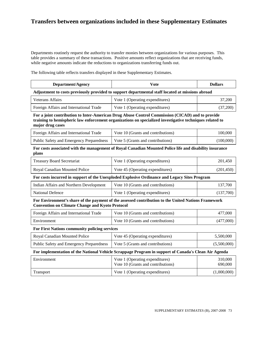### **Transfers between organizations included in these Supplementary Estimates**

Departments routinely request the authority to transfer monies between organizations for various purposes. This table provides a summary of these transactions. Positive amounts reflect organizations that are receiving funds, while negative amounts indicate the reductions to organizations transferring funds out.

The following table reflects transfers displayed in these Supplementary Estimates.

|  | Denar'<br><b>nev</b><br>.<br>.<br>$\sim$<br>$\cdots$<br>$\sim$ $\sim$ | ote | --- |
|--|-----------------------------------------------------------------------|-----|-----|
|--|-----------------------------------------------------------------------|-----|-----|

#### **Adjustment to costs previously provided to support departmental staff located at missions abroad**

| <b>Veterans Affairs</b>                 | Vote 1 (Operating expenditures) | 37.200   |
|-----------------------------------------|---------------------------------|----------|
| Foreign Affairs and International Trade | Vote 1 (Operating expenditures) | (37,200) |

**For a joint contribution to Inter-American Drug Abuse Control Commission (CICAD) and to provide training to hemispheric law enforcement organizations on specialized investigative techniques related to major drug cases** 

| Foreign Affairs and International Trade  | Vote 10 (Grants and contributions) | 100,000   |
|------------------------------------------|------------------------------------|-----------|
| Public Safety and Emergency Preparedness | Vote 5 (Grants and contributions)  | (100,000) |

#### **For costs associated with the management of Royal Canadian Mounted Police life and disability insurance plans**

| <b>Treasury Board Secretariat</b> | Vote 1 (Operating expenditures)  | 201.450    |
|-----------------------------------|----------------------------------|------------|
| Royal Canadian Mounted Police     | Vote 45 (Operating expenditures) | (201, 450) |

#### **For costs incurred in support of the Unexploded Explosive Ordinance and Legacy Sites Program**

| Indian Affairs and Northern Development | Vote 10 (Grants and contributions) | 137.700   |
|-----------------------------------------|------------------------------------|-----------|
| National Defence                        | Vote 1 (Operating expenditures)    | (137,700) |

#### **For Environment's share of the payment of the assessed contribution to the United Nations Framework Convention on Climate Change and Kyoto Protocol**

| Foreign Affairs and International Trade | Vote 10 (Grants and contributions) | 477,000   |
|-----------------------------------------|------------------------------------|-----------|
| Environment                             | Vote 10 (Grants and contributions) | (477,000) |

#### **For First Nations community policing services**

| Royal Canadian Mounted Police            | Vote 45 (Operating expenditures)  | 5,500,000   |
|------------------------------------------|-----------------------------------|-------------|
| Public Safety and Emergency Preparedness | Vote 5 (Grants and contributions) | (5,500,000) |

#### **For implementation of the National Vehicle Scrappage Program in support of Canada's Clean Air Agenda**

| Environment | Vote 1 (Operating expenditures)<br>Vote 10 (Grants and contributions) | 310,000<br>690,000 |
|-------------|-----------------------------------------------------------------------|--------------------|
| Transport   | Vote 1 (Operating expenditures)                                       | (1,000,000)        |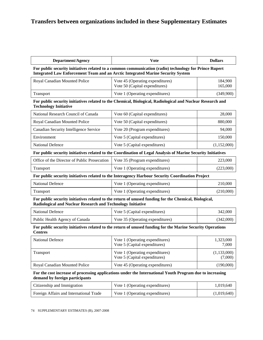### **Transfers between organizations included in these Supplementary Estimates**

| <b>Department/Agency</b>                                                                                                                                                                         | <b>V</b> ote                                                                                                 | <b>Dollars</b>     |  |
|--------------------------------------------------------------------------------------------------------------------------------------------------------------------------------------------------|--------------------------------------------------------------------------------------------------------------|--------------------|--|
| For public security initiatives related to a common communication (radio) technology for Prince Rupert<br><b>Integrated Law Enforcement Team and an Arctic Integrated Marine Security System</b> |                                                                                                              |                    |  |
| Royal Canadian Mounted Police                                                                                                                                                                    | Vote 45 (Operating expenditures)<br>Vote 50 (Capital expenditures)                                           | 184,900<br>165,000 |  |
| Transport                                                                                                                                                                                        | Vote 1 (Operating expenditures)                                                                              | (349,900)          |  |
| <b>Technology Initiative</b>                                                                                                                                                                     | For public security initiatives related to the Chemical, Biological, Radiological and Nuclear Research and   |                    |  |
| National Research Council of Canada                                                                                                                                                              | Vote 60 (Capital expenditures)                                                                               | 28,000             |  |
| Royal Canadian Mounted Police                                                                                                                                                                    | Vote 50 (Capital expenditures)                                                                               | 880,000            |  |
| Canadian Security Intelligence Service                                                                                                                                                           | Vote 20 (Program expenditures)                                                                               | 94,000             |  |
| Environment                                                                                                                                                                                      | Vote 5 (Capital expenditures)                                                                                | 150,000            |  |
| <b>National Defence</b>                                                                                                                                                                          | Vote 5 (Capital expenditures)                                                                                | (1,152,000)        |  |
|                                                                                                                                                                                                  | For public security initiatives related to the Coordination of Legal Analysis of Marine Security Initiatives |                    |  |
| Office of the Director of Public Prosecution                                                                                                                                                     | Vote 35 (Program expenditures)                                                                               | 223,000            |  |
| Transport                                                                                                                                                                                        | Vote 1 (Operating expenditures)                                                                              | (223,000)          |  |
|                                                                                                                                                                                                  | For public security initiatives related to the Interagency Harbour Security Coordination Project             |                    |  |
| <b>National Defence</b>                                                                                                                                                                          | Vote 1 (Operating expenditures)                                                                              | 210,000            |  |
| Transport                                                                                                                                                                                        | Vote 1 (Operating expenditures)                                                                              | (210,000)          |  |
| Radiological and Nuclear Research and Technology Initiative                                                                                                                                      | For public security initiatives related to the return of unused funding for the Chemical, Biological,        |                    |  |
| <b>National Defence</b>                                                                                                                                                                          | Vote 5 (Capital expenditures)                                                                                | 342,000            |  |
| Public Health Agency of Canada                                                                                                                                                                   | Vote 35 (Operating expenditures)                                                                             | (342,000)          |  |
| <b>Centres</b>                                                                                                                                                                                   | For public security initiatives related to the return of unused funding for the Marine Security Operations   |                    |  |
| <b>National Defence</b>                                                                                                                                                                          | Vote 1 (Operating expenditures)<br>Vote 5 (Capital expenditures)                                             | 1,323,000<br>7,000 |  |
| Transport                                                                                                                                                                                        | Vote 1 (Operating expenditures)                                                                              | (1,133,000)        |  |

**For the cost increase of processing applications under the International Youth Program due to increasing demand by foreign participants** 

Royal Canadian Mounted Police Vote 45 (Operating expenditures) (190,000)

Vote 5 (Capital expenditures)

(7,000)

| Citizenship and Immigration             | Vote 1 (Operating expenditures) | 1,019,640   |
|-----------------------------------------|---------------------------------|-------------|
| Foreign Affairs and International Trade | Vote 1 (Operating expenditures) | (1,019,640) |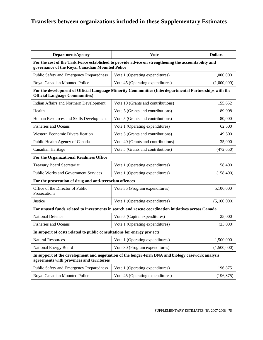# **Transfers between organizations included in these Supplementary Estimates**

| <b>Department/Agency</b>                                                | <b>Vote</b>                                                                                            | <b>Dollars</b> |
|-------------------------------------------------------------------------|--------------------------------------------------------------------------------------------------------|----------------|
| governance of the Royal Canadian Mounted Police                         | For the cost of the Task Force established to provide advice on strengthening the accountability and   |                |
| Public Safety and Emergency Preparedness                                | Vote 1 (Operating expenditures)                                                                        | 1,000,000      |
| Royal Canadian Mounted Police                                           | Vote 45 (Operating expenditures)                                                                       | (1,000,000)    |
| <b>Official Language Communities)</b>                                   | For the development of Official Language Minority Communities (Interdepartmental Partnerships with the |                |
| Indian Affairs and Northern Development                                 | Vote 10 (Grants and contributions)                                                                     | 155,652        |
| Health                                                                  | Vote 5 (Grants and contributions)                                                                      | 89,998         |
| Human Resources and Skills Development                                  | Vote 5 (Grants and contributions)                                                                      | 80,000         |
| <b>Fisheries and Oceans</b>                                             | Vote 1 (Operating expenditures)                                                                        | 62,500         |
| Western Economic Diversification                                        | Vote 5 (Grants and contributions)                                                                      | 49,500         |
| Public Health Agency of Canada                                          | Vote 40 (Grants and contributions)                                                                     | 35,000         |
| Canadian Heritage                                                       | Vote 5 (Grants and contributions)                                                                      | (472, 650)     |
| For the Organizational Readiness Office                                 |                                                                                                        |                |
| <b>Treasury Board Secretariat</b>                                       | Vote 1 (Operating expenditures)                                                                        | 158,400        |
| <b>Public Works and Government Services</b>                             | Vote 1 (Operating expenditures)                                                                        | (158, 400)     |
| For the prosecution of drug and anti-terrorism offences                 |                                                                                                        |                |
| Office of the Director of Public<br>Prosecutions                        | Vote 35 (Program expenditures)                                                                         | 5,100,000      |
| Justice                                                                 | Vote 1 (Operating expenditures)                                                                        | (5,100,000)    |
|                                                                         | For unused funds related to investments in search and rescue coordination initiatives across Canada    |                |
| National Defence                                                        | Vote 5 (Capital expenditures)                                                                          | 25,000         |
| <b>Fisheries and Oceans</b>                                             | Vote 1 (Operating expenditures)                                                                        | (25,000)       |
| In support of costs related to public consultations for energy projects |                                                                                                        |                |
| <b>Natural Resources</b>                                                | Vote 1 (Operating expenditures)                                                                        | 1,500,000      |
| National Energy Board                                                   | Vote 30 (Program expenditures)                                                                         | (1,500,000)    |
| agreements with provinces and territories                               | In support of the development and negotiation of the longer-term DNA and biology casework analysis     |                |
| Public Safety and Emergency Preparedness                                | Vote 1 (Operating expenditures)                                                                        | 196,875        |
| Royal Canadian Mounted Police                                           | Vote 45 (Operating expenditures)                                                                       | (196, 875)     |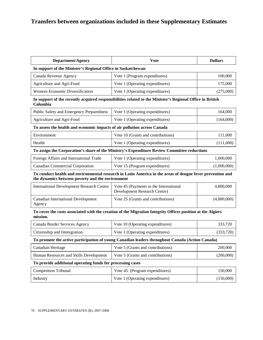| <b>Department/Agency</b>                                                                                                                                      | Vote                                                                                                       | <b>Dollars</b> |  |  |
|---------------------------------------------------------------------------------------------------------------------------------------------------------------|------------------------------------------------------------------------------------------------------------|----------------|--|--|
| In support of the Minister's Regional Office in Saskatchewan                                                                                                  |                                                                                                            |                |  |  |
| Canada Revenue Agency                                                                                                                                         | Vote 1 (Program expenditures)                                                                              | 100,000        |  |  |
| Agriculture and Agri-Food                                                                                                                                     | Vote 1 (Operating expenditures)                                                                            | 175,000        |  |  |
| <b>Western Economic Diversification</b>                                                                                                                       | Vote 1 (Operating expenditures)                                                                            | (275,000)      |  |  |
| Columbia                                                                                                                                                      | In support of the recently acquired responsibilities related to the Minister's Regional Office in British  |                |  |  |
| Public Safety and Emergency Preparedness                                                                                                                      | Vote 1 (Operating expenditures)                                                                            | 164,000        |  |  |
| Agriculture and Agri-Food                                                                                                                                     | Vote 1 (Operating expenditures)                                                                            | (164,000)      |  |  |
| To assess the health and economic impacts of air pollution across Canada                                                                                      |                                                                                                            |                |  |  |
| Environment                                                                                                                                                   | Vote 10 (Grants and contributions)                                                                         | 111,000        |  |  |
| Health                                                                                                                                                        | Vote 1 (Operating expenditures)                                                                            | (111,000)      |  |  |
| To assign the Corporation's share of the Ministry's Expenditure Review Committee reductions                                                                   |                                                                                                            |                |  |  |
| Foreign Affairs and International Trade                                                                                                                       | Vote 1 (Operating expenditures)                                                                            | 1,000,000      |  |  |
| <b>Canadian Commercial Corporation</b>                                                                                                                        | Vote 15 (Program expenditures)                                                                             | (1,000,000)    |  |  |
| To conduct health and environmental research in Latin America in the areas of dengue fever prevention and<br>the dynamics between poverty and the environment |                                                                                                            |                |  |  |
| <b>International Development Research Centre</b>                                                                                                              | Vote 45 (Payments to the International<br>Development Research Centre)                                     | 4,800,000      |  |  |
| <b>Canadian International Development</b><br>Agency                                                                                                           | Vote 25 (Grants and contributions)                                                                         | (4,800,000)    |  |  |
| mission.                                                                                                                                                      | To cover the costs associated with the creation of the Migration Integrity Officer position at the Algiers |                |  |  |
| Canada Border Services Agency                                                                                                                                 | Vote 10 (Operating expenditures)                                                                           | 333,720        |  |  |
| Citizenship and Immigration                                                                                                                                   | Vote 1 (Operating expenditures)                                                                            | (333,720)      |  |  |
|                                                                                                                                                               | To promote the active participation of young Canadian leaders throughout Canada (Action Canada)            |                |  |  |
| Canadian Heritage                                                                                                                                             | Vote 5 (Grants and contributions)                                                                          | 200,000        |  |  |
| Human Resources and Skills Development                                                                                                                        | Vote 5 (Grants and contributions)                                                                          | (200,000)      |  |  |
| To provide additional operating funds for processing cases                                                                                                    |                                                                                                            |                |  |  |
| <b>Competition Tribunal</b>                                                                                                                                   | Vote 45 (Program expenditures)                                                                             | 150,000        |  |  |

Industry **IVote 1** (Operating expenditures) (150,000)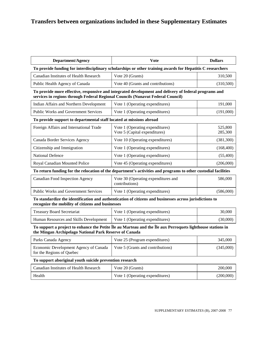| <b>Department/Agency</b>                                                                                                                                                                 | <b>V</b> ote                                                     | <b>Dollars</b>     |  |  |
|------------------------------------------------------------------------------------------------------------------------------------------------------------------------------------------|------------------------------------------------------------------|--------------------|--|--|
| To provide funding for interdisciplinary scholarships or other training awards for Hepatitis C researchers                                                                               |                                                                  |                    |  |  |
| Canadian Institutes of Health Research                                                                                                                                                   | Vote 20 (Grants)                                                 | 310,500            |  |  |
| Public Health Agency of Canada                                                                                                                                                           | Vote 40 (Grants and contributions)                               | (310,500)          |  |  |
| To provide more effective, responsive and integrated development and delivery of federal programs and<br>services in regions through Federal Regional Councils (Nunavut Federal Council) |                                                                  |                    |  |  |
| Indian Affairs and Northern Development                                                                                                                                                  | Vote 1 (Operating expenditures)                                  | 191,000            |  |  |
| <b>Public Works and Government Services</b>                                                                                                                                              | Vote 1 (Operating expenditures)                                  | (191,000)          |  |  |
| To provide support to departmental staff located at missions abroad                                                                                                                      |                                                                  |                    |  |  |
| Foreign Affairs and International Trade                                                                                                                                                  | Vote 1 (Operating expenditures)<br>Vote 5 (Capital expenditures) | 525,800<br>285,300 |  |  |
| Canada Border Services Agency                                                                                                                                                            | Vote 10 (Operating expenditures)                                 | (381,300)          |  |  |
| Citizenship and Immigration                                                                                                                                                              | Vote 1 (Operating expenditures)                                  | (168, 400)         |  |  |
| <b>National Defence</b>                                                                                                                                                                  | Vote 1 (Operating expenditures)                                  | (55,400)           |  |  |
| Royal Canadian Mounted Police                                                                                                                                                            | Vote 45 (Operating expenditures)                                 | (206,000)          |  |  |
| To return funding for the relocation of the department's activities and programs to other custodial facilities                                                                           |                                                                  |                    |  |  |
| Canadian Food Inspection Agency                                                                                                                                                          | Vote 30 (Operating expenditures and<br>contributions)            | 586,000            |  |  |
| Public Works and Government Services                                                                                                                                                     | Vote 1 (Operating expenditures)                                  | (586,000)          |  |  |
| To standardize the identification and authentication of citizens and businesses across jurisdictions to<br>recognize the mobility of citizens and businesses                             |                                                                  |                    |  |  |
| <b>Treasury Board Secretariat</b>                                                                                                                                                        | Vote 1 (Operating expenditures)                                  | 30,000             |  |  |
| Human Resources and Skills Development                                                                                                                                                   | Vote 1 (Operating expenditures)                                  | (30,000)           |  |  |
| To support a project to enhance the Petite Île au Marteau and the Île aux Perroquets lighthouse stations in<br>the Mingan Archipelago National Park Reserve of Canada                    |                                                                  |                    |  |  |
| Parks Canada Agency                                                                                                                                                                      | Vote 25 (Program expenditures)                                   | 345,000            |  |  |
| Economic Development Agency of Canada<br>for the Regions of Quebec                                                                                                                       | Vote 5 (Grants and contributions)                                | (345,000)          |  |  |
| To support aboriginal youth suicide prevention research                                                                                                                                  |                                                                  |                    |  |  |
| Canadian Institutes of Health Research                                                                                                                                                   | Vote 20 (Grants)                                                 | 200,000            |  |  |
| Health                                                                                                                                                                                   | Vote 1 (Operating expenditures)                                  | (200,000)          |  |  |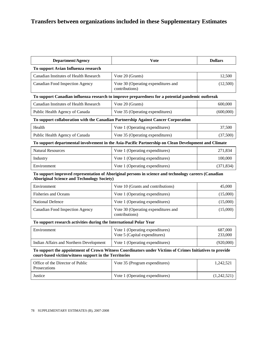| <b>Department/Agency</b>                                                                                                                                         | <b>Vote</b>                                                                                          | <b>Dollars</b>     |  |  |
|------------------------------------------------------------------------------------------------------------------------------------------------------------------|------------------------------------------------------------------------------------------------------|--------------------|--|--|
| To support Avian Influenza research                                                                                                                              |                                                                                                      |                    |  |  |
| Canadian Institutes of Health Research                                                                                                                           | Vote 20 (Grants)                                                                                     | 12,500             |  |  |
| <b>Canadian Food Inspection Agency</b>                                                                                                                           | Vote 30 (Operating expenditures and<br>contributions)                                                | (12,500)           |  |  |
|                                                                                                                                                                  | To support Canadian influenza research to improve preparedness for a potential pandemic outbreak     |                    |  |  |
| Canadian Institutes of Health Research                                                                                                                           | Vote 20 (Grants)                                                                                     | 600,000            |  |  |
| Public Health Agency of Canada                                                                                                                                   | Vote 35 (Operating expenditures)                                                                     | (600,000)          |  |  |
|                                                                                                                                                                  | To support collaboration with the Canadian Partnership Against Cancer Corporation                    |                    |  |  |
| Health                                                                                                                                                           | Vote 1 (Operating expenditures)                                                                      | 37,500             |  |  |
| Public Health Agency of Canada                                                                                                                                   | Vote 35 (Operating expenditures)                                                                     | (37,500)           |  |  |
|                                                                                                                                                                  | To support departmental involvement in the Asia-Pacific Partnership on Clean Development and Climate |                    |  |  |
| <b>Natural Resources</b>                                                                                                                                         | Vote 1 (Operating expenditures)                                                                      | 271,834            |  |  |
| Industry                                                                                                                                                         | Vote 1 (Operating expenditures)                                                                      | 100,000            |  |  |
| Environment                                                                                                                                                      | Vote 1 (Operating expenditures)                                                                      | (371, 834)         |  |  |
| To support improved representation of Aboriginal persons in science and technology careers (Canadian<br><b>Aboriginal Science and Technology Society)</b>        |                                                                                                      |                    |  |  |
| Environment                                                                                                                                                      | Vote 10 (Grants and contributions)                                                                   | 45,000             |  |  |
| <b>Fisheries and Oceans</b>                                                                                                                                      | Vote 1 (Operating expenditures)                                                                      | (15,000)           |  |  |
| <b>National Defence</b>                                                                                                                                          | Vote 1 (Operating expenditures)                                                                      | (15,000)           |  |  |
| <b>Canadian Food Inspection Agency</b>                                                                                                                           | Vote 30 (Operating expenditures and<br>contributions)                                                | (15,000)           |  |  |
| To support research activities during the International Polar Year                                                                                               |                                                                                                      |                    |  |  |
| Environment                                                                                                                                                      | Vote 1 (Operating expenditures)<br>Vote 5 (Capital expenditures)                                     | 687,000<br>233,000 |  |  |
| Indian Affairs and Northern Development                                                                                                                          | Vote 1 (Operating expenditures)                                                                      | (920,000)          |  |  |
| To support the appointment of Crown Witness Coordinators under Victims of Crimes Initiatives to provide<br>court-based victim/witness support in the Territories |                                                                                                      |                    |  |  |
| Office of the Director of Public<br>Prosecutions                                                                                                                 | Vote 35 (Program expenditures)                                                                       | 1,242,521          |  |  |
| Justice                                                                                                                                                          | Vote 1 (Operating expenditures)                                                                      | (1,242,521)        |  |  |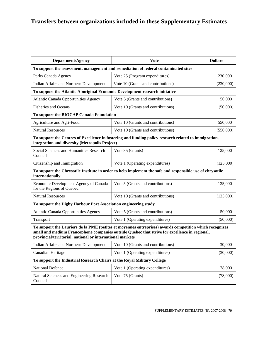| <b>Department/Agency</b>                                                                                                                                                                                                                                              | <b>Vote</b>                                                                                           | <b>Dollars</b> |  |  |
|-----------------------------------------------------------------------------------------------------------------------------------------------------------------------------------------------------------------------------------------------------------------------|-------------------------------------------------------------------------------------------------------|----------------|--|--|
| To support the assessment, management and remediation of federal contaminated sites                                                                                                                                                                                   |                                                                                                       |                |  |  |
| Parks Canada Agency                                                                                                                                                                                                                                                   | Vote 25 (Program expenditures)                                                                        | 230,000        |  |  |
| Indian Affairs and Northern Development                                                                                                                                                                                                                               | Vote 10 (Grants and contributions)                                                                    | (230,000)      |  |  |
| To support the Atlantic Aboriginal Economic Development research initiative                                                                                                                                                                                           |                                                                                                       |                |  |  |
| <b>Atlantic Canada Opportunities Agency</b>                                                                                                                                                                                                                           | Vote 5 (Grants and contributions)                                                                     | 50,000         |  |  |
| <b>Fisheries and Oceans</b>                                                                                                                                                                                                                                           | Vote 10 (Grants and contributions)                                                                    | (50,000)       |  |  |
| To support the BIOCAP Canada Foundation                                                                                                                                                                                                                               |                                                                                                       |                |  |  |
| Agriculture and Agri-Food                                                                                                                                                                                                                                             | Vote 10 (Grants and contributions)                                                                    | 550,000        |  |  |
| <b>Natural Resources</b>                                                                                                                                                                                                                                              | Vote 10 (Grants and contributions)                                                                    | (550,000)      |  |  |
| integration and diversity (Metropolis Project)                                                                                                                                                                                                                        | To support the Centres of Excellence in fostering and funding policy research related to immigration, |                |  |  |
| Social Sciences and Humanities Research<br>Council                                                                                                                                                                                                                    | Vote 85 (Grants)                                                                                      | 125,000        |  |  |
| Citizenship and Immigration                                                                                                                                                                                                                                           | Vote 1 (Operating expenditures)                                                                       | (125,000)      |  |  |
| To support the Chrysotile Institute in order to help implement the safe and responsible use of chrysotile<br>internationally                                                                                                                                          |                                                                                                       |                |  |  |
| Economic Development Agency of Canada<br>for the Regions of Quebec                                                                                                                                                                                                    | Vote 5 (Grants and contributions)                                                                     | 125,000        |  |  |
| <b>Natural Resources</b>                                                                                                                                                                                                                                              | Vote 10 (Grants and contributions)                                                                    | (125,000)      |  |  |
| To support the Digby Harbour Port Association engineering study                                                                                                                                                                                                       |                                                                                                       |                |  |  |
| Atlantic Canada Opportunities Agency                                                                                                                                                                                                                                  | Vote 5 (Grants and contributions)                                                                     | 50,000         |  |  |
| Transport                                                                                                                                                                                                                                                             | Vote 1 (Operating expenditures)                                                                       | (50,000)       |  |  |
| To support the Lauriers de la PME (petites et moyennes entreprises) awards competition which recognizes<br>small and medium Francophone companies outside Quebec that strive for excellence in regional,<br>provincial/territorial, national or international markets |                                                                                                       |                |  |  |
| Indian Affairs and Northern Development                                                                                                                                                                                                                               | Vote 10 (Grants and contributions)                                                                    | 30,000         |  |  |
| Canadian Heritage                                                                                                                                                                                                                                                     | Vote 1 (Operating expenditures)                                                                       | (30,000)       |  |  |
| To support the Industrial Research Chairs at the Royal Military College                                                                                                                                                                                               |                                                                                                       |                |  |  |
| National Defence                                                                                                                                                                                                                                                      | Vote 1 (Operating expenditures)                                                                       | 78,000         |  |  |
| Natural Sciences and Engineering Research<br>Council                                                                                                                                                                                                                  | Vote 75 (Grants)                                                                                      | (78,000)       |  |  |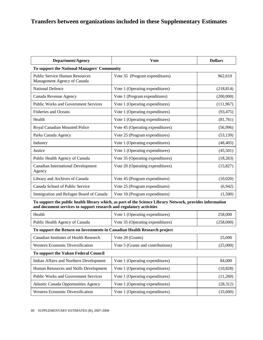| <b>Department/Agency</b>                                             | <b>V</b> ote                     | <b>Dollars</b> |  |  |
|----------------------------------------------------------------------|----------------------------------|----------------|--|--|
| To support the National Managers' Community                          |                                  |                |  |  |
| <b>Public Service Human Resources</b><br>Management Agency of Canada | Vote 35 (Program expenditures)   | 962,610        |  |  |
| <b>National Defence</b>                                              | Vote 1 (Operating expenditures)  | (218, 814)     |  |  |
| Canada Revenue Agency                                                | Vote 1 (Program expenditures)    | (200,000)      |  |  |
| <b>Public Works and Government Services</b>                          | Vote 1 (Operating expenditures)  | (111,967)      |  |  |
| <b>Fisheries and Oceans</b>                                          | Vote 1 (Operating expenditures)  | (93, 475)      |  |  |
| Health                                                               | Vote 1 (Operating expenditures)  | (81,761)       |  |  |
| Royal Canadian Mounted Police                                        | Vote 45 (Operating expenditures) | (56,996)       |  |  |
| Parks Canada Agency                                                  | Vote 25 (Program expenditures)   | (53, 139)      |  |  |
| Industry                                                             | Vote 1 (Operating expenditures)  | (48, 405)      |  |  |
| Justice                                                              | Vote 1 (Operating expenditures)  | (45,501)       |  |  |
| Public Health Agency of Canada                                       | Vote 35 (Operating expenditures) | (18, 263)      |  |  |
| <b>Canadian International Development</b><br>Agency                  | Vote 20 (Operating expenditures) | (15, 827)      |  |  |
| Library and Archives of Canada                                       | Vote 45 (Program expenditures)   | (10,020)       |  |  |
| Canada School of Public Service                                      | Vote 25 (Program expenditures)   | (6,942)        |  |  |
| Immigration and Refugee Board of Canada                              | Vote 10 (Program expenditures)   | (1,500)        |  |  |

**To support the public health library which, as part of the Science Library Network, provides information and document services to support research and regulatory activities** 

| Health                         | Vote 1 (Operating expenditures)  | 258,000   |
|--------------------------------|----------------------------------|-----------|
| Public Health Agency of Canada | Vote 35 (Operating expenditures) | (258,000) |

#### **To support the Return on Investments in Canadian Health Research project**

| Canadian Institutes of Health Research | Vote 20 (Grants)                  | 25,000   |
|----------------------------------------|-----------------------------------|----------|
| Western Economic Diversification       | Vote 5 (Grants and contributions) | (25,000) |
| To support the Yukon Federal Council   |                                   |          |

| Indian Affairs and Northern Development     | Vote 1 (Operating expenditures) | 84,000    |
|---------------------------------------------|---------------------------------|-----------|
| Human Resources and Skills Development      | Vote 1 (Operating expenditures) | (10, 828) |
| <b>Public Works and Government Services</b> | Vote 1 (Operating expenditures) | (11,260)  |
| <b>Atlantic Canada Opportunities Agency</b> | Vote 1 (Operating expenditures) | (28,312)  |
| <b>Western Economic Diversification</b>     | Vote 1 (Operating expenditures) | (33,600)  |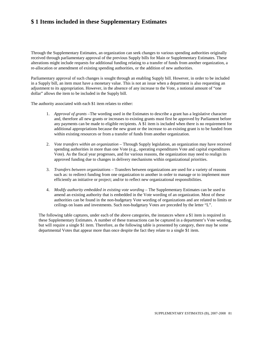# **\$ 1 Items included in these Supplementary Estimates**

Through the Supplementary Estimates, an organization can seek changes to various spending authorities originally received through parliamentary approval of the previous Supply bills for Main or Supplementary Estimates. These alterations might include requests for additional funding relating to a transfer of funds from another organization, a re-allocation or amendment of existing spending authorities, or the addition of new authorities.

Parliamentary approval of such changes is sought through an enabling Supply bill. However, in order to be included in a Supply bill, an item must have a monetary value. This is not an issue when a department is also requesting an adjustment to its appropriation. However, in the absence of any increase to the Vote, a notional amount of "one dollar" allows the item to be included in the Supply bill.

The authority associated with each \$1 item relates to either:

- 1. *Approval of grants –*The wording used in the Estimates to describe a grant has a legislative character and, therefore all new grants or increases to existing grants must first be approved by Parliament before any payments can be made to eligible recipients. A \$1 item is included when there is no requirement for additional appropriations because the new grant or the increase to an existing grant is to be funded from within existing resources or from a transfer of funds from another organization.
- 2. *Vote transfers within an organization* Through Supply legislation, an organization may have received spending authorities in more than one Vote (e.g., operating expenditures Vote and capital expenditures Vote). As the fiscal year progresses, and for various reasons, the organization may need to realign its approved funding due to changes in delivery mechanisms within organizational priorities.
- 3. *Transfers between organizations* Transfers between organizations are used for a variety of reasons such as: to redirect funding from one organization to another in order to manage or to implement more efficiently an initiative or project; and/or to reflect new organizational responsibilities.
- 4. *Modify authority embedded in existing vote wording* The Supplementary Estimates can be used to amend an existing authority that is embedded in the Vote wording of an organization. Most of these authorities can be found in the non-budgetary Vote wording of organizations and are related to limits or ceilings on loans and investments. Such non-budgetary Votes are preceded by the letter "L".

The following table captures, under each of the above categories, the instances where a \$1 item is required in these Supplementary Estimates. A number of these transactions can be captured in a department's Vote wording, but will require a single \$1 item. Therefore, as the following table is presented by category, there may be some departmental Votes that appear more than once despite the fact they relate to a single \$1 item.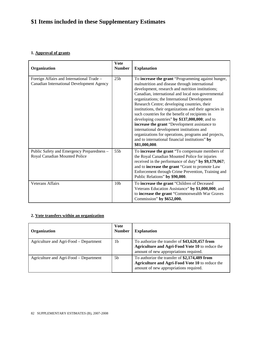# **\$1 Items included in these Supplementary Estimates**

#### **1. Approval of grants**

| Organization                                                                           | <b>Vote</b><br><b>Number</b> | <b>Explanation</b>                                                                                                                                                                                                                                                                                                                                                                                                                                                                                                                                                                                                                                                                                         |
|----------------------------------------------------------------------------------------|------------------------------|------------------------------------------------------------------------------------------------------------------------------------------------------------------------------------------------------------------------------------------------------------------------------------------------------------------------------------------------------------------------------------------------------------------------------------------------------------------------------------------------------------------------------------------------------------------------------------------------------------------------------------------------------------------------------------------------------------|
| Foreign Affairs and International Trade -<br>Canadian International Development Agency | 25 <sub>b</sub>              | To increase the grant "Programming against hunger,<br>malnutrition and disease through international<br>development, research and nutrition institutions;<br>Canadian, international and local non-governmental<br>organizations; the International Development<br>Research Centre; developing countries, their<br>institutions, their organizations and their agencies in<br>such countries for the benefit of recipients in<br>developing countries" by \$137,000,000; and to<br>increase the grant "Development assistance to<br>international development institutions and<br>organizations for operations, programs and projects,<br>and to international financial institutions" by<br>\$81,000,000. |
| Public Safety and Emergency Preparedness -<br>Royal Canadian Mounted Police            | 55b                          | To increase the grant "To compensate members of<br>the Royal Canadian Mounted Police for injuries<br>received in the performance of duty" by \$9,179,067;<br>and to increase the grant "Grant to promote Law<br>Enforcement through Crime Prevention, Training and<br>Public Relations" by \$90,000.                                                                                                                                                                                                                                                                                                                                                                                                       |
| <b>Veterans Affairs</b>                                                                | 10 <sub>b</sub>              | To increase the grant "Children of Deceased<br>Veterans Education Assistance" by \$1,000,000; and<br>to increase the grant "Commonwealth War Graves<br>Commission" by \$652,000.                                                                                                                                                                                                                                                                                                                                                                                                                                                                                                                           |

#### **2. Vote transfers within an organization**

| Organization                           | <b>Vote</b><br><b>Number</b> | <b>Explanation</b>                                                                                                                          |
|----------------------------------------|------------------------------|---------------------------------------------------------------------------------------------------------------------------------------------|
| Agriculture and Agri-Food – Department | 1b                           | To authorize the transfer of \$43,620,457 from<br>Agriculture and Agri-Food Vote 10 to reduce the<br>amount of new appropriations required. |
| Agriculture and Agri-Food – Department | .5b                          | To authorize the transfer of \$2,174,489 from<br>Agriculture and Agri-Food Vote 10 to reduce the<br>amount of new appropriations required.  |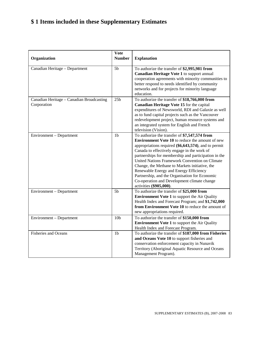# **\$ 1 Items included in these Supplementary Estimates**

| Organization                                             | <b>Vote</b><br><b>Number</b> | <b>Explanation</b>                                                                                                                                                                                                                                                                                                                                                                                                                                                                                                                                  |
|----------------------------------------------------------|------------------------------|-----------------------------------------------------------------------------------------------------------------------------------------------------------------------------------------------------------------------------------------------------------------------------------------------------------------------------------------------------------------------------------------------------------------------------------------------------------------------------------------------------------------------------------------------------|
| Canadian Heritage - Department                           | 5 <sub>b</sub>               | To authorize the transfer of \$2,995,981 from<br>Canadian Heritage Vote 1 to support annual<br>cooperation agreements with minority communities to<br>better respond to needs identified by community<br>networks and for projects for minority language<br>education.                                                                                                                                                                                                                                                                              |
| Canadian Heritage - Canadian Broadcasting<br>Corporation | 25 <sub>b</sub>              | To authorize the transfer of \$18,766,000 from<br>Canadian Heritage Vote 15 for the capital<br>expenditures of Newsworld, RDI and Galaxie as well<br>as to fund capital projects such as the Vancouver<br>redevelopment project, human resource systems and<br>an integrated system for English and French<br>television (Vision).                                                                                                                                                                                                                  |
| Environment - Department                                 | 1 <sub>b</sub>               | To authorize the transfer of \$7,547,574 from<br><b>Environment Vote 10</b> to reduce the amount of new<br>appropriations required $(\$6,643,574)$ , and to permit<br>Canada to effectively engage in the work of<br>partnerships for membership and participation in the<br>United Nations Framework Convention on Climate<br>Change, the Methane to Markets initiative, the<br>Renewable Energy and Energy Efficiency<br>Partnership, and the Organisation for Economic<br>Co-operation and Development climate change<br>activities (\$905,000). |
| Environment - Department                                 | 5 <sub>b</sub>               | To authorize the transfer of \$25,000 from<br><b>Environment Vote 1</b> to support the Air Quality<br>Health Index and Forecast Program; and \$1,742,000<br>from Environment Vote 10 to reduce the amount of<br>new appropriations required.                                                                                                                                                                                                                                                                                                        |
| Environment - Department                                 | 10 <sub>b</sub>              | To authorize the transfer of \$150,000 from<br><b>Environment Vote 1</b> to support the Air Quality<br>Health Index and Forecast Program.                                                                                                                                                                                                                                                                                                                                                                                                           |
| <b>Fisheries and Oceans</b>                              | 1 <sub>b</sub>               | To authorize the transfer of \$187,000 from Fisheries<br>and Oceans Vote 10 to support fisheries and<br>conservation enforcement capacity in Nunavik<br>Territory (Aboriginal Aquatic Resource and Oceans<br>Management Program).                                                                                                                                                                                                                                                                                                                   |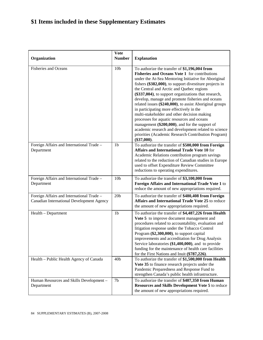# **\$1 Items included in these Supplementary Estimates**

|                                                                                        | <b>Vote</b>     |                                                                                                                                                                                                                                                                                                                                                                                                                                                                                                                                                                                                                                                                                                                                                                      |
|----------------------------------------------------------------------------------------|-----------------|----------------------------------------------------------------------------------------------------------------------------------------------------------------------------------------------------------------------------------------------------------------------------------------------------------------------------------------------------------------------------------------------------------------------------------------------------------------------------------------------------------------------------------------------------------------------------------------------------------------------------------------------------------------------------------------------------------------------------------------------------------------------|
| Organization                                                                           | <b>Number</b>   | <b>Explanation</b>                                                                                                                                                                                                                                                                                                                                                                                                                                                                                                                                                                                                                                                                                                                                                   |
| <b>Fisheries and Oceans</b>                                                            | 10 <sub>b</sub> | To authorize the transfer of \$1,196,004 from<br>Fisheries and Oceans Vote 1 for contributions<br>under the At-Sea Mentoring Initiative for Aboriginal<br>fishers $(\$382,000)$ , to support divestiture projects in<br>the Central and Arctic and Quebec regions<br>(\$337,004), to support organizations that research,<br>develop, manage and promote fisheries and oceans<br>related issues (\$240,000), to assist Aboriginal groups<br>in participating more effectively in the<br>multi-stakeholder and other decision making<br>processes for aquatic resources and oceans<br>management (\$200,000), and for the support of<br>academic research and development related to science<br>priorities (Academic Research Contribution Program)<br>$(\$37,000)$ . |
| Foreign Affairs and International Trade -<br>Department                                | 1 <sub>b</sub>  | To authorize the transfer of \$500,000 from Foreign<br><b>Affairs and International Trade Vote 10 for</b><br>Academic Relations contribution program savings<br>related to the reduction of Canadian studies in Europe<br>used to offset Expenditure Review Committee<br>reductions to operating expenditures.                                                                                                                                                                                                                                                                                                                                                                                                                                                       |
| Foreign Affairs and International Trade -<br>Department                                | 10 <sub>b</sub> | To authorize the transfer of \$3,100,000 from<br>Foreign Affairs and International Trade Vote 1 to<br>reduce the amount of new appropriations required.                                                                                                                                                                                                                                                                                                                                                                                                                                                                                                                                                                                                              |
| Foreign Affairs and International Trade -<br>Canadian International Development Agency | 20 <sub>b</sub> | To authorize the transfer of \$480,408 from Foreign<br>Affairs and International Trade Vote 25 to reduce<br>the amount of new appropriations required.                                                                                                                                                                                                                                                                                                                                                                                                                                                                                                                                                                                                               |
| Health - Department                                                                    | 1 <sub>b</sub>  | To authorize the transfer of \$4,487,226 from Health<br>Vote 5 to improve document management and<br>procedures related to accountability, evaluation and<br>litigation response under the Tobacco Control<br>Program (\$2,300,000), to support capital<br>improvements and accreditation for Drug Analysis<br>Service laboratories (\$1,400,000), and to provide<br>funding for the maintenance of health care facilities<br>for the First Nations and Inuit (\$787,226).                                                                                                                                                                                                                                                                                           |
| Health - Public Health Agency of Canada                                                | 40 <sub>b</sub> | To authorize the transfer of \$1,500,000 from Health<br>Vote 35 to finance research projects under the<br>Pandemic Preparedness and Response Fund to<br>strengthen Canada's public health infrastructure.                                                                                                                                                                                                                                                                                                                                                                                                                                                                                                                                                            |
| Human Resources and Skills Development -<br>Department                                 | 7b              | To authorize the transfer of \$407,350 from Human<br><b>Resources and Skills Development Vote 5 to reduce</b><br>the amount of new appropriations required.                                                                                                                                                                                                                                                                                                                                                                                                                                                                                                                                                                                                          |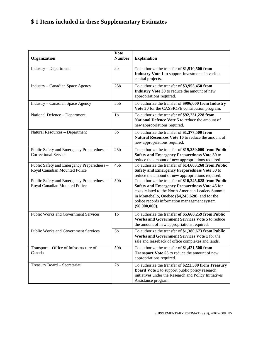# **\$ 1 Items included in these Supplementary Estimates**

| Organization                                                                | <b>Vote</b><br><b>Number</b> | <b>Explanation</b>                                                                                                                                                                                                                                                                   |
|-----------------------------------------------------------------------------|------------------------------|--------------------------------------------------------------------------------------------------------------------------------------------------------------------------------------------------------------------------------------------------------------------------------------|
| Industry - Department                                                       | 5 <sub>b</sub>               | To authorize the transfer of \$1,510,500 from<br>Industry Vote 1 to support investments in various<br>capital projects.                                                                                                                                                              |
| Industry - Canadian Space Agency                                            | 25 <sub>b</sub>              | To authorize the transfer of \$3,955,450 from<br>Industry Vote 30 to reduce the amount of new<br>appropriations required.                                                                                                                                                            |
| Industry - Canadian Space Agency                                            | 35b                          | To authorize the transfer of \$996,000 from Industry<br>Vote 30 for the CASSIOPE contribution program.                                                                                                                                                                               |
| National Defence - Department                                               | 1 <sub>b</sub>               | To authorize the transfer of \$92,231,228 from<br>National Defence Vote 5 to reduce the amount of<br>new appropriations required.                                                                                                                                                    |
| Natural Resources - Department                                              | 5 <sub>b</sub>               | To authorize the transfer of \$1,377,500 from<br><b>Natural Resources Vote 10</b> to reduce the amount of<br>new appropriations required.                                                                                                                                            |
| Public Safety and Emergency Preparedness -<br><b>Correctional Service</b>   | 25 <sub>b</sub>              | To authorize the transfer of \$19,250,000 from Public<br>Safety and Emergency Preparedness Vote 30 to<br>reduce the amount of new appropriations required.                                                                                                                           |
| Public Safety and Emergency Preparedness -<br>Royal Canadian Mounted Police | 45b                          | To authorize the transfer of \$14,603,268 from Public<br>Safety and Emergency Preparedness Vote 50 to<br>reduce the amount of new appropriations required.                                                                                                                           |
| Public Safety and Emergency Preparedness -<br>Royal Canadian Mounted Police | 50 <sub>b</sub>              | To authorize the transfer of \$10,245,628 from Public<br>Safety and Emergency Preparedness Vote 45 for<br>costs related to the North American Leaders Summit<br>in Montebello, Quebec (\$4,245,628), and for the<br>police records information management system<br>$(\$6,000,000).$ |
| <b>Public Works and Government Services</b>                                 | 1 <sub>b</sub>               | To authorize the transfer of \$5,660,259 from Public<br>Works and Government Services Vote 5 to reduce<br>the amount of new appropriations required.                                                                                                                                 |
| <b>Public Works and Government Services</b>                                 | 5 <sub>b</sub>               | To authorize the transfer of \$1,380,673 from Public<br>Works and Government Services Vote 1 for the<br>sale and leaseback of office complexes and lands.                                                                                                                            |
| Transport – Office of Infrastructure of<br>Canada                           | 50b                          | To authorize the transfer of \$1,421,508 from<br>Transport Vote 55 to reduce the amount of new<br>appropriations required.                                                                                                                                                           |
| Treasury Board - Secretariat                                                | 2 <sub>b</sub>               | To authorize the transfer of \$221,500 from Treasury<br><b>Board Vote 1</b> to support public policy research<br>initiatives under the Research and Policy Initiatives<br>Assistance program.                                                                                        |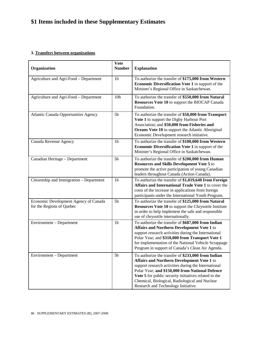# **\$1 Items included in these Supplementary Estimates**

#### **3. Transfers between organizations**

| Organization                                                       | <b>Vote</b><br><b>Number</b> | <b>Explanation</b>                                                                                                                                                                                                                                                                                                                                            |
|--------------------------------------------------------------------|------------------------------|---------------------------------------------------------------------------------------------------------------------------------------------------------------------------------------------------------------------------------------------------------------------------------------------------------------------------------------------------------------|
| Agriculture and Agri-Food - Department                             | 1 <sub>b</sub>               | To authorize the transfer of \$175,000 from Western<br><b>Economic Diversification Vote 1</b> in support of the<br>Minister's Regional Office in Saskatchewan.                                                                                                                                                                                                |
| Agriculture and Agri-Food - Department                             | 10 <sub>b</sub>              | To authorize the transfer of \$550,000 from Natural<br>Resources Vote 10 to support the BIOCAP Canada<br>Foundation.                                                                                                                                                                                                                                          |
| Atlantic Canada Opportunities Agency                               | 5 <sub>b</sub>               | To authorize the transfer of \$50,000 from Transport<br>Vote 1 to support the Digby Harbour Port<br>Association; and \$50,000 from Fisheries and<br>Oceans Vote 10 to support the Atlantic Aboriginal<br>Economic Development research initiative.                                                                                                            |
| Canada Revenue Agency                                              | 1 <sub>b</sub>               | To authorize the transfer of \$100,000 from Western<br>Economic Diversification Vote 1 in support of the<br>Minister's Regional Office in Saskatchewan.                                                                                                                                                                                                       |
| Canadian Heritage - Department                                     | 5 <sub>b</sub>               | To authorize the transfer of \$200,000 from Human<br><b>Resources and Skills Development Vote 5 to</b><br>promote the active participation of young Canadian<br>leaders throughout Canada (Action Canada).                                                                                                                                                    |
| Citizenship and Immigration - Department                           | 1 <sub>b</sub>               | To authorize the transfer of \$1,019,640 from Foreign<br>Affairs and International Trade Vote 1 to cover the<br>costs of the increase in applications from foreign<br>participants under the International Youth Program.                                                                                                                                     |
| Economic Development Agency of Canada<br>for the Regions of Quebec | 5 <sub>b</sub>               | To authorize the transfer of \$125,000 from Natural<br>Resources Vote 10 to support the Chrysotile Institute<br>in order to help implement the safe and responsible<br>use of chrysotile internationally.                                                                                                                                                     |
| Environment - Department                                           | 1 <sub>b</sub>               | To authorize the transfer of \$687,000 from Indian<br>Affairs and Northern Development Vote 1 to<br>support research activities during the International<br>Polar Year; and \$310,000 from Transport Vote 1<br>for implementation of the National Vehicle Scrappage<br>Program in support of Canada's Clean Air Agenda.                                       |
| Environment – Department                                           | 5 <sub>b</sub>               | To authorize the transfer of \$233,000 from Indian<br>Affairs and Northern Development Vote 1 to<br>support research activities during the International<br>Polar Year; and \$150,000 from National Defence<br>Vote 5 for public security initiatives related to the<br>Chemical, Biological, Radiological and Nuclear<br>Research and Technology Initiative. |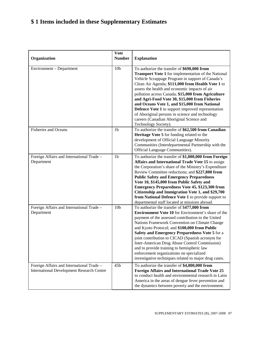# **\$ 1 Items included in these Supplementary Estimates**

| Organization                                                                                  | <b>Vote</b><br><b>Number</b> | <b>Explanation</b>                                                                                                                                                                                                                                                                                                                                                                                                                                                                                                                                                                                       |
|-----------------------------------------------------------------------------------------------|------------------------------|----------------------------------------------------------------------------------------------------------------------------------------------------------------------------------------------------------------------------------------------------------------------------------------------------------------------------------------------------------------------------------------------------------------------------------------------------------------------------------------------------------------------------------------------------------------------------------------------------------|
| Environment - Department                                                                      | 10 <sub>b</sub>              | To authorize the transfer of \$690,000 from<br><b>Transport Vote 1</b> for implementation of the National<br>Vehicle Scrappage Program in support of Canada's<br>Clean Air Agenda; \$111,000 from Health Vote 1 to<br>assess the health and economic impacts of air<br>pollution across Canada; \$15,000 from Agriculture<br>and Agri-Food Vote 30, \$15,000 from Fisheries<br>and Oceans Vote 1, and \$15,000 from National<br>Defence Vote 1 to support improved representation<br>of Aboriginal persons in science and technology<br>careers (Canadian Aboriginal Science and<br>Technology Society). |
| <b>Fisheries and Oceans</b>                                                                   | 1 <sub>b</sub>               | To authorize the transfer of \$62,500 from Canadian<br>Heritage Vote 5 for funding related to the<br>development of Official Language Minority<br>Communities (Interdepartmental Partnership with the<br>Official Language Communities).                                                                                                                                                                                                                                                                                                                                                                 |
| Foreign Affairs and International Trade -<br>Department                                       | 1 <sub>b</sub>               | To authorize the transfer of \$1,000,000 from Foreign<br>Affairs and International Trade Vote 15 to assign<br>the Corporation's share of the Ministry's Expenditure<br>Review Committee reductions; and \$227,800 from<br><b>Public Safety and Emergency Preparedness</b><br>Vote 10, \$145,000 from Public Safety and<br><b>Emergency Preparedness Vote 45, \$123,300 from</b><br>Citizenship and Immigration Vote 1, and \$29,700<br>from National Defence Vote 1 to provide support to<br>departmental staff located at missions abroad.                                                              |
| Foreign Affairs and International Trade -<br>Department                                       | 10 <sub>b</sub>              | To authorize the transfer of \$477,000 from<br><b>Environment Vote 10</b> for Environment's share of the<br>payment of the assessed contribution to the United<br>Nations Framework Convention on Climate Change<br>and Kyoto Protocol; and \$100,000 from Public<br>Safety and Emergency Preparedness Vote 5 for a<br>joint contribution to CICAD (Spanish acronym for<br>Inter-American Drug Abuse Control Commission)<br>and to provide training to hemispheric law<br>enforcement organizations on specialized<br>investigative techniques related to major drug cases.                              |
| Foreign Affairs and International Trade -<br><b>International Development Research Centre</b> | 45b                          | To authorize the transfer of \$4,800,000 from<br><b>Foreign Affairs and International Trade Vote 25</b><br>to conduct health and environmental research in Latin<br>America in the areas of dengue fever prevention and<br>the dynamics between poverty and the environment.                                                                                                                                                                                                                                                                                                                             |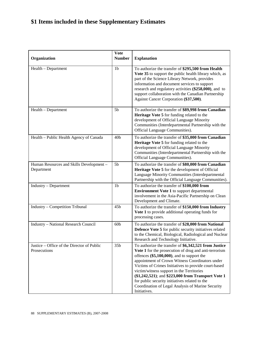# **\$1 Items included in these Supplementary Estimates**

| Organization                                               | <b>Vote</b><br><b>Number</b> | <b>Explanation</b>                                                                                                                                                                                                                                                                                                                                                                                                                                                                                |
|------------------------------------------------------------|------------------------------|---------------------------------------------------------------------------------------------------------------------------------------------------------------------------------------------------------------------------------------------------------------------------------------------------------------------------------------------------------------------------------------------------------------------------------------------------------------------------------------------------|
| Health – Department                                        | 1 <sub>b</sub>               | To authorize the transfer of \$295,500 from Health<br>Vote 35 to support the public health library which, as<br>part of the Science Library Network, provides<br>information and document services to support<br>research and regulatory activities (\$258,000), and to<br>support collaboration with the Canadian Partnership<br>Against Cancer Corporation (\$37,500).                                                                                                                          |
| Health – Department                                        | 5 <sub>b</sub>               | To authorize the transfer of \$89,998 from Canadian<br>Heritage Vote 5 for funding related to the<br>development of Official Language Minority<br>Communities (Interdepartmental Partnership with the<br>Official Language Communities).                                                                                                                                                                                                                                                          |
| Health - Public Health Agency of Canada                    | 40 <sub>b</sub>              | To authorize the transfer of \$35,000 from Canadian<br>Heritage Vote 5 for funding related to the<br>development of Official Language Minority<br>Communities (Interdepartmental Partnership with the<br>Official Language Communities).                                                                                                                                                                                                                                                          |
| Human Resources and Skills Development -<br>Department     | 5 <sub>b</sub>               | To authorize the transfer of \$80,000 from Canadian<br>Heritage Vote 5 for the development of Official<br>Language Minority Communities (Interdepartmental<br>Partnership with the Official Language Communities).                                                                                                                                                                                                                                                                                |
| Industry - Department                                      | 1 <sub>b</sub>               | To authorize the transfer of \$100,000 from<br><b>Environment Vote 1</b> to support departmental<br>involvement in the Asia-Pacific Partnership on Clean<br>Development and Climate.                                                                                                                                                                                                                                                                                                              |
| Industry - Competition Tribunal                            | 45b                          | To authorize the transfer of \$150,000 from Industry<br>Vote 1 to provide additional operating funds for<br>processing cases.                                                                                                                                                                                                                                                                                                                                                                     |
| Industry - National Research Council                       | 60 <sub>b</sub>              | To authorize the transfer of \$28,000 from National<br>Defence Vote 5 for public security initiatives related<br>to the Chemical, Biological, Radiological and Nuclear<br>Research and Technology Initiative.                                                                                                                                                                                                                                                                                     |
| Justice – Office of the Director of Public<br>Prosecutions | 35b                          | To authorize the transfer of \$6,342,521 from Justice<br>Vote 1 for the prosecution of drug and anti-terrorism<br>offences (\$5,100,000), and to support the<br>appointment of Crown Witness Coordinators under<br>Victims of Crimes Initiatives to provide court-based<br>victim/witness support in the Territories<br>(\$1,242,521); and \$223,000 from Transport Vote 1<br>for public security initiatives related to the<br>Coordination of Legal Analysis of Marine Security<br>Initiatives. |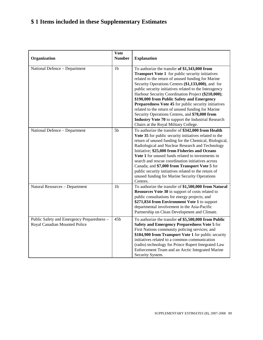# **\$ 1 Items included in these Supplementary Estimates**

| Organization                                                                | Vote<br><b>Number</b> | <b>Explanation</b>                                                                                                                                                                                                                                                                                                                                                                                                                                                                                                                                                                                                                                 |
|-----------------------------------------------------------------------------|-----------------------|----------------------------------------------------------------------------------------------------------------------------------------------------------------------------------------------------------------------------------------------------------------------------------------------------------------------------------------------------------------------------------------------------------------------------------------------------------------------------------------------------------------------------------------------------------------------------------------------------------------------------------------------------|
| National Defence - Department                                               | 1 <sub>b</sub>        | To authorize the transfer of \$1,343,000 from<br><b>Transport Vote 1</b> for public security initiatives<br>related to the return of unused funding for Marine<br>Security Operations Centres (\$1,133,000), and for<br>public security initiatives related to the Interagency<br>Harbour Security Coordination Project (\$210,000);<br>\$190,000 from Public Safety and Emergency<br>Preparedness Vote 45 for public security initiatives<br>related to the return of unused funding for Marine<br>Security Operations Centres, and \$78,000 from<br>Industry Vote 70 to support the Industrial Research<br>Chairs at the Royal Military College. |
| National Defence - Department                                               | 5 <sub>b</sub>        | To authorize the transfer of \$342,000 from Health<br>Vote 35 for public security initiatives related to the<br>return of unused funding for the Chemical, Biological,<br>Radiological and Nuclear Research and Technology<br>Initiative; \$25,000 from Fisheries and Oceans<br>Vote 1 for unused funds related to investments in<br>search and rescue coordination initiatives across<br>Canada; and \$7,000 from Transport Vote 5 for<br>public security initiatives related to the return of<br>unused funding for Marine Security Operations<br>Centres.                                                                                       |
| Natural Resources - Department                                              | 1 <sub>b</sub>        | To authorize the transfer of \$1,500,000 from Natural<br>Resources Vote 30 in support of costs related to<br>public consultations for energy projects; and<br>\$271,834 from Environment Vote 1 to support<br>departmental involvement in the Asia-Pacific<br>Partnership on Clean Development and Climate.                                                                                                                                                                                                                                                                                                                                        |
| Public Safety and Emergency Preparedness -<br>Royal Canadian Mounted Police | 45b                   | To authorize the transfer of \$5,500,000 from Public<br>Safety and Emergency Preparedness Vote 5 for<br>First Nations community policing services; and<br>\$184,900 from Transport Vote 1 for public security<br>initiatives related to a common communication<br>(radio) technology for Prince Rupert Integrated Law<br>Enforcement Team and an Arctic Integrated Marine<br>Security System.                                                                                                                                                                                                                                                      |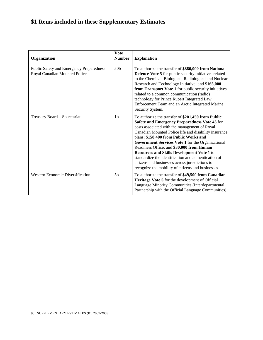# **\$1 Items included in these Supplementary Estimates**

| Organization                                                                | <b>Vote</b><br><b>Number</b> | <b>Explanation</b>                                                                                                                                                                                                                                                                                                                                                                                                                                                                                                                                                              |
|-----------------------------------------------------------------------------|------------------------------|---------------------------------------------------------------------------------------------------------------------------------------------------------------------------------------------------------------------------------------------------------------------------------------------------------------------------------------------------------------------------------------------------------------------------------------------------------------------------------------------------------------------------------------------------------------------------------|
| Public Safety and Emergency Preparedness -<br>Royal Canadian Mounted Police | 50 <sub>b</sub>              | To authorize the transfer of \$880,000 from National<br><b>Defence Vote 5</b> for public security initiatives related<br>to the Chemical, Biological, Radiological and Nuclear<br>Research and Technology Initiative; and \$165,000<br>from Transport Vote 1 for public security initiatives<br>related to a common communication (radio)<br>technology for Prince Rupert Integrated Law<br>Enforcement Team and an Arctic Integrated Marine<br>Security System.                                                                                                                |
| Treasury Board - Secretariat                                                | 1 <sub>b</sub>               | To authorize the transfer of \$201,450 from Public<br>Safety and Emergency Preparedness Vote 45 for<br>costs associated with the management of Royal<br>Canadian Mounted Police life and disability insurance<br>plans; \$158,400 from Public Works and<br>Government Services Vote 1 for the Organizational<br>Readiness Office; and \$30,000 from Human<br><b>Resources and Skills Development Vote 1 to</b><br>standardize the identification and authentication of<br>citizens and businesses across jurisdictions to<br>recognize the mobility of citizens and businesses. |
| <b>Western Economic Diversification</b>                                     | 5 <sub>b</sub>               | To authorize the transfer of \$49,500 from Canadian<br>Heritage Vote 5 for the development of Official<br>Language Minority Communities (Interdepartmental<br>Partnership with the Official Language Communities).                                                                                                                                                                                                                                                                                                                                                              |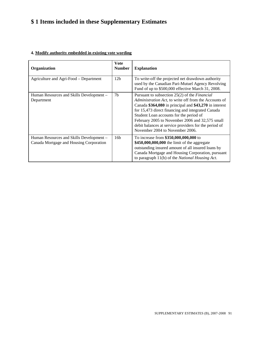# **\$ 1 Items included in these Supplementary Estimates**

| Organization                                                                        | Vote<br><b>Number</b> | <b>Explanation</b>                                                                                                                                                                                                                                                                                                                                                                                                     |
|-------------------------------------------------------------------------------------|-----------------------|------------------------------------------------------------------------------------------------------------------------------------------------------------------------------------------------------------------------------------------------------------------------------------------------------------------------------------------------------------------------------------------------------------------------|
| Agriculture and Agri-Food – Department                                              | 12 <sub>b</sub>       | To write-off the projected net drawdown authority<br>used by the Canadian Pari-Mutuel Agency Revolving<br>Fund of up to \$500,000 effective March 31, 2008.                                                                                                                                                                                                                                                            |
| Human Resources and Skills Development –<br>Department                              | 7 <sub>b</sub>        | Pursuant to subsection 25(2) of the <i>Financial</i><br>Administration Act, to write off from the Accounts of<br>Canada \$364,080 in principal and \$43,270 in interest<br>for 15,473 direct financing and integrated Canada<br>Student Loan accounts for the period of<br>February 2005 to November 2006 and 32,575 small<br>debit balances at service providers for the period of<br>November 2004 to November 2006. |
| Human Resources and Skills Development –<br>Canada Mortgage and Housing Corporation | 16 <sub>b</sub>       | To increase from \$350,000,000,000 to<br>\$450,000,000,000 the limit of the aggregate<br>outstanding insured amount of all insured loans by<br>Canada Mortgage and Housing Corporation, pursuant<br>to paragraph 11(b) of the <i>National Housing Act</i> .                                                                                                                                                            |

#### **4. Modify authority embedded in existing vote wording**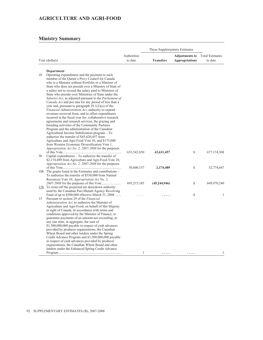#### **AGRICULTURE AND AGRI-FOOD**

|                |                                                                                                                                                                                                                                                                              |               | These Supplementary Estimates |                       |                        |  |  |  |
|----------------|------------------------------------------------------------------------------------------------------------------------------------------------------------------------------------------------------------------------------------------------------------------------------|---------------|-------------------------------|-----------------------|------------------------|--|--|--|
|                |                                                                                                                                                                                                                                                                              | Authorities   |                               | <b>Adjustments to</b> | <b>Total Estimates</b> |  |  |  |
|                | Vote (dollars)                                                                                                                                                                                                                                                               | to date       | <b>Transfers</b>              | <b>Appropriations</b> | to date                |  |  |  |
|                | Department                                                                                                                                                                                                                                                                   |               |                               |                       |                        |  |  |  |
| 1 <sub>b</sub> | Operating expenditures and the payment to each<br>member of the Queen's Privy Council for Canada<br>who is a Minister without Portfolio or a Minister of<br>State who does not preside over a Ministry of State of<br>a salary not to exceed the salary paid to Ministers of |               |                               |                       |                        |  |  |  |
|                | State who preside over Ministries of State under the<br>Salaries Act, as adjusted pursuant to the Parliament of<br><i>Canada Act</i> and pro rata for any period of less than a<br>year and, pursuant to paragraph $29.1(2)(a)$ of the                                       |               |                               |                       |                        |  |  |  |
|                | Financial Administration Act, authority to expend<br>revenues received from, and to offset expenditures<br>incurred in the fiscal year for, collaborative research                                                                                                           |               |                               |                       |                        |  |  |  |
|                | agreements and research services, the grazing and<br>breeding activities of the Community Pastures<br>Program and the administration of the Canadian<br>Agricultural Income Stabilization program - To                                                                       |               |                               |                       |                        |  |  |  |
|                | authorize the transfer of \$43,620,457 from<br>Agriculture and Agri-Food Vote 10, and \$175,000<br>from Western Economic Diversification Vote 1,                                                                                                                             |               |                               |                       |                        |  |  |  |
| 5b             | <i>Appropriation Act No. 2, 2007-2008</i> for the purposes<br>Capital expenditures – To authorize the transfer of                                                                                                                                                            | 633, 542, 850 | 43,631,457                    | $\mathbf{1}$          | 677,174,308            |  |  |  |
|                | \$2,174,489 from Agriculture and Agri-Food Vote 10,<br><i>Appropriation Act No. 2, 2007-2008</i> for the purposes                                                                                                                                                            | 50,600,157    | 2,174,489                     | 1                     | 52,774,647             |  |  |  |
|                | 10b The grants listed in the Estimates and contributions –<br>To authorize the transfer of \$550,000 from Natural                                                                                                                                                            |               |                               |                       |                        |  |  |  |
|                | Resources Vote 10, Appropriation Act No. 2,<br>$12b$ To write-off the projected net drawdown authority<br>used by the Canadian Pari-Mutuel Agency Revolving                                                                                                                  | 695,215,185   | (45, 244, 946)                | 1                     | 649,970,240            |  |  |  |
| 15             | Fund of up to \$500,000 effective March 31, 2008<br>Pursuant to section 29 of the Financial                                                                                                                                                                                  |               |                               | 1                     | 1                      |  |  |  |
|                | Administration Act, to authorize the Minister of<br>Agriculture and Agri-Food, on behalf of Her Majesty<br>in right of Canada, in accordance with terms and                                                                                                                  |               |                               |                       |                        |  |  |  |
|                | conditions approved by the Minister of Finance, to<br>guarantee payments of an amount not exceeding, at<br>any one time, in aggregate, the sum of                                                                                                                            |               |                               |                       |                        |  |  |  |
|                | \$1,500,000,000 payable in respect of cash advances<br>provided by producer organizations, the Canadian<br>Wheat Board and other lenders under the Spring                                                                                                                    |               |                               |                       |                        |  |  |  |
|                | Credit Advance Program and \$1,500,000,000 payable<br>in respect of cash advances provided by producer<br>organizations, the Canadian Wheat Board and other                                                                                                                  |               |                               |                       |                        |  |  |  |
|                | lenders under the Enhanced Spring Credit Advance                                                                                                                                                                                                                             | 1             | .                             | .                     | 1                      |  |  |  |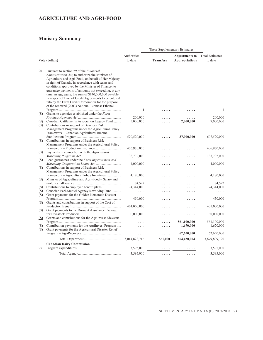#### **AGRICULTURE AND AGRI-FOOD**

|            |                                                                                                        | Authorities   |                  | <b>Adjustments to</b> | <b>Total Estimates</b> |
|------------|--------------------------------------------------------------------------------------------------------|---------------|------------------|-----------------------|------------------------|
|            | Vote (dollars)                                                                                         | to date       | <b>Transfers</b> | <b>Appropriations</b> | to date                |
|            |                                                                                                        |               |                  |                       |                        |
|            |                                                                                                        |               |                  |                       |                        |
| 20         | Pursuant to section 29 of the Financial                                                                |               |                  |                       |                        |
|            | Administration Act, to authorize the Minister of                                                       |               |                  |                       |                        |
|            | Agriculture and Agri-Food, on behalf of Her Majesty                                                    |               |                  |                       |                        |
|            | in right of Canada, in accordance with terms and<br>conditions approved by the Minister of Finance, to |               |                  |                       |                        |
|            | guarantee payments of amounts not exceeding, at any                                                    |               |                  |                       |                        |
|            | time, in aggregate, the sum of \$140,000,000 payable                                                   |               |                  |                       |                        |
|            | in respect of Line of Credit Agreements to be entered                                                  |               |                  |                       |                        |
|            | into by the Farm Credit Corporation for the purpose                                                    |               |                  |                       |                        |
|            | of the renewed (2003) National Biomass Ethanol                                                         |               |                  |                       |                        |
|            |                                                                                                        | 1             | .                |                       | 1                      |
| (S)        | Grants to agencies established under the Farm                                                          |               |                  |                       |                        |
|            |                                                                                                        | 200,000       |                  |                       | 200,000                |
| (S)        | Canadian Cattlemen's Association Legacy Fund                                                           | 5,000,000     |                  | 2,000,000             | 7,000,000              |
| (S)        | Contributions in support of Business Risk                                                              |               |                  |                       |                        |
|            | Management Programs under the Agricultural Policy                                                      |               |                  |                       |                        |
|            | Framework - Canadian Agricultural Income                                                               |               |                  |                       |                        |
|            |                                                                                                        | 570,520,000   |                  | 37,000,000            | 607,520,000            |
| (S)        | Contributions in support of Business Risk                                                              |               |                  |                       |                        |
|            | Management Programs under the Agricultural Policy                                                      |               |                  |                       |                        |
|            |                                                                                                        | 406,970,000   |                  |                       | 406,970,000            |
| (S)        | Payments in connection with the <i>Agricultural</i>                                                    |               |                  |                       |                        |
|            |                                                                                                        | 138,732,000   |                  |                       | 138,732,000            |
| (S)        | Loan guarantees under the Farm Improvement and                                                         |               |                  |                       |                        |
| (S)        | Contributions in support of Business Risk                                                              | 4,000,000     | .                | .                     | 4,000,000              |
|            | Management Programs under the Agricultural Policy                                                      |               |                  |                       |                        |
|            | Framework – Agriculture Policy Initiatives                                                             | 4,180,000     | .                | .                     | 4,180,000              |
| (S)        | Minister of Agriculture and Agri-Food – Salary and                                                     |               |                  |                       |                        |
|            |                                                                                                        | 74,522        |                  |                       | 74,522                 |
| (S)        |                                                                                                        | 74,344,000    |                  |                       | 74,344,000             |
| (S)        | Canadian Pari-Mutuel Agency Revolving Fund                                                             | $\ldots$      | .                | .                     | .                      |
| (S)        | Grant payments for the Golden Nematode Disaster                                                        |               |                  |                       |                        |
|            |                                                                                                        | 450,000       | .                | .                     | 450,000                |
| (S)        | Grants and contributions in support of the Cost of                                                     |               |                  |                       |                        |
|            |                                                                                                        | 401,000,000   |                  |                       | 401,000,000            |
| (S)        | Grant payments to the Drought Assistance Package                                                       |               |                  |                       |                        |
|            |                                                                                                        | 30,000,000    |                  | .                     | 30,000,000             |
| (S)        | Grants and contributions for the AgriInvest Kickstart                                                  |               |                  |                       |                        |
|            | Contribution payments for the Agril nvest Program                                                      |               |                  | 561,100,000           | 561,100,000            |
| (S)<br>(S) | Grant payments for the Agricultural Disaster Relief                                                    | .             |                  | 1,670,000             | 1,670,000              |
|            |                                                                                                        |               | .                | 62,650,000            | 62,650,000             |
|            |                                                                                                        |               |                  |                       |                        |
|            |                                                                                                        | 3,014,828,716 | 561,000          | 664,420,004           | 3,679,809,720          |
|            | <b>Canadian Dairy Commission</b>                                                                       |               |                  |                       |                        |
| 25         |                                                                                                        | 3,595,000     |                  |                       | 3,595,000              |
|            |                                                                                                        | 3,595,000     | .                | .                     | 3,595,000              |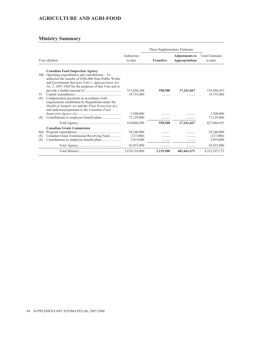#### **AGRICULTURE AND AGRI-FOOD**

| Vote (dollars)  |                                                                                                                                                                                                      |                           | These Supplementary Estimates |                                                |                                   |
|-----------------|------------------------------------------------------------------------------------------------------------------------------------------------------------------------------------------------------|---------------------------|-------------------------------|------------------------------------------------|-----------------------------------|
|                 |                                                                                                                                                                                                      | Authorities<br>to date    | <b>Transfers</b>              | <b>Adjustments to</b><br><b>Appropriations</b> | <b>Total Estimates</b><br>to date |
| 30 <sub>b</sub> | <b>Canadian Food Inspection Agency</b><br>Operating expenditures and contributions $-$ To                                                                                                            |                           |                               |                                                |                                   |
|                 | authorize the transfer of \$586,000 from Public Works<br>and Government Services Vote 1, Appropriation Act<br>No. 2, 2007-2008 for the purposes of this Vote and to                                  |                           |                               |                                                |                                   |
| 35              |                                                                                                                                                                                                      | 517,696,288<br>19,735,000 | 558,500                       | 17,241,667                                     | 535,496,455<br>19,735,000         |
| (S)             | Compensation payments in accordance with<br>requirements established by Regulations under the<br>Health of Animals Act and the Plant Protection Act,<br>and authorized pursuant to the Canadian Food |                           | .                             |                                                |                                   |
|                 |                                                                                                                                                                                                      | 1,500,000                 |                               |                                                | 1,500,000                         |
| (S)             |                                                                                                                                                                                                      | 71,129,000                |                               |                                                | 71,129,000                        |
|                 |                                                                                                                                                                                                      | 610,060,288               | 558,500                       | 17,241,667                                     | 627,860,455                       |
|                 | <b>Canadian Grain Commission</b>                                                                                                                                                                     |                           |                               |                                                |                                   |
| 40a             |                                                                                                                                                                                                      | 38,240,000                |                               |                                                | 38,240,000                        |
| (S)             | Canadian Grain Commission Revolving Fund                                                                                                                                                             | (127,000)                 |                               |                                                | (127,000)                         |
| (S)             |                                                                                                                                                                                                      | 3,919,000                 |                               |                                                | 3,919,000                         |
|                 |                                                                                                                                                                                                      | 42,032,000                | .                             | .                                              | 42,032,000                        |
|                 |                                                                                                                                                                                                      | 3,670,516,004             | 1,119,500                     | 681,661,671                                    | 4,353,297,175                     |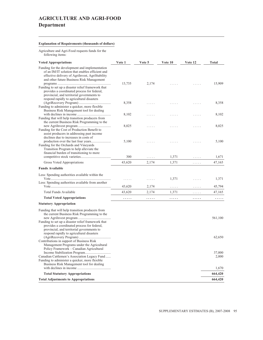# **AGRICULTURE AND AGRI-FOOD Department**

#### **Explanation of Requirements (thousands of dollars)**

Agriculture and Agri-Food requests funds for the following items:

| <b>Voted Appropriations</b>                                                                                                                                                                       | Vote 1 | Vote 5     | Vote 10 | Vote 12 | <b>Total</b> |
|---------------------------------------------------------------------------------------------------------------------------------------------------------------------------------------------------|--------|------------|---------|---------|--------------|
| Funding for the development and implementation<br>of an IM/IT solution that enables efficient and<br>effective delivery of AgriInvest, AgriStability<br>and other future Business Risk Management | 13,735 | 2,174      |         |         | 15,909       |
| Funding to set up a disaster relief framework that<br>provides a coordinated process for federal,<br>provincial, and territorial governments to<br>respond rapidly to agricultural disasters      |        |            |         |         |              |
| Funding to administer a quicker, more flexible<br>Business Risk Management tool for dealing                                                                                                       | 8,358  |            |         |         | 8,358        |
| Funding that will help transition producers from<br>the current Business Risk Programming to the                                                                                                  | 8,102  | .          |         |         | 8,102        |
| Funding for the Cost of Production Benefit to<br>assist producers in addressing past income                                                                                                       | 8,025  | .          | .       | 1.1.1   | 8,025        |
| declines due to increases in costs of<br>Funding for the Orchards and Vineyards<br>Transition Program to help alleviate the                                                                       | 5,100  |            |         |         | 5,100        |
| financial burden of transitioning to more                                                                                                                                                         | 300    |            | 1,371   |         | 1,671        |
| Gross Voted Appropriations                                                                                                                                                                        | 43,620 | .<br>2,174 | 1,371   | .<br>.  | 47,165       |
| <b>Funds Available</b>                                                                                                                                                                            |        |            |         |         |              |
| Less: Spending authorities available within the                                                                                                                                                   |        |            |         |         |              |
|                                                                                                                                                                                                   |        | .          | 1,371   | .       | 1,371        |
| Less: Spending authorities available from another                                                                                                                                                 | 43,620 | 2,174      | $\dots$ | .       | 45,794       |
| Total Funds Available                                                                                                                                                                             | 43,620 | 2,174      | 1,371   | .       | 47,165       |
| <b>Total Voted Appropriations</b>                                                                                                                                                                 | .      | .          | .       | .       | .            |
| <b>Statutory Appropriation</b>                                                                                                                                                                    |        |            |         |         |              |
| Funding that will help transition producers from<br>the current Business Risk Programming to the                                                                                                  |        |            |         |         | 561,100      |
| Funding to set up a disaster relief framework that<br>provides a coordinated process for federal,<br>provincial, and territorial governments to<br>respond rapidly to agricultural disasters      |        |            |         |         |              |
| Contributions in support of Business Risk<br>Management Programs under the Agricultural                                                                                                           |        |            |         |         | 62,650       |
| Policy Framework - Canadian Agricultural                                                                                                                                                          |        |            |         |         | 37,000       |
| Canadian Cattlemen's Association Legacy Fund<br>Funding to administer a quicker, more flexible<br>Business Risk Management tool for dealing                                                       |        |            |         |         | 2,000        |
|                                                                                                                                                                                                   |        |            |         |         | 1,670        |
| <b>Total Statutory Appropriations</b>                                                                                                                                                             |        |            |         |         | 664,420      |
| <b>Total Adjustments to Appropriations</b>                                                                                                                                                        |        |            |         |         | 664,420      |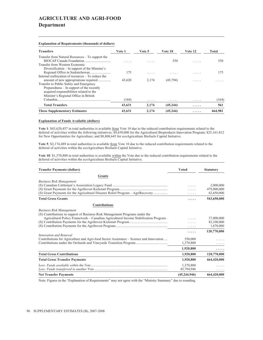## **AGRICULTURE AND AGRI-FOOD Department**

**Explanation of Requirements (thousands of dollars)**

| <b>Transfers</b>                                                                                                                                                                       | Vote 1          | Vote 5     | Vote 10        | Vote 12 | Total      |
|----------------------------------------------------------------------------------------------------------------------------------------------------------------------------------------|-----------------|------------|----------------|---------|------------|
| Transfer from Natural Resources – To support the<br>Transfer from Western Economic<br>Diversification $-$ In support of the Minister's                                                 | .               |            | 550            | .       | 550        |
| Internal reallocation of resources – To reduce the                                                                                                                                     | 175             |            |                |         | 175        |
| Transfer to Public Safety and Emergency<br>Preparedness – In support of the recently<br>acquired responsibilities related to the<br>Minister's Regional Office in British<br>Columbia. | 43,620<br>(164) | 2.174<br>. | (45, 794)<br>. | .<br>.  | .<br>(164) |
| <b>Total Transfers</b>                                                                                                                                                                 | 43,631          | 2,174      | (45, 244)      | .       | 561        |
| <b>These Supplementary Estimates</b>                                                                                                                                                   | 43.631          | 2.174      | (45, 244)      | .       | 664.981    |

#### **Explanation of Funds Available (dollars)**

**Vote 1**: \$43,620,457 in total authorities is available from Vote 10 due to the reduced contribution requirements related to the deferral of activities within the following initiatives: \$9,650,000 for the Agricultural Bioproducts Innovation Program; \$25,161,812 for New Opportunities for Agriculture; and \$8,808,645 for ecoAgriculture Biofuels Capital Initiative.

Vote 5: \$2,174,489 in total authorities is available from Vote 10 due to the reduced contribution requirements related to the deferral of activities within the ecoAgriculture Biofuels Capital Initiative.

Vote 10: \$1,370,800 in total authorities is available within the Vote due to the reduced contribution requirements related to the deferral of activities within the ecoAgriculture Biofuels Capital Initiative.

| <b>Transfer Payments (dollars)</b>                                                     | <b>Voted</b>   | <b>Statutory</b> |
|----------------------------------------------------------------------------------------|----------------|------------------|
| <b>Grants</b>                                                                          |                |                  |
| <b>Business Risk Management</b>                                                        |                |                  |
|                                                                                        |                | 2,000,000        |
|                                                                                        |                | 479,000,000      |
| (S) Grant Payments for the Agricultural Disaster Relief Program – AgriRecovery         | .              | 62,650,000       |
| <b>Total Gross Grants</b>                                                              | .              | 543,650,000      |
| <b>Contributions</b>                                                                   |                |                  |
| <b>Business Risk Management</b>                                                        |                |                  |
| (S) Contributions in support of Business Risk Management Programs under the            |                |                  |
| Agricultural Policy Framework – Canadian Agricultural Income Stabilization Program.    |                | 37,000,000       |
|                                                                                        |                | 82,100,000       |
|                                                                                        | .              | 1,670,000        |
|                                                                                        |                | 120,770,000      |
| Innovation and Renewal                                                                 |                |                  |
| Contributions for Agriculture and Agri-food Sector Assistance – Science and Innovation | 550,000        |                  |
| Contributions under the Orchards and Vineyards Transition Program                      | 1,370,800      |                  |
|                                                                                        | 1,920,800      | .                |
| <b>Total Gross Contributions</b>                                                       | 1,920,800      | 120,770,000      |
| <b>Total Gross Transfer Payments</b>                                                   | 1,920,800      | 664,420,000      |
|                                                                                        | 1,370,800      |                  |
|                                                                                        | 45,794,946     | .                |
| <b>Net Transfer Payments</b>                                                           | (45, 244, 946) | 664,420,000      |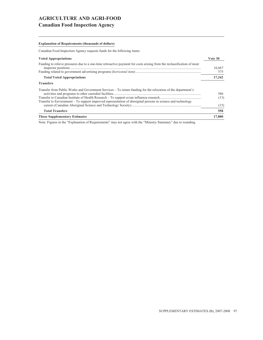### **AGRICULTURE AND AGRI-FOOD Canadian Food Inspection Agency**

#### **Explanation of Requirements (thousands of dollars)**

Canadian Food Inspection Agency requests funds for the following items:

| <b>Voted Appropriations</b>                                                                                            | Vote 30       |
|------------------------------------------------------------------------------------------------------------------------|---------------|
| Funding to relieve pressures due to a one-time retroactive payment for costs arising from the reclassification of meat | 16,667<br>575 |
| <b>Total Voted Appropriations</b>                                                                                      | 17,242        |
| <b>Transfers</b>                                                                                                       |               |
| Transfer from Public Works and Government Services – To return funding for the relocation of the department's          | 586<br>(13)   |
| Transfer to Environment – To support improved representation of aboriginal persons in science and technology           | (15)          |
| <b>Total Transfers</b>                                                                                                 | 558           |
| <b>These Supplementary Estimates</b>                                                                                   | 17,800        |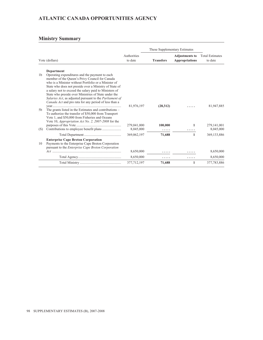# **ATLANTIC CANADA OPPORTUNITIES AGENCY**

|                |                                                                                                                                                                                                                                                                                                                                                                                                                                                          |                        | These Supplementary Estimates |                                                |                                   |
|----------------|----------------------------------------------------------------------------------------------------------------------------------------------------------------------------------------------------------------------------------------------------------------------------------------------------------------------------------------------------------------------------------------------------------------------------------------------------------|------------------------|-------------------------------|------------------------------------------------|-----------------------------------|
|                | Vote (dollars)                                                                                                                                                                                                                                                                                                                                                                                                                                           | Authorities<br>to date | <b>Transfers</b>              | <b>Adjustments to</b><br><b>Appropriations</b> | <b>Total Estimates</b><br>to date |
|                | Department                                                                                                                                                                                                                                                                                                                                                                                                                                               |                        |                               |                                                |                                   |
| 1 <sub>b</sub> | Operating expenditures and the payment to each<br>member of the Queen's Privy Council for Canada<br>who is a Minister without Portfolio or a Minister of<br>State who does not preside over a Ministry of State of<br>a salary not to exceed the salary paid to Ministers of<br>State who preside over Ministries of State under the<br>Salaries Act, as adjusted pursuant to the Parliament of<br>Canada Act and pro rata for any period of less than a |                        |                               |                                                |                                   |
| 5b             | The grants listed in the Estimates and contributions -<br>To authorize the transfer of \$50,000 from Transport<br>Vote 1, and \$50,000 from Fisheries and Oceans<br>Vote 10, Appropriation Act No. 2, 2007-2008 for the                                                                                                                                                                                                                                  | 81,976,197             | (28,312)                      |                                                | 81,947,885                        |
|                |                                                                                                                                                                                                                                                                                                                                                                                                                                                          | 279,041,000            | 100,000                       | 1                                              | 279, 141, 001                     |
| (S)            |                                                                                                                                                                                                                                                                                                                                                                                                                                                          | 8,045,000              |                               |                                                | 8,045,000                         |
|                |                                                                                                                                                                                                                                                                                                                                                                                                                                                          | 369,062,197            | 71,688                        | 1                                              | 369,133,886                       |
| 10             | <b>Enterprise Cape Breton Corporation</b><br>Payments to the Enterprise Cape Breton Corporation<br>pursuant to the Enterprise Cape Breton Corporation                                                                                                                                                                                                                                                                                                    |                        |                               |                                                |                                   |
|                |                                                                                                                                                                                                                                                                                                                                                                                                                                                          | 8,650,000              | .                             |                                                | 8,650,000                         |
|                |                                                                                                                                                                                                                                                                                                                                                                                                                                                          | 8,650,000              | .                             |                                                | 8,650,000                         |
|                |                                                                                                                                                                                                                                                                                                                                                                                                                                                          | 377,712,197            | 71,688                        | 1                                              | 377,783,886                       |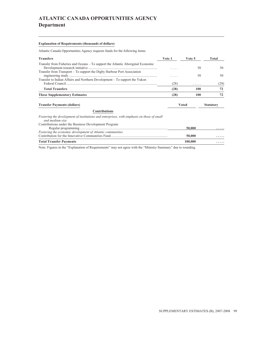# **ATLANTIC CANADA OPPORTUNITIES AGENCY Department**

#### **Explanation of Requirements (thousands of dollars)**

Atlantic Canada Opportunities Agency requests funds for the following items:

| <b>Transfers</b>                                                                 | Vote 1 | Vote 5 | Total |
|----------------------------------------------------------------------------------|--------|--------|-------|
| Transfer from Fisheries and Oceans – To support the Atlantic Aboriginal Economic | .      | 50     | 50    |
| Transfer from Transport – To support the Digby Harbour Port Association          | .      | 50     | 50    |
| Transfer to Indian Affairs and Northern Development – To support the Yukon       | (28)   | .      | (28)  |
| <b>Total Transfers</b>                                                           | (28)   | 100    | 72    |
| <b>These Supplementary Estimates</b>                                             | (28)   | 100    |       |

Contribution for the Innovative Communities Fund.................................................................. **50,000 .....**

#### **Transfer Payments (dollars) Voted Statutory**

#### **Contributions**

*Fostering the development of institutions and enterprises, with emphasis on those of small*

*and medium size*

| Contributions under the Business Development Program       |        |   |
|------------------------------------------------------------|--------|---|
|                                                            | 50,000 | . |
| Fostering the economic development of Atlantic communities |        |   |

**Total Transfer Payments 100,000 .....** Note: Figures in the "Explanation of Requirements" may not agree with the "Ministry Summary" due to rounding.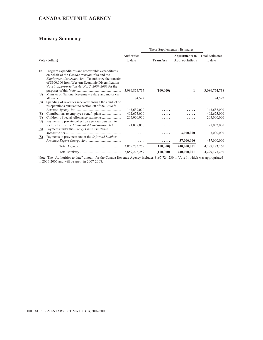#### **CANADA REVENUE AGENCY**

#### **Ministry Summary**

|                |                                                                                                                                                                                                                                                                                                  |                        | These Supplementary Estimates |                                                |                                   |
|----------------|--------------------------------------------------------------------------------------------------------------------------------------------------------------------------------------------------------------------------------------------------------------------------------------------------|------------------------|-------------------------------|------------------------------------------------|-----------------------------------|
| Vote (dollars) |                                                                                                                                                                                                                                                                                                  | Authorities<br>to date | <b>Transfers</b>              | <b>Adjustments to</b><br><b>Appropriations</b> | <b>Total Estimates</b><br>to date |
| 1 <sub>b</sub> | Program expenditures and recoverable expenditures<br>on behalf of the <i>Canada Pension Plan</i> and the<br><i>Employment Insurance <math>Act</math></i> – To authorize the transfer<br>of \$100,000 from Western Economic Diversification<br>Vote 1, Appropriation Act No. 2, 2007-2008 for the |                        |                               |                                                |                                   |
|                |                                                                                                                                                                                                                                                                                                  | 3,086,854,737          | (100,000)                     | 1                                              | 3,086,754,738                     |
| (S)            | Minister of National Revenue - Salary and motor car                                                                                                                                                                                                                                              |                        |                               |                                                |                                   |
|                |                                                                                                                                                                                                                                                                                                  | 74,522                 |                               |                                                | 74,522                            |
| (S)            | Spending of revenues received through the conduct of<br>its operations pursuant to section 60 of the Canada                                                                                                                                                                                      |                        |                               |                                                |                                   |
|                |                                                                                                                                                                                                                                                                                                  | 143,637,000            |                               |                                                | 143,637,000                       |
| (S)            |                                                                                                                                                                                                                                                                                                  | 402,675,000            |                               |                                                | 402,675,000                       |
| (S)            |                                                                                                                                                                                                                                                                                                  | 205,000,000            | .                             | .                                              | 205,000,000                       |
| (S)            | Payments to private collection agencies pursuant to                                                                                                                                                                                                                                              |                        |                               |                                                |                                   |
|                | section 17.1 of the <i>Financial Administration Act</i>                                                                                                                                                                                                                                          | 21,032,000             |                               |                                                | 21,032,000                        |
| <u>(S)</u>     | Payments under the <i>Energy Costs Assistance</i>                                                                                                                                                                                                                                                |                        |                               |                                                |                                   |
|                |                                                                                                                                                                                                                                                                                                  |                        |                               | 3,000,000                                      | 3,000,000                         |
| <u>(S)</u>     | Payments to provinces under the Softwood Lumber                                                                                                                                                                                                                                                  |                        |                               |                                                |                                   |
|                |                                                                                                                                                                                                                                                                                                  | .                      | .                             | 437,000,000                                    | 437,000,000                       |
|                |                                                                                                                                                                                                                                                                                                  |                        | (100,000)                     | 440,000,001                                    | 4,299,173,260                     |
|                |                                                                                                                                                                                                                                                                                                  |                        | (100, 000)                    | 440,000,001                                    | 4,299,173,260                     |

Note: The "Authorities to date" amount for the Canada Revenue Agency includes \$167,724,230 in Vote 1, which was appropriated in 2006-2007 and will be spent in 2007-2008.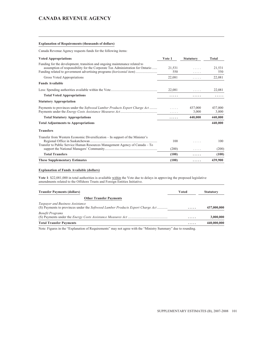#### **CANADA REVENUE AGENCY**

#### **Explanation of Requirements (thousands of dollars)**

Canada Revenue Agency requests funds for the following items:

| <b>Voted Appropriations</b>                                                   | Vote 1  | <b>Statutory</b> | Total   |
|-------------------------------------------------------------------------------|---------|------------------|---------|
| Funding for the development, transition and ongoing maintenance related to    |         |                  |         |
| assumption of responsibility for the Corporate Tax Administration for Ontario | 21,531  | 1.1.1.1          | 21,531  |
| Funding related to government advertising programs <i>(horizontal item)</i>   | 550     | .                | 550     |
| Gross Voted Appropriations                                                    | 22,081  | .                | 22,081  |
| <b>Funds Available</b>                                                        |         |                  |         |
|                                                                               | 22,081  | .                | 22,081  |
| <b>Total Voted Appropriations</b>                                             | .       | .                | .       |
| <b>Statutory Appropriation</b>                                                |         |                  |         |
| Payments to provinces under the Softwood Lumber Products Export Charge Act    | 1.1.1.1 | 437,000          | 437,000 |
|                                                                               |         | 3,000            | 3,000   |
| <b>Total Statutory Appropriations</b>                                         | .       | 440,000          | 440,000 |
| <b>Total Adjustments to Appropriations</b>                                    |         |                  | 440,000 |
| <b>Transfers</b>                                                              |         |                  |         |
| Transfer from Western Economic Diversification – In support of the Minister's |         |                  |         |
|                                                                               | 100     | .                | 100     |
| Transfer to Public Service Human Resources Management Agency of Canada – To   |         |                  |         |
|                                                                               | (200)   | .                | (200)   |
| <b>Total Transfers</b>                                                        | (100)   | .                | (100)   |
| <b>These Supplementary Estimates</b>                                          | (100)   | .                | 439,900 |

#### **Explanation of Funds Available (dollars)**

**Vote 1**: \$22,081,000 in total authorities is available within the Vote due to delays in approving the proposed legislative amendments related to the Offshore Trusts and Foreign Entities Initiative.

| <b>Transfer Payments (dollars)</b>                                                                                        | Voted | <b>Statutory</b> |
|---------------------------------------------------------------------------------------------------------------------------|-------|------------------|
| <b>Other Transfer Payments</b>                                                                                            |       |                  |
| Taxpayer and Business Assistance<br>(S) Payments to provinces under the <i>Softwood Lumber Products Export Charge Act</i> | .     | 437,000,000      |
| <b>Benefit Programs</b>                                                                                                   | .     | 3,000,000        |
| <b>Total Transfer Payments</b>                                                                                            | .     | 440,000,000      |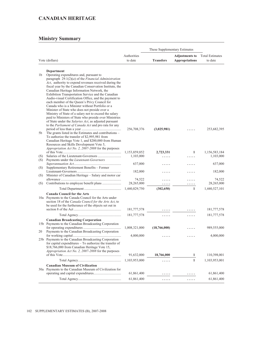|     |                                                                                                                |               | These Supplementary Estimates |                       |                        |
|-----|----------------------------------------------------------------------------------------------------------------|---------------|-------------------------------|-----------------------|------------------------|
|     |                                                                                                                | Authorities   |                               | <b>Adjustments to</b> | <b>Total Estimates</b> |
|     | Vote (dollars)                                                                                                 | to date       | <b>Transfers</b>              | <b>Appropriations</b> | to date                |
|     |                                                                                                                |               |                               |                       |                        |
| 1b  | Department<br>Operating expenditures and, pursuant to                                                          |               |                               |                       |                        |
|     | paragraph $29.1(2)(a)$ of the <i>Financial Administration</i>                                                  |               |                               |                       |                        |
|     | Act, authority to expend revenues received during the                                                          |               |                               |                       |                        |
|     | fiscal year by the Canadian Conservation Institute, the                                                        |               |                               |                       |                        |
|     | Canadian Heritage Information Network, the                                                                     |               |                               |                       |                        |
|     | Exhibition Transportation Service and the Canadian                                                             |               |                               |                       |                        |
|     | Audio-visual Certification Office, and the payment to<br>each member of the Queen's Privy Council for          |               |                               |                       |                        |
|     | Canada who is a Minister without Portfolio or a                                                                |               |                               |                       |                        |
|     | Minister of State who does not preside over a                                                                  |               |                               |                       |                        |
|     | Ministry of State of a salary not to exceed the salary                                                         |               |                               |                       |                        |
|     | paid to Ministers of State who preside over Ministries                                                         |               |                               |                       |                        |
|     | of State under the Salaries Act, as adjusted pursuant<br>to the Parliament of Canada Act and pro rata for any  |               |                               |                       |                        |
|     |                                                                                                                | 256,708,376   | (3,025,981)                   |                       | 253,682,395            |
| 5b  | The grants listed in the Estimates and contributions -                                                         |               |                               |                       |                        |
|     | To authorize the transfer of \$2,995,981 from                                                                  |               |                               |                       |                        |
|     | Canadian Heritage Vote 1, and \$200,000 from Human                                                             |               |                               |                       |                        |
|     | Resources and Skills Development Vote 5,                                                                       |               |                               |                       |                        |
|     | Appropriation Act No. 2, 2007-2008 for the purposes                                                            | 1,153,859,852 | 2,723,331                     | 1                     | 1,156,583,184          |
| (S) |                                                                                                                | 1,103,000     | .                             | .                     | 1,103,000              |
| (S) | Payments under the <i>Lieutenant-Governors</i>                                                                 |               |                               |                       |                        |
|     |                                                                                                                | 637,000       | .                             |                       | 637,000                |
| (S) | Supplementary Retirement Benefits - Former                                                                     | 182,000       | .                             |                       | 182,000                |
| (S) | Minister of Canadian Heritage - Salary and motor car                                                           |               |                               |                       |                        |
|     |                                                                                                                | 74,522        | .                             |                       | 74,522                 |
| (S) |                                                                                                                | 28,265,000    | .                             |                       | 28,265,000             |
|     |                                                                                                                | 1,440,829,750 | (302, 650)                    | $\mathbf{1}$          | 1,440,527,101          |
|     | <b>Canada Council for the Arts</b>                                                                             |               |                               |                       |                        |
|     | 10a Payments to the Canada Council for the Arts under                                                          |               |                               |                       |                        |
|     | section 18 of the Canada Council for the Arts Act, to<br>be used for the furtherance of the objects set out in |               |                               |                       |                        |
|     |                                                                                                                | 181,777,578   |                               |                       | 181,777,578            |
|     |                                                                                                                | 181,777,578   | .                             | .                     | 181,777,578            |
|     | <b>Canadian Broadcasting Corporation</b>                                                                       |               |                               |                       |                        |
|     | 15b Payments to the Canadian Broadcasting Corporation                                                          |               |                               |                       |                        |
|     |                                                                                                                | 1,008,321,000 | (18,766,000)                  |                       | 989,555,000            |
| 20  | Payments to the Canadian Broadcasting Corporation                                                              |               |                               |                       | 4,000,000              |
|     | 25b Payments to the Canadian Broadcasting Corporation                                                          | 4,000,000     | .                             |                       |                        |
|     | for capital expenditures - To authorize the transfer of                                                        |               |                               |                       |                        |
|     | \$18,766,000 from Canadian Heritage Vote 15,                                                                   |               |                               |                       |                        |
|     | Appropriation Act No. 2, 2007-2008 for the purposes                                                            |               |                               |                       |                        |
|     |                                                                                                                | 91,632,000    | 18,766,000                    | 1                     | 110,398,001            |
|     |                                                                                                                | 1,103,953,000 | .                             | $\mathbf{1}$          | 1,103,953,001          |
|     | <b>Canadian Museum of Civilization</b>                                                                         |               |                               |                       |                        |
|     | 30a Payments to the Canadian Museum of Civilization for                                                        | 61,861,400    |                               |                       | 61,861,400             |
|     |                                                                                                                |               |                               |                       |                        |
|     |                                                                                                                | 61,861,400    | .                             | .                     | 61,861,400             |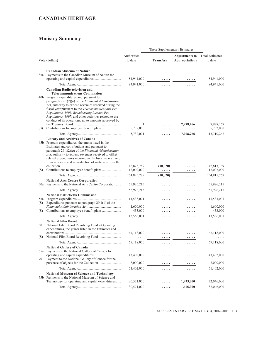|     |                                                                                                                                                                                                                                                                                                                                                                                                                    |                           | These Supplementary Estimates |                                                |                                   |
|-----|--------------------------------------------------------------------------------------------------------------------------------------------------------------------------------------------------------------------------------------------------------------------------------------------------------------------------------------------------------------------------------------------------------------------|---------------------------|-------------------------------|------------------------------------------------|-----------------------------------|
|     | Vote (dollars)                                                                                                                                                                                                                                                                                                                                                                                                     | Authorities<br>to date    | <b>Transfers</b>              | <b>Adjustments to</b><br><b>Appropriations</b> | <b>Total Estimates</b><br>to date |
|     | <b>Canadian Museum of Nature</b>                                                                                                                                                                                                                                                                                                                                                                                   |                           |                               |                                                |                                   |
|     | 35a Payments to the Canadian Museum of Nature for                                                                                                                                                                                                                                                                                                                                                                  |                           |                               |                                                |                                   |
|     |                                                                                                                                                                                                                                                                                                                                                                                                                    | 84,941,000                |                               |                                                | 84,941,000                        |
|     |                                                                                                                                                                                                                                                                                                                                                                                                                    | 84,941,000                | .                             | .                                              | 84,941,000                        |
|     | <b>Canadian Radio-television and</b><br><b>Telecommunications Commission</b><br>40b Program expenditures and, pursuant to<br>paragraph $29.1(2)(a)$ of the <i>Financial Administration</i><br>Act, authority to expend revenues received during the<br>fiscal year pursuant to the Telecommunications Fee<br>Regulations, 1995, Broadcasting Licence Fee<br>Regulations, 1997, and other activities related to the |                           |                               |                                                |                                   |
|     | conduct of its operations, up to amounts approved by                                                                                                                                                                                                                                                                                                                                                               |                           |                               |                                                |                                   |
|     |                                                                                                                                                                                                                                                                                                                                                                                                                    | 1                         |                               | 7,978,266                                      | 7,978,267                         |
| (S) |                                                                                                                                                                                                                                                                                                                                                                                                                    | 5,732,000                 | .                             | .                                              | 5,732,000                         |
|     |                                                                                                                                                                                                                                                                                                                                                                                                                    | 5,732,001                 | .                             | 7,978,266                                      | 13,710,267                        |
|     | <b>Library and Archives of Canada</b><br>45b Program expenditures, the grants listed in the<br>Estimates and contributions and pursuant to<br>paragraph $29.1(2)(a)$ of the <i>Financial Administration</i><br>Act, authority to expend revenues received to offset<br>related expenditures incurred in the fiscal year arising<br>from access to and reproduction of materials from the                           |                           |                               |                                                |                                   |
| (S) |                                                                                                                                                                                                                                                                                                                                                                                                                    | 142,823,789<br>12,002,000 | (10, 020)<br>.                | .                                              | 142,813,769<br>12,002,000         |
|     |                                                                                                                                                                                                                                                                                                                                                                                                                    | 154,825,789               | (10, 020)                     | .                                              | 154,815,769                       |
|     | <b>National Arts Centre Corporation</b>                                                                                                                                                                                                                                                                                                                                                                            |                           |                               |                                                |                                   |
|     | 50a Payments to the National Arts Centre Corporation                                                                                                                                                                                                                                                                                                                                                               | 55,926,215                | .                             | .                                              | 55,926,215                        |
|     |                                                                                                                                                                                                                                                                                                                                                                                                                    | 55,926,215                | .                             | .                                              | 55,926,215                        |
|     | <b>National Battlefields Commission</b>                                                                                                                                                                                                                                                                                                                                                                            |                           |                               |                                                |                                   |
|     | Expenditures pursuant to paragraph $29.1(1)$ of the                                                                                                                                                                                                                                                                                                                                                                | 11,533,001                | .                             | .                                              | 11,533,001                        |
| (S) |                                                                                                                                                                                                                                                                                                                                                                                                                    | 1,600,000                 | .                             | .                                              | 1,600,000                         |
| (S) |                                                                                                                                                                                                                                                                                                                                                                                                                    | 433,000                   | .                             | .                                              | 433,000                           |
|     |                                                                                                                                                                                                                                                                                                                                                                                                                    | 13,566,001                | .                             | .                                              | 13,566,001                        |
| 60  | <b>National Film Board</b><br>National Film Board Revolving Fund - Operating<br>expenditures, the grants listed in the Estimates and                                                                                                                                                                                                                                                                               |                           |                               |                                                |                                   |
|     |                                                                                                                                                                                                                                                                                                                                                                                                                    | 67,118,000                | .                             | .                                              | 67,118,000                        |
| (S) |                                                                                                                                                                                                                                                                                                                                                                                                                    |                           |                               |                                                |                                   |
|     |                                                                                                                                                                                                                                                                                                                                                                                                                    | 67,118,000                |                               |                                                | 67,118,000                        |
| 70  | <b>National Gallery of Canada</b><br>65a Payments to the National Gallery of Canada for<br>Payment to the National Gallery of Canada for the                                                                                                                                                                                                                                                                       | 43,402,000<br>8,000,000   |                               |                                                | 43,402,000<br>8,000,000           |
|     |                                                                                                                                                                                                                                                                                                                                                                                                                    | 51,402,000                | .                             | .                                              | 51,402,000                        |
|     | <b>National Museum of Science and Technology</b><br>75b Payments to the National Museum of Science and                                                                                                                                                                                                                                                                                                             |                           |                               |                                                |                                   |
|     | Technology for operating and capital expenditures                                                                                                                                                                                                                                                                                                                                                                  | 30,571,000                |                               | 1,475,000                                      | 32,046,000                        |
|     |                                                                                                                                                                                                                                                                                                                                                                                                                    | 30,571,000                | .                             | 1,475,000                                      | 32,046,000                        |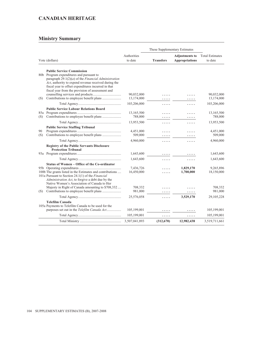|            |                                                                                                                                                                                                                                                                                                                                                             |                          | These Supplementary Estimates |                                                |                                   |
|------------|-------------------------------------------------------------------------------------------------------------------------------------------------------------------------------------------------------------------------------------------------------------------------------------------------------------------------------------------------------------|--------------------------|-------------------------------|------------------------------------------------|-----------------------------------|
|            | Vote (dollars)                                                                                                                                                                                                                                                                                                                                              | Authorities<br>to date   | <b>Transfers</b>              | <b>Adjustments to</b><br><b>Appropriations</b> | <b>Total Estimates</b><br>to date |
| (S)        | <b>Public Service Commission</b><br>80b Program expenditures and pursuant to<br>paragraph $29.1(2)(a)$ of the <i>Financial Administration</i><br>Act, authority to expend revenue received during the<br>fiscal year to offset expenditures incurred in that<br>fiscal year from the provision of assessment and<br>Contributions to employee benefit plans | 90,032,000<br>13,174,000 | .                             |                                                | 90,032,000<br>13,174,000          |
|            |                                                                                                                                                                                                                                                                                                                                                             | 103,206,000              | .                             | .                                              | 103,206,000                       |
| 85a<br>(S) | <b>Public Service Labour Relations Board</b>                                                                                                                                                                                                                                                                                                                | 13,165,500<br>788,000    | .<br>.                        |                                                | 13,165,500<br>788,000             |
|            |                                                                                                                                                                                                                                                                                                                                                             | 13,953,500               | .                             | .                                              | 13,953,500                        |
| 90<br>(S)  | <b>Public Service Staffing Tribunal</b>                                                                                                                                                                                                                                                                                                                     | 4,451,000<br>509,000     | .                             | .                                              | 4,451,000<br>509,000              |
|            |                                                                                                                                                                                                                                                                                                                                                             | 4,960,000                | .                             | .                                              | 4,960,000                         |
|            | <b>Registry of the Public Servants Disclosure</b><br><b>Protection Tribunal</b>                                                                                                                                                                                                                                                                             | 1,643,600                | .                             | .                                              | 1,643,600                         |
|            |                                                                                                                                                                                                                                                                                                                                                             | 1,643,600                | .                             | .                                              | 1,643,600                         |
|            | Status of Women - Office of the Co-ordinator<br>100b The grants listed in the Estimates and contributions<br>101a Pursuant to Section 24.1(1) of the Financial<br>Administration Act, to forgive a debt due by the<br>Native Women's Association of Canada to Her                                                                                           | 7,436,726<br>16,450,000  | $\cdot$ $\cdot$ $\cdot$       | 1,829,170<br>1,700,000                         | 9,265,896<br>18,150,000           |
| (S)        | Majesty in Right of Canada amounting to \$708,332                                                                                                                                                                                                                                                                                                           | 708,332<br>981,000       |                               |                                                | 708,332<br>981,000                |
|            |                                                                                                                                                                                                                                                                                                                                                             | 25,576,058               | .                             | 3,529,170                                      | 29, 105, 228                      |
|            | Telefilm Canada<br>105a Payments to Telefilm Canada to be used for the<br>purposes set out in the Telefilm Canada Act                                                                                                                                                                                                                                       | 105,199,001              |                               |                                                | 105,199,001                       |
|            |                                                                                                                                                                                                                                                                                                                                                             | 105,199,001              | .                             | .                                              | 105,199,001                       |
|            |                                                                                                                                                                                                                                                                                                                                                             | 3,507,041,893            | (312,670)                     | 12,982,438                                     | 3,519,711,661                     |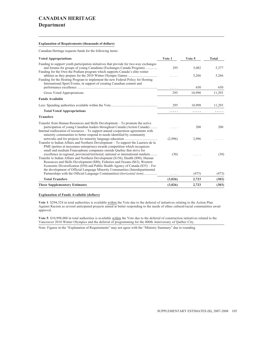#### **Department**

#### **Explanation of Requirements (thousands of dollars)**

Canadian Heritage requests funds for the following items:

| <b>Voted Appropriations</b>                                                                                                                                                                                                                                                                                                                                                                                                                                                                                   | Vote 1    | Vote 5 | <b>Total</b>  |
|---------------------------------------------------------------------------------------------------------------------------------------------------------------------------------------------------------------------------------------------------------------------------------------------------------------------------------------------------------------------------------------------------------------------------------------------------------------------------------------------------------------|-----------|--------|---------------|
| Funding to support youth participation initiatives that provide for two-way exchanges<br>and forums for groups of young Canadians (Exchanges Canada Program)                                                                                                                                                                                                                                                                                                                                                  | 295       | 5,082  | 5,377         |
| Funding for the Own the Podium program which supports Canada's elite winter<br>Funding for the Hosting Program to implement the new Federal Policy for Hosting                                                                                                                                                                                                                                                                                                                                                |           | 5,266  | 5,266         |
| International Sport Events, in support of creating Canadian content and                                                                                                                                                                                                                                                                                                                                                                                                                                       | .         | 650    | 650           |
| Gross Voted Appropriations                                                                                                                                                                                                                                                                                                                                                                                                                                                                                    | 295       | 10,998 | 11,293        |
| <b>Funds Available</b>                                                                                                                                                                                                                                                                                                                                                                                                                                                                                        |           |        |               |
|                                                                                                                                                                                                                                                                                                                                                                                                                                                                                                               | 295       | 10,998 | 11,293        |
| <b>Total Voted Appropriations</b>                                                                                                                                                                                                                                                                                                                                                                                                                                                                             | .         | .      | .             |
| <b>Transfers</b>                                                                                                                                                                                                                                                                                                                                                                                                                                                                                              |           |        |               |
| Transfer from Human Resources and Skills Development – To promote the active<br>participation of young Canadian leaders throughout Canada (Action Canada)<br>Internal reallocation of resources – To support annual cooperation agreements with                                                                                                                                                                                                                                                               |           | 200    | 200           |
| minority communities to better respond to needs identified by community<br>Transfer to Indian Affairs and Northern Development – To support the Lauriers de la<br>PME (petites et moyennes entreprises) awards competition which recognizes<br>small and medium Francophone companies outside Quebec that strive for                                                                                                                                                                                          | (2,996)   | 2,996  |               |
| excellence in regional, provincial/territorial, national or international markets<br>Transfer to Indian Affairs and Northern Development (\$156), Health (\$90), Human<br>Resources and Skills Development (\$80), Fisheries and Oceans (\$63), Western<br>Economic Diversification (\$50) and Public Health Agency of Canada (\$35) – For<br>the development of Official Language Minority Communities (Interdepartmental<br>Partnerships with the Official Language Communities) ( <i>horizontal item</i> ) | (30)<br>. | (473)  | (30)<br>(473) |
| <b>Total Transfers</b>                                                                                                                                                                                                                                                                                                                                                                                                                                                                                        | (3,026)   | 2,723  | (303)         |
| <b>These Supplementary Estimates</b>                                                                                                                                                                                                                                                                                                                                                                                                                                                                          | (3,026)   | 2,723  | (303)         |

#### **Explanation of Funds Available (dollars)**

**Vote 1**: \$294,524 in total authorities is available within the Vote due to the deferral of initiatives relating to the Action Plan Against Racism as several anticipated projects aimed at better responding to the needs of ethno cultural/racial communities await approval.

**Vote 5**: \$10,998,000 in total authorities is available within the Vote due to the deferral of construction initiatives related to the Vancouver 2010 Winter Olympics and the deferral of programming for the 400th Anniversary of Québec City.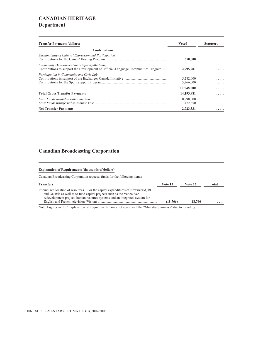### **CANADIAN HERITAGE Department**

| <b>Transfer Payments (dollars)</b>                                                                                               | <b>Voted</b>           | <b>Statutory</b> |
|----------------------------------------------------------------------------------------------------------------------------------|------------------------|------------------|
| <b>Contributions</b>                                                                                                             |                        |                  |
| Sustainability of Cultural Expression and Participation                                                                          | 650,000                |                  |
| Community Development and Capacity-Building<br>Contributions to support the Development of Official-Language Communities Program | 2,995,981              | .                |
| Participation in Community and Civic Life                                                                                        | 5,282,000<br>5,266,000 |                  |
|                                                                                                                                  | 10,548,000             | .                |
| <b>Total Gross Transfer Payments</b>                                                                                             | 14,193,981             | .                |
|                                                                                                                                  | 10,998,000<br>472,650  | .<br>.           |
| <b>Net Transfer Payments</b>                                                                                                     | 2,723,331              | .                |

#### **Canadian Broadcasting Corporation**

#### **Explanation of Requirements (thousands of dollars)**

Canadian Broadcasting Corporation requests funds for the following items:

| <b>Transfers</b>                                                                    | Vote 15  | Vote 25 | Total |
|-------------------------------------------------------------------------------------|----------|---------|-------|
| Internal reallocation of resources – For the capital expenditures of Newsworld, RDI |          |         |       |
| and Galaxie as well as to fund capital projects such as the Vancouver               |          |         |       |
| redevelopment project, human resource systems and an integrated system for          |          |         |       |
|                                                                                     | (18,766) | 18.766  | .     |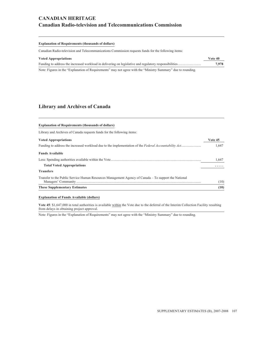### **CANADIAN HERITAGE Canadian Radio-television and Telecommunications Commission**

#### **Explanation of Requirements (thousands of dollars)**

Canadian Radio-television and Telecommunications Commission requests funds for the following items:

| <b>Voted Appropriations</b>                                                                                   | Vote 40 |
|---------------------------------------------------------------------------------------------------------------|---------|
|                                                                                                               | 7,978   |
| Note: Figures in the "Explanation of Requirements" may not agree with the "Ministry Summary" due to rounding. |         |

#### **Library and Archives of Canada**

| <b>Explanation of Requirements (thousands of dollars)</b>                                            |         |
|------------------------------------------------------------------------------------------------------|---------|
| Library and Archives of Canada requests funds for the following items:                               |         |
| <b>Voted Appropriations</b>                                                                          | Vote 45 |
|                                                                                                      | 1.647   |
| <b>Funds Available</b>                                                                               |         |
|                                                                                                      | 1.647   |
| <b>Total Voted Appropriations</b>                                                                    | .       |
| <b>Transfers</b>                                                                                     |         |
| Transfer to the Public Service Human Resources Management Agency of Canada – To support the National | (10)    |
| <b>These Supplementary Estimates</b>                                                                 | (10)    |

#### **Explanation of Funds Available (dollars)**

**Vote 45**: \$1,647,000 in total authorities is available within the Vote due to the deferral of the Interim Collection Facility resulting from delays in obtaining project approval.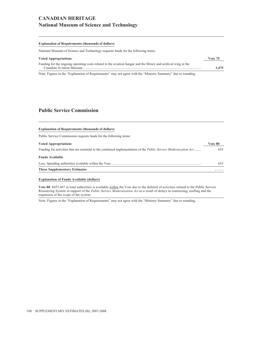### **CANADIAN HERITAGE National Museum of Science and Technology**

#### **Explanation of Requirements (thousands of dollars)**

National Museum of Science and Technology requests funds for the following items:

| <b>Voted Appropriations</b>                                                                                     | Vote 75 |
|-----------------------------------------------------------------------------------------------------------------|---------|
| Funding for the ongoing operating costs related to the aviation hangar and the library and archival wing at the |         |
|                                                                                                                 | 1.475   |

Note: Figures in the "Explanation of Requirements" may not agree with the "Ministry Summary" due to rounding.

#### **Public Service Commission**

| <b>Explanation of Requirements (thousands of dollars)</b>                                                                |         |
|--------------------------------------------------------------------------------------------------------------------------|---------|
| Public Service Commission requests funds for the following items:                                                        |         |
|                                                                                                                          |         |
| <b>Voted Appropriations</b>                                                                                              | Vote 80 |
| Funding for activities that are essential to the continued implementation of the <i>Public Service Modernization Act</i> | 655     |
| <b>Funds Available</b>                                                                                                   |         |
|                                                                                                                          | 655     |
| <b>These Supplementary Estimates</b>                                                                                     |         |

#### **Explanation of Funds Available (dollars)**

**Vote 80**: \$655,467 in total authorities is available within the Vote due to the deferral of activities related to the Public Service Resourcing System in support of the *Public Service Modernization Act* as a result of delays in contracting, staffing and the expansion of the scope of the system.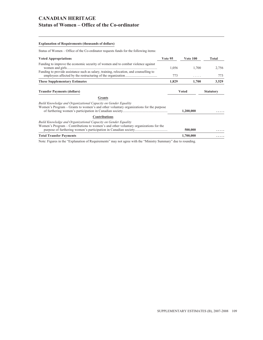### **CANADIAN HERITAGE Status of Women – Office of the Co-ordinator**

#### **Explanation of Requirements (thousands of dollars)**

Status of Women – Office of the Co-ordinator requests funds for the following items:

| <b>Voted Appropriations</b>                                                                                                                             | Vote 95 | <b>Vote 100</b> | Total            |
|---------------------------------------------------------------------------------------------------------------------------------------------------------|---------|-----------------|------------------|
| Funding to improve the economic security of women and to combat violence against                                                                        | 1,056   | 1,700           | 2,756            |
| Funding to provide assistance such as salary, training, relocation, and counselling to                                                                  | 773     | .               | 773              |
| <b>These Supplementary Estimates</b>                                                                                                                    | 1,829   | 1,700           | 3,529            |
| <b>Transfer Payments (dollars)</b>                                                                                                                      |         | <b>Voted</b>    | <b>Statutory</b> |
| <b>Grants</b>                                                                                                                                           |         |                 |                  |
| Build Knowledge and Organizational Capacity on Gender Equality<br>Women's Program – Grants to women's and other voluntary organizations for the purpose |         | 1,200,000       |                  |
| <b>Contributions</b>                                                                                                                                    |         |                 |                  |
| Build Knowledge and Organizational Capacity on Gender Equality<br>Women's Program – Contributions to women's and other voluntary organizations for the  |         | 500,000         |                  |
| <b>Total Transfer Payments</b>                                                                                                                          |         | 1,700,000       |                  |
|                                                                                                                                                         |         |                 |                  |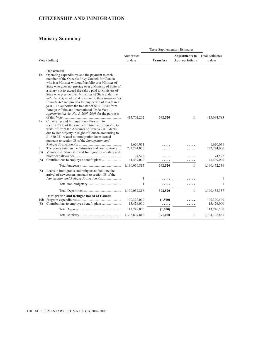### **CITIZENSHIP AND IMMIGRATION**

|                |                                                                                                                                                                                                                                                                                                                                                                                                                                                                                                                                                                                                                                                  |                           | These Supplementary Estimates |                                                |                                   |  |
|----------------|--------------------------------------------------------------------------------------------------------------------------------------------------------------------------------------------------------------------------------------------------------------------------------------------------------------------------------------------------------------------------------------------------------------------------------------------------------------------------------------------------------------------------------------------------------------------------------------------------------------------------------------------------|---------------------------|-------------------------------|------------------------------------------------|-----------------------------------|--|
|                | Vote (dollars)                                                                                                                                                                                                                                                                                                                                                                                                                                                                                                                                                                                                                                   | Authorities<br>to date    | <b>Transfers</b>              | <b>Adjustments to</b><br><b>Appropriations</b> | <b>Total Estimates</b><br>to date |  |
| 1 <sub>b</sub> | <b>Department</b><br>Operating expenditures and the payment to each<br>member of the Queen's Privy Council for Canada<br>who is a Minister without Portfolio or a Minister of<br>State who does not preside over a Ministry of State of<br>a salary not to exceed the salary paid to Ministers of<br>State who preside over Ministries of State under the<br>Salaries Act, as adjusted pursuant to the Parliament of<br>Canada Act and pro rata for any period of less than a<br>year – To authorize the transfer of $$1,019,640$ from<br>Foreign Affairs and International Trade Vote 1,<br>Appropriation Act No. 2, 2007-2008 for the purposes |                           |                               |                                                |                                   |  |
| 2a             | Citizenship and Immigration – Pursuant to<br>section 25(2) of the Financial Administration Act, to<br>write-off from the Accounts of Canada 2,813 debts<br>due to Her Majesty in Right of Canada amounting to<br>\$1,620,031 related to immigration loans issued<br>pursuant to section 88 of the Immigration and                                                                                                                                                                                                                                                                                                                                | 414,702,262               | 392,520                       | 1                                              | 415,094,783                       |  |
| 5<br>(S)       | The grants listed in the Estimates and contributions<br>Minister of Citizenship and Immigration – Salary and                                                                                                                                                                                                                                                                                                                                                                                                                                                                                                                                     | 1,620,031<br>732,224,000  |                               |                                                | 1,620,031<br>732,224,000          |  |
| (S)            |                                                                                                                                                                                                                                                                                                                                                                                                                                                                                                                                                                                                                                                  | 74,522<br>41,439,000      | .                             |                                                | 74,522<br>41,439,000              |  |
|                |                                                                                                                                                                                                                                                                                                                                                                                                                                                                                                                                                                                                                                                  | 1,190,059,815             | 392,520                       | $\mathbf{1}$                                   | 1,190,452,336                     |  |
| (S)            | Loans to immigrants and refugees to facilitate the<br>arrival of newcomers pursuant to section 88 of the                                                                                                                                                                                                                                                                                                                                                                                                                                                                                                                                         |                           |                               |                                                |                                   |  |
|                | Immigration and Refugee Protection Act.                                                                                                                                                                                                                                                                                                                                                                                                                                                                                                                                                                                                          | 1                         | .                             |                                                | 1                                 |  |
|                |                                                                                                                                                                                                                                                                                                                                                                                                                                                                                                                                                                                                                                                  | 1                         |                               |                                                | 1                                 |  |
|                |                                                                                                                                                                                                                                                                                                                                                                                                                                                                                                                                                                                                                                                  | 1,190,059,816             | 392,520                       | $\mathbf{1}$                                   | 1,190,452,337                     |  |
| (S)            | <b>Immigration and Refugee Board of Canada</b>                                                                                                                                                                                                                                                                                                                                                                                                                                                                                                                                                                                                   | 100,322,000<br>13,426,000 | (1,500)<br>.                  | .                                              | 100,320,500<br>13,426,000         |  |
|                |                                                                                                                                                                                                                                                                                                                                                                                                                                                                                                                                                                                                                                                  | 113,748,000               | (1,500)                       | .                                              | 113,746,500                       |  |
|                |                                                                                                                                                                                                                                                                                                                                                                                                                                                                                                                                                                                                                                                  | 1,303,807,816             | 391,020                       | $\mathbf{1}$                                   | 1,304,198,837                     |  |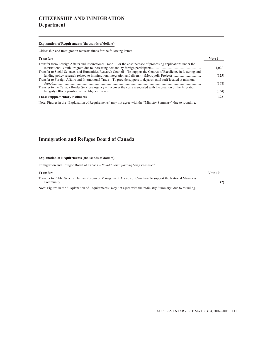# **CITIZENSHIP AND IMMIGRATION Department**

#### **Explanation of Requirements (thousands of dollars)**

Citizenship and Immigration requests funds for the following items:

| <b>Transfers</b>                                                                                                    | Vote 1 |
|---------------------------------------------------------------------------------------------------------------------|--------|
| Transfer from Foreign Affairs and International Trade – For the cost increase of processing applications under the  | 1.020  |
| Transfer to Social Sciences and Humanities Research Council – To support the Centres of Excellence in fostering and | (125)  |
| Transfer to Foreign Affairs and International Trade - To provide support to departmental staff located at missions  | (168)  |
| Transfer to the Canada Border Services Agency – To cover the costs associated with the creation of the Migration    | (334)  |
| <b>These Supplementary Estimates</b>                                                                                | 393    |

Note: Figures in the "Explanation of Requirements" may not agree with the "Ministry Summary" due to rounding.

#### **Immigration and Refugee Board of Canada**

#### **Explanation of Requirements (thousands of dollars)**

Immigration and Refugee Board of Canada – *No additional funding being requested*

#### **Transfers Vote 10**

Transfer to Public Service Human Resources Management Agency of Canada – To support the National Managers' Community ................................................................................................................................................................... **(2)**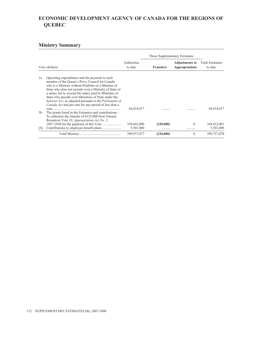# **ECONOMIC DEVELOPMENT AGENCY OF CANADA FOR THE REGIONS OF QUEBEC**

|     |                                                                                                                                                                                                                                                                                                                                                                                                                                                                 |                          | These Supplementary Estimates |                                                |                                   |
|-----|-----------------------------------------------------------------------------------------------------------------------------------------------------------------------------------------------------------------------------------------------------------------------------------------------------------------------------------------------------------------------------------------------------------------------------------------------------------------|--------------------------|-------------------------------|------------------------------------------------|-----------------------------------|
|     | Vote (dollars)                                                                                                                                                                                                                                                                                                                                                                                                                                                  | Authorities<br>to date   | <b>Transfers</b>              | <b>Adjustments to</b><br><b>Appropriations</b> | <b>Total Estimates</b><br>to date |
| 1a  | Operating expenditures and the payment to each<br>member of the Queen's Privy Council for Canada<br>who is a Minister without Portfolio or a Minister of<br>State who does not preside over a Ministry of State of<br>a salary not to exceed the salary paid to Ministers of<br>State who preside over Ministries of State under the<br>Salaries Act, as adjusted pursuant to the Parliament of<br><i>Canada Act</i> and pro rata for any period of less than a | 44,434,077               |                               |                                                | 44,434,077                        |
| 5b  | The grants listed in the Estimates and contributions –<br>To authorize the transfer of \$125,000 from Natural<br>Resources Vote 10, Appropriation Act No. 2,                                                                                                                                                                                                                                                                                                    |                          |                               |                                                |                                   |
| (S) |                                                                                                                                                                                                                                                                                                                                                                                                                                                                 | 350,042,000<br>5,501,000 | (220,000)                     | 1                                              | 349,822,001<br>5,501,000          |
|     |                                                                                                                                                                                                                                                                                                                                                                                                                                                                 | 399,977,077              | (220,000)                     |                                                | 399,757,078                       |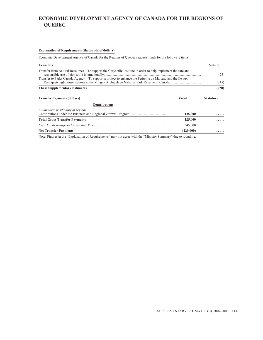# **ECONOMIC DEVELOPMENT AGENCY OF CANADA FOR THE REGIONS OF QUEBEC**

#### **Explanation of Requirements (thousands of dollars)**

Economic Development Agency of Canada for the Regions of Quebec requests funds for the following items:

| <b>Transfers</b>                                                                                              |           | Vote 5           |  |
|---------------------------------------------------------------------------------------------------------------|-----------|------------------|--|
| Transfer from Natural Resources – To support the Chrysotile Institute in order to help implement the safe and |           | 125              |  |
| Transfer to Parks Canada Agency - To support a project to enhance the Petite Île au Marteau and the Île aux   |           |                  |  |
| <b>These Supplementary Estimates</b>                                                                          |           | (220)            |  |
| <b>Transfer Payments (dollars)</b>                                                                            | Voted     | <b>Statutory</b> |  |
| <b>Contributions</b>                                                                                          |           |                  |  |
| Competitive positioning of regions                                                                            | 125,000   | .                |  |
| <b>Total Gross Transfer Payments</b>                                                                          | 125,000   | .                |  |
|                                                                                                               | 345,000   | .                |  |
| <b>Net Transfer Payments</b>                                                                                  | (220,000) | .                |  |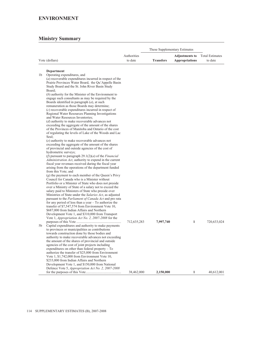|    |                                                                                                                | These Supplementary Estimates |                  |                                                |                                   |
|----|----------------------------------------------------------------------------------------------------------------|-------------------------------|------------------|------------------------------------------------|-----------------------------------|
|    | Vote (dollars)                                                                                                 | Authorities<br>to date        | <b>Transfers</b> | <b>Adjustments to</b><br><b>Appropriations</b> | <b>Total Estimates</b><br>to date |
|    | Department                                                                                                     |                               |                  |                                                |                                   |
| 1b | Operating expenditures, and                                                                                    |                               |                  |                                                |                                   |
|    | (a) recoverable expenditures incurred in respect of the<br>Prairie Provinces Water Board, the Qu'Appelle Basin |                               |                  |                                                |                                   |
|    | Study Board and the St. John River Basin Study                                                                 |                               |                  |                                                |                                   |
|    | Board:                                                                                                         |                               |                  |                                                |                                   |
|    | $(b)$ authority for the Minister of the Environment to                                                         |                               |                  |                                                |                                   |
|    | engage such consultants as may be required by the<br>Boards identified in paragraph $(a)$ , at such            |                               |                  |                                                |                                   |
|    | remuneration as those Boards may determine;                                                                    |                               |                  |                                                |                                   |
|    | (c) recoverable expenditures incurred in respect of                                                            |                               |                  |                                                |                                   |
|    | Regional Water Resources Planning Investigations                                                               |                               |                  |                                                |                                   |
|    | and Water Resources Inventories;<br>$(d)$ authority to make recoverable advances not                           |                               |                  |                                                |                                   |
|    | exceeding the aggregate of the amount of the shares                                                            |                               |                  |                                                |                                   |
|    | of the Provinces of Manitoba and Ontario of the cost                                                           |                               |                  |                                                |                                   |
|    | of regulating the levels of Lake of the Woods and Lac                                                          |                               |                  |                                                |                                   |
|    | Seul;<br>(e) authority to make recoverable advances not                                                        |                               |                  |                                                |                                   |
|    | exceeding the aggregate of the amount of the shares                                                            |                               |                  |                                                |                                   |
|    | of provincial and outside agencies of the cost of                                                              |                               |                  |                                                |                                   |
|    | hydrometric surveys;<br>( <i>f</i> ) pursuant to paragraph 29.1(2)( <i>a</i> ) of the <i>Financial</i>         |                               |                  |                                                |                                   |
|    | Administration Act, authority to expend in the current                                                         |                               |                  |                                                |                                   |
|    | fiscal year revenues received during the fiscal year                                                           |                               |                  |                                                |                                   |
|    | arising from the operations of the department funded                                                           |                               |                  |                                                |                                   |
|    | from this Vote; and<br>$(g)$ the payment to each member of the Queen's Privy                                   |                               |                  |                                                |                                   |
|    | Council for Canada who is a Minister without                                                                   |                               |                  |                                                |                                   |
|    | Portfolio or a Minister of State who does not preside                                                          |                               |                  |                                                |                                   |
|    | over a Ministry of State of a salary not to exceed the<br>salary paid to Ministers of State who preside over   |                               |                  |                                                |                                   |
|    | Ministries of State under the Salaries Act, as adjusted                                                        |                               |                  |                                                |                                   |
|    | pursuant to the Parliament of Canada Act and pro rata                                                          |                               |                  |                                                |                                   |
|    | for any period of less than a year $-$ To authorize the                                                        |                               |                  |                                                |                                   |
|    | transfer of \$7,547,574 from Environment Vote 10,<br>\$687,000 from Indian Affairs and Northern                |                               |                  |                                                |                                   |
|    | Development Vote 1, and \$310,000 from Transport                                                               |                               |                  |                                                |                                   |
|    | Vote 1, Appropriation Act No. 2, 2007-2008 for the                                                             |                               |                  |                                                |                                   |
|    |                                                                                                                | 712,635,283                   | 7,997,740        | 1                                              | 720,633,024                       |
| 5b | Capital expenditures and authority to make payments<br>to provinces or municipalities as contributions         |                               |                  |                                                |                                   |
|    | towards construction done by those bodies and                                                                  |                               |                  |                                                |                                   |
|    | authority to make recoverable advances not exceeding                                                           |                               |                  |                                                |                                   |
|    | the amount of the shares of provincial and outside<br>agencies of the cost of joint projects including         |                               |                  |                                                |                                   |
|    | expenditures on other than federal property $-$ To                                                             |                               |                  |                                                |                                   |
|    | authorize the transfer of \$25,000 from Environment                                                            |                               |                  |                                                |                                   |
|    | Vote 1, \$1,742,000 from Environment Vote 10,                                                                  |                               |                  |                                                |                                   |
|    | \$233,000 from Indian Affairs and Northern<br>Development Vote 1, and \$150,000 from National                  |                               |                  |                                                |                                   |
|    | Defence Vote 5, Appropriation Act No. 2, 2007-2008                                                             |                               |                  |                                                |                                   |
|    |                                                                                                                | 38,462,000                    | 2,150,000        | $\mathbf{1}$                                   | 40,612,001                        |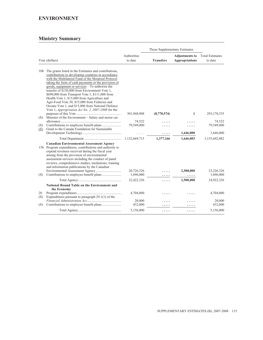### **ENVIRONMENT**

| Authorities<br><b>Total Estimates</b><br><b>Adjustments to</b><br>Vote (dollars)<br>to date<br><b>Transfers</b><br><b>Appropriations</b><br>to date<br>10b The grants listed in the Estimates and contributions,<br>contributions to developing countries in accordance<br>with the Multilateral Fund of the Montreal Protocol<br>taking the form of cash payments or the provision of<br>goods, equipment or services – To authorize the<br>transfer of \$150,000 from Environment Vote 1,<br>\$690,000 from Transport Vote 1, \$111,000 from<br>Health Vote 1, \$15,000 from Agriculture and<br>Agri-Food Vote 30, \$15,000 from Fisheries and<br>Oceans Vote 1, and \$15,000 from National Defence<br>Vote 1, Appropriation Act No. 2, 2007-2008 for the<br>1<br>293,178,335<br>301,948,908<br>(8,770,574)<br>Minister of the Environment – Salary and motor car<br>(S)<br>74,522<br>74,522<br>79,549,000<br>(S)<br>Grant to the Canada Foundation for Sustainable<br>(S)<br>1,646,000<br>1,646,000<br>.<br>1,132,669,713<br>1,377,166<br>1,646,003<br>1,135,692,882<br><b>Canadian Environmental Assessment Agency</b><br>15b Program expenditures, contributions and authority to<br>expend revenues received during the fiscal year<br>arising from the provision of environmental<br>assessment services including the conduct of panel<br>reviews, comprehensive studies, mediations, training<br>and information publications by the Canadian<br>20,726,326<br>2,500,000<br>1,696,000<br>1,696,000<br>(S)<br>.<br>24,922,326<br>22,422,326<br>2,500,000<br>.<br><b>National Round Table on the Environment and</b><br>the Economy<br>20<br>4,704,000<br>Expenditures pursuant to paragraph $29.1(1)$ of the<br>(S)<br>20,000<br>Contributions to employee benefit plans<br>432,000<br>(S)<br>5,156,000<br>.<br>. |  | These Supplementary Estimates |                                |
|---------------------------------------------------------------------------------------------------------------------------------------------------------------------------------------------------------------------------------------------------------------------------------------------------------------------------------------------------------------------------------------------------------------------------------------------------------------------------------------------------------------------------------------------------------------------------------------------------------------------------------------------------------------------------------------------------------------------------------------------------------------------------------------------------------------------------------------------------------------------------------------------------------------------------------------------------------------------------------------------------------------------------------------------------------------------------------------------------------------------------------------------------------------------------------------------------------------------------------------------------------------------------------------------------------------------------------------------------------------------------------------------------------------------------------------------------------------------------------------------------------------------------------------------------------------------------------------------------------------------------------------------------------------------------------------------------------------------------------------------------------------------------------------------------------------------------|--|-------------------------------|--------------------------------|
|                                                                                                                                                                                                                                                                                                                                                                                                                                                                                                                                                                                                                                                                                                                                                                                                                                                                                                                                                                                                                                                                                                                                                                                                                                                                                                                                                                                                                                                                                                                                                                                                                                                                                                                                                                                                                           |  |                               |                                |
|                                                                                                                                                                                                                                                                                                                                                                                                                                                                                                                                                                                                                                                                                                                                                                                                                                                                                                                                                                                                                                                                                                                                                                                                                                                                                                                                                                                                                                                                                                                                                                                                                                                                                                                                                                                                                           |  |                               |                                |
|                                                                                                                                                                                                                                                                                                                                                                                                                                                                                                                                                                                                                                                                                                                                                                                                                                                                                                                                                                                                                                                                                                                                                                                                                                                                                                                                                                                                                                                                                                                                                                                                                                                                                                                                                                                                                           |  |                               |                                |
|                                                                                                                                                                                                                                                                                                                                                                                                                                                                                                                                                                                                                                                                                                                                                                                                                                                                                                                                                                                                                                                                                                                                                                                                                                                                                                                                                                                                                                                                                                                                                                                                                                                                                                                                                                                                                           |  |                               | 79,549,000                     |
|                                                                                                                                                                                                                                                                                                                                                                                                                                                                                                                                                                                                                                                                                                                                                                                                                                                                                                                                                                                                                                                                                                                                                                                                                                                                                                                                                                                                                                                                                                                                                                                                                                                                                                                                                                                                                           |  |                               |                                |
|                                                                                                                                                                                                                                                                                                                                                                                                                                                                                                                                                                                                                                                                                                                                                                                                                                                                                                                                                                                                                                                                                                                                                                                                                                                                                                                                                                                                                                                                                                                                                                                                                                                                                                                                                                                                                           |  |                               |                                |
|                                                                                                                                                                                                                                                                                                                                                                                                                                                                                                                                                                                                                                                                                                                                                                                                                                                                                                                                                                                                                                                                                                                                                                                                                                                                                                                                                                                                                                                                                                                                                                                                                                                                                                                                                                                                                           |  |                               | 23,226,326                     |
|                                                                                                                                                                                                                                                                                                                                                                                                                                                                                                                                                                                                                                                                                                                                                                                                                                                                                                                                                                                                                                                                                                                                                                                                                                                                                                                                                                                                                                                                                                                                                                                                                                                                                                                                                                                                                           |  |                               |                                |
|                                                                                                                                                                                                                                                                                                                                                                                                                                                                                                                                                                                                                                                                                                                                                                                                                                                                                                                                                                                                                                                                                                                                                                                                                                                                                                                                                                                                                                                                                                                                                                                                                                                                                                                                                                                                                           |  |                               |                                |
|                                                                                                                                                                                                                                                                                                                                                                                                                                                                                                                                                                                                                                                                                                                                                                                                                                                                                                                                                                                                                                                                                                                                                                                                                                                                                                                                                                                                                                                                                                                                                                                                                                                                                                                                                                                                                           |  |                               | 4,704,000<br>20,000<br>432,000 |
|                                                                                                                                                                                                                                                                                                                                                                                                                                                                                                                                                                                                                                                                                                                                                                                                                                                                                                                                                                                                                                                                                                                                                                                                                                                                                                                                                                                                                                                                                                                                                                                                                                                                                                                                                                                                                           |  |                               | 5,156,000                      |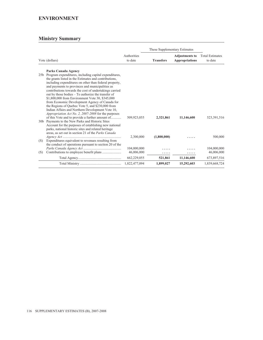### **ENVIRONMENT**

|                 |                                                                                                                                                                                                                                                                                                                                                                                                                                                                                                                                                                                                                 |                        | These Supplementary Estimates |                                                |                                   |
|-----------------|-----------------------------------------------------------------------------------------------------------------------------------------------------------------------------------------------------------------------------------------------------------------------------------------------------------------------------------------------------------------------------------------------------------------------------------------------------------------------------------------------------------------------------------------------------------------------------------------------------------------|------------------------|-------------------------------|------------------------------------------------|-----------------------------------|
|                 | Vote (dollars)                                                                                                                                                                                                                                                                                                                                                                                                                                                                                                                                                                                                  | Authorities<br>to date | <b>Transfers</b>              | <b>Adjustments to</b><br><b>Appropriations</b> | <b>Total Estimates</b><br>to date |
|                 | Parks Canada Agency                                                                                                                                                                                                                                                                                                                                                                                                                                                                                                                                                                                             |                        |                               |                                                |                                   |
| 25 <sub>b</sub> | Program expenditures, including capital expenditures,<br>the grants listed in the Estimates and contributions,<br>including expenditures on other than federal property,<br>and payments to provinces and municipalities as<br>contributions towards the cost of undertakings carried<br>out by those bodies - To authorize the transfer of<br>\$1,800,000 from Environment Vote 30, \$345,000<br>from Economic Development Agency of Canada for<br>the Regions of Quebec Vote 5, and \$230,000 from<br>Indian Affairs and Northern Development Vote 10,<br>Appropriation Act No. 2, 2007-2008 for the purposes |                        |                               |                                                |                                   |
|                 | of this Vote and to provide a further amount of<br>30b Payments to the New Parks and Historic Sites<br>Account for the purposes of establishing new national<br>parks, national historic sites and related heritage<br>areas, as set out in section 21 of the Parks Canada                                                                                                                                                                                                                                                                                                                                      | 509,923,055            | 2,321,861                     | 11,146,600                                     | 523,391,516                       |
| (S)             | Expenditures equivalent to revenues resulting from<br>the conduct of operations pursuant to section 20 of the                                                                                                                                                                                                                                                                                                                                                                                                                                                                                                   | 2,300,000              | (1,800,000)                   |                                                | 500,000                           |
|                 |                                                                                                                                                                                                                                                                                                                                                                                                                                                                                                                                                                                                                 | 104,000,000            |                               |                                                | 104,000,000                       |
| (S)             | Contributions to employee benefit plans                                                                                                                                                                                                                                                                                                                                                                                                                                                                                                                                                                         | 46,006,000             | .                             |                                                | 46,006,000                        |
|                 |                                                                                                                                                                                                                                                                                                                                                                                                                                                                                                                                                                                                                 | 662,229,055            | 521,861                       | 11,146,600                                     | 673,897,516                       |
|                 |                                                                                                                                                                                                                                                                                                                                                                                                                                                                                                                                                                                                                 | 1,822,477,094          | 1,899,027                     | 15,292,603                                     | 1,839,668,724                     |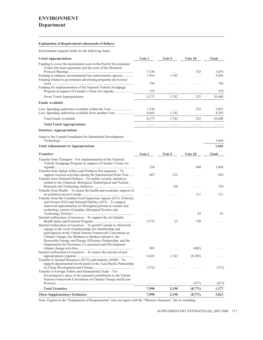# **ENVIRONMENT**

### **Department**

#### **Explanation of Requirements (thousands of dollars)**

Environment requests funds for the following items:

| <b>Voted Appropriations</b>                                                                                                                                                                                                                                                                                                                                                     | Vote 1         | Vote 5     | Vote 10    | Total          |
|---------------------------------------------------------------------------------------------------------------------------------------------------------------------------------------------------------------------------------------------------------------------------------------------------------------------------------------------------------------------------------|----------------|------------|------------|----------------|
| Funding to cover the incremental costs in the Pacific Environment                                                                                                                                                                                                                                                                                                               |                |            |            |                |
| Centre Site lease payments and the costs of the Montreal                                                                                                                                                                                                                                                                                                                        |                |            |            |                |
|                                                                                                                                                                                                                                                                                                                                                                                 | 5,130          | .          | 525        | 5,655          |
| Funding to enhance environmental law enforcement capacity<br>Funding related to government advertising programs (horizontal                                                                                                                                                                                                                                                     | 1,914          | 1,742      | .          | 3,656          |
| Funding for implementation of the National Vehicle Scrappage                                                                                                                                                                                                                                                                                                                    | 750            | .          | .          | 750            |
|                                                                                                                                                                                                                                                                                                                                                                                 | 379            | .          | .          | 379            |
| Gross Voted Appropriations                                                                                                                                                                                                                                                                                                                                                      | 8,173          | 1,742      | 525        | 10,440         |
| <b>Funds Available</b>                                                                                                                                                                                                                                                                                                                                                          |                |            |            |                |
| Less: Spending authorities available within the Vote                                                                                                                                                                                                                                                                                                                            | 1,530<br>6,643 | .<br>1,742 | 525<br>.   | 2,055<br>8,385 |
| Total Funds Available                                                                                                                                                                                                                                                                                                                                                           | 8,173          | 1,742      | 525        | 10,440         |
| <b>Total Voted Appropriations</b>                                                                                                                                                                                                                                                                                                                                               | .              | .          | .          | .              |
| <b>Statutory Appropriations</b>                                                                                                                                                                                                                                                                                                                                                 |                |            |            |                |
| Grant to the Canada Foundation for Sustainable Development                                                                                                                                                                                                                                                                                                                      |                |            |            | 1,646          |
|                                                                                                                                                                                                                                                                                                                                                                                 |                |            |            |                |
| <b>Total Adjustments to Appropriations</b>                                                                                                                                                                                                                                                                                                                                      |                |            |            | 1,646          |
| Transfers                                                                                                                                                                                                                                                                                                                                                                       | Vote 1         | Vote 5     | Vote 10    | Total          |
| Transfer from Transport – For implementation of the National<br>Vehicle Scrappage Program in support of Canada's Clean Air                                                                                                                                                                                                                                                      | 310            | .          | 690        | 1,000          |
| Transfer from Indian Affairs and Northern Development – To                                                                                                                                                                                                                                                                                                                      |                |            |            |                |
| support research activities during the International Polar Year<br>Transfer from National Defence – For public security initiatives<br>related to the Chemical, Biological, Radiological and Nuclear                                                                                                                                                                            | 687            | 233        | $\ldots$ . | 920            |
| Transfer from Health – To assess the health and economic impacts of                                                                                                                                                                                                                                                                                                             |                | 150        |            | 150            |
| Transfer from the Canadian Food Inspection Agency (\$15), Fisheries<br>and Oceans $(\$15)$ and National Defence $(\$15)$ – To support<br>improved representation of Aboriginal persons in science and<br>technology careers (Canadian Aboriginal Science and                                                                                                                    |                | .          | 111        | 111            |
|                                                                                                                                                                                                                                                                                                                                                                                 |                |            | 45         | 45             |
| Internal reallocation of resources – To support the Air Quality                                                                                                                                                                                                                                                                                                                 |                |            |            |                |
| Internal reallocation of resources – To permit Canada to effectively<br>engage in the work of partnerships for membership and<br>participation in the United Nations Framework Convention on<br>Climate Change, the Methane to Markets initiative, the<br>Renewable Energy and Energy Efficiency Partnership, and the<br>Organisation for Economic Co-operation and Development | (175)          | 25         | 150        |                |
|                                                                                                                                                                                                                                                                                                                                                                                 | 905            | .          | (905)      |                |
| Internal reallocation of resources – To reduce the amount of new                                                                                                                                                                                                                                                                                                                |                |            |            |                |
| Transfer to Natural Resources (\$272) and Industry $(\$100) - To$                                                                                                                                                                                                                                                                                                               | 6,643          | 1,742      | (8,385)    |                |
| support departmental involvement in the Asia-Pacific Partnership                                                                                                                                                                                                                                                                                                                | (372)          |            |            | (372)          |
| Transfer to Foreign Affairs and International Trade - For<br>Environment's share of the assessed contribution to the United                                                                                                                                                                                                                                                     |                |            |            |                |
| Nations Framework Convention on Climate Change and Kyoto                                                                                                                                                                                                                                                                                                                        |                |            |            |                |
|                                                                                                                                                                                                                                                                                                                                                                                 |                | .          | (477)      | (477)          |
| <b>Total Transfers</b>                                                                                                                                                                                                                                                                                                                                                          | 7,998          | 2,150      | (8,771)    | 1,377          |

Note: Figures in the "Explanation of Requirements" may not agree with the "Ministry Summary" due to rounding.

**These Supplementary Estimates 7,998 2,150 (8,771) 3,023**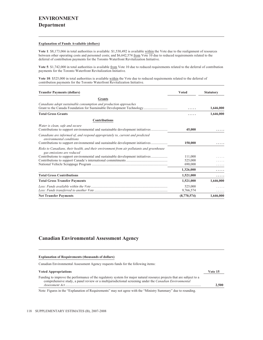#### **Explanation of Funds Available (dollars)**

**Vote 1**: \$8,173,066 in total authorities is available: \$1,530,492 is available within the Vote due to the realignment of resources between other operating costs and personnel costs; and \$6,642,574 from Vote 10 due to reduced requirements related to the deferral of contribution payments for the Toronto Waterfront Revitalization Initiative.

**Vote 5**: \$1,742,000 in total authorities is available from Vote 10 due to reduced requirements related to the deferral of contribution payments for the Toronto Waterfront Revitalization Initiative.

Vote 10: \$525,000 in total authorities is available within the Vote due to reduced requirements related to the deferral of contribution payments for the Toronto Waterfront Revitalization Initiative.

| <b>Transfer Payments (dollars)</b>                                                                                                                                                           | <b>Voted</b>         | <b>Statutory</b> |
|----------------------------------------------------------------------------------------------------------------------------------------------------------------------------------------------|----------------------|------------------|
| <b>Grants</b>                                                                                                                                                                                |                      |                  |
| Canadians adopt sustainable consumption and production approaches<br>Grant to the Canada Foundation for Sustainable Development Technology                                                   |                      | 1,646,000        |
| <b>Total Gross Grants</b>                                                                                                                                                                    |                      | 1,646,000        |
| <b>Contributions</b>                                                                                                                                                                         |                      |                  |
| Water is clean, safe and secure<br>Contributions to support environmental and sustainable development initiatives                                                                            | 45,000               |                  |
| Canadians are informed of, and respond appropriately to, current and predicted<br>environmental conditions<br>Contributions to support environmental and sustainable development initiatives | 150,000              |                  |
| Risks to Canadians, their health, and their environment from air pollutants and greenhouse<br>gas emissions are reduced                                                                      |                      |                  |
| Contributions to support environmental and sustainable development initiatives                                                                                                               | 111,000              |                  |
|                                                                                                                                                                                              | 525,000              |                  |
|                                                                                                                                                                                              | 690,000              |                  |
|                                                                                                                                                                                              | 1,326,000            |                  |
| <b>Total Gross Contributions</b>                                                                                                                                                             | 1,521,000            | .                |
| <b>Total Gross Transfer Payments</b>                                                                                                                                                         | 1,521,000            | 1,646,000        |
|                                                                                                                                                                                              | 525,000<br>9,766,574 | .                |
| <b>Net Transfer Payments</b>                                                                                                                                                                 | (8,770,574)          | 1,646,000        |

### **Canadian Environmental Assessment Agency**

#### **Explanation of Requirements (thousands of dollars)**

Canadian Environmental Assessment Agency requests funds for the following items:

#### **Voted Appropriations Vote 15**

Funding to improve the performance of the regulatory system for major natural resource projects that are subject to a comprehensive study, a panel review or a multijurisdictional screening under the *Canadian Environmental Assessment Act*.............................................................................................................................................................. **2,500**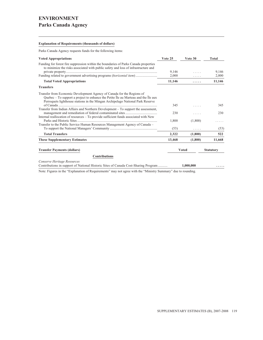### **Explanation of Requirements (thousands of dollars)**

Parks Canada Agency requests funds for the following items:

| <b>Voted Appropriations</b>                                                                                                                                                                                                                                        | Vote 25 | Vote 30      | Total            |
|--------------------------------------------------------------------------------------------------------------------------------------------------------------------------------------------------------------------------------------------------------------------|---------|--------------|------------------|
| Funding for forest fire suppression within the boundaries of Parks Canada properties<br>to minimize the risks associated with public safety and loss of infrastructure and                                                                                         |         |              |                  |
|                                                                                                                                                                                                                                                                    | 9,146   | .            | 9,146            |
| Funding related to government advertising programs (horizontal item)                                                                                                                                                                                               | 2,000   |              | 2,000            |
| <b>Total Voted Appropriations</b>                                                                                                                                                                                                                                  | 11,146  | .            | 11,146           |
| <b>Transfers</b>                                                                                                                                                                                                                                                   |         |              |                  |
| Transfer from Economic Development Agency of Canada for the Regions of<br>Quebec $-$ To support a project to enhance the Petite $\hat{I}$ le au Marteau and the $\hat{I}$ le aux<br>Perroquets lighthouse stations in the Mingan Archipelago National Park Reserve |         |              |                  |
| Transfer from Indian Affairs and Northern Development – To support the assessment,                                                                                                                                                                                 | 345     |              | 345              |
| Internal reallocation of resources – To provide sufficient funds associated with New                                                                                                                                                                               | 230     |              | 230              |
| Transfer to the Public Service Human Resources Management Agency of Canada -                                                                                                                                                                                       | 1,800   | (1,800)      |                  |
|                                                                                                                                                                                                                                                                    | (53)    | .            | (53)             |
| <b>Total Transfers</b>                                                                                                                                                                                                                                             | 2,322   | (1,800)      | 522              |
| <b>These Supplementary Estimates</b>                                                                                                                                                                                                                               | 13,468  | (1,800)      | 11,668           |
| <b>Transfer Payments (dollars)</b>                                                                                                                                                                                                                                 |         | <b>Voted</b> | <b>Statutory</b> |
| <b>Contributions</b>                                                                                                                                                                                                                                               |         |              |                  |
| Conserve Heritage Resources<br>Contributions in support of National Historic Sites of Canada Cost-Sharing Program                                                                                                                                                  |         | 1,000,000    |                  |
| are the control of the control of the control of the control of the control of the control of the control of the control of the control of the control of the control of the control of the control of the control of the cont                                     |         |              |                  |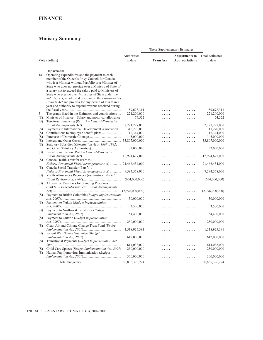|          |                                                                                                              |                           | These Supplementary Estimates |                       |                           |
|----------|--------------------------------------------------------------------------------------------------------------|---------------------------|-------------------------------|-----------------------|---------------------------|
|          |                                                                                                              | Authorities               |                               | <b>Adjustments to</b> | <b>Total Estimates</b>    |
|          | Vote (dollars)                                                                                               | to date                   | <b>Transfers</b>              | <b>Appropriations</b> | to date                   |
|          |                                                                                                              |                           |                               |                       |                           |
|          | Department                                                                                                   |                           |                               |                       |                           |
| 1a       | Operating expenditures and the payment to each                                                               |                           |                               |                       |                           |
|          | member of the Queen's Privy Council for Canada                                                               |                           |                               |                       |                           |
|          | who is a Minister without Portfolio or a Minister of                                                         |                           |                               |                       |                           |
|          | State who does not preside over a Ministry of State of                                                       |                           |                               |                       |                           |
|          | a salary not to exceed the salary paid to Ministers of                                                       |                           |                               |                       |                           |
|          | State who preside over Ministries of State under the                                                         |                           |                               |                       |                           |
|          | Salaries Act, as adjusted pursuant to the Parliament of                                                      |                           |                               |                       |                           |
|          | Canada Act and pro rata for any period of less than a                                                        |                           |                               |                       |                           |
|          | year and authority to expend revenue received during                                                         |                           |                               |                       |                           |
|          |                                                                                                              | 89,678,311<br>221,200,000 | .                             |                       | 89,678,311<br>221,200,000 |
| 5<br>(S) | The grants listed in the Estimates and contributions                                                         | 74,522                    | .                             |                       | 74,522                    |
| (S)      | Minister of Finance – Salary and motor car allowance<br>Territorial Financing (Part I.1 – Federal-Provincial |                           | .                             | .                     |                           |
|          |                                                                                                              | 2,221,297,000             | .                             |                       | 2,221,297,000             |
| (S)      | Payments to International Development Association                                                            | 318,270,000               | .                             | .<br>.                | 318,270,000               |
| (S)      |                                                                                                              | 12,344,000                | .                             |                       | 12,344,000                |
| (S)      |                                                                                                              | 145,000,000               | .                             | .                     | 145,000,000               |
| (S)      |                                                                                                              |                           | .                             | .                     | 33,807,000,000            |
| (S)      | Statutory Subsidies (Constitution Acts, 1867–1982,                                                           |                           |                               |                       |                           |
|          |                                                                                                              | 32,000,000                | .                             | .                     | 32,000,000                |
| (S)      | Fiscal Equalization (Part I – Federal-Provincial                                                             |                           |                               |                       |                           |
|          |                                                                                                              |                           | .                             | .                     | 12,924,677,000            |
| (S)      | Canada Health Transfer (Part V.1 -                                                                           |                           |                               |                       |                           |
|          | Federal-Provincial Fiscal Arrangements Act)  21,466,434,000                                                  |                           | .                             | .                     | 21,466,434,000            |
| (S)      | Canada Social Transfer (Part V.1 -                                                                           |                           |                               |                       |                           |
|          | Federal-Provincial Fiscal Arrangements Act)                                                                  | 9,594,558,000             | .                             | .                     | 9,594,558,000             |
| (S)      | Youth Allowances Recovery (Federal-Provincial                                                                |                           |                               |                       |                           |
|          |                                                                                                              | (654,000,000)             | .                             | .                     | (654,000,000)             |
| (S)      | Alternative Payments for Standing Programs                                                                   |                           |                               |                       |                           |
|          | (Part VI - Federal-Provincial Fiscal Arrangements                                                            |                           |                               |                       |                           |
|          |                                                                                                              |                           | .                             | .                     | (2,976,000,000)           |
| (S)      | Payment to British Columbia (Budget Implementation                                                           |                           |                               |                       |                           |
|          |                                                                                                              | 30,000,000                | .                             | .                     | 30,000,000                |
| (S)      | Payment to Yukon (Budget Implementation                                                                      | 3,500,000                 |                               |                       | 3,500,000                 |
| (S)      | Payment to Northwest Territories (Budget)                                                                    |                           | .                             | .                     |                           |
|          |                                                                                                              | 54,400,000                | .                             | .                     | 54,400,000                |
| (S)      | Payment to Ontario (Budget Implementation                                                                    |                           |                               |                       |                           |
|          |                                                                                                              | 250,000,000               | .                             | .                     | 250,000,000               |
| (S)      | Clean Air and Climate Change Trust Fund (Budget                                                              |                           |                               |                       |                           |
|          |                                                                                                              | 1,518,925,391             |                               | .                     | 1,518,925,391             |
| (S)      | Patient Wait Times Guarantee (Budget                                                                         |                           |                               |                       |                           |
|          |                                                                                                              | 612,000,000               | .                             | .                     | 612,000,000               |
| (S)      | Transitional Payments (Budget Implementation Act,                                                            |                           |                               |                       |                           |
|          |                                                                                                              | 614,038,000               | .                             | .                     | 614,038,000               |
| (S)      | Child Care Spaces (Budget Implementation Act, 2007)                                                          | 250,000,000               | .                             | .                     | 250,000,000               |
| (S)      | Human Papillomavirus Immunization (Budget                                                                    |                           |                               |                       |                           |
|          |                                                                                                              | 300,000,000               | .                             | .                     | 300,000,000               |
|          |                                                                                                              |                           | .                             | .                     | 80, 835, 396, 224         |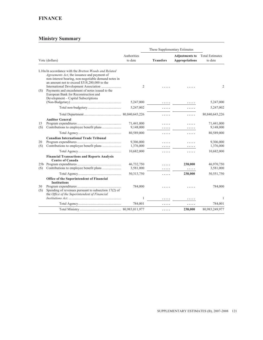# **FINANCE**

|           |                                                                                                                                                                                                                                                                                                                                               |                         | These Supplementary Estimates |                                                |                                   |
|-----------|-----------------------------------------------------------------------------------------------------------------------------------------------------------------------------------------------------------------------------------------------------------------------------------------------------------------------------------------------|-------------------------|-------------------------------|------------------------------------------------|-----------------------------------|
|           | Vote (dollars)                                                                                                                                                                                                                                                                                                                                | Authorities<br>to date  | <b>Transfers</b>              | <b>Adjustments to</b><br><b>Appropriations</b> | <b>Total Estimates</b><br>to date |
| (S)       | L10a In accordance with the Bretton Woods and Related<br>Agreements Act, the issuance and payment of<br>non-interest bearing, non-negotiable demand notes in<br>an amount not to exceed \$318,280,000 to the<br>Payments and encashment of notes issued to the<br>European Bank for Reconstruction and<br>Development – Capital Subscriptions | 2                       |                               |                                                | $\overline{2}$                    |
|           |                                                                                                                                                                                                                                                                                                                                               | 5,247,000               |                               |                                                | 5,247,000                         |
|           |                                                                                                                                                                                                                                                                                                                                               | 5,247,002               |                               | .                                              | 5,247,002                         |
|           |                                                                                                                                                                                                                                                                                                                                               |                         |                               | .                                              | 80,840,643,226                    |
| 15<br>(S) | <b>Auditor General</b>                                                                                                                                                                                                                                                                                                                        | 71,441,000<br>9,148,000 |                               |                                                | 71,441,000<br>9,148,000           |
|           |                                                                                                                                                                                                                                                                                                                                               | 80,589,000              | .                             | .                                              | 80,589,000                        |
| 20<br>(S) | <b>Canadian International Trade Tribunal</b>                                                                                                                                                                                                                                                                                                  | 9,306,000<br>1,376,000  |                               |                                                | 9,306,000<br>1,376,000            |
|           |                                                                                                                                                                                                                                                                                                                                               | 10,682,000              | .                             | .                                              | 10,682,000                        |
| (S)       | <b>Financial Transactions and Reports Analysis</b><br><b>Centre of Canada</b>                                                                                                                                                                                                                                                                 | 46,732,750<br>3,581,000 |                               | 238,000<br>.                                   | 46,970,750<br>3,581,000           |
|           |                                                                                                                                                                                                                                                                                                                                               | 50, 313, 750            | .                             | 238,000                                        | 50,551,750                        |
| 30<br>(S) | Office of the Superintendent of Financial<br><b>Institutions</b><br>Spending of revenues pursuant to subsection $17(2)$ of<br>the Office of the Superintendent of Financial                                                                                                                                                                   | 784,000                 |                               |                                                | 784,000                           |
|           |                                                                                                                                                                                                                                                                                                                                               | 1                       | .                             | .                                              | $\mathbf{1}$                      |
|           |                                                                                                                                                                                                                                                                                                                                               | 784,001                 | .                             | .                                              | 784,001                           |
|           |                                                                                                                                                                                                                                                                                                                                               |                         | .                             | 238,000                                        | 80,983,249,977                    |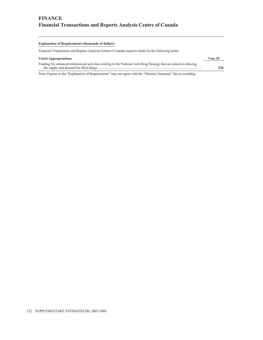#### **Explanation of Requirements (thousands of dollars)**

Financial Transactions and Reports Analysis Centre of Canada requests funds for the following items:

#### **Voted Appropriations Vote 25**

| Funding for enhanced enforcement activities relating to the National Anti-Drug Strategy that are aimed at reducing |     |
|--------------------------------------------------------------------------------------------------------------------|-----|
|                                                                                                                    | 238 |
|                                                                                                                    |     |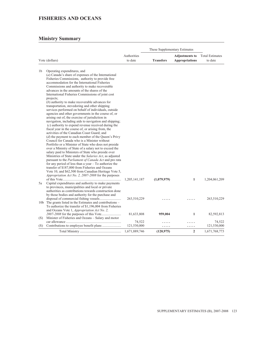### **FISHERIES AND OCEANS**

|                |                                                                                                             |               |                  | These Supplementary Estimates |                        |
|----------------|-------------------------------------------------------------------------------------------------------------|---------------|------------------|-------------------------------|------------------------|
|                |                                                                                                             | Authorities   |                  | <b>Adjustments to</b>         | <b>Total Estimates</b> |
|                | Vote (dollars)                                                                                              | to date       | <b>Transfers</b> | <b>Appropriations</b>         | to date                |
| 1 <sub>b</sub> | Operating expenditures, and                                                                                 |               |                  |                               |                        |
|                | $(a)$ Canada's share of expenses of the International                                                       |               |                  |                               |                        |
|                | Fisheries Commissions, authority to provide free                                                            |               |                  |                               |                        |
|                | accommodation for the International Fisheries                                                               |               |                  |                               |                        |
|                | Commissions and authority to make recoverable                                                               |               |                  |                               |                        |
|                | advances in the amounts of the shares of the                                                                |               |                  |                               |                        |
|                | International Fisheries Commissions of joint cost                                                           |               |                  |                               |                        |
|                | projects;                                                                                                   |               |                  |                               |                        |
|                | $(b)$ authority to make recoverable advances for<br>transportation, stevedoring and other shipping          |               |                  |                               |                        |
|                | services performed on behalf of individuals, outside                                                        |               |                  |                               |                        |
|                | agencies and other governments in the course of, or                                                         |               |                  |                               |                        |
|                | arising out of, the exercise of jurisdiction in                                                             |               |                  |                               |                        |
|                | navigation, including aids to navigation and shipping;                                                      |               |                  |                               |                        |
|                | $(c)$ authority to expend revenue received during the                                                       |               |                  |                               |                        |
|                | fiscal year in the course of, or arising from, the                                                          |               |                  |                               |                        |
|                | activities of the Canadian Coast Guard; and<br>$(d)$ the payment to each member of the Queen's Privy        |               |                  |                               |                        |
|                | Council for Canada who is a Minister without                                                                |               |                  |                               |                        |
|                | Portfolio or a Minister of State who does not preside                                                       |               |                  |                               |                        |
|                | over a Ministry of State of a salary not to exceed the                                                      |               |                  |                               |                        |
|                | salary paid to Ministers of State who preside over                                                          |               |                  |                               |                        |
|                | Ministries of State under the Salaries Act, as adjusted                                                     |               |                  |                               |                        |
|                | pursuant to the Parliament of Canada Act and pro rata                                                       |               |                  |                               |                        |
|                | for any period of less than a year $-$ To authorize the                                                     |               |                  |                               |                        |
|                | transfer of \$187,000 from Fisheries and Oceans                                                             |               |                  |                               |                        |
|                | Vote 10, and \$62,500 from Canadian Heritage Vote 5,<br>Appropriation Act No. 2, 2007-2008 for the purposes |               |                  |                               |                        |
|                |                                                                                                             | 1,205,141,187 | (1,079,979)      | $\mathbf{1}$                  | 1,204,061,209          |
| 5a             | Capital expenditures and authority to make payments                                                         |               |                  |                               |                        |
|                | to provinces, municipalities and local or private                                                           |               |                  |                               |                        |
|                | authorities as contributions towards construction done                                                      |               |                  |                               |                        |
|                | by those bodies and authority for the purchase and                                                          |               |                  |                               |                        |
|                |                                                                                                             | 263,510,229   |                  |                               | 263,510,229            |
|                | 10b The grants listed in the Estimates and contributions –                                                  |               |                  |                               |                        |
|                | To authorize the transfer of \$1,196,004 from Fisheries<br>and Oceans Vote 1, Appropriation Act No. 2,      |               |                  |                               |                        |
|                |                                                                                                             | 81,633,808    | 959,004          | $\mathbf{1}$                  | 82,592,813             |
| (S)            | Minister of Fisheries and Oceans - Salary and motor                                                         |               |                  |                               |                        |
|                |                                                                                                             | 74,522        | .                |                               | 74,522                 |
| (S)            |                                                                                                             | 121,530,000   | .                | .                             | 121,530,000            |
|                |                                                                                                             | 1,671,889,746 | (120, 975)       | $\mathbf{2}$                  | 1,671,768,773          |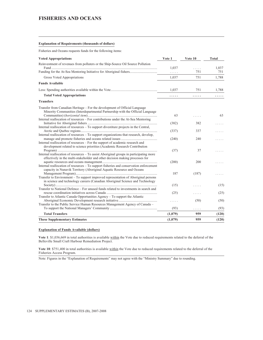#### **Explanation of Requirements (thousands of dollars)**

Fisheries and Oceans requests funds for the following items:

| <b>Voted Appropriations</b>                                                            | Vote 1  | Vote 10 | <b>Total</b> |
|----------------------------------------------------------------------------------------|---------|---------|--------------|
| Reinvestment of revenues from polluters or the Ship-Source Oil Source Pollution        |         |         |              |
|                                                                                        | 1,037   | .       | 1,037        |
| Funding for the At-Sea Mentoring Initiative for Aboriginal fishers                     | .       | 751     | 751          |
| Gross Voted Appropriations                                                             | 1,037   | 751     | 1,788        |
| <b>Funds Available</b>                                                                 |         |         |              |
|                                                                                        | 1,037   | 751     | 1,788        |
| <b>Total Voted Appropriations</b>                                                      | .       | .       | .            |
| <b>Transfers</b>                                                                       |         |         |              |
| Transfer from Canadian Heritage – For the development of Official Language             |         |         |              |
| Minority Communities (Interdepartmental Partnership with the Official Language         |         |         |              |
|                                                                                        | 63      | .       | 63           |
| Internal reallocation of resources – For contributions under the At-Sea Mentoring      |         |         |              |
|                                                                                        | (382)   | 382     |              |
| Internal reallocation of resources – To support divestiture projects in the Central,   | (337)   | 337     |              |
| Internal reallocation of resources – To support organizations that research, develop,  |         |         |              |
|                                                                                        | (240)   | 240     |              |
| Internal reallocation of resources - For the support of academic research and          |         |         |              |
| development related to science priorities (Academic Research Contribution              |         |         |              |
|                                                                                        | (37)    | 37      |              |
| Internal reallocation of resources – To assist Aboriginal groups in participating more |         |         |              |
| effectively in the multi-stakeholder and other decision making processes for           |         |         |              |
|                                                                                        | (200)   | 200     |              |
| Internal reallocation of resources – To support fisheries and conservation enforcement |         |         |              |
| capacity in Nunavik Territory (Aboriginal Aquatic Resource and Oceans                  |         |         |              |
| Transfer to Environment – To support improved representation of Aboriginal persons     | 187     | (187)   |              |
| in science and technology careers (Canadian Aboriginal Science and Technology          |         |         |              |
|                                                                                        | (15)    | .       | (15)         |
| Transfer to National Defence – For unused funds related to investments in search and   |         |         |              |
|                                                                                        | (25)    | .       | (25)         |
| Transfer to Atlantic Canada Opportunities Agency – To support the Atlantic             |         |         |              |
|                                                                                        | .       | (50)    | (50)         |
| Transfer to the Public Service Human Resources Management Agency of Canada –           |         |         |              |
|                                                                                        | (93)    | .       | (93)         |
| <b>Total Transfers</b>                                                                 | (1,079) | 959     | (120)        |
| <b>These Supplementary Estimates</b>                                                   | (1,079) | 959     | (120)        |

### **Explanation of Funds Available (dollars)**

**Vote 1**: \$1,036,669 in total authorities is available within the Vote due to reduced requirements related to the deferral of the Belleville Small Craft Harbour Remediation Project.

**Vote 10**: \$751,400 in total authorities is available within the Vote due to reduced requirements related to the deferral of the Fisheries Access Program.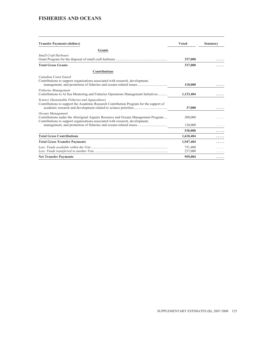### **FISHERIES AND OCEANS**

| <b>Transfer Payments (dollars)</b>                                                                                                                                                      | <b>Voted</b>       | <b>Statutory</b> |
|-----------------------------------------------------------------------------------------------------------------------------------------------------------------------------------------|--------------------|------------------|
| Grants                                                                                                                                                                                  |                    |                  |
| <b>Small Craft Harbours</b>                                                                                                                                                             | 337,000            |                  |
| <b>Total Gross Grants</b>                                                                                                                                                               | 337,000            |                  |
| <b>Contributions</b>                                                                                                                                                                    |                    |                  |
| Canadian Coast Guard<br>Contributions to support organizations associated with research, development,                                                                                   | 110,000            |                  |
| <b>Fisheries Management</b><br>Contributions to At Sea Mentoring and Fisheries Operations Management Initiatives                                                                        | 1,133,404          |                  |
| Science (Sustainable Fisheries and Aquaculture)<br>Contributions to support the Academic Research Contribution Program for the support of                                               | 37,000             |                  |
| Oceans Management<br>Contributions under the Aboriginal Aquatic Resource and Oceans Management Program<br>Contributions to support organizations associated with research, development, | 200,000            |                  |
|                                                                                                                                                                                         | 130,000            |                  |
|                                                                                                                                                                                         | 330,000            |                  |
| <b>Total Gross Contributions</b>                                                                                                                                                        | 1,610,404          |                  |
| <b>Total Gross Transfer Payments</b>                                                                                                                                                    | 1,947,404          |                  |
|                                                                                                                                                                                         | 751,400<br>237,000 |                  |
| <b>Net Transfer Payments</b>                                                                                                                                                            | 959,004            | .                |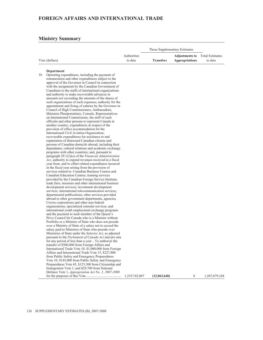### **Ministry Summary**

|                |                        | These Supplementary Estimates |                                                                |         |
|----------------|------------------------|-------------------------------|----------------------------------------------------------------|---------|
| Vote (dollars) | Authorities<br>to date | <b>Transfers</b>              | <b>Adjustments to</b> Total Estimates<br><b>Appropriations</b> | to date |

### **Department**

|    |                                                                                                         | 1,219,742,807 | (12,063,640) |   | 1,207,679,168 |
|----|---------------------------------------------------------------------------------------------------------|---------------|--------------|---|---------------|
|    | Defence Vote 1, Appropriation Act No. 2, 2007-2008                                                      |               |              | 1 |               |
|    | Immigration Vote 1, and \$29,700 from National                                                          |               |              |   |               |
|    | Preparedness Vote 45, \$123,300 from Citizenship and                                                    |               |              |   |               |
|    | Vote 10, \$145,000 from Public Safety and Emergency                                                     |               |              |   |               |
|    | from Public Safety and Emergency Preparedness                                                           |               |              |   |               |
|    | Affairs and International Trade Vote 15, \$227,800                                                      |               |              |   |               |
|    | International Trade Vote 10, \$1,000,000 from Foreign                                                   |               |              |   |               |
|    | transfer of \$500,000 from Foreign Affairs and                                                          |               |              |   |               |
|    | for any period of less than a year $-$ To authorize the                                                 |               |              |   |               |
|    | pursuant to the <i>Parliament of Canada Act</i> and pro rata                                            |               |              |   |               |
|    | Ministries of State under the Salaries Act, as adjusted                                                 |               |              |   |               |
|    | salary paid to Ministers of State who preside over                                                      |               |              |   |               |
|    | over a Ministry of State of a salary not to exceed the                                                  |               |              |   |               |
|    | Portfolio or a Minister of State who does not preside                                                   |               |              |   |               |
|    | Privy Council for Canada who is a Minister without                                                      |               |              |   |               |
|    | and the payment to each member of the Queen's                                                           |               |              |   |               |
|    | international youth employment exchange programs                                                        |               |              |   |               |
|    | organizations; specialized consular services; and                                                       |               |              |   |               |
|    | Crown corporations and other non-federal                                                                |               |              |   |               |
|    | departmental publications; other services provided<br>abroad to other government departments, agencies, |               |              |   |               |
|    | services; international telecommunication services;                                                     |               |              |   |               |
|    | development services; investment development                                                            |               |              |   |               |
|    | trade fairs, missions and other international business                                                  |               |              |   |               |
|    | provided by the Canadian Foreign Service Institute;                                                     |               |              |   |               |
|    | Canadian Education Centres; training services                                                           |               |              |   |               |
|    | services related to: Canadian Business Centres and                                                      |               |              |   |               |
|    | in the fiscal year arising from the provision of                                                        |               |              |   |               |
|    | year from, and to offset related expenditures incurred                                                  |               |              |   |               |
|    | Act, authority to expend revenues received in a fiscal                                                  |               |              |   |               |
|    | paragraph $29.1(2)(a)$ of the <i>Financial Administration</i>                                           |               |              |   |               |
|    | programs with other countries; and, pursuant to                                                         |               |              |   |               |
|    | dependants; cultural relations and academic exchange                                                    |               |              |   |               |
|    | persons of Canadian domicile abroad, including their                                                    |               |              |   |               |
|    | repatriation of distressed Canadian citizens and                                                        |               |              |   |               |
|    | recoverable expenditures for assistance to and                                                          |               |              |   |               |
|    | International Civil Aviation Organization;                                                              |               |              |   |               |
|    | provision of office accommodation for the                                                               |               |              |   |               |
|    | another country; expenditures in respect of the                                                         |               |              |   |               |
|    | officials and other persons to represent Canada in                                                      |               |              |   |               |
|    | on International Commissions, the staff of such                                                         |               |              |   |               |
|    | Ministers Plenipotentiary, Consuls, Representatives                                                     |               |              |   |               |
|    | Council of High Commissioners, Ambassadors,                                                             |               |              |   |               |
|    | appointment and fixing of salaries by the Governor in                                                   |               |              |   |               |
|    | such organizations of such expenses; authority for the                                                  |               |              |   |               |
|    | amounts not exceeding the amounts of the shares of                                                      |               |              |   |               |
|    | and authority to make recoverable advances in                                                           |               |              |   |               |
|    | Canadians to the staffs of international organizations                                                  |               |              |   |               |
|    | with the assignment by the Canadian Government of                                                       |               |              |   |               |
|    | approval of the Governor in Council in connection                                                       |               |              |   |               |
|    | remuneration and other expenditures subject to the                                                      |               |              |   |               |
| 1b | Operating expenditures, including the payment of                                                        |               |              |   |               |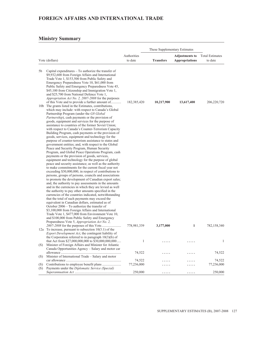### **Ministry Summary**

| These Supplementary Estimates |                                                                                                                                                                                                                                                                                                                                                                                                                                                                                                                                                                                                                                                                                                                                                                                                                                                                                                                                                                                                                                                                                                                                                                                                                                                                                                                                                                                                                                                                                                                                                                                                                                                                                                                             |             |                  |                       |                        |
|-------------------------------|-----------------------------------------------------------------------------------------------------------------------------------------------------------------------------------------------------------------------------------------------------------------------------------------------------------------------------------------------------------------------------------------------------------------------------------------------------------------------------------------------------------------------------------------------------------------------------------------------------------------------------------------------------------------------------------------------------------------------------------------------------------------------------------------------------------------------------------------------------------------------------------------------------------------------------------------------------------------------------------------------------------------------------------------------------------------------------------------------------------------------------------------------------------------------------------------------------------------------------------------------------------------------------------------------------------------------------------------------------------------------------------------------------------------------------------------------------------------------------------------------------------------------------------------------------------------------------------------------------------------------------------------------------------------------------------------------------------------------------|-------------|------------------|-----------------------|------------------------|
|                               |                                                                                                                                                                                                                                                                                                                                                                                                                                                                                                                                                                                                                                                                                                                                                                                                                                                                                                                                                                                                                                                                                                                                                                                                                                                                                                                                                                                                                                                                                                                                                                                                                                                                                                                             | Authorities |                  | <b>Adjustments to</b> | <b>Total Estimates</b> |
|                               | Vote (dollars)                                                                                                                                                                                                                                                                                                                                                                                                                                                                                                                                                                                                                                                                                                                                                                                                                                                                                                                                                                                                                                                                                                                                                                                                                                                                                                                                                                                                                                                                                                                                                                                                                                                                                                              | to date     | <b>Transfers</b> | <b>Appropriations</b> | to date                |
| 5b                            | Capital expenditures - To authorize the transfer of<br>\$9,932,600 from Foreign Affairs and International<br>Trade Vote 1, \$153,500 from Public Safety and<br>Emergency Preparedness Vote 10, \$61,000 from<br>Public Safety and Emergency Preparedness Vote 45,<br>\$45,100 from Citizenship and Immigration Vote 1,<br>and \$25,700 from National Defence Vote 1,<br>Appropriation Act No. 2, 2007-2008 for the purposes                                                                                                                                                                                                                                                                                                                                                                                                                                                                                                                                                                                                                                                                                                                                                                                                                                                                                                                                                                                                                                                                                                                                                                                                                                                                                                 |             |                  |                       |                        |
|                               | of this Vote and to provide a further amount of<br>10b The grants listed in the Estimates, contributions,<br>which may include: with respect to Canada's Global<br>Partnership Program (under the G8 Global<br>Partnership), cash payments or the provision of<br>goods, equipment and services for the purpose of<br>assistance to countries of the former Soviet Union;<br>with respect to Canada's Counter-Terrorism Capacity<br>Building Program, cash payments or the provision of<br>goods, services, equipment and technology for the<br>purpose of counter-terrorism assistance to states and<br>government entities; and, with respect to the Global<br>Peace and Security Program, Human Security<br>Program, and Global Peace Operations Program, cash<br>payments or the provision of goods, services,<br>equipment and technology for the purpose of global<br>peace and security assistance; as well as the authority<br>to make commitments for the current fiscal year not<br>exceeding \$30,000,000, in respect of contributions to<br>persons, groups of persons, councils and associations<br>to promote the development of Canadian export sales;<br>and, the authority to pay assessments in the amounts<br>and in the currencies in which they are levied as well<br>the authority to pay other amounts specified in the<br>currencies of the countries indicated, notwithstanding<br>that the total of such payments may exceed the<br>equivalent in Canadian dollars, estimated as of<br>October $2006 - To$ authorize the transfer of<br>\$3,100,000 from Foreign Affairs and International<br>Trade Vote 1, \$477,000 from Environment Vote 10,<br>and \$100,000 from Public Safety and Emergency | 182,385,420 | 10,217,900       | 13,617,400            | 206,220,720            |
|                               | Preparedness Vote 5, Appropriation Act No. 2,<br>12a To increase, pursuant to subsection $10(3.1)$ of the<br>Export Development Act, the contingent liability of<br>the Corporation referred to in paragraph $10(3)(b)$ of                                                                                                                                                                                                                                                                                                                                                                                                                                                                                                                                                                                                                                                                                                                                                                                                                                                                                                                                                                                                                                                                                                                                                                                                                                                                                                                                                                                                                                                                                                  | 778,981,339 | 3,177,000        | $\mathbf{1}$          | 782,158,340            |
| (S)                           | that Act from \$27,000,000,000 to \$30,000,000,000<br>Minister of Foreign Affairs and Minister for Atlantic<br>Canada Opportunities Agency - Salary and motor car                                                                                                                                                                                                                                                                                                                                                                                                                                                                                                                                                                                                                                                                                                                                                                                                                                                                                                                                                                                                                                                                                                                                                                                                                                                                                                                                                                                                                                                                                                                                                           | 1           |                  | .                     | $\mathbf{1}$           |
| (S)                           | Minister of International Trade - Salary and motor                                                                                                                                                                                                                                                                                                                                                                                                                                                                                                                                                                                                                                                                                                                                                                                                                                                                                                                                                                                                                                                                                                                                                                                                                                                                                                                                                                                                                                                                                                                                                                                                                                                                          | 74,522      | .                | .                     | 74,522                 |
|                               |                                                                                                                                                                                                                                                                                                                                                                                                                                                                                                                                                                                                                                                                                                                                                                                                                                                                                                                                                                                                                                                                                                                                                                                                                                                                                                                                                                                                                                                                                                                                                                                                                                                                                                                             | 74,522      |                  |                       | 74,522                 |
| (S)<br>(S)                    | Payments under the Diplomatic Service (Special)                                                                                                                                                                                                                                                                                                                                                                                                                                                                                                                                                                                                                                                                                                                                                                                                                                                                                                                                                                                                                                                                                                                                                                                                                                                                                                                                                                                                                                                                                                                                                                                                                                                                             | 77,236,000  |                  |                       | 77,236,000             |
|                               |                                                                                                                                                                                                                                                                                                                                                                                                                                                                                                                                                                                                                                                                                                                                                                                                                                                                                                                                                                                                                                                                                                                                                                                                                                                                                                                                                                                                                                                                                                                                                                                                                                                                                                                             | 250,000     | .                | .                     | 250,000                |

<u> 1989 - Johann Barbara, martxa alemaniar a</u>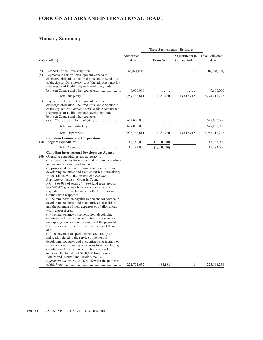### **Ministry Summary**

|            |                                                                                                                                                                                                                                                                                                                                                                                                                                                                                                                                                                                                                                                                                                                                                                                                                                                                                                                                                                                                                                                                                                                                                                                                                                                                                                                                                                                                                                                                        |                        | These Supplementary Estimates |                                                |                                   |
|------------|------------------------------------------------------------------------------------------------------------------------------------------------------------------------------------------------------------------------------------------------------------------------------------------------------------------------------------------------------------------------------------------------------------------------------------------------------------------------------------------------------------------------------------------------------------------------------------------------------------------------------------------------------------------------------------------------------------------------------------------------------------------------------------------------------------------------------------------------------------------------------------------------------------------------------------------------------------------------------------------------------------------------------------------------------------------------------------------------------------------------------------------------------------------------------------------------------------------------------------------------------------------------------------------------------------------------------------------------------------------------------------------------------------------------------------------------------------------------|------------------------|-------------------------------|------------------------------------------------|-----------------------------------|
|            | Vote (dollars)                                                                                                                                                                                                                                                                                                                                                                                                                                                                                                                                                                                                                                                                                                                                                                                                                                                                                                                                                                                                                                                                                                                                                                                                                                                                                                                                                                                                                                                         | Authorities<br>to date | <b>Transfers</b>              | <b>Adjustments to</b><br><b>Appropriations</b> | <b>Total Estimates</b><br>to date |
| (S)<br>(S) | Payments to Export Development Canada to<br>discharge obligations incurred pursuant to Section 23<br>of the <i>Export Development Act</i> (Canada Account) for<br>the purpose of facilitating and developing trade                                                                                                                                                                                                                                                                                                                                                                                                                                                                                                                                                                                                                                                                                                                                                                                                                                                                                                                                                                                                                                                                                                                                                                                                                                                     | (6,078,000)            |                               |                                                | (6,078,000)                       |
|            |                                                                                                                                                                                                                                                                                                                                                                                                                                                                                                                                                                                                                                                                                                                                                                                                                                                                                                                                                                                                                                                                                                                                                                                                                                                                                                                                                                                                                                                                        | 6,600,000              |                               |                                                | 6,600,000                         |
|            |                                                                                                                                                                                                                                                                                                                                                                                                                                                                                                                                                                                                                                                                                                                                                                                                                                                                                                                                                                                                                                                                                                                                                                                                                                                                                                                                                                                                                                                                        | 2,259,266,611          | 1,331,260                     | 13,617,402                                     | 2,274,215,273                     |
| (S)        | Payments to Export Development Canada to<br>discharge obligations incurred pursuant to Section 23<br>of the Export Development Act(Canada Account) for<br>the purpose of facilitating and developing trade<br>between Canada and other countries                                                                                                                                                                                                                                                                                                                                                                                                                                                                                                                                                                                                                                                                                                                                                                                                                                                                                                                                                                                                                                                                                                                                                                                                                       | 679,000,000            |                               |                                                | 679,000,000                       |
|            |                                                                                                                                                                                                                                                                                                                                                                                                                                                                                                                                                                                                                                                                                                                                                                                                                                                                                                                                                                                                                                                                                                                                                                                                                                                                                                                                                                                                                                                                        | 679,000,000            | .                             | .                                              | 679,000,000                       |
|            |                                                                                                                                                                                                                                                                                                                                                                                                                                                                                                                                                                                                                                                                                                                                                                                                                                                                                                                                                                                                                                                                                                                                                                                                                                                                                                                                                                                                                                                                        | 2,938,266,611          | 1,331,260                     | 13,617,402                                     | 2,953,215,273                     |
|            | <b>Canadian Commercial Corporation</b>                                                                                                                                                                                                                                                                                                                                                                                                                                                                                                                                                                                                                                                                                                                                                                                                                                                                                                                                                                                                                                                                                                                                                                                                                                                                                                                                                                                                                                 |                        |                               |                                                |                                   |
|            |                                                                                                                                                                                                                                                                                                                                                                                                                                                                                                                                                                                                                                                                                                                                                                                                                                                                                                                                                                                                                                                                                                                                                                                                                                                                                                                                                                                                                                                                        | 16,182,000             | (1,000,000)                   |                                                | 15,182,000                        |
|            |                                                                                                                                                                                                                                                                                                                                                                                                                                                                                                                                                                                                                                                                                                                                                                                                                                                                                                                                                                                                                                                                                                                                                                                                                                                                                                                                                                                                                                                                        | 16,182,000             | (1,000,000)                   |                                                | 15,182,000                        |
|            | <b>Canadian International Development Agency</b><br>20b Operating expenditures and authority to<br>$(a)$ engage persons for service in developing countries<br>and in countries in transition; and<br>$(b)$ provide education or training for persons from<br>developing countries and from countries in transition,<br>in accordance with the Technical Assistance<br>Regulations, made by Order in Council<br>P.C. 1986-993 of April 24, 1986 (and registered as<br>SOR/86-475), as may be amended, or any other<br>regulations that may be made by the Governor in<br>Council with respect to<br>(i) the remuneration payable to persons for service in<br>developing countries and in countries in transition,<br>and the payment of their expenses or of allowances<br>with respect thereto,<br>(ii) the maintenance of persons from developing<br>countries and from countries in transition who are<br>undergoing education or training, and the payment of<br>their expenses or of allowances with respect thereto,<br>and<br>(iii) the payment of special expenses directly or<br>indirectly related to the service of persons in<br>developing countries and in countries in transition or<br>the education or training of persons from developing<br>countries and from countries in transition - To<br>authorize the transfer of \$480,408 from Foreign<br>Affairs and International Trade Vote 25,<br>Appropriation Act No. 2, 2007-2008 for the purposes | 222,701,652            | 464,581                       | 1                                              | 223,166,234                       |

<u> 1989 - Johann Barn, mars eta bainar eta baina eta baina eta baina eta baina eta baina eta baina eta baina e</u>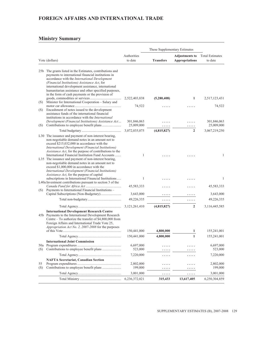### **Ministry Summary**

|     |                                                                                                                                                                                                                                                                                                                                                                                                                                                                                                                                                                                            |                           | These Supplementary Estimates |                                                |                                   |
|-----|--------------------------------------------------------------------------------------------------------------------------------------------------------------------------------------------------------------------------------------------------------------------------------------------------------------------------------------------------------------------------------------------------------------------------------------------------------------------------------------------------------------------------------------------------------------------------------------------|---------------------------|-------------------------------|------------------------------------------------|-----------------------------------|
|     | Vote (dollars)                                                                                                                                                                                                                                                                                                                                                                                                                                                                                                                                                                             | Authorities<br>to date    | <b>Transfers</b>              | <b>Adjustments to</b><br><b>Appropriations</b> | <b>Total Estimates</b><br>to date |
|     | 25b The grants listed in the Estimates, contributions and<br>payments to international financial institutions in<br>accordance with the International Development<br>(Financial Institutions) Assistance Act, for<br>international development assistance, international<br>humanitarian assistance and other specified purposes,                                                                                                                                                                                                                                                          |                           |                               |                                                |                                   |
| (S) | in the form of cash payments or the provision of<br>Minister for International Cooperation - Salary and                                                                                                                                                                                                                                                                                                                                                                                                                                                                                    | 2,522,403,838             | (5,280,408)                   | 1                                              | 2,517,123,431                     |
| (S) | Encashment of notes issued to the development<br>assistance funds of the international financial<br>institutions in accordance with the <i>International</i>                                                                                                                                                                                                                                                                                                                                                                                                                               | 74,522                    |                               |                                                | 74,522                            |
| (S) | Development (Financial Institutions) Assistance Act                                                                                                                                                                                                                                                                                                                                                                                                                                                                                                                                        | 301,846,063<br>25,009,000 | .                             | .                                              | 301,846,063<br>25,009,000         |
|     |                                                                                                                                                                                                                                                                                                                                                                                                                                                                                                                                                                                            | 3,072,035,075             | (4,815,827)                   | $\overline{2}$                                 | 3,067,219,250                     |
|     | L30 The issuance and payment of non-interest bearing,<br>non-negotiable demand notes in an amount not to<br>exceed \$215,032,000 in accordance with the<br>International Development (Financial Institutions)<br>Assistance Act, for the purpose of contributions to the<br>International Financial Institution Fund Accounts<br>L35 The issuance and payment of non-interest bearing,<br>non-negotiable demand notes in an amount not to<br>exceed \$1,000,000 in accordance with the<br>International Development (Financial Institutions)<br>Assistance Act, for the purpose of capital | 1                         |                               |                                                | 1                                 |
|     | subscriptions in International Financial Institutions<br>L40a Investment contributions pursuant to section 3 of the                                                                                                                                                                                                                                                                                                                                                                                                                                                                        | 1                         |                               |                                                | 1                                 |
| (S) | Payments to International Financial Institutions -                                                                                                                                                                                                                                                                                                                                                                                                                                                                                                                                         | 45,583,333                |                               |                                                | 45,583,333                        |
|     |                                                                                                                                                                                                                                                                                                                                                                                                                                                                                                                                                                                            | 3,643,000                 |                               |                                                | 3,643,000                         |
|     |                                                                                                                                                                                                                                                                                                                                                                                                                                                                                                                                                                                            | 49,226,335                | .                             | .                                              | 49,226,335                        |
|     |                                                                                                                                                                                                                                                                                                                                                                                                                                                                                                                                                                                            | 3, 121, 261, 410          | (4,815,827)                   | $\overline{2}$                                 | 3,116,445,585                     |
|     | <b>International Development Research Centre</b><br>45b Payments to the International Development Research<br>Centre – To authorize the transfer of $$4,800,000$ from<br>Foreign Affairs and International Trade Vote 25,<br>Appropriation Act No. 2, 2007-2008 for the purposes                                                                                                                                                                                                                                                                                                           |                           |                               |                                                |                                   |
|     |                                                                                                                                                                                                                                                                                                                                                                                                                                                                                                                                                                                            | 150,441,000               | 4,800,000                     | 1                                              | 155,241,001                       |
|     |                                                                                                                                                                                                                                                                                                                                                                                                                                                                                                                                                                                            | 150,441,000               | 4,800,000                     | $\mathbf{1}$                                   | 155,241,001                       |
| (S) | <b>International Joint Commission</b>                                                                                                                                                                                                                                                                                                                                                                                                                                                                                                                                                      | 6,697,000<br>523,000      | .                             | .<br>.                                         | 6,697,000<br>523,000              |
|     |                                                                                                                                                                                                                                                                                                                                                                                                                                                                                                                                                                                            | 7,220,000                 | .                             | .                                              | 7,220,000                         |
|     | <b>NAFTA Secretariat, Canadian Section</b>                                                                                                                                                                                                                                                                                                                                                                                                                                                                                                                                                 |                           |                               |                                                |                                   |
| 55  |                                                                                                                                                                                                                                                                                                                                                                                                                                                                                                                                                                                            | 2,802,000                 | .                             | .                                              | 2,802,000                         |
| (S) |                                                                                                                                                                                                                                                                                                                                                                                                                                                                                                                                                                                            | 199,000                   |                               | .                                              | 199,000                           |
|     |                                                                                                                                                                                                                                                                                                                                                                                                                                                                                                                                                                                            | 3,001,000                 | .                             | .                                              | 3,001,000                         |
|     |                                                                                                                                                                                                                                                                                                                                                                                                                                                                                                                                                                                            | 6,236,372,021             | 315,433                       | 13,617,405                                     | 6,250,304,859                     |

<u> 1989 - Johann Barn, mars eta bainar eta baina eta baina eta baina eta baina eta baina eta baina eta baina e</u>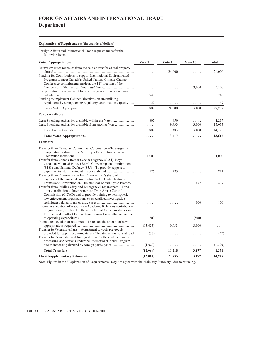# **FOREIGN AFFAIRS AND INTERNATIONAL TRADE Department**

### **Explanation of Requirements (thousands of dollars)**

Foreign Affairs and International Trade requests funds for the following items:

| <b>Voted Appropriations</b>                                                                                                                                                                                                                             | Vote 1    | Vote 5       | Vote 10    | <b>Total</b>    |
|---------------------------------------------------------------------------------------------------------------------------------------------------------------------------------------------------------------------------------------------------------|-----------|--------------|------------|-----------------|
| Reinvestment of revenues from the sale or transfer of real property                                                                                                                                                                                     |           | 24,000       |            | 24,000          |
| Funding for Contributions to support International Environmental<br>Programs to meet Canada's United Nations Climate Change<br>Conference commitments made at the 11 <sup>th</sup> meeting of the                                                       |           |              | 3,100      | 3,100           |
| Compensation for adjustment to previous year currency exchange<br>Funding to implement Cabinet Directives on streamlining                                                                                                                               | 748       | .            | .          | 748             |
| regulations by strengthening regulatory coordination capacity                                                                                                                                                                                           | 59        | .            | .          | 59              |
| Gross Voted Appropriations                                                                                                                                                                                                                              | 807       | 24,000       | 3,100      | 27,907          |
| <b>Funds Available</b>                                                                                                                                                                                                                                  |           |              |            |                 |
| Less: Spending authorities available from another Vote                                                                                                                                                                                                  | 807<br>.  | 450<br>9,933 | .<br>3,100 | 1,257<br>13,033 |
| Total Funds Available                                                                                                                                                                                                                                   | 807       | 10,383       | 3,100      | 14,290          |
| <b>Total Voted Appropriations</b>                                                                                                                                                                                                                       | .         | 13,617       | .          | 13,617          |
| <b>Transfers</b>                                                                                                                                                                                                                                        |           |              |            |                 |
| Transfer from Canadian Commercial Corporation – To assign the<br>Corporation's share of the Ministry's Expenditure Review                                                                                                                               | 1,000     |              |            | 1,000           |
| Transfer from Canada Border Services Agency (\$381), Royal<br>Canadian Mounted Police (\$206), Citizenship and Immigration<br>$($168)$ and National Defence $($55)$ – To provide support to                                                             |           |              |            |                 |
|                                                                                                                                                                                                                                                         | 526       | 285          | $\cdots$   | 811             |
| Transfer from Environment – For Environment's share of the<br>payment of the assessed contribution to the United Nations<br>Framework Convention on Climate Change and Kyoto Protocol<br>Transfer from Public Safety and Emergency Preparedness – For a |           |              | 477        | 477             |
| joint contribution to Inter-American Drug Abuse Control<br>Commission (CICAD) and to provide training to hemispheric<br>law enforcement organizations on specialized investigative                                                                      |           |              |            |                 |
| Internal reallocation of resources - Academic Relations contribution<br>program savings related to the reduction of Canadian studies in<br>Europe used to offset Expenditure Review Committee reductions                                                |           |              | 100        | 100             |
|                                                                                                                                                                                                                                                         | 500       | .            | (500)      |                 |
| Internal reallocation of resources - To reduce the amount of new<br>Transfer to Veterans Affairs - Adjustment to costs previously                                                                                                                       | (13, 033) | 9,933        | 3,100      |                 |
| provided to support departmental staff located at missions abroad<br>Transfer to Citizenship and Immigration – For the cost increase of<br>processing applications under the International Youth Program                                                | (37)      | .            | .          | (37)            |
| due to increasing demand by foreign participants                                                                                                                                                                                                        | (1,020)   | .            | .          | (1,020)         |
| <b>Total Transfers</b>                                                                                                                                                                                                                                  | (12,064)  | 10,218       | 3,177      | 1,331           |
| <b>These Supplementary Estimates</b>                                                                                                                                                                                                                    | (12,064)  | 23,835       | 3,177      | 14,948          |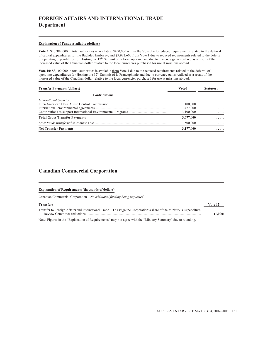# **FOREIGN AFFAIRS AND INTERNATIONAL TRADE Department**

#### **Explanation of Funds Available (dollars)**

Vote 5: \$10,382,600 in total authorities is available: \$450,000 within the Vote due to reduced requirements related to the deferral of capital expenditures for the Baghdad Embassy; and \$9,932,600 from Vote 1 due to reduced requirements related to the deferral of operating expenditures for Hosting the 12<sup>th</sup> Summit of la Francophonie and due to currency gains realized as a result of the increased value of the Canadian dollar relative to the local currencies purchased for use at missions abroad.

**Vote 10**: \$3,100,000 in total authorities is available from Vote 1 due to the reduced requirements related to the deferral of operating expenditures for Hosting the 12<sup>th</sup> Summit of la Francophonie and due to currency gai increased value of the Canadian dollar relative to the local currencies purchased for use at missions abroad.

| <b>Transfer Payments (dollars)</b>   | Voted     | <b>Statutory</b> |
|--------------------------------------|-----------|------------------|
| <b>Contributions</b>                 |           |                  |
| <b>International Security</b>        |           |                  |
|                                      | 100,000   | .                |
|                                      | 477,000   | .                |
|                                      | 3,100,000 | .                |
| <b>Total Gross Transfer Payments</b> | 3,677,000 | .                |
|                                      | 500,000   | .                |
| <b>Net Transfer Payments</b>         | 3,177,000 | .                |

### **Canadian Commercial Corporation**

#### **Explanation of Requirements (thousands of dollars)**

Canadian Commercial Corporation – *No additional funding being requested*

| <b>Transfers</b>                                                                                                      | Vote 15 |
|-----------------------------------------------------------------------------------------------------------------------|---------|
| Transfer to Foreign Affairs and International Trade – To assign the Corporation's share of the Ministry's Expenditure |         |
|                                                                                                                       | (1,000) |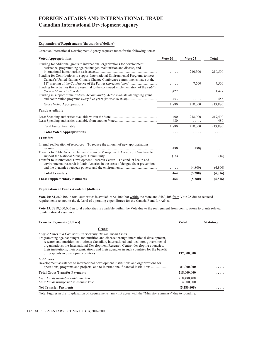# **FOREIGN AFFAIRS AND INTERNATIONAL TRADE Canadian International Development Agency**

#### **Explanation of Requirements (thousands of dollars)**

Canadian International Development Agency requests funds for the following items:

| <b>Voted Appropriations</b>                                                                                                                                                                                                                | Vote 20      | Vote 25      | <b>Total</b>   |
|--------------------------------------------------------------------------------------------------------------------------------------------------------------------------------------------------------------------------------------------|--------------|--------------|----------------|
| Funding for additional grants to international organizations for development<br>assistance, programming against hunger, malnutrition and disease, and<br>Funding for Contributions to support International Environmental Programs to meet |              | 210,500      | 210,500        |
| Canada's United Nations Climate Change Conference commitments made at the<br>Funding for activities that are essential to the continued implementation of the <i>Public</i>                                                                | .            | 7,500        | 7,500          |
|                                                                                                                                                                                                                                            | 1,427        | .            | 1,427          |
| Funding in support of the Federal Accountability Act to evaluate all ongoing grant                                                                                                                                                         | 453          | .            | 453            |
| Gross Voted Appropriations                                                                                                                                                                                                                 | 1.880        | 218,000      | 219,880        |
| <b>Funds Available</b>                                                                                                                                                                                                                     |              |              |                |
|                                                                                                                                                                                                                                            | 1,400<br>480 | 218,000<br>. | 219,400<br>480 |
| Total Funds Available                                                                                                                                                                                                                      | 1,880        | 218,000      | 219,880        |
| <b>Total Voted Appropriations</b>                                                                                                                                                                                                          | .            | .            |                |
| <b>Transfers</b>                                                                                                                                                                                                                           |              |              |                |
| Internal reallocation of resources $-$ To reduce the amount of new appropriations<br>Transfer to Public Service Human Resources Management Agency of Canada - To                                                                           | 480          | (480)        |                |
| Transfer to International Development Research Centre - To conduct health and                                                                                                                                                              | (16)         | .            | (16)           |
| environmental research in Latin America in the areas of dengue fever prevention                                                                                                                                                            | .            | (4,800)      | (4,800)        |
| <b>Total Transfers</b>                                                                                                                                                                                                                     | 464          | (5,280)      | (4,816)        |
| <b>These Supplementary Estimates</b>                                                                                                                                                                                                       | 464          | (5,280)      | (4, 816)       |

#### **Explanation of Funds Available (dollars)**

Vote 20: \$1,880,408 in total authorities is available: \$1,400,000 within the Vote and \$480,408 from Vote 25 due to reduced requirements related to the deferral of operating expenditures for the Canada Fund for Africa.

**Vote 25**: \$218,000,000 in total authorities is available within the Vote due to the realignment from contributions to grants related to international assistance.

| <b>Transfer Payments (dollars)</b>                                                                                                                                                                                                                                                                                                                                                                                                         | <b>Voted</b>             | <b>Statutory</b> |
|--------------------------------------------------------------------------------------------------------------------------------------------------------------------------------------------------------------------------------------------------------------------------------------------------------------------------------------------------------------------------------------------------------------------------------------------|--------------------------|------------------|
| Grants                                                                                                                                                                                                                                                                                                                                                                                                                                     |                          |                  |
| Fragile States and Countries Experiencing Humanitarian Crisis<br>Programming against hunger, malnutrition and disease through international development,<br>research and nutrition institutions; Canadian, international and local non-governmental<br>organizations; the International Development Research Centre; developing countries,<br>their institutions, their organizations and their agencies in such countries for the benefit | 137,000,000              |                  |
| <i>Institutions</i><br>Development assistance to international development institutions and organizations for<br>operations, programs and projects, and to international financial institutions                                                                                                                                                                                                                                            | 81,000,000               |                  |
| <b>Total Gross Transfer Payments</b>                                                                                                                                                                                                                                                                                                                                                                                                       | 218,000,000              |                  |
|                                                                                                                                                                                                                                                                                                                                                                                                                                            | 218,480,408<br>4,800,000 |                  |
| <b>Net Transfer Payments</b>                                                                                                                                                                                                                                                                                                                                                                                                               | (5,280,408)              |                  |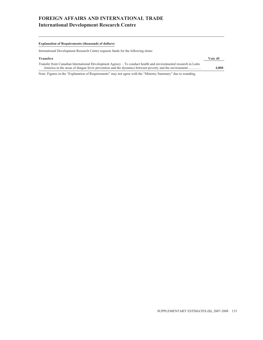# **FOREIGN AFFAIRS AND INTERNATIONAL TRADE International Development Research Centre**

#### **Explanation of Requirements (thousands of dollars)**

International Development Research Centre requests funds for the following items:

| <b>Transfers</b>                                                                                                | Vote 45 |
|-----------------------------------------------------------------------------------------------------------------|---------|
| Transfer from Canadian International Development Agency – To conduct health and environmental research in Latin |         |
| America in the areas of dengue fever prevention and the dynamics between poverty and the environment            | 4.800   |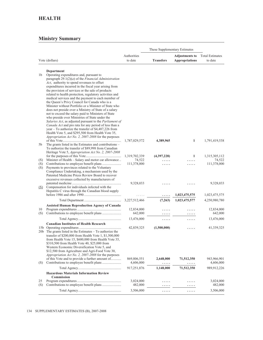|            | Vote (dollars)                                                                                                                                                                                                                                                                                                                                                                                                                                                                                                                                                                                                                                                                                                                      | Authorities<br>to date   | <b>Transfers</b> | <b>Adjustments to</b><br><b>Appropriations</b> | <b>Total Estimates</b><br>to date |
|------------|-------------------------------------------------------------------------------------------------------------------------------------------------------------------------------------------------------------------------------------------------------------------------------------------------------------------------------------------------------------------------------------------------------------------------------------------------------------------------------------------------------------------------------------------------------------------------------------------------------------------------------------------------------------------------------------------------------------------------------------|--------------------------|------------------|------------------------------------------------|-----------------------------------|
| 1b         | Department<br>Operating expenditures and, pursuant to<br>paragraph $29.1(2)(a)$ of the Financial Administration<br>Act, authority to spend revenues to offset<br>expenditures incurred in the fiscal year arising from<br>the provision of services or the sale of products<br>related to health protection, regulatory activities and<br>medical services and the payment to each member of<br>the Queen's Privy Council for Canada who is a<br>Minister without Portfolio or a Minister of State who<br>does not preside over a Ministry of State of a salary<br>not to exceed the salary paid to Ministers of State<br>who preside over Ministries of State under the<br>Salaries Act, as adjusted pursuant to the Parliament of |                          |                  |                                                |                                   |
|            | Canada Act and pro rata for any period of less than a<br>year $-$ To authorize the transfer of \$4,487,226 from<br>Health Vote 5, and \$295,500 from Health Vote 35,                                                                                                                                                                                                                                                                                                                                                                                                                                                                                                                                                                |                          |                  |                                                |                                   |
| 5b         | Appropriation Act No. 2, 2007-2008 for the purposes<br>The grants listed in the Estimates and contributions –<br>To authorize the transfer of \$89,998 from Canadian                                                                                                                                                                                                                                                                                                                                                                                                                                                                                                                                                                | 1,787,029,572            | 4,389,965        | 1                                              | 1,791,419,538                     |
|            | Heritage Vote 5, Appropriation Act No. 2, 2007-2008                                                                                                                                                                                                                                                                                                                                                                                                                                                                                                                                                                                                                                                                                 | 1,319,702,339            | (4,397,228)      | 1                                              | 1,315,305,112                     |
| (S)        | Minister of Health - Salary and motor car allowance                                                                                                                                                                                                                                                                                                                                                                                                                                                                                                                                                                                                                                                                                 | 74,522                   | .                |                                                | 74,522                            |
| (S)<br>(S) | Payments to provinces related to the Voluntary<br>Compliance Undertaking, a mechanism used by the<br>Patented Medicine Prices Review Board to recover<br>excessive revenues collected by manufacturers of                                                                                                                                                                                                                                                                                                                                                                                                                                                                                                                           | 111,378,000              | .                | .                                              | 111,378,000                       |
| (S)        | Compensation for individuals infected with the<br>Hepatitis C virus through the Canadian blood supply                                                                                                                                                                                                                                                                                                                                                                                                                                                                                                                                                                                                                               | 9,328,033                |                  |                                                | 9,328,033                         |
|            |                                                                                                                                                                                                                                                                                                                                                                                                                                                                                                                                                                                                                                                                                                                                     |                          | .                | 1,023,475,575                                  | 1,023,475,575                     |
|            |                                                                                                                                                                                                                                                                                                                                                                                                                                                                                                                                                                                                                                                                                                                                     | 3,227,512,466            | (7,263)          | 1,023,475,577                                  | 4,250,980,780                     |
| 10         | <b>Assisted Human Reproduction Agency of Canada</b>                                                                                                                                                                                                                                                                                                                                                                                                                                                                                                                                                                                                                                                                                 | 12,834,000               |                  |                                                | 12,834,000                        |
| (S)        |                                                                                                                                                                                                                                                                                                                                                                                                                                                                                                                                                                                                                                                                                                                                     | 642,000                  |                  |                                                | 642,000                           |
|            |                                                                                                                                                                                                                                                                                                                                                                                                                                                                                                                                                                                                                                                                                                                                     | 13,476,000               | .                | .                                              | 13,476,000                        |
|            | <b>Canadian Institutes of Health Research</b><br>20b The grants listed in the Estimates - To authorize the<br>transfer of \$200,000 from Health Vote 1, \$1,500,000<br>from Health Vote 15, \$600,000 from Health Vote 35,<br>\$310,500 from Health Vote 40, \$25,000 from<br>Western Economic Diversification Vote 5, and                                                                                                                                                                                                                                                                                                                                                                                                          | 42,839,325               | (1,500,000)      |                                                | 41,339,325                        |
| (S)        | \$12,500 from Agriculture and Agri-Food Vote 30,<br>Appropriation Act No. 2, 2007-2008 for the purposes<br>of this Vote and to provide a further amount of                                                                                                                                                                                                                                                                                                                                                                                                                                                                                                                                                                          | 869,806,551<br>4,606,000 | 2,648,000<br>.   | 71,512,350<br>.                                | 943,966,901<br>4,606,000          |
|            |                                                                                                                                                                                                                                                                                                                                                                                                                                                                                                                                                                                                                                                                                                                                     | 917,251,876              | 1,148,000        | 71,512,350                                     | 989,912,226                       |
|            | <b>Hazardous Materials Information Review</b><br>Commission                                                                                                                                                                                                                                                                                                                                                                                                                                                                                                                                                                                                                                                                         |                          |                  |                                                |                                   |
| 25         |                                                                                                                                                                                                                                                                                                                                                                                                                                                                                                                                                                                                                                                                                                                                     | 3,024,000                | .                |                                                | 3,024,000                         |
| (S)        |                                                                                                                                                                                                                                                                                                                                                                                                                                                                                                                                                                                                                                                                                                                                     | 482,000                  | .                | .                                              | 482,000                           |
|            |                                                                                                                                                                                                                                                                                                                                                                                                                                                                                                                                                                                                                                                                                                                                     | 3,506,000                | .                | .                                              | 3,506,000                         |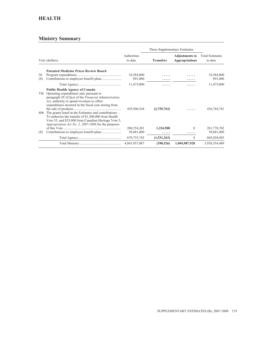# **HEALTH**

|                |                                                                                                                                                                                                                                                                                                                                                                                                                                                                                                  |                              | These Supplementary Estimates |                                         |                                   |
|----------------|--------------------------------------------------------------------------------------------------------------------------------------------------------------------------------------------------------------------------------------------------------------------------------------------------------------------------------------------------------------------------------------------------------------------------------------------------------------------------------------------------|------------------------------|-------------------------------|-----------------------------------------|-----------------------------------|
| Vote (dollars) |                                                                                                                                                                                                                                                                                                                                                                                                                                                                                                  | Authorities<br>to date       | <b>Transfers</b>              | <b>Adjustments to</b><br>Appropriations | <b>Total Estimates</b><br>to date |
| 30<br>(S)      | <b>Patented Medicine Prices Review Board</b>                                                                                                                                                                                                                                                                                                                                                                                                                                                     | 10,584,000<br>891,000        |                               |                                         | 10,584,000<br>891,000             |
|                |                                                                                                                                                                                                                                                                                                                                                                                                                                                                                                  | 11,475,000                   |                               |                                         | 11,475,000                        |
| 35b<br>40b     | <b>Public Health Agency of Canada</b><br>Operating expenditures and, pursuant to<br>paragraph $29.1(2)(a)$ of the <i>Financial Administration</i><br>Act, authority to spend revenues to offset<br>expenditures incurred in the fiscal year arising from<br>The grants listed in the Estimates and contributions -<br>To authorize the transfer of \$1,500,000 from Health<br>Vote 35, and \$35,000 from Canadian Heritage Vote 5,<br><i>Appropriation Act No. 2, 2007-2008</i> for the purposes | 439,500,544<br>200, 554, 201 | (2,755,763)<br>1,224,500      | 1                                       | 436,744,781<br>201,778,702        |
| (S)            |                                                                                                                                                                                                                                                                                                                                                                                                                                                                                                  | 30,681,000                   |                               |                                         | 30,681,000                        |
|                |                                                                                                                                                                                                                                                                                                                                                                                                                                                                                                  | 670, 735, 745                | (1,531,263)                   | 1                                       | 669,204,483                       |
|                |                                                                                                                                                                                                                                                                                                                                                                                                                                                                                                  | 4,843,957,087                | (390, 526)                    | 1,094,987,928                           | 5,938,554,489                     |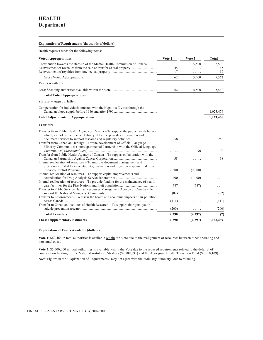#### **Explanation of Requirements (thousands of dollars)**

Health requests funds for the following items:

| <b>Voted Appropriations</b>                                                           | Vote 1 | Vote 5   | <b>Total</b> |
|---------------------------------------------------------------------------------------|--------|----------|--------------|
| Contribution towards the start-up of the Mental Health Commission of Canada           | .      | 5,500    | 5,500        |
|                                                                                       | 45     | .        | 45           |
|                                                                                       | 17     | .        | 17           |
| Gross Voted Appropriations                                                            | 62     | 5,500    | 5,562        |
| <b>Funds Available</b>                                                                |        |          |              |
|                                                                                       | 62     | 5,500    | 5,562        |
| <b>Total Voted Appropriations</b>                                                     | .      | .        | .            |
| <b>Statutory Appropriation</b>                                                        |        |          |              |
| Compensation for individuals infected with the Hepatitis C virus through the          |        |          | 1,023,476    |
| <b>Total Adjustments to Appropriations</b>                                            |        |          | 1,023,476    |
| <b>Transfers</b>                                                                      |        |          |              |
| Transfer from Public Health Agency of Canada – To support the public health library   |        |          |              |
| which, as part of the Science Library Network, provides information and               |        |          |              |
|                                                                                       | 258    |          | 258          |
| Transfer from Canadian Heritage – For the development of Official Language            |        |          |              |
| Minority Communities (Interdepartmental Partnership with the Official Language        |        | 90       | 90           |
| Transfer from Public Health Agency of Canada – To support collaboration with the      |        |          |              |
|                                                                                       | 38     | .        | 38           |
| Internal reallocation of resources – To improve document management and               |        |          |              |
| procedures related to accountability, evaluation and litigation response under the    |        |          |              |
|                                                                                       | 2,300  | (2,300)  |              |
| Internal reallocation of resources – To support capital improvements and              |        |          |              |
| Internal reallocation of resources – To provide funding for the maintenance of health | 1,400  | (1,400)  |              |
|                                                                                       | 787    | (787)    |              |
| Transfer to Public Service Human Resources Management Agency of Canada – To           |        |          |              |
|                                                                                       | (82)   |          | (82)         |
| Transfer to Environment – To assess the health and economic impacts of air pollution  |        |          |              |
|                                                                                       | (111)  | .        | (111)        |
| Transfer to Canadian Institutes of Health Research – To support aboriginal youth      |        |          |              |
|                                                                                       | (200)  | .        | (200)        |
| <b>Total Transfers</b>                                                                | 4,390  | (4,397)  | (7)          |
| <b>These Supplementary Estimates</b>                                                  | 4,390  | (4, 397) | 1,023,469    |

#### **Explanation of Funds Available (dollars)**

**Vote 1**: \$62,464 in total authorities is available within the Vote due to the realignment of resources between other operating and personnel costs.

**Vote 5**: \$5,500,000 in total authorities is available within the Vote due to the reduced requirements related to the deferral of contribution funding for the National Anti-Drug Strategy (\$2,989,891) and the Aboriginal Health Transition Fund (\$2,510,109).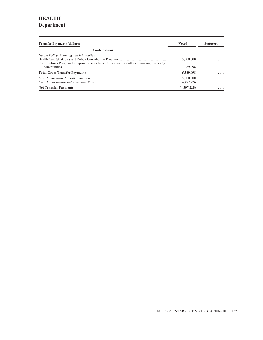# **HEALTH Department**

| <b>Transfer Payments (dollars)</b>                                                        | Voted       | <b>Statutory</b> |
|-------------------------------------------------------------------------------------------|-------------|------------------|
| <b>Contributions</b>                                                                      |             |                  |
| Health Policy, Planning and Information                                                   |             |                  |
|                                                                                           | 5,500,000   | .                |
| Contributions Program to improve access to health services for official language minority |             |                  |
|                                                                                           | 89,998      | .                |
| <b>Total Gross Transfer Payments</b>                                                      | 5,589,998   | .                |
|                                                                                           | 5,500,000   | .                |
|                                                                                           | 4,487,226   | .                |
| <b>Net Transfer Payments</b>                                                              | (4,397,228) | .                |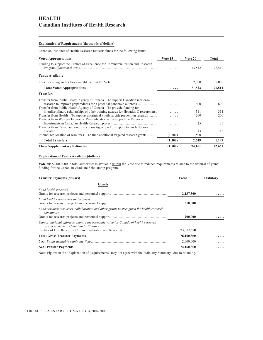# **HEALTH Canadian Institutes of Health Research**

#### **Explanation of Requirements (thousands of dollars)**

Canadian Institutes of Health Research requests funds for the following items:

| <b>Voted Appropriations</b>                                                                                                                                                                                                 | Vote 15 | Vote 20 | Total  |
|-----------------------------------------------------------------------------------------------------------------------------------------------------------------------------------------------------------------------------|---------|---------|--------|
| Funding to support the Centres of Excellence for Commercialization and Research                                                                                                                                             |         | 73,512  | 73,512 |
| <b>Funds Available</b>                                                                                                                                                                                                      |         |         |        |
|                                                                                                                                                                                                                             |         | 2,000   | 2,000  |
| <b>Total Voted Appropriations</b>                                                                                                                                                                                           | .       | 71,512  | 71,512 |
| <b>Transfers</b>                                                                                                                                                                                                            |         |         |        |
| Transfer from Public Health Agency of Canada – To support Canadian influenza<br>research to improve preparedness for a potential pandemic outbreak<br>Transfer from Public Health Agency of Canada – To provide funding for |         | 600     | 600    |
| interdisciplinary scholarships or other training awards for Hepatitis C researchers.                                                                                                                                        | .       | 311     | 311    |
| Transfer from Health – To support aboriginal youth suicide prevention research                                                                                                                                              |         | 200     | 200    |
| Transfer from Western Economic Diversification – To support the Return on<br>Transfer from Canadian Food Inspection Agency – To support Avian Influenza                                                                     | .       | 25      | 25     |
|                                                                                                                                                                                                                             | .       | 13      | 13     |
| Internal reallocation of resources – To fund additional targeted research grants                                                                                                                                            | (1,500) | 1,500   | .      |
| <b>Total Transfers</b>                                                                                                                                                                                                      | (1,500) | 2,649   | 1,149  |
| <b>These Supplementary Estimates</b>                                                                                                                                                                                        | (1,500) | 74,161  | 72,661 |

#### **Explanation of Funds Available (dollars)**

**Vote 20**: \$2,000,000 in total authorities is available within the Vote due to reduced requirements related to the deferral of grant funding for the Canadian Graduate Scholarship program.

| <b>Transfer Payments (dollars)</b>                                                                                             | Voted      | <b>Statutory</b> |
|--------------------------------------------------------------------------------------------------------------------------------|------------|------------------|
| Grants                                                                                                                         |            |                  |
| Fund health research                                                                                                           | 2,137,500  |                  |
| Fund health researchers and trainees                                                                                           | 310,500    |                  |
| Fund research resources, collaboration and other grants to strengthen the health research<br>community                         | 200,000    |                  |
| Support national efforts to capture the economic value for Canada of health research<br>advances made at Canadian institutions | 73,512,350 |                  |
| <b>Total Gross Transfer Payments</b>                                                                                           | 76,160,350 |                  |
|                                                                                                                                | 2,000,000  | .                |
| <b>Net Transfer Payments</b>                                                                                                   | 74,160,350 | .                |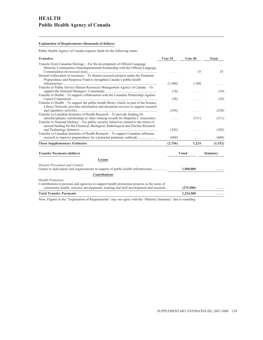# **HEALTH Public Health Agency of Canada**

### **Explanation of Requirements (thousands of dollars)**

Public Health Agency of Canada requests funds for the following items:

| <b>Transfers</b>                                                                                                                                                          | Vote 35 | Vote 40      | <b>Total</b>     |
|---------------------------------------------------------------------------------------------------------------------------------------------------------------------------|---------|--------------|------------------|
| Transfer from Canadian Heritage – For the development of Official Language<br>Minority Communities (Interdepartmental Partnership with the Official Language              |         | 35           | 35               |
| Internal reallocation of resources – To finance research projects under the Pandemic<br>Preparedness and Response Fund to strengthen Canada's public health               | (1,500) | 1,500        |                  |
| Transfer to Public Service Human Resources Management Agency of Canada – To                                                                                               |         |              |                  |
|                                                                                                                                                                           | (18)    |              | (18)             |
| Transfer to Health – To support collaboration with the Canadian Partnership Against                                                                                       |         |              |                  |
|                                                                                                                                                                           | (38)    |              | (38)             |
| Transfer to Health - To support the public health library which, as part of the Science                                                                                   |         |              |                  |
| Library Network, provides information and document services to support research                                                                                           |         |              |                  |
|                                                                                                                                                                           | (258)   | .            | (258)            |
| Transfer to Canadian Institutes of Health Research – To provide funding for                                                                                               |         |              |                  |
| interdisciplinary scholarships or other training awards for Hepatitis C researchers.                                                                                      | .       | (311)        | (311)            |
| Transfer to National Defence – For public security initiatives related to the return of<br>unused funding for the Chemical, Biological, Radiological and Nuclear Research |         |              |                  |
|                                                                                                                                                                           | (342)   |              | (342)            |
| Transfer to Canadian Institutes of Health Research - To support Canadian influenza                                                                                        |         |              |                  |
| research to improve preparedness for a potential pandemic outbreak                                                                                                        | (600)   | .            | (600)            |
| <b>These Supplementary Estimates</b>                                                                                                                                      | (2,756) | 1,224        | (1, 532)         |
|                                                                                                                                                                           |         |              |                  |
| <b>Transfer Payments (dollars)</b>                                                                                                                                        |         | <b>Voted</b> | <b>Statutory</b> |
| <b>Grants</b>                                                                                                                                                             |         |              |                  |
| Disease Prevention and Control                                                                                                                                            |         |              |                  |
| Grants to individuals and organizations in support of public health infrastructure                                                                                        |         | 1,500,000    |                  |
| <b>Contributions</b>                                                                                                                                                      |         |              |                  |
| <b>Health Promotion</b>                                                                                                                                                   |         |              |                  |
| Contributions to persons and agencies to support health promotion projects in the areas of                                                                                |         |              |                  |
| community health, resource development, training and skill development and research                                                                                       |         | (275,500)    |                  |
| <b>Total Transfer Payments</b>                                                                                                                                            |         | 1,224,500    | .                |
|                                                                                                                                                                           |         |              |                  |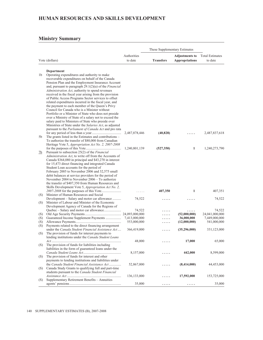### **HUMAN RESOURCES AND SKILLS DEVELOPMENT**

|     |                                                                                                                      |               | These Supplementary Estimates |                       |                        |
|-----|----------------------------------------------------------------------------------------------------------------------|---------------|-------------------------------|-----------------------|------------------------|
|     |                                                                                                                      | Authorities   |                               | <b>Adjustments to</b> | <b>Total Estimates</b> |
|     | Vote (dollars)                                                                                                       | to date       | <b>Transfers</b>              | <b>Appropriations</b> | to date                |
|     |                                                                                                                      |               |                               |                       |                        |
|     | Department                                                                                                           |               |                               |                       |                        |
| 1b  | Operating expenditures and authority to make                                                                         |               |                               |                       |                        |
|     | recoverable expenditures on behalf of the Canada                                                                     |               |                               |                       |                        |
|     | Pension Plan and the Employment Insurance Account<br>and, pursuant to paragraph $29.1(2)(a)$ of the <i>Financial</i> |               |                               |                       |                        |
|     | Administration Act, authority to spend revenues                                                                      |               |                               |                       |                        |
|     | received in the fiscal year arising from the provision                                                               |               |                               |                       |                        |
|     | of Public Access Programs Sector services to offset                                                                  |               |                               |                       |                        |
|     | related expenditures incurred in the fiscal year, and                                                                |               |                               |                       |                        |
|     | the payment to each member of the Queen's Privy                                                                      |               |                               |                       |                        |
|     | Council for Canada who is a Minister without                                                                         |               |                               |                       |                        |
|     | Portfolio or a Minister of State who does not preside                                                                |               |                               |                       |                        |
|     | over a Ministry of State of a salary not to exceed the                                                               |               |                               |                       |                        |
|     | salary paid to Ministers of State who preside over                                                                   |               |                               |                       |                        |
|     | Ministries of State under the Salaries Act, as adjusted                                                              |               |                               |                       |                        |
|     | pursuant to the Parliament of Canada Act and pro rata                                                                |               |                               |                       |                        |
|     | The grants listed in the Estimates and contributions -                                                               | 2,487,878,446 | (40, 828)                     |                       | 2,487,837,618          |
| 5b  | To authorize the transfer of \$80,000 from Canadian                                                                  |               |                               |                       |                        |
|     | Heritage Vote 5, Appropriation Act No. 2, 2007-2008                                                                  |               |                               |                       |                        |
|     |                                                                                                                      | 1,240,801,139 | (527, 350)                    | $\mathbf{1}$          | 1,240,273,790          |
| 7b  | Pursuant to subsection 25(2) of the <i>Financial</i>                                                                 |               |                               |                       |                        |
|     | Administration Act, to write off from the Accounts of                                                                |               |                               |                       |                        |
|     | Canada \$364,080 in principal and \$43,270 in interest                                                               |               |                               |                       |                        |
|     | for 15,473 direct financing and integrated Canada                                                                    |               |                               |                       |                        |
|     | Student Loan accounts for the period of                                                                              |               |                               |                       |                        |
|     | February 2005 to November 2006 and 32,575 small                                                                      |               |                               |                       |                        |
|     | debit balances at service providers for the period of                                                                |               |                               |                       |                        |
|     | November 2004 to November 2006 – To authorize                                                                        |               |                               |                       |                        |
|     | the transfer of \$407,350 from Human Resources and                                                                   |               |                               |                       |                        |
|     | Skills Development Vote 5, Appropriation Act No. 2,                                                                  |               | 407,350                       | $\mathbf{1}$          | 407,351                |
| (S) | Minister of Human Resources and Social                                                                               | .             |                               |                       |                        |
|     | Development – Salary and motor car allowance                                                                         | 74,522        |                               |                       | 74,522                 |
| (S) | Minister of Labour and Minister of the Economic                                                                      |               |                               |                       |                        |
|     | Development Agency of Canada for the Regions of                                                                      |               |                               |                       |                        |
|     | Quebec - Salary and motor car allowance                                                                              | 74,522        |                               | .                     | 74,522                 |
| (S) |                                                                                                                      |               |                               | (52,000,000)          | 24,041,000,000         |
| (S) | Guaranteed Income Supplement Payments                                                                                | 7,413,000,000 | .                             | 36,000,000            | 7,449,000,000          |
| (S) |                                                                                                                      | 553,000,000   | .                             | (12,000,000)          | 541,000,000            |
| (S) | Payments related to the direct financing arrangement                                                                 |               |                               |                       |                        |
|     | under the Canada Student Financial Assistance Act                                                                    | 366,419,000   |                               | (35,296,000)          | 331,123,000            |
| (S) | The provision of funds for interest payments to<br>lending institutions under the Canada Student Loans               |               |                               |                       |                        |
|     |                                                                                                                      | 48,000        |                               | 17,000                | 65,000                 |
| (S) | The provision of funds for liabilities including                                                                     |               |                               |                       |                        |
|     | liabilities in the form of guaranteed loans under the                                                                |               |                               |                       |                        |
|     |                                                                                                                      | 8,157,000     | .                             | 442,000               | 8,599,000              |
| (S) | The provision of funds for interest and other                                                                        |               |                               |                       |                        |
|     | payments to lending institutions and liabilities under                                                               |               |                               |                       |                        |
|     | the Canada Student Financial Assistance Act                                                                          | 52,867,000    | .                             | (8,414,000)           | 44,453,000             |
| (S) | Canada Study Grants to qualifying full and part-time                                                                 |               |                               |                       |                        |
|     | students pursuant to the Canada Student Financial                                                                    |               |                               |                       |                        |
|     | Supplementary Retirement Benefits - Annuities                                                                        | 136, 133, 000 | .                             | 17,592,000            | 153,725,000            |
| (S) |                                                                                                                      | 35,000        |                               |                       | 35,000                 |
|     |                                                                                                                      |               |                               |                       |                        |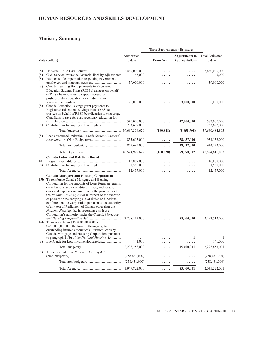# **HUMAN RESOURCES AND SKILLS DEVELOPMENT**

|            |                                                                                                                                                                                                                                                                                                                                                                                                                                                                                                                                                                                                                                                                                                                                                                                                                                                                 |                            | These Supplementary Estimates |                                                |                                   |
|------------|-----------------------------------------------------------------------------------------------------------------------------------------------------------------------------------------------------------------------------------------------------------------------------------------------------------------------------------------------------------------------------------------------------------------------------------------------------------------------------------------------------------------------------------------------------------------------------------------------------------------------------------------------------------------------------------------------------------------------------------------------------------------------------------------------------------------------------------------------------------------|----------------------------|-------------------------------|------------------------------------------------|-----------------------------------|
|            | Vote (dollars)                                                                                                                                                                                                                                                                                                                                                                                                                                                                                                                                                                                                                                                                                                                                                                                                                                                  | Authorities<br>to date     | <b>Transfers</b>              | <b>Adjustments to</b><br><b>Appropriations</b> | <b>Total Estimates</b><br>to date |
| (S)<br>(S) | Civil Service Insurance Actuarial liability adjustments                                                                                                                                                                                                                                                                                                                                                                                                                                                                                                                                                                                                                                                                                                                                                                                                         | 2,460,000,000<br>145,000   |                               |                                                | 2,460,000,000<br>145,000          |
| (S)<br>(S) | Payments of compensation respecting government<br>Canada Learning Bond payments to Registered                                                                                                                                                                                                                                                                                                                                                                                                                                                                                                                                                                                                                                                                                                                                                                   | 59,000,000                 |                               |                                                | 59,000,000                        |
| (S)        | Education Savings Plans (RESPs) trustees on behalf<br>of RESP beneficiaries to support access to<br>post-secondary education for children from<br>Canada Education Savings grant payments to<br>Registered Educations Savings Plans (RESPs)<br>trustees on behalf of RESP beneficiaries to encourage                                                                                                                                                                                                                                                                                                                                                                                                                                                                                                                                                            | 25,000,000                 |                               | 3,000,000                                      | 28,000,000                        |
| (S)        | Canadians to save for post-secondary education for                                                                                                                                                                                                                                                                                                                                                                                                                                                                                                                                                                                                                                                                                                                                                                                                              | 540,000,000<br>233,672,000 | .                             | 42,000,000<br>.                                | 582,000,000<br>233,672,000        |
|            |                                                                                                                                                                                                                                                                                                                                                                                                                                                                                                                                                                                                                                                                                                                                                                                                                                                                 |                            | (160, 828)                    | (8,658,998)                                    | 39,660,484,803                    |
| (S)        | Loans disbursed under the Canada Student Financial                                                                                                                                                                                                                                                                                                                                                                                                                                                                                                                                                                                                                                                                                                                                                                                                              | 855,695,000                | .                             | 78,437,000                                     | 934,132,000                       |
|            |                                                                                                                                                                                                                                                                                                                                                                                                                                                                                                                                                                                                                                                                                                                                                                                                                                                                 | 855,695,000                | .                             | 78,437,000                                     | 934,132,000                       |
|            |                                                                                                                                                                                                                                                                                                                                                                                                                                                                                                                                                                                                                                                                                                                                                                                                                                                                 |                            | (160, 828)                    | 69,778,002                                     | 40,594,616,803                    |
|            | <b>Canada Industrial Relations Board</b>                                                                                                                                                                                                                                                                                                                                                                                                                                                                                                                                                                                                                                                                                                                                                                                                                        |                            |                               |                                                |                                   |
| 10<br>(S)  |                                                                                                                                                                                                                                                                                                                                                                                                                                                                                                                                                                                                                                                                                                                                                                                                                                                                 | 10,887,000<br>1,550,000    |                               |                                                | 10,887,000<br>1,550,000           |
|            |                                                                                                                                                                                                                                                                                                                                                                                                                                                                                                                                                                                                                                                                                                                                                                                                                                                                 | 12,437,000                 | .                             | .                                              | 12,437,000                        |
| 16b        | <b>Canada Mortgage and Housing Corporation</b><br>15b To reimburse Canada Mortgage and Housing<br>Corporation for the amounts of loans forgiven, grants,<br>contributions and expenditures made, and losses,<br>costs and expenses incurred under the provisions of<br>the National Housing Act or in respect of the exercise<br>of powers or the carrying out of duties or functions<br>conferred on the Corporation pursuant to the authority<br>of any Act of Parliament of Canada other than the<br>National Housing Act, in accordance with the<br>Corporation's authority under the Canada Mortgage<br>To increase from \$350,000,000,000 to<br>\$450,000,000,000 the limit of the aggregate<br>outstanding insured amount of all insured loans by<br>Canada Mortgage and Housing Corporation, pursuant<br>to paragraph 11(b) of the National Housing Act | 2,208,112,000<br>.         | .                             | 85,400,000                                     | 2,293,512,000                     |
| (S)        |                                                                                                                                                                                                                                                                                                                                                                                                                                                                                                                                                                                                                                                                                                                                                                                                                                                                 | 141,000                    | .                             | .                                              | 141,000                           |
|            |                                                                                                                                                                                                                                                                                                                                                                                                                                                                                                                                                                                                                                                                                                                                                                                                                                                                 | 2,208,253,000              | .                             | 85,400,001                                     | 2,293,653,001                     |
| (S)        | Advances under the National Housing Act                                                                                                                                                                                                                                                                                                                                                                                                                                                                                                                                                                                                                                                                                                                                                                                                                         | (258, 431, 000)            | .                             | .                                              | (258, 431, 000)                   |
|            |                                                                                                                                                                                                                                                                                                                                                                                                                                                                                                                                                                                                                                                                                                                                                                                                                                                                 | (258, 431, 000)            | .                             | .                                              | (258, 431, 000)                   |
|            |                                                                                                                                                                                                                                                                                                                                                                                                                                                                                                                                                                                                                                                                                                                                                                                                                                                                 | 1,949,822,000              | .                             | 85,400,001                                     | 2,035,222,001                     |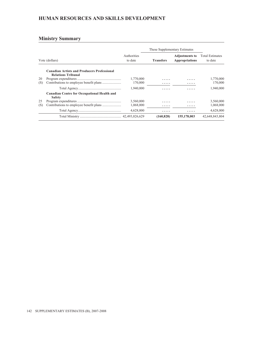### **HUMAN RESOURCES AND SKILLS DEVELOPMENT**

|                |                                                                                 |                        | These Supplementary Estimates |                                         |                                   |
|----------------|---------------------------------------------------------------------------------|------------------------|-------------------------------|-----------------------------------------|-----------------------------------|
| Vote (dollars) |                                                                                 | Authorities<br>to date | <b>Transfers</b>              | <b>Adjustments to</b><br>Appropriations | <b>Total Estimates</b><br>to date |
|                | <b>Canadian Artists and Producers Professional</b><br><b>Relations Tribunal</b> |                        |                               |                                         |                                   |
| 20             |                                                                                 | 1,770,000              | .                             | .                                       | 1,770,000                         |
| (S)            |                                                                                 | 170,000                | .                             | .                                       | 170,000                           |
|                |                                                                                 | 1,940,000              | .                             | .                                       | 1.940.000                         |
|                | <b>Canadian Centre for Occupational Health and</b><br><b>Safety</b>             |                        |                               |                                         |                                   |
| 25             |                                                                                 | 3,560,000              | .                             | .                                       | 3,560,000                         |
| (S)            |                                                                                 | 1,068,000              | .                             | .                                       | 1,068,000                         |
|                |                                                                                 | 4,628,000              | .                             | .                                       | 4,628,000                         |
|                |                                                                                 |                        | (160, 828)                    | 155,178,003                             | 42,648,843,804                    |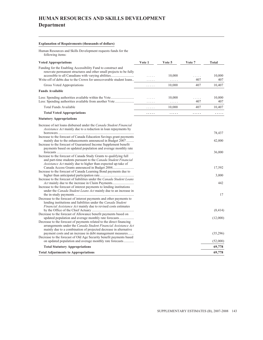# **HUMAN RESOURCES AND SKILLS DEVELOPMENT Department**

### **Explanation of Requirements (thousands of dollars)**

Human Resources and Skills Development requests funds for the following items:

| <b>Voted Appropriations</b>                                                                                                                                                                                  | Vote 1 | Vote 5      | Vote 7   | Total         |
|--------------------------------------------------------------------------------------------------------------------------------------------------------------------------------------------------------------|--------|-------------|----------|---------------|
| Funding for the Enabling Accessibility Fund to construct and<br>renovate permanent structures and other small projects to be fully                                                                           |        | 10,000      |          | 10,000        |
| Write-off of debts due to the Crown for unrecoverable student loans                                                                                                                                          |        | .           | .<br>407 | 407           |
| Gross Voted Appropriations                                                                                                                                                                                   | .      | 10,000      | 407      | 10,407        |
| <b>Funds Available</b>                                                                                                                                                                                       |        |             |          |               |
| Less: Spending authorities available within the Vote                                                                                                                                                         | .      | 10,000<br>. | .<br>407 | 10,000<br>407 |
| <b>Total Funds Available</b>                                                                                                                                                                                 | .      | 10,000      | 407      | 10,407        |
| <b>Total Voted Appropriations</b>                                                                                                                                                                            | .      | .           | .        | .             |
| <b>Statutory Appropriations</b>                                                                                                                                                                              |        |             |          |               |
| Increase of net loans disbursed under the Canada Student Financial<br><i>Assistance Act</i> mainly due to a reduction in loan repayments by                                                                  |        |             |          |               |
| Increase to the forecast of Canada Education Savings grant payments                                                                                                                                          |        |             |          | 78,437        |
| mainly due to the enhancements announced in Budget 2007<br>Increase to the forecast of Guaranteed Income Supplement benefit<br>payments based on updated population and average monthly rate                 |        |             |          | 42,000        |
|                                                                                                                                                                                                              |        |             |          | 36,000        |
| Increase to the forecast of Canada Study Grants to qualifying full<br>and part-time students pursuant to the <i>Canada Student Financial</i><br>Assistance Act mainly due to higher than expected up-take of |        |             |          |               |
|                                                                                                                                                                                                              |        |             |          | 17,592        |
| Increase to the forecast of Canada Learning Bond payments due to                                                                                                                                             |        |             |          | 3,000         |
| Increase to the forecast of liabilities under the Canada Student Loans                                                                                                                                       |        |             |          |               |
| Increase to the forecast of interest payments to lending institutions                                                                                                                                        |        |             |          | 442           |
| under the Canada Student Loans Act mainly due to an increase in<br>Decrease to the forecast of interest payments and other payments to                                                                       |        |             |          | 17            |
| lending institutions and liabilities under the <i>Canada Student</i><br>Financial Assistance Act mainly due to revised costs estimates                                                                       |        |             |          |               |
|                                                                                                                                                                                                              |        |             |          | (8, 414)      |
| Decrease to the forecast of Allowance benefit payments based on<br>updated population and average monthly rate forecasts                                                                                     |        |             |          | (12,000)      |
| Decrease to the forecast of payments related to the direct financing<br>arrangements under the Canada Student Financial Assistance Act<br>mainly due to a combination of projected decrease in alternative   |        |             |          |               |
| payment costs and an increase in debt management measures<br>Decrease to the forecast of Old Age Security benefit payments based                                                                             |        |             |          | (35,296)      |
| on updated population and average monthly rate forecasts                                                                                                                                                     |        |             |          | (52,000)      |
| <b>Total Statutory Appropriations</b>                                                                                                                                                                        |        |             |          | 69,778        |
| <b>Total Adjustments to Appropriations</b>                                                                                                                                                                   |        |             |          | 69,778        |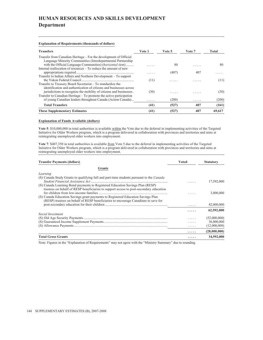# **HUMAN RESOURCES AND SKILLS DEVELOPMENT Department**

#### **Explanation of Requirements (thousands of dollars)**

| <b>Transfers</b>                                                    | Vote 1  | Vote 5 | Vote 7 | Total  |
|---------------------------------------------------------------------|---------|--------|--------|--------|
| Transfer from Canadian Heritage – For the development of Official   |         |        |        |        |
| Language Minority Communities (Interdepartmental Partnership)       |         |        |        |        |
| with the Official Language Communities) ( <i>horizontal item</i> )  | 1.1.1.1 | 80     | .      | 80     |
| Internal reallocation of resources – To reduce the amount of new    |         |        |        |        |
|                                                                     |         | (407)  | 407    |        |
| Transfer to Indian Affairs and Northern Development - To support    |         |        |        |        |
|                                                                     | (11)    | .      | .      | (11)   |
| Transfer to Treasury Board Secretariat – To standardize the         |         |        |        |        |
| identification and authentication of citizens and businesses across |         |        |        |        |
| jurisdictions to recognize the mobility of citizens and businesses. | (30)    | .      | .      | (30)   |
| Transfer to Canadian Heritage – To promote the active participation |         |        |        |        |
| of young Canadian leaders throughout Canada (Action Canada)         | .       | (200)  | .      | (200)  |
| <b>Total Transfers</b>                                              | (41)    | (527)  | 407    | (161)  |
| <b>These Supplementary Estimates</b>                                | (41)    | (527)  | 407    | 69.617 |

#### **Explanation of Funds Available (dollars)**

**Vote 5**: \$10,000,000 in total authorities is available within the Vote due to the deferral in implementing activities of the Targeted Initiative for Older Workers program, which is a program delivered in collaboration with provinces and territories and aims at reintegrating unemployed older workers into employment.

**Vote 7**: \$407,350 in total authorities is available from Vote 5 due to the deferral in implementing activities of the Targeted Initiative for Older Workers program, which is a program delivered in collaboration with provinces and territories and aims at reintegrating unemployed older workers into employment.

| <b>Transfer Payments (dollars)</b>                                                                                                                                      | Voted | <b>Statutory</b> |
|-------------------------------------------------------------------------------------------------------------------------------------------------------------------------|-------|------------------|
| Grants                                                                                                                                                                  |       |                  |
| Learning                                                                                                                                                                |       |                  |
| (S) Canada Study Grants to qualifying full and part-time students pursuant to the <i>Canada</i>                                                                         |       | 17,592,000       |
| (S) Canada Learning Bond payments to Registered Education Savings Plan (RESP)<br>trustees on behalf of RESP beneficiaries to support access to post-secondary education |       |                  |
| (S) Canada Education Savings grant payments to Registered Education Savings Plan<br>(RESP) trustees on behalf of RESP beneficiaries to encourage Canadians to save for  |       | 3,000,000        |
|                                                                                                                                                                         | .     | 42,000,000       |
|                                                                                                                                                                         | .     | 62,592,000       |
| Social Investment                                                                                                                                                       |       | (52,000,000)     |
|                                                                                                                                                                         |       | 36,000,000       |
|                                                                                                                                                                         | .     | (12,000,000)     |
|                                                                                                                                                                         | .     | (28,000,000)     |
| <b>Total Gross Grants</b>                                                                                                                                               | .     | 34,592,000       |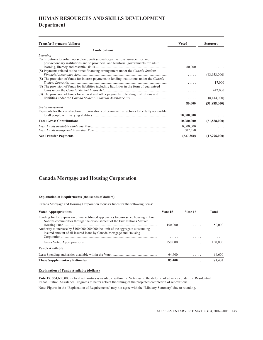# **HUMAN RESOURCES AND SKILLS DEVELOPMENT Department**

| <b>Transfer Payments (dollars)</b>                                                          | <b>Voted</b> | <b>Statutory</b> |
|---------------------------------------------------------------------------------------------|--------------|------------------|
| <b>Contributions</b>                                                                        |              |                  |
| Learning                                                                                    |              |                  |
| Contributions to voluntary sectors, professional organizations, universities and            |              |                  |
| post-secondary institutions and to provincial and territorial governments for adult         |              |                  |
|                                                                                             | 80,000       |                  |
| (S) Payments related to the direct financing arrangement under the Canada Student           |              |                  |
|                                                                                             |              | (43,933,000)     |
| (S) The provision of funds for interest payments to lending institutions under the Canada   |              | 17,000           |
| (S) The provision of funds for liabilities including liabilities in the form of guaranteed  |              |                  |
|                                                                                             |              | 442,000          |
| (S) The provision of funds for interest and other payments to lending institutions and      |              |                  |
|                                                                                             | .            | (8,414,000)      |
|                                                                                             | 80,000       | (51,888,000)     |
| Social Investment                                                                           |              |                  |
| Payments for the construction or renovations of permanent structures to be fully accessible |              |                  |
|                                                                                             | 10,000,000   |                  |
| <b>Total Gross Contributions</b>                                                            | 10,080,000   | (51,888,000)     |
|                                                                                             | 10,000,000   |                  |
|                                                                                             | 607,350      |                  |
| <b>Net Transfer Payments</b>                                                                | (527, 350)   | (17,296,000)     |

### **Canada Mortgage and Housing Corporation**

#### **Explanation of Requirements (thousands of dollars)**

Canada Mortgage and Housing Corporation requests funds for the following items:

| <b>Voted Appropriations</b>                                                                                                                                                                                                                                                                                                 | Vote 15 | Vote 16 | Total        |  |
|-----------------------------------------------------------------------------------------------------------------------------------------------------------------------------------------------------------------------------------------------------------------------------------------------------------------------------|---------|---------|--------------|--|
| Funding for the expansion of market-based approaches to on-reserve housing in First<br>Nations communities through the establishment of the First Nations Market<br>Authority to increase by \$100,000,000,000 the limit of the aggregate outstanding<br>insured amount of all insured loans by Canada Mortgage and Housing | 150,000 | .<br>.  | 150,000<br>. |  |
|                                                                                                                                                                                                                                                                                                                             |         |         |              |  |
| Gross Voted Appropriations                                                                                                                                                                                                                                                                                                  | 150,000 | .       | 150,000      |  |
| <b>Funds Available</b>                                                                                                                                                                                                                                                                                                      |         |         |              |  |
|                                                                                                                                                                                                                                                                                                                             | 64,600  | .       | 64,600       |  |
| <b>These Supplementary Estimates</b>                                                                                                                                                                                                                                                                                        | 85,400  | .       | 85,400       |  |

#### **Explanation of Funds Available (dollars)**

**Vote 15**: \$64,600,000 in total authorities is available within the Vote due to the deferral of advances under the Residential Rehabilitation Assistance Programs to better reflect the timing of the projected completion of renovations.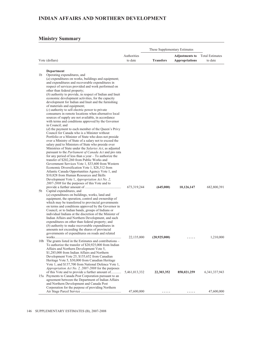### **INDIAN AFFAIRS AND NORTHERN DEVELOPMENT**

### **Ministry Summary**

|    |                                                                                                           |                        |                  | These Supplementary Estimates                  |                                   |
|----|-----------------------------------------------------------------------------------------------------------|------------------------|------------------|------------------------------------------------|-----------------------------------|
|    | Vote (dollars)                                                                                            | Authorities<br>to date | <b>Transfers</b> | <b>Adjustments to</b><br><b>Appropriations</b> | <b>Total Estimates</b><br>to date |
|    |                                                                                                           |                        |                  |                                                |                                   |
|    | Department                                                                                                |                        |                  |                                                |                                   |
| 1b | Operating expenditures, and                                                                               |                        |                  |                                                |                                   |
|    | $(a)$ expenditures on works, buildings and equipment;<br>and expenditures and recoverable expenditures in |                        |                  |                                                |                                   |
|    | respect of services provided and work performed on                                                        |                        |                  |                                                |                                   |
|    | other than federal property;                                                                              |                        |                  |                                                |                                   |
|    | $(b)$ authority to provide, in respect of Indian and Inuit                                                |                        |                  |                                                |                                   |
|    | economic development activities, for the capacity                                                         |                        |                  |                                                |                                   |
|    | development for Indian and Inuit and the furnishing                                                       |                        |                  |                                                |                                   |
|    | of materials and equipment;                                                                               |                        |                  |                                                |                                   |
|    | $(c)$ authority to sell electric power to private                                                         |                        |                  |                                                |                                   |
|    | consumers in remote locations when alternative local                                                      |                        |                  |                                                |                                   |
|    | sources of supply are not available, in accordance                                                        |                        |                  |                                                |                                   |
|    | with terms and conditions approved by the Governor<br>in Council; and                                     |                        |                  |                                                |                                   |
|    | (d) the payment to each member of the Queen's Privy                                                       |                        |                  |                                                |                                   |
|    | Council for Canada who is a Minister without                                                              |                        |                  |                                                |                                   |
|    | Portfolio or a Minister of State who does not preside                                                     |                        |                  |                                                |                                   |
|    | over a Ministry of State of a salary not to exceed the                                                    |                        |                  |                                                |                                   |
|    | salary paid to Ministers of State who preside over                                                        |                        |                  |                                                |                                   |
|    | Ministries of State under the <i>Salaries Act</i> , as adjusted                                           |                        |                  |                                                |                                   |
|    | pursuant to the Parliament of Canada Act and pro rata                                                     |                        |                  |                                                |                                   |
|    | for any period of less than a year $-$ To authorize the                                                   |                        |                  |                                                |                                   |
|    | transfer of \$202,260 from Public Works and<br>Government Services Vote 1, \$33,600 from Western          |                        |                  |                                                |                                   |
|    | Economic Diversification Vote 1, \$28,312 from                                                            |                        |                  |                                                |                                   |
|    | Atlantic Canada Opportunities Agency Vote 1, and                                                          |                        |                  |                                                |                                   |
|    | \$10,828 from Human Resources and Skills                                                                  |                        |                  |                                                |                                   |
|    | Development Vote 1, Appropriation Act No. 2,                                                              |                        |                  |                                                |                                   |
|    | 2007-2008 for the purposes of this Vote and to                                                            |                        |                  |                                                |                                   |
|    |                                                                                                           | 673,319,244            | (645,000)        | 10,126,147                                     | 682,800,391                       |
| 5b | Capital expenditures, and                                                                                 |                        |                  |                                                |                                   |
|    | $(a)$ expenditures on buildings, works, land and                                                          |                        |                  |                                                |                                   |
|    | equipment, the operation, control and ownership of<br>which may be transferred to provincial governments  |                        |                  |                                                |                                   |
|    | on terms and conditions approved by the Governor in                                                       |                        |                  |                                                |                                   |
|    | Council, or to Indian bands, groups of Indians or                                                         |                        |                  |                                                |                                   |
|    | individual Indians at the discretion of the Minister of                                                   |                        |                  |                                                |                                   |
|    | Indian Affairs and Northern Development, and such                                                         |                        |                  |                                                |                                   |
|    | expenditures on other than federal property; and                                                          |                        |                  |                                                |                                   |
|    | $(b)$ authority to make recoverable expenditures in                                                       |                        |                  |                                                |                                   |
|    | amounts not exceeding the shares of provincial                                                            |                        |                  |                                                |                                   |
|    | governments of expenditures on roads and related                                                          | 22,135,000             |                  |                                                | 1,210,000                         |
|    | 10b The grants listed in the Estimates and contributions –                                                |                        | (20, 925, 000)   |                                                |                                   |
|    | To authorize the transfer of \$20,925,000 from Indian                                                     |                        |                  |                                                |                                   |
|    | Affairs and Northern Development Vote 5,                                                                  |                        |                  |                                                |                                   |
|    | \$1,285,000 from Indian Affairs and Northern                                                              |                        |                  |                                                |                                   |
|    | Development Vote 25, \$155,652 from Canadian                                                              |                        |                  |                                                |                                   |
|    | Heritage Vote 5, \$30,000 from Canadian Heritage                                                          |                        |                  |                                                |                                   |
|    | Vote 1, and \$137,700 from National Defence Vote 1,                                                       |                        |                  |                                                |                                   |
|    | Appropriation Act No. 2, 2007-2008 for the purposes                                                       |                        |                  |                                                |                                   |
|    | of this Vote and to provide a further amount of<br>15a Payments to Canada Post Corporation pursuant to an | 5,461,013,332          | 22,303,352       | 858,021,259                                    | 6, 341, 337, 943                  |
|    | agreement between the Department of Indian Affairs                                                        |                        |                  |                                                |                                   |
|    | and Northern Development and Canada Post                                                                  |                        |                  |                                                |                                   |
|    | Corporation for the purpose of providing Northern                                                         |                        |                  |                                                |                                   |
|    |                                                                                                           | 47,600,000             |                  |                                                | 47,600,000                        |

<u> 1989 - Johann Barn, mars and de Brasilian (b. 1989)</u>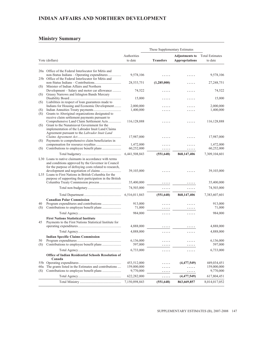# **INDIAN AFFAIRS AND NORTHERN DEVELOPMENT**

### **Ministry Summary**

| Authorities<br><b>Adjustments to</b><br>to date<br><b>Transfers</b><br><b>Appropriations</b><br>Vote (dollars)<br>20a Office of the Federal Interlocutor for Métis and<br>non-Status Indians - Operating expenditures<br>9,578,106<br>.<br>.<br>25b Office of the Federal Interlocutor for Métis and<br>28, 533, 751<br>(1,285,000)<br>Minister of Indian Affairs and Northern<br>(S)<br>Development - Salary and motor car allowance<br>74,522<br>.<br>.<br>Grassy Narrows and Islington Bands Mercury<br>(S)<br>15,000<br>.<br>Liabilities in respect of loan guarantees made to<br>(S)<br>Indians for Housing and Economic Development<br>2,000,000<br>(S)<br>1,400,000<br>.<br>Grants to Aboriginal organizations designated to<br>(S) | <b>Total Estimates</b>   |
|--------------------------------------------------------------------------------------------------------------------------------------------------------------------------------------------------------------------------------------------------------------------------------------------------------------------------------------------------------------------------------------------------------------------------------------------------------------------------------------------------------------------------------------------------------------------------------------------------------------------------------------------------------------------------------------------------------------------------------------------|--------------------------|
|                                                                                                                                                                                                                                                                                                                                                                                                                                                                                                                                                                                                                                                                                                                                            |                          |
|                                                                                                                                                                                                                                                                                                                                                                                                                                                                                                                                                                                                                                                                                                                                            | to date                  |
|                                                                                                                                                                                                                                                                                                                                                                                                                                                                                                                                                                                                                                                                                                                                            |                          |
|                                                                                                                                                                                                                                                                                                                                                                                                                                                                                                                                                                                                                                                                                                                                            | 9,578,106                |
|                                                                                                                                                                                                                                                                                                                                                                                                                                                                                                                                                                                                                                                                                                                                            | 27,248,751               |
|                                                                                                                                                                                                                                                                                                                                                                                                                                                                                                                                                                                                                                                                                                                                            | 74,522                   |
|                                                                                                                                                                                                                                                                                                                                                                                                                                                                                                                                                                                                                                                                                                                                            | 15,000                   |
|                                                                                                                                                                                                                                                                                                                                                                                                                                                                                                                                                                                                                                                                                                                                            | 2,000,000                |
|                                                                                                                                                                                                                                                                                                                                                                                                                                                                                                                                                                                                                                                                                                                                            | 1,400,000                |
| receive claim settlement payments pursuant to<br>Comprehensive Land Claim Settlement Acts<br>116, 128, 888<br>Grant to the Nunatsiavut Government for the<br>(S)<br>implementation of the Labrador Inuit Land Claims                                                                                                                                                                                                                                                                                                                                                                                                                                                                                                                       | 116,128,888              |
| Agreement pursuant to the Labrador Inuit Land<br>17,987,000<br>Payments to comprehensive claim beneficiaries in<br>(S)                                                                                                                                                                                                                                                                                                                                                                                                                                                                                                                                                                                                                     | 17,987,000               |
| 1,472,000<br>(S)<br>60,252,000<br>.<br>$\cdots$                                                                                                                                                                                                                                                                                                                                                                                                                                                                                                                                                                                                                                                                                            | 1,472,000<br>60,252,000  |
| 6,441,508,843<br>(551, 648)<br>868,147,406                                                                                                                                                                                                                                                                                                                                                                                                                                                                                                                                                                                                                                                                                                 | 7,309,104,601            |
| L30 Loans to native claimants in accordance with terms<br>and conditions approved by the Governor in Council<br>for the purpose of defraying costs related to research,<br>39,103,000<br>L35 Loans to First Nations in British Columbia for the                                                                                                                                                                                                                                                                                                                                                                                                                                                                                            | 39,103,000               |
| purpose of supporting their participation in the British<br>35,400,000                                                                                                                                                                                                                                                                                                                                                                                                                                                                                                                                                                                                                                                                     | 35,400,000               |
| 74,503,000<br>.<br>.                                                                                                                                                                                                                                                                                                                                                                                                                                                                                                                                                                                                                                                                                                                       | 74,503,000               |
| 6,516,011,843<br>(551, 648)<br>868, 147, 406                                                                                                                                                                                                                                                                                                                                                                                                                                                                                                                                                                                                                                                                                               | 7,383,607,601            |
| <b>Canadian Polar Commission</b><br>Program expenditures and contributions<br>40<br>913,000<br>(S)<br>71,000                                                                                                                                                                                                                                                                                                                                                                                                                                                                                                                                                                                                                               | 913,000<br>71,000        |
| 984,000<br>.<br>.                                                                                                                                                                                                                                                                                                                                                                                                                                                                                                                                                                                                                                                                                                                          | 984,000                  |
| <b>First Nations Statistical Institute</b><br>45<br>Payments to the First Nations Statistical Institute for<br>4,888,000                                                                                                                                                                                                                                                                                                                                                                                                                                                                                                                                                                                                                   | 4,888,000                |
| 4,888,000                                                                                                                                                                                                                                                                                                                                                                                                                                                                                                                                                                                                                                                                                                                                  | 4,888,000                |
| .<br>.<br><b>Indian Specific Claims Commission</b>                                                                                                                                                                                                                                                                                                                                                                                                                                                                                                                                                                                                                                                                                         |                          |
| 50<br>6,136,000<br>.<br>597,000<br>(S)                                                                                                                                                                                                                                                                                                                                                                                                                                                                                                                                                                                                                                                                                                     | 6,136,000<br>597,000     |
| 6,733,000<br>.<br>.                                                                                                                                                                                                                                                                                                                                                                                                                                                                                                                                                                                                                                                                                                                        | 6,733,000                |
| Office of Indian Residential Schools Resolution of<br>Canada                                                                                                                                                                                                                                                                                                                                                                                                                                                                                                                                                                                                                                                                               |                          |
| 453,512,000<br>(4,477,549)<br>.                                                                                                                                                                                                                                                                                                                                                                                                                                                                                                                                                                                                                                                                                                            | 449,034,451              |
| The grants listed in the Estimates and contributions<br>159,000,000<br>60a<br>.<br>.<br>9,770,000<br>(S)                                                                                                                                                                                                                                                                                                                                                                                                                                                                                                                                                                                                                                   | 159,000,000<br>9,770,000 |
| .<br>.<br>(4, 477, 549)<br>622,282,000                                                                                                                                                                                                                                                                                                                                                                                                                                                                                                                                                                                                                                                                                                     |                          |
| .<br>7,150,898,843<br>863,669,857<br>(551, 648)<br>8,014,017,052                                                                                                                                                                                                                                                                                                                                                                                                                                                                                                                                                                                                                                                                           | 617,804,451              |

<u> 1989 - Johann Barn, mars and de Brasilian (b. 1989)</u>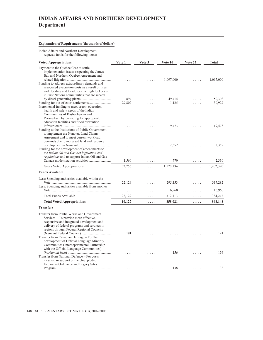# **INDIAN AFFAIRS AND NORTHERN DEVELOPMENT Department**

#### **Explanation of Requirements (thousands of dollars)**

Indian Affairs and Northern Development requests funds for the following items:

| <b>Voted Appropriations</b>                                                             | Vote 1                             | Vote 5                      | Vote 10   | Vote 25              | Total     |
|-----------------------------------------------------------------------------------------|------------------------------------|-----------------------------|-----------|----------------------|-----------|
| Payment to the Quebec Cree to settle                                                    |                                    |                             |           |                      |           |
| implementation issues respecting the James<br>Bay and Northern Quebec Agreement and     |                                    |                             |           |                      |           |
|                                                                                         |                                    |                             | 1,097,000 |                      | 1,097,000 |
| Funding to address extraordinary demands and                                            |                                    |                             |           |                      |           |
| associated evacuation costs as a result of fires                                        |                                    |                             |           |                      |           |
| and flooding and to address the high fuel costs                                         |                                    |                             |           |                      |           |
| in First Nations communities that are served                                            | 894                                |                             | 49,414    |                      | 50,308    |
|                                                                                         | 29,802                             |                             | 1,125     |                      | 30,927    |
| Incremental funding to meet urgent education,                                           |                                    |                             |           |                      |           |
| health and safety needs of the Indian                                                   |                                    |                             |           |                      |           |
| Communities of Kashechewan and                                                          |                                    |                             |           |                      |           |
| Pikangikum by providing for appropriate                                                 |                                    |                             |           |                      |           |
| education facilities and flood prevention                                               |                                    |                             |           |                      |           |
|                                                                                         |                                    |                             | 19,473    |                      | 19,473    |
| Funding to the Institutions of Public Government                                        |                                    |                             |           |                      |           |
| to implement the Nunavut Land Claims<br>Agreement and to meet current workload          |                                    |                             |           |                      |           |
| demands due to increased land and resource                                              |                                    |                             |           |                      |           |
|                                                                                         |                                    |                             | 2,352     | .                    | 2,352     |
| Funding for the development of amendments to                                            |                                    |                             |           |                      |           |
| the Indian Oil and Gas Act legislation and                                              |                                    |                             |           |                      |           |
| regulations and to support Indian Oil and Gas                                           |                                    |                             |           |                      |           |
|                                                                                         | 1,560                              | .                           | 770       | .                    | 2,330     |
| Gross Voted Appropriations                                                              | 32,256                             | .                           | 1,170,134 | .                    | 1,202,390 |
| <b>Funds Available</b>                                                                  |                                    |                             |           |                      |           |
| Less: Spending authorities available within the                                         |                                    |                             |           |                      |           |
|                                                                                         | 22,129                             | .                           | 295,153   | .                    | 317,282   |
| Less: Spending authorities available from another                                       |                                    |                             |           |                      |           |
|                                                                                         | $\sim$ $\sim$ $\sim$ $\sim$ $\sim$ | .                           | 16,960    | .                    | 16,960    |
| Total Funds Available                                                                   | 22,129                             | $\epsilon$ , and $\epsilon$ | 312,113   | $\cdots\cdots\cdots$ | 334,242   |
| <b>Total Voted Appropriations</b>                                                       | 10,127                             | .                           | 858,021   | .                    | 868,148   |
| <b>Transfers</b>                                                                        |                                    |                             |           |                      |           |
| Transfer from Public Works and Government                                               |                                    |                             |           |                      |           |
| Services - To provide more effective,                                                   |                                    |                             |           |                      |           |
| responsive and integrated development and                                               |                                    |                             |           |                      |           |
| delivery of federal programs and services in                                            |                                    |                             |           |                      |           |
| regions through Federal Regional Councils                                               |                                    |                             |           |                      |           |
|                                                                                         | 191                                |                             |           |                      | 191       |
| Transfer from Canadian Heritage – For the                                               |                                    |                             |           |                      |           |
| development of Official Language Minority<br>Communities (Interdepartmental Partnership |                                    |                             |           |                      |           |
| with the Official Language Communities)                                                 |                                    |                             |           |                      |           |
|                                                                                         |                                    |                             | 156       | $\cdots$             | 156       |
| Transfer from National Defence - For costs                                              |                                    |                             |           |                      |           |
| incurred in support of the Unexploded                                                   |                                    |                             |           |                      |           |
| <b>Explosive Ordinance and Legacy Sites</b>                                             |                                    |                             |           |                      |           |
|                                                                                         | .                                  | .                           | 138       | .                    | 138       |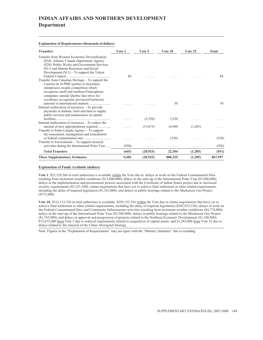# **INDIAN AFFAIRS AND NORTHERN DEVELOPMENT Department**

**Explanation of Requirements (thousands of dollars)**

| <b>Transfers</b>                                                                                                                                                                                                                                                               | Vote 1 | Vote 5    | Vote 10 | Vote 25 | Total   |
|--------------------------------------------------------------------------------------------------------------------------------------------------------------------------------------------------------------------------------------------------------------------------------|--------|-----------|---------|---------|---------|
| Transfer from Western Economic Diversification<br>(\$34), Atlantic Canada Opportunity Agency<br>(\$28), Public Works and Government Services<br>(\$11) and Human Resources and Social<br>Development $(\$11)$ – To support the Yukon                                           | 84     |           |         |         | 84      |
| Transfer from Canadian Heritage – To support the<br>Lauriers de la PME (petites et moyennes<br>entreprises) awards competition which<br>recognizes small and medium Francophone<br>companies outside Quebec that strive for<br>excellence in regional, provincial/territorial, |        |           |         |         |         |
| Internal reallocation of resources - To provide<br>payments to Indians, Inuit and Innu to supply<br>public services and maintenance in capital                                                                                                                                 |        |           | 30      |         | 30      |
| Internal reallocation of resources – To reduce the                                                                                                                                                                                                                             | .      | (5,250)   | 5,250   |         |         |
| Transfer to Parks Canada Agency - To support<br>the assessment, management and remediation                                                                                                                                                                                     | .      | (15,675)  | 16,960  | (1,285) |         |
| Transfer to Environment - To support research                                                                                                                                                                                                                                  |        |           | (230)   |         | (230)   |
| activities during the International Polar Year                                                                                                                                                                                                                                 | (920)  | .         | .       | .       | (920)   |
| <b>Total Transfers</b>                                                                                                                                                                                                                                                         | (645)  | (20, 925) | 22,304  | (1,285) | (551)   |
| <b>These Supplementary Estimates</b>                                                                                                                                                                                                                                           | 9,482  | (20, 925) | 880,325 | (1,285) | 867,597 |

#### **Explanation of Funds Available (dollars)**

**Vote 1**: \$22,129,360 in total authorities is available within the Vote due to: delays in work on the Federal Contaminated Sites resulting from inclement weather conditions (\$12,000,000); delays in the start-up of the International Polar Year (\$5,000,000); delays in the implementation and procurement process associated with the Certificate of Indian Status project due to increased security requirements (\$3,251,360); claims negotiations that have yet to achieve final settlement or other related requirements, including the delay of required legislation (\$1,163,000); and delays in public hearings related to the Mackenzie Gas Project  $(*715,000).$ 

**Vote 10**: \$312,112,536 in total authorities is available: \$295,152,536 within the Vote due to claims negotiations that have yet to achieve final settlement or other related requirements, including the delay of required legislation (\$283,933,536); delays in work on the Federal Contaminated Sites and Community Infrastructure activities resulting from inclement weather conditions (\$4,774,000), delays in the start-up of the International Polar Year (\$3,500,000), delays in public hearings related to the Mackenzie Gas Project (\$1,765,000), and delays in approval and progression of projects related to the Northern Economic Development (\$1,180,000); \$15,675,000 from Vote 5 due to reduced requirements related to acquisition of capital assets; and \$1,285,000 from Vote 25 due to delays related to the renewal of the Urban Aboriginal Strategy.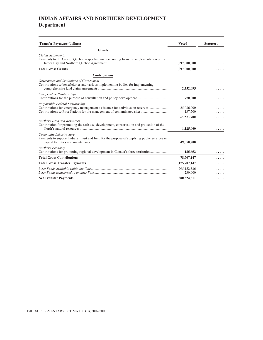# **INDIAN AFFAIRS AND NORTHERN DEVELOPMENT Department**

| <b>Transfer Payments (dollars)</b>                                                                                           | <b>Voted</b>            | <b>Statutory</b> |
|------------------------------------------------------------------------------------------------------------------------------|-------------------------|------------------|
| <b>Grants</b>                                                                                                                |                         |                  |
| <b>Claims Settlements</b><br>Payments to the Cree of Quebec respecting matters arising from the implementation of the        | 1,097,000,000           |                  |
| <b>Total Gross Grants</b>                                                                                                    | 1,097,000,000           |                  |
| <b>Contributions</b>                                                                                                         |                         |                  |
| Governance and Institutions of Government<br>Contributions to beneficiaries and various implementing bodies for implementing | 2,352,095               |                  |
| Co-operative Relationships                                                                                                   | 770,000                 |                  |
| Responsible Federal Stewardship<br>Contributions for emergency management assistance for activities on reserves              | 25,086,000<br>137,700   |                  |
| Northern Land and Resources<br>Contribution for promoting the safe use, development, conservation and protection of the      | 25,223,700<br>1,125,000 |                  |
| Community Infrastructure<br>Payments to support Indians, Inuit and Innu for the purpose of supplying public services in      | 49,050,700              |                  |
| Northern Economy<br>Contributions for promoting regional development in Canada's three territories                           | 185,652                 |                  |
| <b>Total Gross Contributions</b>                                                                                             | 78,707,147              |                  |
| <b>Total Gross Transfer Payments</b>                                                                                         | 1,175,707,147           |                  |
|                                                                                                                              | 295,152,536<br>230,000  |                  |
| <b>Net Transfer Payments</b>                                                                                                 | 880,324,611             | .                |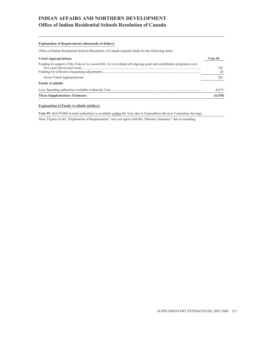# **INDIAN AFFAIRS AND NORTHERN DEVELOPMENT Office of Indian Residential Schools Resolution of Canada**

#### **Explanation of Requirements (thousands of dollars)**

Office of Indian Residential Schools Resolution of Canada requests funds for the following items:

| <b>Voted Appropriations</b>                                                                                               | Vote 55 |
|---------------------------------------------------------------------------------------------------------------------------|---------|
| Funding in support of the <i>Federal Accountability Act</i> to evaluate all ongoing grant and contribution programs every | 181     |
|                                                                                                                           | 20      |
| Gross Voted Appropriations                                                                                                | 201     |
| <b>Funds Available</b>                                                                                                    |         |
|                                                                                                                           | 4.679   |
| <b>These Supplementary Estimates</b>                                                                                      | (4,478) |

#### **Explanation of Funds Available (dollars)**

**Vote 55**: \$4,679,000 in total authorities is available within the Vote due to Expenditure Review Committee Savings.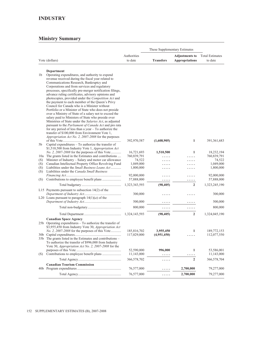|            |                                                                                                                                                                             |                            | These Supplementary Estimates |                       |                            |
|------------|-----------------------------------------------------------------------------------------------------------------------------------------------------------------------------|----------------------------|-------------------------------|-----------------------|----------------------------|
|            |                                                                                                                                                                             | Authorities                |                               | <b>Adjustments to</b> | <b>Total Estimates</b>     |
|            | Vote (dollars)                                                                                                                                                              | to date                    | <b>Transfers</b>              | <b>Appropriations</b> | to date                    |
|            |                                                                                                                                                                             |                            |                               |                       |                            |
| 1b         | Department<br>Operating expenditures, and authority to expend<br>revenue received during the fiscal year related to<br>Communications Research, Bankruptcy and              |                            |                               |                       |                            |
|            | Corporations and from services and regulatory<br>processes, specifically pre-merger notification filings,<br>advance ruling certificates, advisory opinions and             |                            |                               |                       |                            |
|            | photocopies, provided under the Competition Act and<br>the payment to each member of the Queen's Privy<br>Council for Canada who is a Minister without                      |                            |                               |                       |                            |
|            | Portfolio or a Minister of State who does not preside<br>over a Ministry of State of a salary not to exceed the<br>salary paid to Ministers of State who preside over       |                            |                               |                       |                            |
|            | Ministries of State under the Salaries Act, as adjusted<br>pursuant to the Parliament of Canada Act and pro rata<br>for any period of less than a year $-$ To authorize the |                            |                               |                       |                            |
| 5b         | transfer of \$100,000 from Environment Vote 1,<br>Appropriation Act No. 2, 2007-2008 for the purposes<br>Capital expenditures – To authorize the transfer of                | 392,970,587                | (1,608,905)                   | 1                     | 391, 361, 683              |
|            | \$1,510,500 from Industry Vote 1, <i>Appropriation Act</i>                                                                                                                  |                            |                               |                       |                            |
|            | No. 2, 2007-2008 for the purposes of this Vote<br>10a The grants listed in the Estimates and contributions                                                                  | 16,721,693                 | 1,510,500                     | 1                     | 18,232,194                 |
| (S)        | Minister of Industry - Salary and motor car allowance                                                                                                                       | 760,839,791<br>74,522      |                               |                       | 760,839,791<br>74,522      |
| (S)        | Canadian Intellectual Property Office Revolving Fund                                                                                                                        | 1,049,000                  |                               |                       | 1,049,000                  |
| (S)<br>(S) | Liabilities under the <i>Small Business Loans Act</i><br>Liabilities under the Canada Small Business                                                                        | 1,800,000                  |                               |                       | 1,800,000                  |
| (S)        |                                                                                                                                                                             | 92,000,000<br>57,888,000   |                               |                       | 92,000,000<br>57,888,000   |
|            |                                                                                                                                                                             | 1,323,343,593              | (98, 405)                     | $\overline{2}$        | 1,323,245,190              |
|            | L15 Payments pursuant to subsection $14(2)$ of the                                                                                                                          |                            |                               |                       |                            |
|            | L20 Loans pursuant to paragraph $14(1)(a)$ of the                                                                                                                           | 300,000                    |                               |                       | 300,000                    |
|            |                                                                                                                                                                             | 500,000                    | .                             | .                     | 500,000                    |
|            |                                                                                                                                                                             | 800,000                    | .                             | .                     | 800,000                    |
|            |                                                                                                                                                                             | 1,324,143,593              | (98, 405)                     | $\overline{2}$        | 1,324,045,190              |
|            | <b>Canadian Space Agency</b><br>25b Operating expenditures – To authorize the transfer of<br>\$3,955,450 from Industry Vote 30, Appropriation Act                           |                            |                               |                       |                            |
|            | <i>No. 2, 2007-2008</i> for the purposes of this Vote<br>35b The grants listed in the Estimates and contributions –<br>To authorize the transfer of \$996,000 from Industry | 185,816,702<br>117,029,000 | 3,955,450<br>(4,951,450)      | 1<br>.                | 189,772,153<br>112,077,550 |
| (S)        | Vote 30, Appropriation Act No. 2, 2007-2008 for the                                                                                                                         | 52,590,000<br>11,143,000   | 996,000<br>.                  | 1                     | 53,586,001<br>11,143,000   |
|            |                                                                                                                                                                             | 366,578,702                | .                             | $\overline{2}$        | 366,578,704                |
|            | <b>Canadian Tourism Commission</b>                                                                                                                                          |                            |                               |                       |                            |
|            |                                                                                                                                                                             | 76,577,000                 | .                             | 2,700,000             | 79,277,000                 |
|            |                                                                                                                                                                             | 76,577,000                 | .                             | 2,700,000             | 79,277,000                 |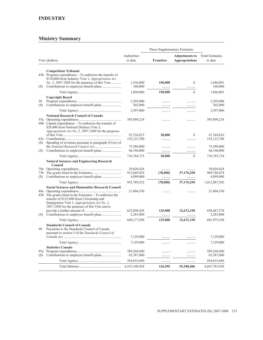| Authorities<br><b>Total Estimates</b><br><b>Adjustments to</b><br>Vote (dollars)<br>to date<br><b>Transfers</b><br><b>Appropriations</b><br>to date<br><b>Competition Tribunal</b><br>45b Program expenditures – To authorize the transfer of<br>\$150,000 from Industry Vote 1, Appropriation Act<br><i>No. 2, 2007-2008</i> for the purposes of this Vote<br>$\mathbf{1}$<br>1,536,000<br>150,000<br>160,000<br>(S)<br>.<br>$\mathbf{1}$<br>1,696,000<br>150,000<br><b>Copyright Board</b><br>50<br>2,295,000<br>2,295,000<br>.<br>.<br>(S)<br>302,000<br>.<br>.<br>2,597,000<br>.<br>.<br><b>National Research Council of Canada</b><br>395,899,218<br>.<br>.<br>60b Capital expenditures $-$ To authorize the transfer of<br>\$28,000 from National Defence Vote 5,<br><i>Appropriation Act No. 2, 2007-2008</i> for the purposes<br>47,156,815<br>28,000<br>1<br>47,184,816<br>152, 123, 700<br>152, 123, 700<br>.<br>.<br>Spending of revenues pursuant to paragraph $5(1)(e)$ of<br>(S)<br>75,389,000<br>.<br>.<br>(S)<br>46,196,000<br>46,196,000<br>.<br>.<br>$\mathbf{1}$<br>716,764,733<br>28,000<br>716,792,734<br><b>Natural Sciences and Engineering Research</b><br>Council<br>39,020,428<br>.<br>(78,000)<br>57,176,250<br>75b<br>912,669,824<br>(S)<br>4,099,000<br>4,099,000<br>.<br>.<br>955,789,252<br>(78,000)<br>57,176,250<br>1,012,887,502<br><b>Social Sciences and Humanities Research Council</b><br>80a<br>21,004,530<br>.<br>.<br>85b The grants listed in the Estimates - To authorize the<br>transfer of \$125,000 from Citizenship and<br>Immigration Vote 1, Appropriation Act No. 2,<br>2007-2008 for the purposes of this Vote and to<br>625,890,428<br>125,000<br>32,672,150<br>658, 687, 578<br>(S)<br>2,283,000<br>.<br>.<br>125,000<br>649,177,958<br>32,672,150<br><b>Standards Council of Canada</b><br>90<br>Payments to the Standards Council of Canada<br>pursuant to section 5 of the Standards Council of<br>7,129,000<br>.<br>7,129,000<br>.<br>.<br><b>Statistics Canada</b><br>389,268,690<br>389,268,690<br>.<br>.<br>65,387,000<br>65,387,000<br>(S)<br>.<br>.<br>454,655,690<br>454,655,690<br>.<br>. |  |               | These Supplementary Estimates |            |                      |
|-----------------------------------------------------------------------------------------------------------------------------------------------------------------------------------------------------------------------------------------------------------------------------------------------------------------------------------------------------------------------------------------------------------------------------------------------------------------------------------------------------------------------------------------------------------------------------------------------------------------------------------------------------------------------------------------------------------------------------------------------------------------------------------------------------------------------------------------------------------------------------------------------------------------------------------------------------------------------------------------------------------------------------------------------------------------------------------------------------------------------------------------------------------------------------------------------------------------------------------------------------------------------------------------------------------------------------------------------------------------------------------------------------------------------------------------------------------------------------------------------------------------------------------------------------------------------------------------------------------------------------------------------------------------------------------------------------------------------------------------------------------------------------------------------------------------------------------------------------------------------------------------------------------------------------------------------------------------------------------------------------------------------------------------------------------------------------------------------------------------------------------------------------------|--|---------------|-------------------------------|------------|----------------------|
|                                                                                                                                                                                                                                                                                                                                                                                                                                                                                                                                                                                                                                                                                                                                                                                                                                                                                                                                                                                                                                                                                                                                                                                                                                                                                                                                                                                                                                                                                                                                                                                                                                                                                                                                                                                                                                                                                                                                                                                                                                                                                                                                                           |  |               |                               |            |                      |
|                                                                                                                                                                                                                                                                                                                                                                                                                                                                                                                                                                                                                                                                                                                                                                                                                                                                                                                                                                                                                                                                                                                                                                                                                                                                                                                                                                                                                                                                                                                                                                                                                                                                                                                                                                                                                                                                                                                                                                                                                                                                                                                                                           |  |               |                               |            |                      |
|                                                                                                                                                                                                                                                                                                                                                                                                                                                                                                                                                                                                                                                                                                                                                                                                                                                                                                                                                                                                                                                                                                                                                                                                                                                                                                                                                                                                                                                                                                                                                                                                                                                                                                                                                                                                                                                                                                                                                                                                                                                                                                                                                           |  |               |                               |            |                      |
|                                                                                                                                                                                                                                                                                                                                                                                                                                                                                                                                                                                                                                                                                                                                                                                                                                                                                                                                                                                                                                                                                                                                                                                                                                                                                                                                                                                                                                                                                                                                                                                                                                                                                                                                                                                                                                                                                                                                                                                                                                                                                                                                                           |  |               |                               |            | 1,686,001<br>160,000 |
|                                                                                                                                                                                                                                                                                                                                                                                                                                                                                                                                                                                                                                                                                                                                                                                                                                                                                                                                                                                                                                                                                                                                                                                                                                                                                                                                                                                                                                                                                                                                                                                                                                                                                                                                                                                                                                                                                                                                                                                                                                                                                                                                                           |  |               |                               |            | 1,846,001            |
|                                                                                                                                                                                                                                                                                                                                                                                                                                                                                                                                                                                                                                                                                                                                                                                                                                                                                                                                                                                                                                                                                                                                                                                                                                                                                                                                                                                                                                                                                                                                                                                                                                                                                                                                                                                                                                                                                                                                                                                                                                                                                                                                                           |  |               |                               |            |                      |
|                                                                                                                                                                                                                                                                                                                                                                                                                                                                                                                                                                                                                                                                                                                                                                                                                                                                                                                                                                                                                                                                                                                                                                                                                                                                                                                                                                                                                                                                                                                                                                                                                                                                                                                                                                                                                                                                                                                                                                                                                                                                                                                                                           |  |               |                               |            | 302,000              |
|                                                                                                                                                                                                                                                                                                                                                                                                                                                                                                                                                                                                                                                                                                                                                                                                                                                                                                                                                                                                                                                                                                                                                                                                                                                                                                                                                                                                                                                                                                                                                                                                                                                                                                                                                                                                                                                                                                                                                                                                                                                                                                                                                           |  |               |                               |            | 2,597,000            |
|                                                                                                                                                                                                                                                                                                                                                                                                                                                                                                                                                                                                                                                                                                                                                                                                                                                                                                                                                                                                                                                                                                                                                                                                                                                                                                                                                                                                                                                                                                                                                                                                                                                                                                                                                                                                                                                                                                                                                                                                                                                                                                                                                           |  |               |                               |            |                      |
|                                                                                                                                                                                                                                                                                                                                                                                                                                                                                                                                                                                                                                                                                                                                                                                                                                                                                                                                                                                                                                                                                                                                                                                                                                                                                                                                                                                                                                                                                                                                                                                                                                                                                                                                                                                                                                                                                                                                                                                                                                                                                                                                                           |  |               |                               |            | 395,899,218          |
|                                                                                                                                                                                                                                                                                                                                                                                                                                                                                                                                                                                                                                                                                                                                                                                                                                                                                                                                                                                                                                                                                                                                                                                                                                                                                                                                                                                                                                                                                                                                                                                                                                                                                                                                                                                                                                                                                                                                                                                                                                                                                                                                                           |  |               |                               |            |                      |
|                                                                                                                                                                                                                                                                                                                                                                                                                                                                                                                                                                                                                                                                                                                                                                                                                                                                                                                                                                                                                                                                                                                                                                                                                                                                                                                                                                                                                                                                                                                                                                                                                                                                                                                                                                                                                                                                                                                                                                                                                                                                                                                                                           |  |               |                               |            |                      |
|                                                                                                                                                                                                                                                                                                                                                                                                                                                                                                                                                                                                                                                                                                                                                                                                                                                                                                                                                                                                                                                                                                                                                                                                                                                                                                                                                                                                                                                                                                                                                                                                                                                                                                                                                                                                                                                                                                                                                                                                                                                                                                                                                           |  |               |                               |            |                      |
|                                                                                                                                                                                                                                                                                                                                                                                                                                                                                                                                                                                                                                                                                                                                                                                                                                                                                                                                                                                                                                                                                                                                                                                                                                                                                                                                                                                                                                                                                                                                                                                                                                                                                                                                                                                                                                                                                                                                                                                                                                                                                                                                                           |  |               |                               |            | 75,389,000           |
|                                                                                                                                                                                                                                                                                                                                                                                                                                                                                                                                                                                                                                                                                                                                                                                                                                                                                                                                                                                                                                                                                                                                                                                                                                                                                                                                                                                                                                                                                                                                                                                                                                                                                                                                                                                                                                                                                                                                                                                                                                                                                                                                                           |  |               |                               |            |                      |
|                                                                                                                                                                                                                                                                                                                                                                                                                                                                                                                                                                                                                                                                                                                                                                                                                                                                                                                                                                                                                                                                                                                                                                                                                                                                                                                                                                                                                                                                                                                                                                                                                                                                                                                                                                                                                                                                                                                                                                                                                                                                                                                                                           |  |               |                               |            |                      |
|                                                                                                                                                                                                                                                                                                                                                                                                                                                                                                                                                                                                                                                                                                                                                                                                                                                                                                                                                                                                                                                                                                                                                                                                                                                                                                                                                                                                                                                                                                                                                                                                                                                                                                                                                                                                                                                                                                                                                                                                                                                                                                                                                           |  |               |                               |            |                      |
|                                                                                                                                                                                                                                                                                                                                                                                                                                                                                                                                                                                                                                                                                                                                                                                                                                                                                                                                                                                                                                                                                                                                                                                                                                                                                                                                                                                                                                                                                                                                                                                                                                                                                                                                                                                                                                                                                                                                                                                                                                                                                                                                                           |  |               |                               |            | 39,020,428           |
|                                                                                                                                                                                                                                                                                                                                                                                                                                                                                                                                                                                                                                                                                                                                                                                                                                                                                                                                                                                                                                                                                                                                                                                                                                                                                                                                                                                                                                                                                                                                                                                                                                                                                                                                                                                                                                                                                                                                                                                                                                                                                                                                                           |  |               |                               |            | 969,768,074          |
|                                                                                                                                                                                                                                                                                                                                                                                                                                                                                                                                                                                                                                                                                                                                                                                                                                                                                                                                                                                                                                                                                                                                                                                                                                                                                                                                                                                                                                                                                                                                                                                                                                                                                                                                                                                                                                                                                                                                                                                                                                                                                                                                                           |  |               |                               |            |                      |
|                                                                                                                                                                                                                                                                                                                                                                                                                                                                                                                                                                                                                                                                                                                                                                                                                                                                                                                                                                                                                                                                                                                                                                                                                                                                                                                                                                                                                                                                                                                                                                                                                                                                                                                                                                                                                                                                                                                                                                                                                                                                                                                                                           |  |               |                               |            |                      |
|                                                                                                                                                                                                                                                                                                                                                                                                                                                                                                                                                                                                                                                                                                                                                                                                                                                                                                                                                                                                                                                                                                                                                                                                                                                                                                                                                                                                                                                                                                                                                                                                                                                                                                                                                                                                                                                                                                                                                                                                                                                                                                                                                           |  |               |                               |            | 21,004,530           |
|                                                                                                                                                                                                                                                                                                                                                                                                                                                                                                                                                                                                                                                                                                                                                                                                                                                                                                                                                                                                                                                                                                                                                                                                                                                                                                                                                                                                                                                                                                                                                                                                                                                                                                                                                                                                                                                                                                                                                                                                                                                                                                                                                           |  |               |                               |            |                      |
|                                                                                                                                                                                                                                                                                                                                                                                                                                                                                                                                                                                                                                                                                                                                                                                                                                                                                                                                                                                                                                                                                                                                                                                                                                                                                                                                                                                                                                                                                                                                                                                                                                                                                                                                                                                                                                                                                                                                                                                                                                                                                                                                                           |  |               |                               |            | 2,283,000            |
|                                                                                                                                                                                                                                                                                                                                                                                                                                                                                                                                                                                                                                                                                                                                                                                                                                                                                                                                                                                                                                                                                                                                                                                                                                                                                                                                                                                                                                                                                                                                                                                                                                                                                                                                                                                                                                                                                                                                                                                                                                                                                                                                                           |  |               |                               |            | 681,975,108          |
|                                                                                                                                                                                                                                                                                                                                                                                                                                                                                                                                                                                                                                                                                                                                                                                                                                                                                                                                                                                                                                                                                                                                                                                                                                                                                                                                                                                                                                                                                                                                                                                                                                                                                                                                                                                                                                                                                                                                                                                                                                                                                                                                                           |  |               |                               |            |                      |
|                                                                                                                                                                                                                                                                                                                                                                                                                                                                                                                                                                                                                                                                                                                                                                                                                                                                                                                                                                                                                                                                                                                                                                                                                                                                                                                                                                                                                                                                                                                                                                                                                                                                                                                                                                                                                                                                                                                                                                                                                                                                                                                                                           |  |               |                               |            | 7,129,000            |
|                                                                                                                                                                                                                                                                                                                                                                                                                                                                                                                                                                                                                                                                                                                                                                                                                                                                                                                                                                                                                                                                                                                                                                                                                                                                                                                                                                                                                                                                                                                                                                                                                                                                                                                                                                                                                                                                                                                                                                                                                                                                                                                                                           |  |               |                               |            | 7,129,000            |
|                                                                                                                                                                                                                                                                                                                                                                                                                                                                                                                                                                                                                                                                                                                                                                                                                                                                                                                                                                                                                                                                                                                                                                                                                                                                                                                                                                                                                                                                                                                                                                                                                                                                                                                                                                                                                                                                                                                                                                                                                                                                                                                                                           |  |               |                               |            |                      |
|                                                                                                                                                                                                                                                                                                                                                                                                                                                                                                                                                                                                                                                                                                                                                                                                                                                                                                                                                                                                                                                                                                                                                                                                                                                                                                                                                                                                                                                                                                                                                                                                                                                                                                                                                                                                                                                                                                                                                                                                                                                                                                                                                           |  |               |                               |            |                      |
|                                                                                                                                                                                                                                                                                                                                                                                                                                                                                                                                                                                                                                                                                                                                                                                                                                                                                                                                                                                                                                                                                                                                                                                                                                                                                                                                                                                                                                                                                                                                                                                                                                                                                                                                                                                                                                                                                                                                                                                                                                                                                                                                                           |  |               |                               |            |                      |
|                                                                                                                                                                                                                                                                                                                                                                                                                                                                                                                                                                                                                                                                                                                                                                                                                                                                                                                                                                                                                                                                                                                                                                                                                                                                                                                                                                                                                                                                                                                                                                                                                                                                                                                                                                                                                                                                                                                                                                                                                                                                                                                                                           |  | 4,555,108,928 | 126,595                       | 92,548,406 | 4,647,783,929        |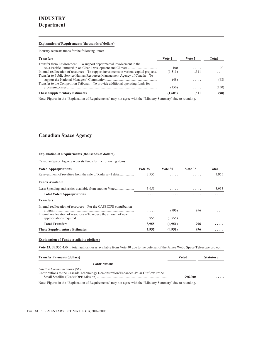#### **Explanation of Requirements (thousands of dollars)**

Industry requests funds for the following items:

| <b>Transfers</b>                                                                                                                                                        | Vote 1  | Vote 5 | Total |
|-------------------------------------------------------------------------------------------------------------------------------------------------------------------------|---------|--------|-------|
| Transfer from Environment – To support departmental involvement in the                                                                                                  | 100     | .      | 100   |
| Internal reallocation of resources – To support investments in various capital projects.<br>Transfer to Public Service Human Resources Management Agency of Canada – To | (1,511) | 1.511  | .     |
| Transfer to the Competition Tribunal $-$ To provide additional operating funds for                                                                                      | (48)    | .      | (48)  |
|                                                                                                                                                                         | (150)   | .      | (150) |
| <b>These Supplementary Estimates</b>                                                                                                                                    | (1.609) | 1.511  | (98)  |

Note: Figures in the "Explanation of Requirements" may not agree with the "Ministry Summary" due to rounding.

## **Canadian Space Agency**

#### **Explanation of Requirements (thousands of dollars)**

Canadian Space Agency requests funds for the following items:

| <b>Voted Appropriations</b>                                                                                                            | Vote 25 | Vote 30 | Vote 35 | Total |
|----------------------------------------------------------------------------------------------------------------------------------------|---------|---------|---------|-------|
|                                                                                                                                        | 3.955   |         | .       | 3.955 |
| <b>Funds Available</b>                                                                                                                 |         |         |         |       |
|                                                                                                                                        | 3,955   | .       | .       | 3,955 |
| <b>Total Voted Appropriations</b>                                                                                                      | .       | .       | .       | .     |
| <b>Transfers</b>                                                                                                                       |         |         |         |       |
| Internal reallocation of resources – For the CASSIOPE contribution<br>Internal reallocation of resources – To reduce the amount of new | .       | (996)   | 996     | .     |
|                                                                                                                                        | 3,955   | (3,955) | .       | .     |
| <b>Total Transfers</b>                                                                                                                 | 3,955   | (4,951) | 996     | .     |
| <b>These Supplementary Estimates</b>                                                                                                   | 3,955   | (4,951) | 996     | .     |

#### **Explanation of Funds Available (dollars)**

**Vote 25**: \$3,955,450 in total authorities is available from Vote 30 due to the deferral of the James Webb Space Telescope project.

| <b>Transfer Payments (dollars)</b>                                                                                                                                                                                                                                                                                                                                                                                                                           | Voted   | <b>Statutory</b> |
|--------------------------------------------------------------------------------------------------------------------------------------------------------------------------------------------------------------------------------------------------------------------------------------------------------------------------------------------------------------------------------------------------------------------------------------------------------------|---------|------------------|
| <b>Contributions</b>                                                                                                                                                                                                                                                                                                                                                                                                                                         |         |                  |
| Satellite Communications (SC)                                                                                                                                                                                                                                                                                                                                                                                                                                |         |                  |
| Contributions to the Cascade Technology Demonstration/Enhanced-Polar Outflow Probe                                                                                                                                                                                                                                                                                                                                                                           |         |                  |
|                                                                                                                                                                                                                                                                                                                                                                                                                                                              | 996,000 | .                |
| $\mathcal{A} = \mathcal{A} = \mathcal{A} = \mathcal{A} = \mathcal{A} = \mathcal{A} = \mathcal{A} = \mathcal{A} = \mathcal{A} = \mathcal{A} = \mathcal{A} = \mathcal{A} = \mathcal{A} = \mathcal{A} = \mathcal{A} = \mathcal{A} = \mathcal{A} = \mathcal{A} = \mathcal{A} = \mathcal{A} = \mathcal{A} = \mathcal{A} = \mathcal{A} = \mathcal{A} = \mathcal{A} = \mathcal{A} = \mathcal{A} = \mathcal{A} = \mathcal{A} = \mathcal{A} = \mathcal{A} = \mathcal$ |         |                  |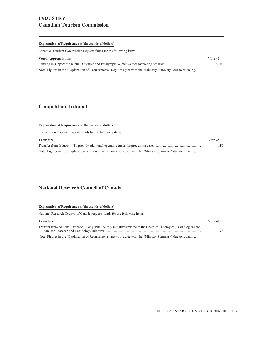### **INDUSTRY Canadian Tourism Commission**

#### **Explanation of Requirements (thousands of dollars)**

Canadian Tourism Commission requests funds for the following items:

| <b>Voted Appropriations</b>                                                                                   | Vote 40 |
|---------------------------------------------------------------------------------------------------------------|---------|
|                                                                                                               | 2.700   |
| Note: Figures in the "Explanation of Requirements" may not agree with the "Ministry Summary" due to rounding. |         |

### **Competition Tribunal**

| <b>Explanation of Requirements (thousands of dollars)</b>    |         |
|--------------------------------------------------------------|---------|
| Competition Tribunal requests funds for the following items: |         |
| <b>Transfers</b>                                             | Vote 45 |
|                                                              | 150     |

### **National Research Council of Canada**

| <b>Explanation of Requirements (thousands of dollars)</b>                                                              |         |
|------------------------------------------------------------------------------------------------------------------------|---------|
| National Research Council of Canada requests funds for the following items:                                            |         |
| <b>Transfers</b>                                                                                                       | Vote 60 |
| Transfer from National Defence – For public security initiatives related to the Chemical, Biological, Radiological and | 28      |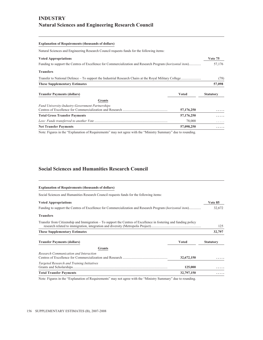# **INDUSTRY Natural Sciences and Engineering Research Council**

# **Explanation of Requirements (thousands of dollars)** Natural Sciences and Engineering Research Council requests funds for the following items: **Voted Appropriations Vote 75** Funding to support the Centres of Excellence for Commercialization and Research Program (*horizontal item*).............. 57,176 **Transfers** Transfer to National Defence – To support the Industrial Research Chairs at the Royal Military College ....................... (78) **These Supplementary Estimates 57,098 Transfer Payments (dollars) Voted Statutory Grants** *Fund University-Industry-Government Partnerships* Centres of Excellence for Commercialization and Research .................................................... **57,176,250 ..... Total Gross Transfer Payments 57,176,250 .....** *Less: Funds transferred to another Vote* ..................................................................................... 78,000 ..... **Net Transfer Payments 57,098,250 .....**

Note: Figures in the "Explanation of Requirements" may not agree with the "Ministry Summary" due to rounding.

### **Social Sciences and Humanities Research Council**

| <b>Explanation of Requirements (thousands of dollars)</b>                                                        |              |                  |
|------------------------------------------------------------------------------------------------------------------|--------------|------------------|
| Social Sciences and Humanities Research Council requests funds for the following items:                          |              |                  |
| <b>Voted Appropriations</b>                                                                                      |              | Vote 85          |
| Funding to support the Centres of Excellence for Commercialization and Research Program (horizontal item)        |              | 32,672           |
| <b>Transfers</b>                                                                                                 |              |                  |
| Transfer from Citizenship and Immigration – To support the Centres of Excellence in fostering and funding policy |              | 125              |
| <b>These Supplementary Estimates</b>                                                                             |              | 32,797           |
| <b>Transfer Payments (dollars)</b>                                                                               | <b>Voted</b> | <b>Statutory</b> |
| <b>Grants</b>                                                                                                    |              |                  |
| Research Communication and Interaction                                                                           | 32,672,150   |                  |
| Targeted Research and Training Initiatives                                                                       | 125,000      |                  |
| <b>Total Transfer Payments</b>                                                                                   | 32,797,150   |                  |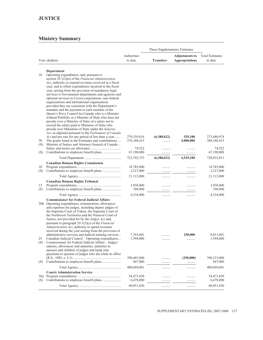|           |                                                                                                                |                        | These Supplementary Estimates |                                                |                                   |
|-----------|----------------------------------------------------------------------------------------------------------------|------------------------|-------------------------------|------------------------------------------------|-----------------------------------|
|           | Vote (dollars)                                                                                                 | Authorities<br>to date | <b>Transfers</b>              | <b>Adjustments to</b><br><b>Appropriations</b> | <b>Total Estimates</b><br>to date |
|           |                                                                                                                |                        |                               |                                                |                                   |
| 1b        | Department<br>Operating expenditures, and, pursuant to                                                         |                        |                               |                                                |                                   |
|           | section 29.1(2)(a) of the <i>Financial Administration</i>                                                      |                        |                               |                                                |                                   |
|           | Act, authority to expend revenues received in a fiscal                                                         |                        |                               |                                                |                                   |
|           | year, and to offset expenditures incurred in the fiscal                                                        |                        |                               |                                                |                                   |
|           | year, arising from the provision of mandatory legal<br>services to Government departments and agencies and     |                        |                               |                                                |                                   |
|           | optional services to Crown corporations, non-federal                                                           |                        |                               |                                                |                                   |
|           | organizations and international organizations                                                                  |                        |                               |                                                |                                   |
|           | provided they are consistent with the Department's                                                             |                        |                               |                                                |                                   |
|           | mandate and the payment to each member of the<br>Queen's Privy Council for Canada who is a Minister            |                        |                               |                                                |                                   |
|           | without Portfolio or a Minister of State who does not                                                          |                        |                               |                                                |                                   |
|           | preside over a Ministry of State of a salary not to                                                            |                        |                               |                                                |                                   |
|           | exceed the salary paid to Ministers of State who                                                               |                        |                               |                                                |                                   |
|           | preside over Ministries of State under the Salaries<br>Act, as adjusted pursuant to the Parliament of Canada   |                        |                               |                                                |                                   |
|           | Act and pro rata for any period of less than a year                                                            | 279,339,816            | (6,388,022)                   | 529,180                                        | 273,480,974                       |
| 5b        | The grants listed in the Estimates and contributions                                                           | 376, 188, 415          | .                             | 4,000,000                                      | 380, 188, 415                     |
| (S)       | Minister of Justice and Attorney General of Canada -                                                           | 74,522                 |                               |                                                | 74,522                            |
| (S)       |                                                                                                                | 67,190,000             | .<br>.                        | .<br>.                                         | 67,190,000                        |
|           |                                                                                                                | 722,792,753            | (6,388,022)                   | 4,529,180                                      | 720,933,911                       |
|           | <b>Canadian Human Rights Commission</b>                                                                        |                        |                               |                                                |                                   |
| 10        |                                                                                                                | 18,785,000             |                               |                                                | 18,785,000                        |
| (S)       | Contributions to employee benefit plans                                                                        | 2,327,000              | .                             | .                                              | 2,327,000                         |
|           |                                                                                                                | 21,112,000             | .                             | .                                              | 21,112,000                        |
|           | <b>Canadian Human Rights Tribunal</b>                                                                          |                        |                               |                                                |                                   |
| 15<br>(S) |                                                                                                                | 3,938,000<br>396,000   | .                             |                                                | 3,938,000<br>396,000              |
|           |                                                                                                                | 4,334,000              | .                             | .                                              | 4,334,000                         |
|           |                                                                                                                |                        | .                             | .                                              |                                   |
|           | <b>Commissioner for Federal Judicial Affairs</b><br>20b Operating expenditures, remuneration, allowances       |                        |                               |                                                |                                   |
|           | and expenses for judges, including deputy judges of                                                            |                        |                               |                                                |                                   |
|           | the Supreme Court of Yukon, the Supreme Court of                                                               |                        |                               |                                                |                                   |
|           | the Northwest Territories and the Nunavut Court of                                                             |                        |                               |                                                |                                   |
|           | Justice, not provided for by the Judges Act and,<br>pursuant to paragraph $29.1(2)(a)$ of the <i>Financial</i> |                        |                               |                                                |                                   |
|           | Administration Act, authority to spend revenues                                                                |                        |                               |                                                |                                   |
|           | received during the year arising from the provision of                                                         |                        |                               |                                                |                                   |
|           | administrative services and judicial training services                                                         | 7,763,601              | .                             | 250,000                                        | 8,013,601                         |
| 25<br>(S) | Canadian Judicial Council - Operating expenditures<br>Commissioner for Federal Judicial Affairs - Judges'      | 1,594,000              |                               |                                                | 1,594,000                         |
|           | salaries, allowances and annuities, annuities to                                                               |                        |                               |                                                |                                   |
|           | spouses and children of judges and lump sum                                                                    |                        |                               |                                                |                                   |
|           | payments to spouses of judges who die while in office                                                          |                        |                               |                                                |                                   |
|           |                                                                                                                | 390,465,000            | .                             | (250,000)                                      | 390,215,000<br>847,000            |
| (S)       |                                                                                                                | 847,000                | .                             | .                                              |                                   |
|           | <b>Courts Administration Service</b>                                                                           | 400,669,601            | .                             | .                                              | 400,669,601                       |
|           |                                                                                                                | 54,473,830             | .                             | .                                              | 54,473,830                        |
| (S)       |                                                                                                                | 6,478,000              |                               |                                                | 6,478,000                         |
|           |                                                                                                                | 60,951,830             | .                             | .                                              | 60,951,830                        |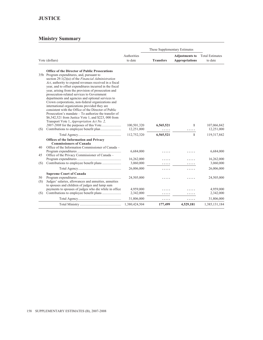### **JUSTICE**

|                 |                                                                                                                                                                                                                                                                                                                                                                                                                                                                                                                                                                                                                                                                                                                                                                       |                                      |                  | These Supplementary Estimates                  |                                      |
|-----------------|-----------------------------------------------------------------------------------------------------------------------------------------------------------------------------------------------------------------------------------------------------------------------------------------------------------------------------------------------------------------------------------------------------------------------------------------------------------------------------------------------------------------------------------------------------------------------------------------------------------------------------------------------------------------------------------------------------------------------------------------------------------------------|--------------------------------------|------------------|------------------------------------------------|--------------------------------------|
|                 | Vote (dollars)                                                                                                                                                                                                                                                                                                                                                                                                                                                                                                                                                                                                                                                                                                                                                        | Authorities<br>to date               | <b>Transfers</b> | <b>Adjustments to</b><br><b>Appropriations</b> | <b>Total Estimates</b><br>to date    |
| (S)             | <b>Office of the Director of Public Prosecutions</b><br>35b Program expenditures, and, pursuant to<br>section 29.1(2)(a) of the Financial Administration<br>Act, authority to expend revenues received in a fiscal<br>year, and to offset expenditures incurred in the fiscal<br>year, arising from the provision of prosecution and<br>prosecution-related services to Government<br>departments and agencies and optional services to<br>Crown corporations, non-federal organizations and<br>international organizations provided they are<br>consistent with the Office of the Director of Public<br>Prosecution's mandate $-$ To authorize the transfer of<br>\$6,342,521 from Justice Vote 1, and \$223, 000 from<br>Transport Vote 1, Appropriation Act No. 2, | 100,501,320<br>12,251,000            | 6,565,521        | 1                                              | 107,066,842<br>12,251,000            |
|                 |                                                                                                                                                                                                                                                                                                                                                                                                                                                                                                                                                                                                                                                                                                                                                                       | 112,752,320                          | .<br>6,565,521   | 1                                              | 119,317,842                          |
| 40<br>45<br>(S) | <b>Offices of the Information and Privacy</b><br><b>Commissioners of Canada</b><br>Office of the Information Commissioner of Canada -<br>Office of the Privacy Commissioner of Canada -                                                                                                                                                                                                                                                                                                                                                                                                                                                                                                                                                                               | 6,684,000<br>16,262,000<br>3,060,000 |                  |                                                | 6,684,000<br>16,262,000<br>3,060,000 |
|                 |                                                                                                                                                                                                                                                                                                                                                                                                                                                                                                                                                                                                                                                                                                                                                                       | 26,006,000                           | .                | .                                              | 26,006,000                           |
| 50<br>(S)       | <b>Supreme Court of Canada</b><br>Judges' salaries, allowances and annuities, annuities<br>to spouses and children of judges and lump sum                                                                                                                                                                                                                                                                                                                                                                                                                                                                                                                                                                                                                             | 24,505,000                           |                  |                                                | 24,505,000                           |
| (S)             | payments to spouses of judges who die while in office                                                                                                                                                                                                                                                                                                                                                                                                                                                                                                                                                                                                                                                                                                                 | 4,959,000<br>2,342,000<br>31,806,000 |                  |                                                | 4,959,000<br>2,342,000<br>31,806,000 |
|                 |                                                                                                                                                                                                                                                                                                                                                                                                                                                                                                                                                                                                                                                                                                                                                                       | 1,380,424,504                        | .<br>177,499     | .<br>4,529,181                                 | 1,385,131,184                        |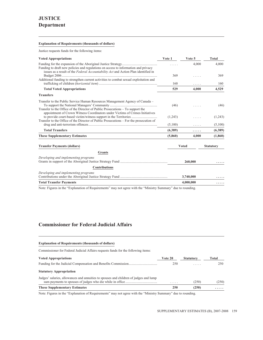#### **Explanation of Requirements (thousands of dollars)**

Justice requests funds for the following items:

| <b>Voted Appropriations</b>                                                                                                                                                 | Vote 1     | Vote 5       | <b>Total</b>     |
|-----------------------------------------------------------------------------------------------------------------------------------------------------------------------------|------------|--------------|------------------|
| Funding to draft new policies and regulations on access to information and privacy                                                                                          |            | 4.000        | 4.000            |
| issues as a result of the Federal Accountability Act and Action Plan identified in<br>Additional funding to strengthen current activities to combat sexual exploitation and | 369<br>160 | .            | 369<br>160       |
| <b>Total Voted Appropriations</b>                                                                                                                                           | 529        | .<br>4,000   | 4,529            |
| <b>Transfers</b>                                                                                                                                                            |            |              |                  |
| Transfer to the Public Service Human Resources Management Agency of Canada –<br>Transfer to the Office of the Director of Public Prosecutions – To support the              | (46)       |              | (46)             |
| appointment of Crown Witness Coordinators under Victims of Crimes Initiatives<br>Transfer to the Office of the Director of Public Prosecutions – For the prosecution of     | (1,243)    |              | (1,243)          |
|                                                                                                                                                                             | (5,100)    | .            | (5,100)          |
| <b>Total Transfers</b>                                                                                                                                                      | (6,389)    | .            | (6,389)          |
| <b>These Supplementary Estimates</b>                                                                                                                                        | (5,860)    | 4,000        | (1,860)          |
| <b>Transfer Payments (dollars)</b>                                                                                                                                          |            | <b>Voted</b> | <b>Statutory</b> |
| <b>Grants</b>                                                                                                                                                               |            |              |                  |
| Developing and implementing programs                                                                                                                                        |            | 260,000      |                  |
| <b>Contributions</b>                                                                                                                                                        |            |              |                  |
| Developing and implementing programs                                                                                                                                        |            | 3,740,000    |                  |
| <b>Total Transfer Payments</b>                                                                                                                                              |            | 4,000,000    | .                |

Note: Figures in the "Explanation of Requirements" may not agree with the "Ministry Summary" due to rounding.

### **Commissioner for Federal Judicial Affairs**

**Explanation of Requirements (thousands of dollars)**

| Commissioner for Federal Judicial Affairs requests funds for the following items:     |         |                  |       |
|---------------------------------------------------------------------------------------|---------|------------------|-------|
| <b>Voted Appropriations</b>                                                           | Vote 20 | <b>Statutory</b> | Total |
|                                                                                       | 250     | .                | 250   |
| <b>Statutory Appropriation</b>                                                        |         |                  |       |
| Judges' salaries, allowances and annuities to spouses and children of judges and lump | .       | (250)            | (250) |
| <b>These Supplementary Estimates</b>                                                  | 250     | (250)            | .     |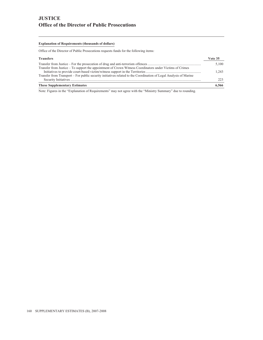## **JUSTICE Office of the Director of Public Prosecutions**

#### **Explanation of Requirements (thousands of dollars)**

Office of the Director of Public Prosecutions requests funds for the following items:

| <b>Transfers</b>                                                                                                  | Vote 35 |
|-------------------------------------------------------------------------------------------------------------------|---------|
|                                                                                                                   | 5.100   |
| Transfer from Justice – To support the appointment of Crown Witness Coordinators under Victims of Crimes          |         |
|                                                                                                                   | 1.243   |
| Transfer from Transport – For public security initiatives related to the Coordination of Legal Analysis of Marine |         |
|                                                                                                                   | 223     |
| <b>These Supplementary Estimates</b>                                                                              | 6,566   |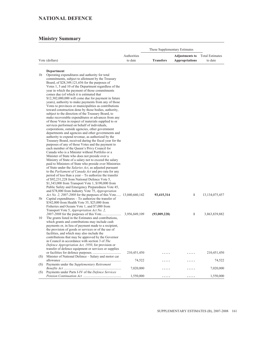# **NATIONAL DEFENCE**

|     |                                                                                                                       |               | These Supplementary Estimates |                       |                        |  |
|-----|-----------------------------------------------------------------------------------------------------------------------|---------------|-------------------------------|-----------------------|------------------------|--|
|     |                                                                                                                       | Authorities   |                               | <b>Adjustments to</b> | <b>Total Estimates</b> |  |
|     | Vote (dollars)                                                                                                        | to date       | <b>Transfers</b>              | <b>Appropriations</b> | to date                |  |
|     |                                                                                                                       |               |                               |                       |                        |  |
|     | Department                                                                                                            |               |                               |                       |                        |  |
| 1b  | Operating expenditures and authority for total                                                                        |               |                               |                       |                        |  |
|     | commitments, subject to allotment by the Treasury<br>Board, of \$28,349,121,656 for the purposes of                   |               |                               |                       |                        |  |
|     | Votes 1, 5 and 10 of the Department regardless of the                                                                 |               |                               |                       |                        |  |
|     | year in which the payment of those commitments                                                                        |               |                               |                       |                        |  |
|     | comes due (of which it is estimated that                                                                              |               |                               |                       |                        |  |
|     | \$12,302,000,000 will come due for payment in future                                                                  |               |                               |                       |                        |  |
|     | years), authority to make payments from any of those                                                                  |               |                               |                       |                        |  |
|     | Votes to provinces or municipalities as contributions                                                                 |               |                               |                       |                        |  |
|     | toward construction done by those bodies, authority,<br>subject to the direction of the Treasury Board, to            |               |                               |                       |                        |  |
|     | make recoverable expenditures or advances from any                                                                    |               |                               |                       |                        |  |
|     | of those Votes in respect of materials supplied to or                                                                 |               |                               |                       |                        |  |
|     | services performed on behalf of individuals,                                                                          |               |                               |                       |                        |  |
|     | corporations, outside agencies, other government                                                                      |               |                               |                       |                        |  |
|     | departments and agencies and other governments and                                                                    |               |                               |                       |                        |  |
|     | authority to expend revenue, as authorized by the                                                                     |               |                               |                       |                        |  |
|     | Treasury Board, received during the fiscal year for the<br>purposes of any of those Votes and the payment to          |               |                               |                       |                        |  |
|     | each member of the Queen's Privy Council for                                                                          |               |                               |                       |                        |  |
|     | Canada who is a Minister without Portfolio or a                                                                       |               |                               |                       |                        |  |
|     | Minister of State who does not preside over a                                                                         |               |                               |                       |                        |  |
|     | Ministry of State of a salary not to exceed the salary                                                                |               |                               |                       |                        |  |
|     | paid to Ministers of State who preside over Ministries                                                                |               |                               |                       |                        |  |
|     | of State under the Salaries Act, as adjusted pursuant                                                                 |               |                               |                       |                        |  |
|     | to the <i>Parliament of Canada Act</i> and pro rata for any<br>period of less than a year – To authorize the transfer |               |                               |                       |                        |  |
|     | of \$92,231,228 from National Defence Vote 5,                                                                         |               |                               |                       |                        |  |
|     | \$1,343,000 from Transport Vote 1, \$190,000 from                                                                     |               |                               |                       |                        |  |
|     | Public Safety and Emergency Preparedness Vote 45,                                                                     |               |                               |                       |                        |  |
|     | and \$78,000 from Industry Vote 75, Appropriation                                                                     |               |                               |                       |                        |  |
|     | <i>Act No. 2, 2007-2008</i> for the purposes of this Vote 13,040,660,142                                              |               | 93,415,314                    | 1                     | 13, 134, 075, 457      |  |
| 5b  | Capital expenditures $-$ To authorize the transfer of                                                                 |               |                               |                       |                        |  |
|     | \$342,000 from Health Vote 35, \$25,000 from<br>Fisheries and Oceans Vote 1, and \$7,000 from                         |               |                               |                       |                        |  |
|     | Transport Vote 5, Appropriation Act No. 2,                                                                            |               |                               |                       |                        |  |
|     |                                                                                                                       | 3,956,849,109 | (93,009,228)                  | 1                     | 3,863,839,882          |  |
| 10  | The grants listed in the Estimates and contributions,                                                                 |               |                               |                       |                        |  |
|     | which grants and contributions may include cash                                                                       |               |                               |                       |                        |  |
|     | payments or, in lieu of payment made to a recipient,                                                                  |               |                               |                       |                        |  |
|     | the provision of goods or services or of the use of<br>facilities, and which may also include the                     |               |                               |                       |                        |  |
|     | contributions that may be approved by the Governor                                                                    |               |                               |                       |                        |  |
|     | in Council in accordance with section 3 of The                                                                        |               |                               |                       |                        |  |
|     | Defence Appropriation Act, 1950, for provision or                                                                     |               |                               |                       |                        |  |
|     | transfer of defence equipment or services or supplies                                                                 |               |                               |                       |                        |  |
|     |                                                                                                                       | 210,451,450   |                               |                       | 210,451,450            |  |
| (S) | Minister of National Defence - Salary and motor car                                                                   |               |                               |                       |                        |  |
| (S) | Payments under the Supplementary Retirement                                                                           | 74,522        | .                             |                       | 74,522                 |  |
|     |                                                                                                                       | 7,020,000     |                               |                       | 7,020,000              |  |
| (S) | Payments under Parts I-IV of the Defence Services                                                                     |               |                               |                       |                        |  |
|     |                                                                                                                       | 1,550,000     | .                             | .                     | 1,550,000              |  |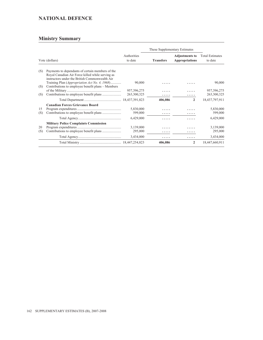# **NATIONAL DEFENCE**

|                |                                                                                                                                                                                                                  |                              | These Supplementary Estimates |                                                |                                   |
|----------------|------------------------------------------------------------------------------------------------------------------------------------------------------------------------------------------------------------------|------------------------------|-------------------------------|------------------------------------------------|-----------------------------------|
| Vote (dollars) |                                                                                                                                                                                                                  | Authorities<br>to date       |                               | <b>Adjustments to</b><br><b>Appropriations</b> | <b>Total Estimates</b><br>to date |
| (S)            | Payments to dependants of certain members of the<br>Royal Canadian Air Force killed while serving as<br>instructors under the British Commonwealth Air<br>Training Plan ( <i>Appropriation Act No. 4, 1968</i> ) | 90,000                       | .                             |                                                | 90,000                            |
| (S)<br>(S)     | Contributions to employee benefit plans – Members                                                                                                                                                                | 957, 396, 275<br>263,300,325 |                               |                                                | 957, 396, 275<br>263,300,325      |
|                |                                                                                                                                                                                                                  |                              | 406,086                       | $\overline{2}$                                 | 18,437,797,911                    |
|                | <b>Canadian Forces Grievance Board</b>                                                                                                                                                                           |                              |                               |                                                |                                   |
| 15<br>(S)      |                                                                                                                                                                                                                  | 5,830,000<br>599,000         | .                             |                                                | 5,830,000<br>599,000              |
|                |                                                                                                                                                                                                                  | 6,429,000                    | .                             |                                                | 6,429,000                         |
|                | <b>Military Police Complaints Commission</b>                                                                                                                                                                     |                              |                               |                                                |                                   |
| 20<br>(S)      |                                                                                                                                                                                                                  | 3,139,000<br>295,000         | .                             |                                                | 3,139,000<br>295,000              |
|                |                                                                                                                                                                                                                  | 3,434,000                    | .                             | .                                              | 3,434,000                         |
|                |                                                                                                                                                                                                                  |                              | 406,086                       | $\overline{2}$                                 | 18,447,660,911                    |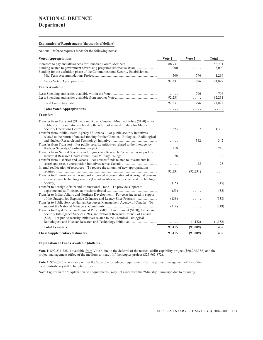### **NATIONAL DEFENCE**

### **Department**

#### **Explanation of Requirements (thousands of dollars)**

National Defence requests funds for the following items:

| <b>Voted Appropriations</b>                                                                                                                                                                                                                               | Vote 1             | Vote 5    | Total           |
|-----------------------------------------------------------------------------------------------------------------------------------------------------------------------------------------------------------------------------------------------------------|--------------------|-----------|-----------------|
| Funding related to government advertising programs (horizontal item)<br>Funding for the definition phase of the Communications Security Establishment                                                                                                     | 88,731<br>3,000    | .<br>.    | 88.731<br>3,000 |
|                                                                                                                                                                                                                                                           | 500                | 796       | 1,296           |
| Gross Voted Appropriations                                                                                                                                                                                                                                | 92,231             | 796       | 93,027          |
| <b>Funds Available</b>                                                                                                                                                                                                                                    |                    |           |                 |
|                                                                                                                                                                                                                                                           | $\ldots$<br>92,231 | 796<br>.  | 796<br>92,231   |
| <b>Total Funds Available</b>                                                                                                                                                                                                                              | 92,231             | 796       | 93,027          |
| <b>Total Voted Appropriations</b>                                                                                                                                                                                                                         | .                  | .         | .               |
| <b>Transfers</b>                                                                                                                                                                                                                                          |                    |           |                 |
| Transfer from Transport $(\$1,140)$ and Royal Canadian Mounted Police $(\$190)$ – For<br>public security initiatives related to the return of unused funding for Marine<br>Transfer from Public Health Agency of Canada – For public security initiatives | 1,323              | 7         | 1,330           |
| related to the return of unused funding for the Chemical, Biological, Radiological<br>Transfer from Transport – For public security initiatives related to the Interagency                                                                                | .                  | 342       | 342             |
|                                                                                                                                                                                                                                                           | 210                | .         | 210             |
| Transfer from Natural Sciences and Engineering Research Council – To support the<br>Transfer from Fisheries and Oceans - For unused funds related to investments in                                                                                       | 78                 |           | 78              |
|                                                                                                                                                                                                                                                           | .                  | 25        | 25              |
| Internal reallocation of resources - To reduce the amount of new appropriations<br>Transfer to Environment – To support improved representation of Aboriginal persons<br>in science and technology careers (Canadian Aboriginal Science and Technology    | 92,231             | (92, 231) |                 |
| Transfer to Foreign Affairs and International Trade – To provide support to                                                                                                                                                                               | (15)               |           | (15)            |
|                                                                                                                                                                                                                                                           | (55)               |           | (55)            |
| Transfer to Indian Affairs and Northern Development – For costs incurred in support<br>Transfer to Public Service Human Resources Management Agency of Canada – To                                                                                        | (138)              |           | (138)           |
| Transfer to Royal Canadian Mounted Police (\$880), Environment (\$150), Canadian<br>Security Intelligence Service (\$94), and National Research Council of Canada<br>$(\$28)$ – For public security initiatives related to the Chemical, Biological,      | (219)              | .         | (219)           |
|                                                                                                                                                                                                                                                           | .                  | (1, 152)  | (1,152)         |
| <b>Total Transfers</b>                                                                                                                                                                                                                                    | 93,415             | (93,009)  | 406             |
| <b>These Supplementary Estimates</b>                                                                                                                                                                                                                      | 93,415             | (93,009)  | 406             |

#### **Explanation of Funds Available (dollars)**

**Vote 1**: \$92,231,228 is available from Vote 5 due to the deferral of the tactical airlift capability project (\$66,268,356) and the project management office of the medium-to-heavy-lift helicopter project (\$25,962,872).

Vote 5: \$796,326 is available within the Vote due to reduced requirements for the project management office of the medium-to-heavy-lift helicopter project.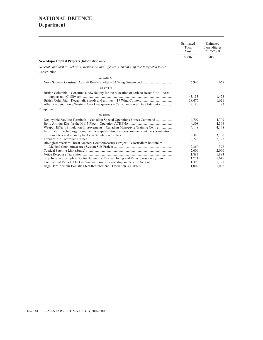# **NATIONAL DEFENCE Department**

|                                                                                                                                                                           | Estimated<br>Total<br>Cost | Estimated<br>Expenditures<br>2007-2008 |
|---------------------------------------------------------------------------------------------------------------------------------------------------------------------------|----------------------------|----------------------------------------|
|                                                                                                                                                                           | \$000s                     | \$000s                                 |
| New Major Capital Projects (Information only)                                                                                                                             |                            |                                        |
| Generate and Sustain Relevant, Responsive and Effective Combat-Capable Integrated Forces                                                                                  |                            |                                        |
| Construction                                                                                                                                                              |                            |                                        |
| <b>ATLANTIC</b>                                                                                                                                                           |                            |                                        |
|                                                                                                                                                                           | 6,945                      | 667                                    |
| <b>WESTERN</b>                                                                                                                                                            |                            |                                        |
| British Columbia – Construct a new facility for the relocation of Jericho Beach Unit – Area                                                                               | 43.133<br>38,475           | 1.473<br>1,621                         |
| Alberta – Land Force Western Area Headquarters – Canadian Forces Base Edmonton                                                                                            | 27,180                     | 82                                     |
| Equipment                                                                                                                                                                 |                            |                                        |
| <b>NATIONAL</b>                                                                                                                                                           |                            |                                        |
| Deployable Satellite Terminals – Canadian Special Operations Forces Command                                                                                               | 4,709                      | 4,709                                  |
|                                                                                                                                                                           | 4,308                      | 4,308                                  |
| Weapon Effects Simulation Improvements – Canadian Manoeuvre Training Centre<br>Information Technology Equipment Recapitalization (servers, routers, switchers, simulation | 4.148                      | 4,148                                  |
|                                                                                                                                                                           | 3,380                      | 3,380                                  |
|                                                                                                                                                                           | 2,728                      | 2,728                                  |
| Biological Warfare Threat Medical Countermeasures Project – Clostridium botulinum                                                                                         |                            |                                        |
|                                                                                                                                                                           | 2,360                      | 398                                    |
|                                                                                                                                                                           | 2,000                      | 2,000                                  |
|                                                                                                                                                                           | 1,883                      | 1,883                                  |
| Ship Interface Template Set for Submarine Rescue Diving and Recompression System                                                                                          | 1,771                      | 1,645                                  |
| Commercial Vehicle Fleet – Canadian Forces Leadership and Recruit School                                                                                                  | 1,398                      | 1,398                                  |
|                                                                                                                                                                           | 1,002                      | 1,002                                  |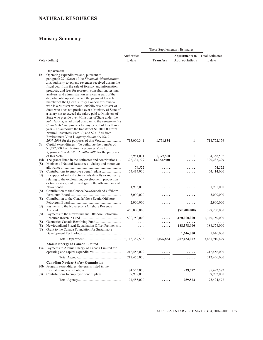### **NATURAL RESOURCES**

|                   |                                                                                                                                                                                                                                                                                                                                                                                                                                                                                                                                                                                                                                                                                                                                                                 |                          | These Supplementary Estimates |                       |                          |
|-------------------|-----------------------------------------------------------------------------------------------------------------------------------------------------------------------------------------------------------------------------------------------------------------------------------------------------------------------------------------------------------------------------------------------------------------------------------------------------------------------------------------------------------------------------------------------------------------------------------------------------------------------------------------------------------------------------------------------------------------------------------------------------------------|--------------------------|-------------------------------|-----------------------|--------------------------|
|                   |                                                                                                                                                                                                                                                                                                                                                                                                                                                                                                                                                                                                                                                                                                                                                                 | Authorities              |                               | <b>Adjustments to</b> | <b>Total Estimates</b>   |
|                   | Vote (dollars)                                                                                                                                                                                                                                                                                                                                                                                                                                                                                                                                                                                                                                                                                                                                                  | to date                  | <b>Transfers</b>              | <b>Appropriations</b> | to date                  |
| 1b                | Department<br>Operating expenditures and, pursuant to<br>paragraph $29.1(2)(a)$ of the <i>Financial Administration</i><br>Act, authority to expend revenues received during the<br>fiscal year from the sale of forestry and information<br>products, and fees for research, consultation, testing,<br>analysis, and administration services as part of the<br>departmental operations and the payment to each<br>member of the Queen's Privy Council for Canada<br>who is a Minister without Portfolio or a Minister of<br>State who does not preside over a Ministry of State of<br>a salary not to exceed the salary paid to Ministers of<br>State who preside over Ministries of State under the<br>Salaries Act, as adjusted pursuant to the Parliament of |                          |                               |                       |                          |
| 5b                | Canada Act and pro rata for any period of less than a<br>year – To authorize the transfer of $$1,500,000$ from<br>Natural Resources Vote 30, and \$271,834 from<br>Environment Vote 1, Appropriation Act No. 2,<br>Capital expenditures – To authorize the transfer of<br>\$1,377,500 from Natural Resources Vote 10,                                                                                                                                                                                                                                                                                                                                                                                                                                           | 713,000,341              | 1,771,834                     | 1                     | 714,772,176              |
| 10 <sub>b</sub>   | Appropriation Act No. 2, 2007-2008 for the purposes<br>The grants listed in the Estimates and contributions                                                                                                                                                                                                                                                                                                                                                                                                                                                                                                                                                                                                                                                     | 2,981,001<br>322,334,729 | 1,377,500<br>(2,052,500)      | 1                     | 4,358,502<br>320,282,229 |
| (S)<br>(S)<br>(S) | Minister of Natural Resources - Salary and motor car<br>In support of infrastructure costs directly or indirectly<br>relating to the exploration, development, production                                                                                                                                                                                                                                                                                                                                                                                                                                                                                                                                                                                       | 74,522<br>54,414,000     | .                             |                       | 74,522<br>54,414,000     |
|                   | or transportation of oil and gas in the offshore area of<br>Contribution to the Canada/Newfoundland Offshore                                                                                                                                                                                                                                                                                                                                                                                                                                                                                                                                                                                                                                                    | 1,935,000                |                               |                       | 1,935,000                |
| (S)<br>(S)        | Contribution to the Canada/Nova Scotia Offshore                                                                                                                                                                                                                                                                                                                                                                                                                                                                                                                                                                                                                                                                                                                 | 5,000,000                |                               |                       | 5,000,000                |
|                   | (S) Payments to the Nova Scotia Offshore Revenue                                                                                                                                                                                                                                                                                                                                                                                                                                                                                                                                                                                                                                                                                                                | 2,900,000                |                               |                       | 2,900,000                |
| (S)               | Payments to the Newfoundland Offshore Petroleum                                                                                                                                                                                                                                                                                                                                                                                                                                                                                                                                                                                                                                                                                                                 | 450,000,000              | .                             | (52,800,000)          | 397,200,000              |
| (S)               |                                                                                                                                                                                                                                                                                                                                                                                                                                                                                                                                                                                                                                                                                                                                                                 | 590,750,000              |                               | 1,150,000,000         | 1,740,750,000            |
| (S)<br>(S)        | Newfoundland Fiscal Equalization Offset Payments<br>Grant to the Canada Foundation for Sustainable                                                                                                                                                                                                                                                                                                                                                                                                                                                                                                                                                                                                                                                              |                          | .                             | 188,578,000           | 188,578,000              |
|                   |                                                                                                                                                                                                                                                                                                                                                                                                                                                                                                                                                                                                                                                                                                                                                                 |                          |                               | 1,646,000             | 1,646,000                |
|                   |                                                                                                                                                                                                                                                                                                                                                                                                                                                                                                                                                                                                                                                                                                                                                                 |                          | 1,096,834                     | 1,287,424,002         | 3,431,910,429            |
|                   | <b>Atomic Energy of Canada Limited</b><br>15a Payments to Atomic Energy of Canada Limited for                                                                                                                                                                                                                                                                                                                                                                                                                                                                                                                                                                                                                                                                   | 212,456,000              |                               |                       | 212,456,000              |
|                   |                                                                                                                                                                                                                                                                                                                                                                                                                                                                                                                                                                                                                                                                                                                                                                 | 212,456,000              | .                             | .                     | 212,456,000              |
|                   | <b>Canadian Nuclear Safety Commission</b><br>20b Program expenditures, the grants listed in the                                                                                                                                                                                                                                                                                                                                                                                                                                                                                                                                                                                                                                                                 |                          |                               |                       |                          |
| (S)               |                                                                                                                                                                                                                                                                                                                                                                                                                                                                                                                                                                                                                                                                                                                                                                 | 84,553,000<br>9,932,000  | .                             | 939,572               | 85,492,572<br>9,932,000  |
|                   |                                                                                                                                                                                                                                                                                                                                                                                                                                                                                                                                                                                                                                                                                                                                                                 | 94,485,000               | .<br>.                        | .<br>939,572          | 95,424,572               |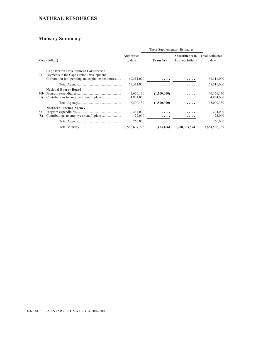### **NATURAL RESOURCES**

|                        |                                                                                                                                             |                              | These Supplementary Estimates |                                                |                                   |
|------------------------|---------------------------------------------------------------------------------------------------------------------------------------------|------------------------------|-------------------------------|------------------------------------------------|-----------------------------------|
| Vote (dollars)         |                                                                                                                                             | Authorities<br>to date       | <b>Transfers</b>              | <b>Adjustments to</b><br><b>Appropriations</b> | <b>Total Estimates</b><br>to date |
| 25                     | <b>Cape Breton Development Corporation</b><br>Payments to the Cape Breton Development<br>Corporation for operating and capital expenditures | 69,511,000                   | .                             |                                                | 69,511,000                        |
|                        |                                                                                                                                             | 69,511,000                   |                               |                                                | 69,511,000                        |
| 30 <sub>b</sub><br>(S) | <b>National Energy Board</b>                                                                                                                | 41,666,130<br>4,834,000      | (1,500,000)<br>.              |                                                | 40,166,130<br>4,834,000           |
|                        |                                                                                                                                             | 46,500,130                   | (1,500,000)                   | .                                              | 45,000,130                        |
| 35<br>(S)              | <b>Northern Pipeline Agency</b>                                                                                                             | 244,000<br>22,000<br>266,000 | .<br>.                        | .                                              | 244,000<br>22,000<br>266,000      |
|                        |                                                                                                                                             | 2,566,607,723                | (403, 166)                    | 1,288,363,574                                  | 3,854,568,131                     |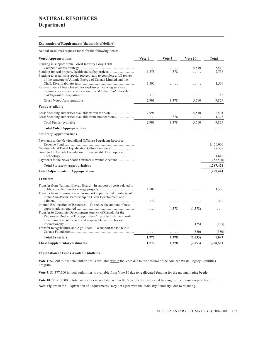## **NATURAL RESOURCES Department**

#### **Explanation of Requirements (thousands of dollars)**

Natural Resources requests funds for the following items:

| <b>Voted Appropriations</b>                                                                                                                                                                             | Vote 1     | Vote 5     | Vote 10                         | <b>Total</b>         |
|---------------------------------------------------------------------------------------------------------------------------------------------------------------------------------------------------------|------------|------------|---------------------------------|----------------------|
| Funding in support of the Forest Industry Long-Term                                                                                                                                                     | 1,378      | .<br>1,378 | 5,510<br>.                      | 5,510<br>2,756       |
| Funding to establish a special project team to complete a full review<br>of the structure of Atomic Energy of Canada Limited and the<br>Reinvestment of fees charged for explosives licensing services, | 1,500      | .          | $\cdots$                        | 1,500                |
| training courses, and certification related to the Explosives Act                                                                                                                                       | 113        | .          | .                               | 113                  |
| Gross Voted Appropriations                                                                                                                                                                              | 2,991      | 1,378      | 5,510                           | 9,879                |
| <b>Funds Available</b>                                                                                                                                                                                  |            |            |                                 |                      |
| Less: Spending authorities available from another Vote                                                                                                                                                  | 2,991<br>. | .<br>1,378 | 5,510<br>$\alpha$ is a second . | 8,501<br>1,378       |
| Total Funds Available                                                                                                                                                                                   | 2,991      | 1,378      | 5,510                           | 9,879                |
| <b>Total Voted Appropriations</b>                                                                                                                                                                       | .          | .          | .                               | .                    |
| <b>Statutory Appropriations</b>                                                                                                                                                                         |            |            |                                 |                      |
| Payments to the Newfoundland Offshore Petroleum Resource<br>Newfoundland Fiscal Equalization Offset Payments                                                                                            |            |            |                                 | 1,150,000<br>188,578 |
| Grant to the Canada Foundation for Sustainable Development                                                                                                                                              |            |            |                                 | 1,646<br>(52,800)    |
| <b>Total Statutory Appropriations</b>                                                                                                                                                                   |            |            |                                 | 1,287,424            |
| <b>Total Adjustments to Appropriations</b>                                                                                                                                                              |            |            |                                 | 1,287,424            |
| <b>Transfers</b>                                                                                                                                                                                        |            |            |                                 |                      |
| Transfer from National Energy Board - In support of costs related to<br>Transfer from Environment – To support departmental involvement                                                                 | 1,500      |            |                                 | 1,500                |
| in the Asia-Pacific Partnership on Clean Development and<br>Internal Reallocation of Resources – To reduce the amount of new                                                                            | 272        | .          | $\ldots$ .                      | 272                  |
| Transfer to Economic Development Agency of Canada for the<br>Regions of Quebec – To support the Chrysotile Institute in order<br>to help implement the safe and responsible use of chrysotile           |            | 1,378      | (1,378)                         |                      |
| Transfer to Agriculture and Agri-Food – To support the BIOCAP                                                                                                                                           |            | .          | (125)                           | (125)                |
|                                                                                                                                                                                                         | .          | .          | (550)                           | (550)                |
| <b>Total Transfers</b>                                                                                                                                                                                  | 1,772      | 1,378      | (2,053)                         | 1,097                |
| <b>These Supplementary Estimates</b>                                                                                                                                                                    | 1,772      | 1,378      | (2,053)                         | 1,288,521            |

#### **Explanation of Funds Available (dollars)**

**Vote 1**: \$2,990,807 in total authorities is available within the Vote due to the deferral of the Nuclear Waste Legacy Liabilities Program.

Vote 5: \$1,377,500 in total authorities is available from Vote 10 due to reallocated funding for the mountain pine beetle.

**Vote 10**: \$5,510,000 in total authorities is available within the Vote due to reallocated funding for the mountain pine beetle.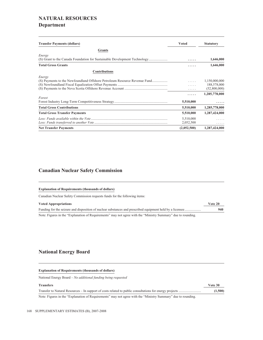## **NATURAL RESOURCES Department**

| <b>Transfer Payments (dollars)</b>                                                  | <b>Voted</b>           | <b>Statutory</b>                             |
|-------------------------------------------------------------------------------------|------------------------|----------------------------------------------|
| <b>Grants</b>                                                                       |                        |                                              |
| Energy<br>(S) Grant to the Canada Foundation for Sustainable Development Technology | .                      | 1,646,000                                    |
| <b>Total Gross Grants</b>                                                           |                        | 1,646,000                                    |
| <b>Contributions</b>                                                                |                        |                                              |
| Energy<br>(S) Payments to the Newfoundland Offshore Petroleum Resource Revenue Fund | 1.1111<br>.<br>.       | 1,150,000,000<br>188,578,000<br>(52,800,000) |
| Forest                                                                              | .<br>5,510,000         | 1,285,778,000                                |
| <b>Total Gross Contributions</b>                                                    | 5,510,000              | 1,285,778,000                                |
| <b>Total Gross Transfer Payments</b>                                                | 5,510,000              | 1,287,424,000                                |
|                                                                                     | 5,510,000<br>2,052,500 | .                                            |
| <b>Net Transfer Payments</b>                                                        | (2,052,500)            | 1,287,424,000                                |

### **Canadian Nuclear Safety Commission**

#### **Explanation of Requirements (thousands of dollars)**

Canadian Nuclear Safety Commission requests funds for the following items:

#### **Voted Appropriations Vote 20**

|                                                                                                               | 940 |
|---------------------------------------------------------------------------------------------------------------|-----|
| Note: Figures in the "Explanation of Requirements" may not agree with the "Ministry Summary" due to rounding. |     |

### **National Energy Board**

#### **Explanation of Requirements (thousands of dollars)**

National Energy Board – *No additional funding being requested*

| <b>Transfers</b>                                                                                              | Vote 30 |
|---------------------------------------------------------------------------------------------------------------|---------|
|                                                                                                               | (1,500) |
| Note: Figures in the "Explanation of Requirements" may not agree with the "Ministry Summary" due to rounding. |         |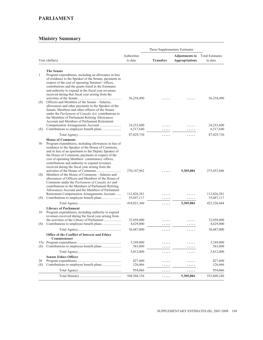### **PARLIAMENT**

|           |                                                                                                                                                                                                                                                                                                                                                                                                                                                                                                                                                                                                                                                       |                           | These Supplementary Estimates |                       |                           |  |
|-----------|-------------------------------------------------------------------------------------------------------------------------------------------------------------------------------------------------------------------------------------------------------------------------------------------------------------------------------------------------------------------------------------------------------------------------------------------------------------------------------------------------------------------------------------------------------------------------------------------------------------------------------------------------------|---------------------------|-------------------------------|-----------------------|---------------------------|--|
|           |                                                                                                                                                                                                                                                                                                                                                                                                                                                                                                                                                                                                                                                       | Authorities               |                               | <b>Adjustments to</b> | <b>Total Estimates</b>    |  |
|           | Vote (dollars)                                                                                                                                                                                                                                                                                                                                                                                                                                                                                                                                                                                                                                        | to date                   | <b>Transfers</b>              | <b>Appropriations</b> | to date                   |  |
| 1<br>(S)  | <b>The Senate</b><br>Program expenditures, including an allowance in lieu<br>of residence to the Speaker of the Senate, payments in<br>respect of the cost of operating Senators' offices,<br>contributions and the grants listed in the Estimates<br>and authority to expend in the fiscal year revenues<br>received during that fiscal year arising from the<br>Officers and Members of the Senate – Salaries,                                                                                                                                                                                                                                      | 56,258,490                |                               |                       | 56,258,490                |  |
|           | allowances and other payments to the Speaker of the<br>Senate, Members and other officers of the Senate<br>under the <i>Parliament of Canada Act</i> ; contributions to<br>the Members of Parliament Retiring Allowances<br>Account and Members of Parliament Retirement                                                                                                                                                                                                                                                                                                                                                                              |                           |                               |                       |                           |  |
| (S)       |                                                                                                                                                                                                                                                                                                                                                                                                                                                                                                                                                                                                                                                       | 24,253,600<br>6,517,640   | .                             |                       | 24,253,600<br>6,517,640   |  |
|           |                                                                                                                                                                                                                                                                                                                                                                                                                                                                                                                                                                                                                                                       | 87,029,730                | .                             | .                     | 87,029,730                |  |
|           | <b>House of Commons</b>                                                                                                                                                                                                                                                                                                                                                                                                                                                                                                                                                                                                                               |                           |                               |                       |                           |  |
| 5b<br>(S) | Program expenditures, including allowances in lieu of<br>residence to the Speaker of the House of Commons,<br>and in lieu of an apartment to the Deputy Speaker of<br>the House of Commons, payments in respect of the<br>cost of operating Members' constituency offices,<br>contributions and authority to expend revenues<br>received during the fiscal year arising from the<br>Members of the House of Commons – Salaries and<br>allowances of Officers and Members of the House of<br>Commons under the Parliament of Canada Act and<br>contributions to the Members of Parliament Retiring<br>Allowances Account and the Members of Parliament | 270, 147, 962             |                               | 5,305,084             | 275,453,046               |  |
| (S)       | Retirement Compensation Arrangements Account                                                                                                                                                                                                                                                                                                                                                                                                                                                                                                                                                                                                          | 112,826,281<br>35,047,117 | .                             |                       | 112,826,281<br>35,047,117 |  |
|           |                                                                                                                                                                                                                                                                                                                                                                                                                                                                                                                                                                                                                                                       | 418,021,360               | .<br>.                        | .<br>5,305,084        | 423,326,444               |  |
| 10        | <b>Library of Parliament</b><br>Program expenditures, including authority to expend<br>revenues received during the fiscal year arising from                                                                                                                                                                                                                                                                                                                                                                                                                                                                                                          |                           |                               |                       |                           |  |
| (S)       | the activities of the Library of Parliament<br>Contributions to employee benefit plans                                                                                                                                                                                                                                                                                                                                                                                                                                                                                                                                                                | 32,058,000<br>4,629,000   | .<br>.                        |                       | 32,058,000<br>4,629,000   |  |
|           |                                                                                                                                                                                                                                                                                                                                                                                                                                                                                                                                                                                                                                                       | 36,687,000                | .                             | .                     | 36,687,000                |  |
|           | <b>Office of the Conflict of Interest and Ethics</b><br>Commissioner                                                                                                                                                                                                                                                                                                                                                                                                                                                                                                                                                                                  |                           |                               |                       |                           |  |
| (S)       |                                                                                                                                                                                                                                                                                                                                                                                                                                                                                                                                                                                                                                                       | 5,249,000<br>563,000      | .<br>.                        | .                     | 5,249,000<br>563,000      |  |
|           |                                                                                                                                                                                                                                                                                                                                                                                                                                                                                                                                                                                                                                                       | 5,812,000                 | .                             | .                     | 5,812,000                 |  |
| 20<br>(S) | <b>Senate Ethics Officer</b>                                                                                                                                                                                                                                                                                                                                                                                                                                                                                                                                                                                                                          | 827,600<br>126,466        | .<br>.                        | .                     | 827,600<br>126,466        |  |
|           |                                                                                                                                                                                                                                                                                                                                                                                                                                                                                                                                                                                                                                                       | 954,066                   | .                             | .                     | 954,066                   |  |
|           |                                                                                                                                                                                                                                                                                                                                                                                                                                                                                                                                                                                                                                                       | 548,504,156               | .                             | 5,305,084             | 553,809,240               |  |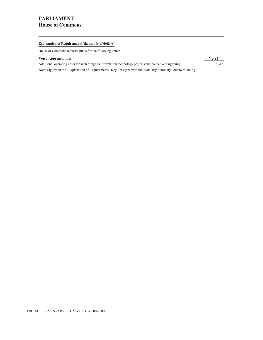# **PARLIAMENT House of Commons**

#### **Explanation of Requirements (thousands of dollars)**

House of Commons requests funds for the following items:

| <b>Voted Appropriations</b>                                                                                  | Vote 5 |
|--------------------------------------------------------------------------------------------------------------|--------|
|                                                                                                              | 5.305  |
| Note: Figures in the "Explanation of Requirements" may not agree with the "Ministry Summary" due to rounding |        |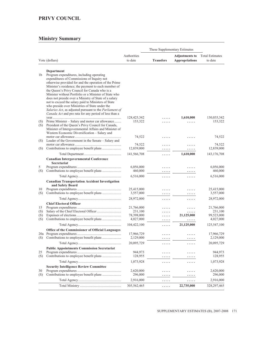# **PRIVY COUNCIL**

|            |                                                                                                                                                                                                                                                                                                                                                                                                                                                                                                                                                                                                         |                        | These Supplementary Estimates |                                                |                                   |  |  |
|------------|---------------------------------------------------------------------------------------------------------------------------------------------------------------------------------------------------------------------------------------------------------------------------------------------------------------------------------------------------------------------------------------------------------------------------------------------------------------------------------------------------------------------------------------------------------------------------------------------------------|------------------------|-------------------------------|------------------------------------------------|-----------------------------------|--|--|
|            | Vote (dollars)                                                                                                                                                                                                                                                                                                                                                                                                                                                                                                                                                                                          | Authorities<br>to date | <b>Transfers</b>              | <b>Adjustments to</b><br><b>Appropriations</b> | <b>Total Estimates</b><br>to date |  |  |
|            | Department                                                                                                                                                                                                                                                                                                                                                                                                                                                                                                                                                                                              |                        |                               |                                                |                                   |  |  |
| 1b         | Program expenditures, including operating<br>expenditures of Commissions of Inquiry not<br>otherwise provided for and the operation of the Prime<br>Minister's residence; the payment to each member of<br>the Queen's Privy Council for Canada who is a<br>Minister without Portfolio or a Minister of State who<br>does not preside over a Ministry of State of a salary<br>not to exceed the salary paid to Ministers of State<br>who preside over Ministries of State under the<br>Salaries Act, as adjusted pursuant to the Parliament of<br>Canada Act and pro rata for any period of less than a |                        |                               |                                                |                                   |  |  |
| (S)<br>(S) | Prime Minister – Salary and motor car allowance<br>President of the Queen's Privy Council for Canada,<br>Minister of Intergovernmental Affairs and Minister of<br>Western Economic Diversification – Salary and                                                                                                                                                                                                                                                                                                                                                                                         | 128,425,342<br>153,322 |                               | 1,610,000<br>.                                 | 130,035,342<br>153,322            |  |  |
| (S)        | Leader of the Government in the Senate - Salary and                                                                                                                                                                                                                                                                                                                                                                                                                                                                                                                                                     | 74,522                 | .                             | .                                              | 74,522                            |  |  |
| (S)        |                                                                                                                                                                                                                                                                                                                                                                                                                                                                                                                                                                                                         | 74,522<br>12,839,000   |                               | .<br>.                                         | 74,522<br>12,839,000              |  |  |
|            |                                                                                                                                                                                                                                                                                                                                                                                                                                                                                                                                                                                                         | 141,566,708            | .                             | 1,610,000                                      | 143, 176, 708                     |  |  |
|            | <b>Canadian Intergovernmental Conference</b>                                                                                                                                                                                                                                                                                                                                                                                                                                                                                                                                                            |                        |                               |                                                |                                   |  |  |
|            | <b>Secretariat</b>                                                                                                                                                                                                                                                                                                                                                                                                                                                                                                                                                                                      |                        |                               |                                                |                                   |  |  |
| 5<br>(S)   |                                                                                                                                                                                                                                                                                                                                                                                                                                                                                                                                                                                                         | 6,056,000<br>460,000   |                               |                                                | 6,056,000<br>460,000              |  |  |
|            |                                                                                                                                                                                                                                                                                                                                                                                                                                                                                                                                                                                                         | 6,516,000              | .<br>.                        | .<br>.                                         | 6,516,000                         |  |  |
|            | <b>Canadian Transportation Accident Investigation</b><br>and Safety Board                                                                                                                                                                                                                                                                                                                                                                                                                                                                                                                               |                        |                               |                                                |                                   |  |  |
| 10         |                                                                                                                                                                                                                                                                                                                                                                                                                                                                                                                                                                                                         | 25,415,000             | .                             | .                                              | 25,415,000                        |  |  |
| (S)        |                                                                                                                                                                                                                                                                                                                                                                                                                                                                                                                                                                                                         | 3,557,000              | .                             | .                                              | 3,557,000                         |  |  |
|            |                                                                                                                                                                                                                                                                                                                                                                                                                                                                                                                                                                                                         | 28,972,000             | .                             | .                                              | 28,972,000                        |  |  |
|            | <b>Chief Electoral Officer</b>                                                                                                                                                                                                                                                                                                                                                                                                                                                                                                                                                                          |                        |                               |                                                |                                   |  |  |
| 15<br>(S)  |                                                                                                                                                                                                                                                                                                                                                                                                                                                                                                                                                                                                         | 21,766,000<br>231,100  |                               | .<br>.                                         | 21,766,000<br>231,100             |  |  |
| (S)        |                                                                                                                                                                                                                                                                                                                                                                                                                                                                                                                                                                                                         | 78,398,000             | .                             | 21,125,000                                     | 99,523,000                        |  |  |
| (S)        |                                                                                                                                                                                                                                                                                                                                                                                                                                                                                                                                                                                                         | 4,027,000              | .                             | .                                              | 4,027,000                         |  |  |
|            |                                                                                                                                                                                                                                                                                                                                                                                                                                                                                                                                                                                                         | 104,422,100            | .                             | 21,125,000                                     | 125,547,100                       |  |  |
|            | Office of the Commissioner of Official Languages                                                                                                                                                                                                                                                                                                                                                                                                                                                                                                                                                        |                        |                               |                                                |                                   |  |  |
|            |                                                                                                                                                                                                                                                                                                                                                                                                                                                                                                                                                                                                         | 17,966,729             | .                             | .                                              | 17,966,729                        |  |  |
| (S)        |                                                                                                                                                                                                                                                                                                                                                                                                                                                                                                                                                                                                         | 2,129,000              | .                             | $\cdots\cdots$                                 | 2,129,000                         |  |  |
|            |                                                                                                                                                                                                                                                                                                                                                                                                                                                                                                                                                                                                         | 20,095,729             | .                             | .                                              | 20,095,729                        |  |  |
| 25         | <b>Public Appointments Commission Secretariat</b>                                                                                                                                                                                                                                                                                                                                                                                                                                                                                                                                                       | 944,973                | .                             | .                                              | 944,973                           |  |  |
| (S)        |                                                                                                                                                                                                                                                                                                                                                                                                                                                                                                                                                                                                         | 128,955                | .                             | .                                              | 128,955                           |  |  |
|            |                                                                                                                                                                                                                                                                                                                                                                                                                                                                                                                                                                                                         | 1,073,928              | .                             | .                                              | 1,073,928                         |  |  |
|            | <b>Security Intelligence Review Committee</b>                                                                                                                                                                                                                                                                                                                                                                                                                                                                                                                                                           |                        |                               |                                                |                                   |  |  |
| 30         |                                                                                                                                                                                                                                                                                                                                                                                                                                                                                                                                                                                                         | 2,620,000              | .                             | .                                              | 2,620,000                         |  |  |
| (S)        |                                                                                                                                                                                                                                                                                                                                                                                                                                                                                                                                                                                                         | 296,000                | .                             | .                                              | 296,000                           |  |  |
|            |                                                                                                                                                                                                                                                                                                                                                                                                                                                                                                                                                                                                         | 2,916,000              | .                             | .                                              | 2,916,000                         |  |  |
|            |                                                                                                                                                                                                                                                                                                                                                                                                                                                                                                                                                                                                         | 305,562,465            | .                             | 22,735,000                                     | 328, 297, 465                     |  |  |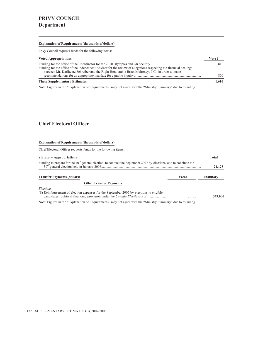## **PRIVY COUNCIL Department**

#### **Explanation of Requirements (thousands of dollars)**

Privy Council requests funds for the following items:

| <b>Voted Appropriations</b>                                                                                                                                                                                          | Vote 1 |
|----------------------------------------------------------------------------------------------------------------------------------------------------------------------------------------------------------------------|--------|
| Funding for the office of the Independent Advisor for the review of allegations respecting the financial dealings<br>between Mr. Karlheinz Schreiber and the Right Honourable Brian Mulroney, P.C., in order to make | 810    |
|                                                                                                                                                                                                                      | 800    |
| <b>These Supplementary Estimates</b>                                                                                                                                                                                 | 1.610  |

Note: Figures in the "Explanation of Requirements" may not agree with the "Ministry Summary" due to rounding.

### **Chief Electoral Officer**

#### **Explanation of Requirements (thousands of dollars)**

Chief Electoral Officer requests funds for the following items:

| <b>Statutory Appropriations</b>                                                                                                                                             |       | Total            |  |  |  |
|-----------------------------------------------------------------------------------------------------------------------------------------------------------------------------|-------|------------------|--|--|--|
| Funding to prepare for the 40 <sup>th</sup> general election, to conduct the September 2007 by-elections, and to conclude the                                               |       |                  |  |  |  |
| <b>Transfer Payments (dollars)</b>                                                                                                                                          | Voted | <b>Statutory</b> |  |  |  |
| <b>Other Transfer Payments</b>                                                                                                                                              |       |                  |  |  |  |
| Elections                                                                                                                                                                   |       |                  |  |  |  |
| (S) Reimbursement of election expenses for the September 2007 by-elections to eligible<br>candidates (political financing provision under the <i>Canada Elections Act</i> ) | .     | 339,000          |  |  |  |
| Note: Figures in the "Evalenction of Dequirements" may not gave with the "Ministry Cummers" due to reunding                                                                 |       |                  |  |  |  |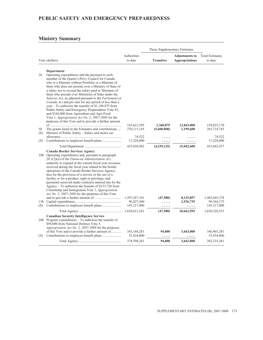### **Ministry Summary**

|                |                                                                                                                                                                                                                                                                                                                                                                                                                                                                                                                                                                                                                                                                                                                                                                   |                                            | These Supplementary Estimates |                                                |                                              |  |
|----------------|-------------------------------------------------------------------------------------------------------------------------------------------------------------------------------------------------------------------------------------------------------------------------------------------------------------------------------------------------------------------------------------------------------------------------------------------------------------------------------------------------------------------------------------------------------------------------------------------------------------------------------------------------------------------------------------------------------------------------------------------------------------------|--------------------------------------------|-------------------------------|------------------------------------------------|----------------------------------------------|--|
|                | Vote (dollars)                                                                                                                                                                                                                                                                                                                                                                                                                                                                                                                                                                                                                                                                                                                                                    | Authorities<br>to date                     | <b>Transfers</b>              | <b>Adjustments to</b><br><b>Appropriations</b> | <b>Total Estimates</b><br>to date            |  |
| 1 <sub>b</sub> | Department<br>Operating expenditures and the payment to each<br>member of the Queen's Privy Council for Canada<br>who is a Minister without Portfolio or a Minister of<br>State who does not preside over a Ministry of State of<br>a salary not to exceed the salary paid to Ministers of<br>State who preside over Ministries of State under the<br>Salaries Act, as adjusted pursuant to the Parliament of<br><i>Canada Act</i> and pro rata for any period of less than a<br>year – To authorize the transfer of $$1,196,875$ from<br>Public Safety and Emergency Preparedness Vote 45,<br>and \$164,000 from Agriculture and Agri-Food<br>Vote 1, <i>Appropriation Act No. 2, 2007-2008</i> for the<br>purposes of this Vote and to provide a further amount |                                            |                               |                                                |                                              |  |
| 5b<br>(S)      | The grants listed in the Estimates and contributions<br>Minister of Public Safety – Salary and motor car                                                                                                                                                                                                                                                                                                                                                                                                                                                                                                                                                                                                                                                          | 143,621,295<br>270, 115, 145               | 1,360,875<br>(5,600,000)      | 13,843,000<br>1,199,600                        | 158,825,170<br>265,714,745                   |  |
| (S)            |                                                                                                                                                                                                                                                                                                                                                                                                                                                                                                                                                                                                                                                                                                                                                                   | 74,522<br>11,228,000                       | .<br>.                        | .                                              | 74,522<br>11,228,000                         |  |
|                |                                                                                                                                                                                                                                                                                                                                                                                                                                                                                                                                                                                                                                                                                                                                                                   | 425,038,962                                | (4,239,125)                   | 15,042,600                                     | 435,842,437                                  |  |
| (S)            | <b>Canada Border Services Agency</b><br>10b Operating expenditures and, pursuant to paragraph<br>$29.1(2)(a)$ of the Financial Administration Act,<br>authority to expend in the current fiscal year revenues<br>received during the fiscal year related to the border<br>operations of the Canada Border Services Agency:<br>fees for the provision of a service or the use of a<br>facility or for a product, right or privilege; and<br>payments received under contracts entered into by the<br>Agency – To authorize the transfer of \$333,720 from<br>Citizenship and Immigration Vote 1, <i>Appropriation</i><br><i>Act No. 2, 2007-2008</i> for the purposes of this Vote                                                                                 | 1,397,567,101<br>96,827,440<br>145,217,000 | (47,580)<br>.<br>.            | 8,125,857<br>2,536,735<br>.                    | 1,405,645,378<br>99, 364, 175<br>145,217,000 |  |
|                |                                                                                                                                                                                                                                                                                                                                                                                                                                                                                                                                                                                                                                                                                                                                                                   | 1,639,611,541                              | (47,580)                      | 10,662,592                                     | 1,650,226,553                                |  |
| (S)            | <b>Canadian Security Intelligence Service</b><br>20b Program expenditures – To authorize the transfer of<br>\$94,000 from National Defence Vote 5,<br>Appropriation Act No. 2, 2007-2008 for the purposes<br>of this Vote and to provide a further amount of                                                                                                                                                                                                                                                                                                                                                                                                                                                                                                      | 343, 164, 281<br>35,434,000                | 94,000<br>.                   | 3,643,000<br>.                                 | 346,901,281<br>35,434,000                    |  |
|                |                                                                                                                                                                                                                                                                                                                                                                                                                                                                                                                                                                                                                                                                                                                                                                   | 378,598,281                                | 94,000                        | 3,643,000                                      | 382, 335, 281                                |  |

<u> 1989 - Johann Barn, mars eta bainar eta baina eta baina eta baina eta baina eta baina eta baina eta baina e</u>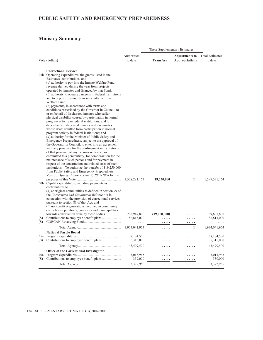### **Ministry Summary**

|     |                                                                                                                                                                                                                                                                                                                                                                                                                                                                                                                                                                                                                                                                                                                                                                                                                                                                                                                                                                                                                                                                                                                                                                                                                                                                                                                                                                                                                                                                                                                                                                                                                                                                                                                                                                                                                                                                                                                             | Authorities                                 |                                 | <b>Adjustments to</b> | <b>Total Estimates</b>                      |
|-----|-----------------------------------------------------------------------------------------------------------------------------------------------------------------------------------------------------------------------------------------------------------------------------------------------------------------------------------------------------------------------------------------------------------------------------------------------------------------------------------------------------------------------------------------------------------------------------------------------------------------------------------------------------------------------------------------------------------------------------------------------------------------------------------------------------------------------------------------------------------------------------------------------------------------------------------------------------------------------------------------------------------------------------------------------------------------------------------------------------------------------------------------------------------------------------------------------------------------------------------------------------------------------------------------------------------------------------------------------------------------------------------------------------------------------------------------------------------------------------------------------------------------------------------------------------------------------------------------------------------------------------------------------------------------------------------------------------------------------------------------------------------------------------------------------------------------------------------------------------------------------------------------------------------------------------|---------------------------------------------|---------------------------------|-----------------------|---------------------------------------------|
|     | Vote (dollars)                                                                                                                                                                                                                                                                                                                                                                                                                                                                                                                                                                                                                                                                                                                                                                                                                                                                                                                                                                                                                                                                                                                                                                                                                                                                                                                                                                                                                                                                                                                                                                                                                                                                                                                                                                                                                                                                                                              | to date                                     | <b>Transfers</b>                | <b>Appropriations</b> | to date                                     |
|     |                                                                                                                                                                                                                                                                                                                                                                                                                                                                                                                                                                                                                                                                                                                                                                                                                                                                                                                                                                                                                                                                                                                                                                                                                                                                                                                                                                                                                                                                                                                                                                                                                                                                                                                                                                                                                                                                                                                             |                                             |                                 |                       |                                             |
| (S) | <b>Correctional Service</b><br>25b Operating expenditures, the grants listed in the<br>Estimates, contributions, and<br>(a) authority to pay into the Inmate Welfare Fund<br>revenue derived during the year from projects<br>operated by inmates and financed by that Fund;<br>$(b)$ authority to operate canteens in federal institutions<br>and to deposit revenue from sales into the Inmate<br>Welfare Fund;<br>$(c)$ payments, in accordance with terms and<br>conditions prescribed by the Governor in Council, to<br>or on behalf of discharged inmates who suffer<br>physical disability caused by participation in normal<br>program activity in federal institutions, and to<br>dependants of deceased inmates and ex-inmates<br>whose death resulted from participation in normal<br>program activity in federal institutions; and<br>(d) authority for the Minister of Public Safety and<br>Emergency Preparedness, subject to the approval of<br>the Governor in Council, to enter into an agreement<br>with any province for the confinement in institutions<br>of that province of any persons sentenced or<br>committed to a penitentiary, for compensation for the<br>maintenance of such persons and for payment in<br>respect of the construction and related costs of such<br>institutions – To authorize the transfer of $$19,250,000$<br>from Public Safety and Emergency Preparedness<br>Vote 30, Appropriation Act No. 2, 2007-2008 for the<br>30b Capital expenditures, including payments as<br>contributions to<br>$(a)$ aboriginal communities as defined in section 79 of<br>the Corrections and Conditional Release Act in<br>connection with the provision of correctional services<br>pursuant to section 81 of that Act; and<br>$(b)$ non-profit organizations involved in community<br>corrections operations, provinces and municipalities<br>towards construction done by those bodies | 1,578,281,163<br>208,947,800<br>186,813,000 | 19,250,000<br>(19,250,000)<br>. | 1<br>.                | 1,597,531,164<br>189,697,800<br>186,813,000 |
| (S) |                                                                                                                                                                                                                                                                                                                                                                                                                                                                                                                                                                                                                                                                                                                                                                                                                                                                                                                                                                                                                                                                                                                                                                                                                                                                                                                                                                                                                                                                                                                                                                                                                                                                                                                                                                                                                                                                                                                             | .                                           | .                               | .                     |                                             |
|     |                                                                                                                                                                                                                                                                                                                                                                                                                                                                                                                                                                                                                                                                                                                                                                                                                                                                                                                                                                                                                                                                                                                                                                                                                                                                                                                                                                                                                                                                                                                                                                                                                                                                                                                                                                                                                                                                                                                             | 1,974,041,963                               | .                               | $\mathbf{1}$          | 1,974,041,964                               |
|     | <b>National Parole Board</b>                                                                                                                                                                                                                                                                                                                                                                                                                                                                                                                                                                                                                                                                                                                                                                                                                                                                                                                                                                                                                                                                                                                                                                                                                                                                                                                                                                                                                                                                                                                                                                                                                                                                                                                                                                                                                                                                                                | 38,184,500                                  | .                               | .                     | 38,184,500                                  |
| (S) |                                                                                                                                                                                                                                                                                                                                                                                                                                                                                                                                                                                                                                                                                                                                                                                                                                                                                                                                                                                                                                                                                                                                                                                                                                                                                                                                                                                                                                                                                                                                                                                                                                                                                                                                                                                                                                                                                                                             | 5,315,000                                   | .                               | .                     | 5,315,000                                   |
|     |                                                                                                                                                                                                                                                                                                                                                                                                                                                                                                                                                                                                                                                                                                                                                                                                                                                                                                                                                                                                                                                                                                                                                                                                                                                                                                                                                                                                                                                                                                                                                                                                                                                                                                                                                                                                                                                                                                                             | 43,499,500                                  | .                               | .                     | 43,499,500                                  |
|     | Office of the Correctional Investigator                                                                                                                                                                                                                                                                                                                                                                                                                                                                                                                                                                                                                                                                                                                                                                                                                                                                                                                                                                                                                                                                                                                                                                                                                                                                                                                                                                                                                                                                                                                                                                                                                                                                                                                                                                                                                                                                                     |                                             |                                 |                       |                                             |
| (S) |                                                                                                                                                                                                                                                                                                                                                                                                                                                                                                                                                                                                                                                                                                                                                                                                                                                                                                                                                                                                                                                                                                                                                                                                                                                                                                                                                                                                                                                                                                                                                                                                                                                                                                                                                                                                                                                                                                                             | 3,013,965<br>359,000                        | .                               | .<br>.                | 3,013,965<br>359,000                        |
|     |                                                                                                                                                                                                                                                                                                                                                                                                                                                                                                                                                                                                                                                                                                                                                                                                                                                                                                                                                                                                                                                                                                                                                                                                                                                                                                                                                                                                                                                                                                                                                                                                                                                                                                                                                                                                                                                                                                                             | 3,372,965                                   | .                               | .                     | 3,372,965                                   |

<u> 1989 - Johann Barbara, martxa alemaniar a</u>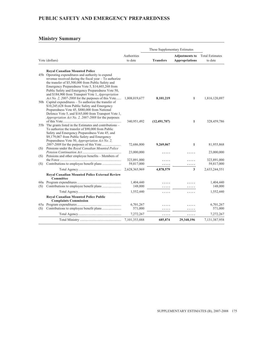### **Ministry Summary**

|     |                                                                                                                                                                                                                                                                                                                                   | These Supplementary Estimates |                  |                                                |                                   |
|-----|-----------------------------------------------------------------------------------------------------------------------------------------------------------------------------------------------------------------------------------------------------------------------------------------------------------------------------------|-------------------------------|------------------|------------------------------------------------|-----------------------------------|
|     | Vote (dollars)                                                                                                                                                                                                                                                                                                                    | Authorities<br>to date        | <b>Transfers</b> | <b>Adjustments to</b><br><b>Appropriations</b> | <b>Total Estimates</b><br>to date |
|     | <b>Royal Canadian Mounted Police</b>                                                                                                                                                                                                                                                                                              |                               |                  |                                                |                                   |
|     | 45b Operating expenditures and authority to expend<br>revenue received during the fiscal year - To authorize<br>the transfer of \$5,500,000 from Public Safety and<br>Emergency Preparedness Vote 5, \$14,603,268 from<br>Public Safety and Emergency Preparedness Vote 50,<br>and \$184,900 from Transport Vote 1, Appropriation |                               |                  |                                                |                                   |
|     | Act No. 2, 2007-2008 for the purposes of this Vote<br>50b Capital expenditures – To authorize the transfer of<br>\$10,245,628 from Public Safety and Emergency<br>Preparedness Vote 45, \$880,000 from National<br>Defence Vote 5, and \$165,000 from Transport Vote 1,<br>Appropriation Act No. 2, 2007-2008 for the purposes    | 1,808,019,677                 | 8,101,219        | 1                                              | 1,816,120,897                     |
|     | 55b The grants listed in the Estimates and contributions –<br>To authorize the transfer of \$90,000 from Public<br>Safety and Emergency Preparedness Vote 45, and                                                                                                                                                                 | 340,951,492                   | (12, 491, 707)   | 1                                              | 328,459,786                       |
|     | \$9,179,067 from Public Safety and Emergency<br>Preparedness Vote 50, Appropriation Act No. 2,                                                                                                                                                                                                                                    |                               |                  |                                                |                                   |
| (S) | Pensions under the Royal Canadian Mounted Police                                                                                                                                                                                                                                                                                  | 72,686,800                    | 9,269,067        | 1                                              | 81,955,868                        |
| (S) | Pensions and other employee benefits – Members of                                                                                                                                                                                                                                                                                 | 23,000,000                    |                  |                                                | 23,000,000                        |
|     |                                                                                                                                                                                                                                                                                                                                   | 323,891,000                   |                  |                                                | 323,891,000                       |
| (S) |                                                                                                                                                                                                                                                                                                                                   | 59,817,000                    |                  |                                                | 59,817,000                        |
|     |                                                                                                                                                                                                                                                                                                                                   | 2,628,365,969                 | 4,878,579        | 3                                              | 2,633,244,551                     |
|     | <b>Royal Canadian Mounted Police External Review</b><br>Committee                                                                                                                                                                                                                                                                 |                               |                  |                                                |                                   |
|     |                                                                                                                                                                                                                                                                                                                                   | 1,404,440                     |                  |                                                | 1,404,440                         |
| (S) | Contributions to employee benefit plans                                                                                                                                                                                                                                                                                           | 148,000                       | .                | .                                              | 148,000                           |
|     |                                                                                                                                                                                                                                                                                                                                   | 1,552,440                     | .                | .                                              | 1,552,440                         |
|     | <b>Royal Canadian Mounted Police Public</b><br><b>Complaints Commission</b>                                                                                                                                                                                                                                                       |                               |                  |                                                |                                   |
|     |                                                                                                                                                                                                                                                                                                                                   | 6,701,267                     |                  |                                                | 6,701,267                         |
| (S) |                                                                                                                                                                                                                                                                                                                                   | 571,000                       |                  |                                                | 571,000                           |
|     |                                                                                                                                                                                                                                                                                                                                   | 7,272,267                     | .                | .                                              | 7,272,267                         |
|     |                                                                                                                                                                                                                                                                                                                                   | 7,101,353,888                 | 685,874          | 29,348,196                                     | 7,131,387,958                     |

<u> 1980 - Johann Barbara, martxa alemaniar arg</u>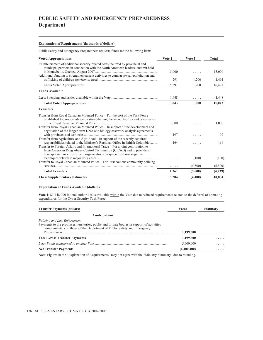# **PUBLIC SAFETY AND EMERGENCY PREPAREDNESS Department**

#### **Explanation of Requirements (thousands of dollars)**

Public Safety and Emergency Preparedness requests funds for the following items:

| <b>Voted Appropriations</b>                                                                                                                                                                                                                                                                                                        | Vote 1 | Vote 5  | Total   |
|------------------------------------------------------------------------------------------------------------------------------------------------------------------------------------------------------------------------------------------------------------------------------------------------------------------------------------|--------|---------|---------|
| Reimbursement of additional security-related costs incurred by provincial and<br>municipal partners in connection with the North American leaders' summit held<br>Additional funding to strengthen current activities to combat sexual exploitation and                                                                            | 15,000 | .       | 15,000  |
|                                                                                                                                                                                                                                                                                                                                    | 291    | 1,200   | 1,491   |
| Gross Voted Appropriations                                                                                                                                                                                                                                                                                                         | 15,291 | 1.200   | 16,491  |
| <b>Funds Available</b>                                                                                                                                                                                                                                                                                                             |        |         |         |
|                                                                                                                                                                                                                                                                                                                                    | 1,448  | .       | 1,448   |
| <b>Total Voted Appropriations</b>                                                                                                                                                                                                                                                                                                  | 13,843 | 1.200   | 15,043  |
| <b>Transfers</b>                                                                                                                                                                                                                                                                                                                   |        |         |         |
| Transfer from Royal Canadian Mounted Police – For the cost of the Task Force<br>established to provide advice on strengthening the accountability and governance<br>Transfer from Royal Canadian Mounted Police – In support of the development and<br>negotiation of the longer-term DNA and biology casework analysis agreements | 1,000  |         | 1,000   |
| Transfer from Agriculture and Agri-Food – In support of the recently acquired                                                                                                                                                                                                                                                      | 197    | .       | 197     |
| responsibilities related to the Minister's Regional Office in British Columbia<br>Transfer to Foreign Affairs and International Trade – For a joint contribution to<br>Inter-American Drug Abuse Control Commission (CICAD) and to provide to                                                                                      | 164    | .       | 164     |
| hemispheric law enforcement organizations on specialized investigative                                                                                                                                                                                                                                                             |        | (100)   | (100)   |
| Transfer to Royal Canadian Mounted Police – For First Nations community policing                                                                                                                                                                                                                                                   | .      | (5,500) | (5,500) |
| <b>Total Transfers</b>                                                                                                                                                                                                                                                                                                             | 1,361  | (5,600) | (4,239) |
| <b>These Supplementary Estimates</b>                                                                                                                                                                                                                                                                                               | 15,204 | (4,400) | 10,804  |

#### **Explanation of Funds Available (dollars)**

**Vote 1**: \$1,448,000 in total authorities is available within the Vote due to reduced requirements related to the deferral of operating expenditures for the Cyber Security Task Force.

| <b>Voted</b> | <b>Statutory</b> |
|--------------|------------------|
|              |                  |
|              |                  |
|              |                  |
| 1,199,600    | .                |
| 1,199,600    | $\cdots$         |
| 5,600,000    | .                |
| (4,400,400)  | .                |
|              |                  |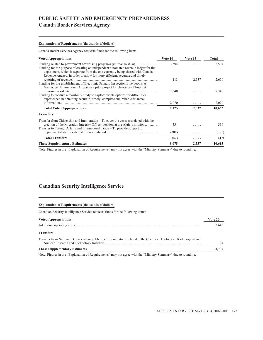### **Canada Border Services Agency**

#### **Explanation of Requirements (thousands of dollars)**

Canada Border Services Agency requests funds for the following items:

| <b>Voted Appropriations</b>                                                                                                                                                                                                                                                                                                      | Vote 10 | Vote 15 | Total  |
|----------------------------------------------------------------------------------------------------------------------------------------------------------------------------------------------------------------------------------------------------------------------------------------------------------------------------------|---------|---------|--------|
| Funding related to government advertising programs <i>(horizontal item)</i><br>Funding for the purpose of creating an independent automated revenue ledger for the<br>department, which is separate from the one currently being shared with Canada<br>Revenue Agency, in order to allow for more efficient, accurate and timely | 3,594   |         | 3,594  |
|                                                                                                                                                                                                                                                                                                                                  | 113     | 2,537   | 2,650  |
| Funding for the establishment of Electronic Primary Inspection Line booths at<br>Vancouver International Airport as a pilot project for clearance of low-risk                                                                                                                                                                    | 2,348   |         | 2,348  |
| Funding to conduct a feasibility study to explore viable options for difficulties<br>experienced in obtaining accurate, timely, complete and reliable financial                                                                                                                                                                  | 2,070   | .       | 2,070  |
| <b>Total Voted Appropriations</b>                                                                                                                                                                                                                                                                                                | 8,125   | 2,537   | 10,662 |
| <b>Transfers</b>                                                                                                                                                                                                                                                                                                                 |         |         |        |
| Transfer from Citizenship and Immigration $-$ To cover the costs associated with the<br>creation of the Migration Integrity Officer position at the Algiers mission<br>Transfer to Foreign Affairs and International Trade – To provide support to                                                                               | 334     |         | 334    |
|                                                                                                                                                                                                                                                                                                                                  | (381)   | .       | (381)  |
| <b>Total Transfers</b>                                                                                                                                                                                                                                                                                                           | (47)    | .       | (47)   |
| <b>These Supplementary Estimates</b>                                                                                                                                                                                                                                                                                             | 8,078   | 2,537   | 10,615 |

Note: Figures in the "Explanation of Requirements" may not agree with the "Ministry Summary" due to rounding.

### **Canadian Security Intelligence Service**

| <b>Explanation of Requirements (thousands of dollars)</b>                                                              |         |
|------------------------------------------------------------------------------------------------------------------------|---------|
| Canadian Security Intelligence Service requests funds for the following items:                                         |         |
| <b>Voted Appropriations</b>                                                                                            | Vote 20 |
|                                                                                                                        | 3.643   |
| <b>Transfers</b>                                                                                                       |         |
| Transfer from National Defence – For public security initiatives related to the Chemical, Biological, Radiological and | 94      |
| <b>These Supplementary Estimates</b>                                                                                   | 3.737   |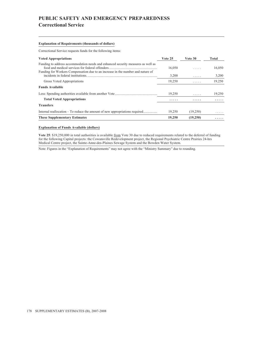# **PUBLIC SAFETY AND EMERGENCY PREPAREDNESS Correctional Service**

#### **Explanation of Requirements (thousands of dollars)**

Correctional Service requests funds for the following items:

| <b>Voted Appropriations</b>                                                                                                                                         | Vote 25 | Vote 30  | Total  |
|---------------------------------------------------------------------------------------------------------------------------------------------------------------------|---------|----------|--------|
| Funding to address accommodation needs and enhanced security measures as well as<br>Funding for Workers Compensation due to an increase in the number and nature of | 16.050  | 1.1.1.1  | 16,050 |
|                                                                                                                                                                     | 3,200   | .        | 3,200  |
| Gross Voted Appropriations                                                                                                                                          | 19,250  | .        | 19,250 |
| <b>Funds Available</b>                                                                                                                                              |         |          |        |
|                                                                                                                                                                     | 19,250  | .        | 19,250 |
| <b>Total Voted Appropriations</b>                                                                                                                                   | .       | .        | .      |
| <b>Transfers</b>                                                                                                                                                    |         |          |        |
| Internal reallocation – To reduce the amount of new appropriations required                                                                                         | 19.250  | (19,250) | .      |
| <b>These Supplementary Estimates</b>                                                                                                                                | 19,250  | (19,250) | .      |

#### **Explanation of Funds Available (dollars)**

Vote 25: \$19,250,000 in total authorities is available from Vote 30 due to reduced requirements related to the deferral of funding for the following Capital projects: the Cowansville Redevelopment project, the Regional Psychiatric Centre Prairies 24-hrs Medical Centre project, the Sainte-Anne-des-Plaines Sewage System and the Bowden Water System.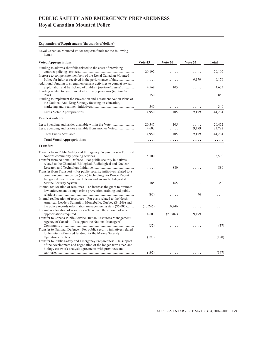# **PUBLIC SAFETY AND EMERGENCY PREPAREDNESS Royal Canadian Mounted Police**

#### **Explanation of Requirements (thousands of dollars)**

Royal Canadian Mounted Police requests funds for the following items:

| <b>Voted Appropriations</b>                                                                                                                                                                     | Vote 45   | Vote 50   | Vote 55 | <b>Total</b> |
|-------------------------------------------------------------------------------------------------------------------------------------------------------------------------------------------------|-----------|-----------|---------|--------------|
| Funding to address shortfalls related to the costs of providing<br>Increase to compensate members of the Royal Canadian Mounted                                                                 | 29,192    | .         | .       | 29,192       |
| Additional funding to strengthen current activities to combat sexual                                                                                                                            | .         |           | 9,179   | 9,179        |
| exploitation and trafficking of children <i>(horizontal item)</i><br>Funding related to government advertising programs (horizontal                                                             | 4,568     | 105       | .       | 4,673        |
| Funding to implement the Prevention and Treatment Action Plans of<br>the National Anti-Drug Strategy focusing on education,                                                                     | 850       | .         | .       | 850          |
|                                                                                                                                                                                                 | 340       | .         | .       | 340          |
| Gross Voted Appropriations                                                                                                                                                                      | 34,950    | 105       | 9,179   | 44,234       |
| <b>Funds Available</b>                                                                                                                                                                          |           |           |         |              |
|                                                                                                                                                                                                 | 20,347    | 105       | .       | 20,452       |
|                                                                                                                                                                                                 | 14,603    | .         | 9,179   | 23,782       |
| Total Funds Available                                                                                                                                                                           | 34,950    | 105       | 9,179   | 44,234       |
| <b>Total Voted Appropriations</b>                                                                                                                                                               | .         | .         | .       | .            |
| <b>Transfers</b>                                                                                                                                                                                |           |           |         |              |
| Transfer from Public Safety and Emergency Preparedness - For First                                                                                                                              | 5,500     |           |         | 5,500        |
| Transfer from National Defence - For public security initiatives<br>related to the Chemical, Biological, Radiological and Nuclear                                                               |           | 880       | 1.111   | 880          |
| Transfer from Transport – For public security initiatives related to a<br>common communication (radio) technology for Prince Rupert<br>Integrated Law Enforcement Team and an Arctic Integrated |           |           |         |              |
| Internal reallocation of resources - To increase the grant to promote                                                                                                                           | 185       | 165       | .       | 350          |
| law enforcement through crime prevention, training and public                                                                                                                                   | (90)      | .         | 90      |              |
| Internal reallocation of resources – For costs related to the North<br>American Leaders Summit in Montebello, Quebec (\$4,246) and                                                              |           |           |         |              |
| the police records information management system (\$6,000)<br>Internal reallocation of resources – To reduce the amount of new                                                                  | (10, 246) | 10,246    | .       |              |
|                                                                                                                                                                                                 | 14,603    | (23, 782) | 9,179   |              |
| Transfer to Canada Public Service Human Resources Management<br>Agency of Canada - To support the National Managers'                                                                            |           |           |         |              |
|                                                                                                                                                                                                 | (57)      |           |         | (57)         |
| Transfer to National Defence – For public security initiatives related                                                                                                                          |           |           |         |              |
| to the return of unused funding for the Marine Security                                                                                                                                         | (190)     |           |         | (190)        |
| Transfer to Public Safety and Emergency Preparedness - In support<br>of the development and negotiation of the longer-term DNA and                                                              |           |           |         |              |
| biology casework analysis agreements with provinces and                                                                                                                                         | (197)     |           |         | (197)        |
|                                                                                                                                                                                                 |           |           |         |              |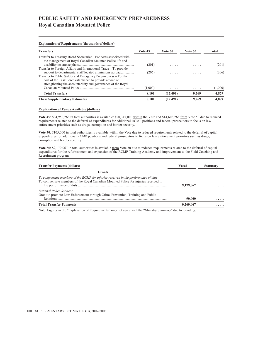# **PUBLIC SAFETY AND EMERGENCY PREPAREDNESS Royal Canadian Mounted Police**

#### **Explanation of Requirements (thousands of dollars)**

| <b>Transfers</b>                                                                                                                                                                          | Vote 45 | Vote 50  | <b>Vote 55</b> | Total   |
|-------------------------------------------------------------------------------------------------------------------------------------------------------------------------------------------|---------|----------|----------------|---------|
| Transfer to Treasury Board Secretariat – For costs associated with<br>the management of Royal Canadian Mounted Police life and                                                            | (201)   |          | .              | (201)   |
| Transfer to Foreign Affairs and International Trade – To provide                                                                                                                          |         |          |                |         |
| Transfer to Public Safety and Emergency Preparedness – For the<br>cost of the Task Force established to provide advice on<br>strengthening the accountability and governance of the Royal | (206)   | .        | .              | (206)   |
|                                                                                                                                                                                           | (1,000) | .        | .              | (1,000) |
| <b>Total Transfers</b>                                                                                                                                                                    | 8.101   | (12.491) | 9.269          | 4,879   |
| <b>These Supplementary Estimates</b>                                                                                                                                                      | 8.101   | (12.491) | 9.269          | 4.879   |

#### **Explanation of Funds Available (dollars)**

Vote 45: \$34,950,268 in total authorities is available: \$20,347,000 within the Vote and \$14,603,268 from Vote 50 due to reduced requirements related to the deferral of expenditures for additional RCMP positions and federal prosecutors to focus on law enforcement priorities such as drugs, corruption and border security.

**Vote 50**: \$105,000 in total authorities is available within the Vote due to reduced requirements related to the deferral of capital expenditures for additional RCMP positions and federal prosecutors to focus on law enforcement priorities such as drugs, corruption and border security.

**Vote 55**: \$9,179,067 in total authorities is available from Vote 50 due to reduced requirements related to the deferral of capital expenditures for the refurbishment and expansion of the RCMP Training Academy and improvement to the Field Coaching and Recruitment program.

| Voted     | <b>Statutory</b> |
|-----------|------------------|
|           |                  |
|           |                  |
|           | .                |
|           |                  |
| 90,000    | .                |
| 9,269,067 | .                |
|           | 9,179,067        |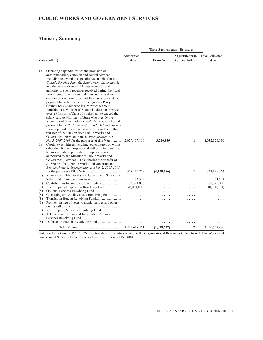### **PUBLIC WORKS AND GOVERNMENT SERVICES**

### **Ministry Summary**

|                   |                                                                                                                                                                                                                                                                                                                                                                                                                                                                                                                                                                                                                                                                                                                                                                                                                                                                                                                                                                                           |                                     | These Supplementary Estimates |                                                |                                     |
|-------------------|-------------------------------------------------------------------------------------------------------------------------------------------------------------------------------------------------------------------------------------------------------------------------------------------------------------------------------------------------------------------------------------------------------------------------------------------------------------------------------------------------------------------------------------------------------------------------------------------------------------------------------------------------------------------------------------------------------------------------------------------------------------------------------------------------------------------------------------------------------------------------------------------------------------------------------------------------------------------------------------------|-------------------------------------|-------------------------------|------------------------------------------------|-------------------------------------|
|                   | Vote (dollars)                                                                                                                                                                                                                                                                                                                                                                                                                                                                                                                                                                                                                                                                                                                                                                                                                                                                                                                                                                            | Authorities<br>to date              | <b>Transfers</b>              | <b>Adjustments to</b><br><b>Appropriations</b> | <b>Total Estimates</b><br>to date   |
| 1 <sub>b</sub>    | Operating expenditures for the provision of<br>accommodation, common and central services<br>including recoverable expenditures on behalf of the<br>Canada Pension Plan, the Employment Insurance Act<br>and the Seized Property Management Act, and<br>authority to spend revenues received during the fiscal<br>year arising from accommodation and central and<br>common services in respect of these services and the<br>payment to each member of the Queen's Privy<br>Council for Canada who is a Minister without<br>Portfolio or a Minister of State who does not preside<br>over a Ministry of State of a salary not to exceed the<br>salary paid to Ministers of State who preside over<br>Ministries of State under the Salaries Act, as adjusted<br>pursuant to the <i>Parliament of Canada Act</i> and pro rata<br>for any period of less than a year $-$ To authorize the<br>transfer of \$5,660,259 from Public Works and<br>Government Services Vote 5, Appropriation Act |                                     |                               |                                                |                                     |
| 5b                | <i>No. 2, 2007-2008</i> for the purposes of this Vote<br>Capital expenditures including expenditures on works<br>other than federal property and authority to reimburse<br>tenants of federal property for improvements<br>authorized by the Minister of Public Works and<br>Government Services – To authorize the transfer of<br>\$1,380,673 from Public Works and Government<br>Services Vote 1, Appropriation Act No. 2, 2007-2008                                                                                                                                                                                                                                                                                                                                                                                                                                                                                                                                                    | 2,029,107,190                       | 3,220,959                     | 1                                              | 2,032,328,150                       |
|                   |                                                                                                                                                                                                                                                                                                                                                                                                                                                                                                                                                                                                                                                                                                                                                                                                                                                                                                                                                                                           | 348,115,749                         | (4,279,586)                   | 1                                              | 343,836,164                         |
| (S)<br>(S)<br>(S) | Minister of Public Works and Government Services -<br>Contributions to employee benefit plans<br>Real Property Disposition Revolving Fund                                                                                                                                                                                                                                                                                                                                                                                                                                                                                                                                                                                                                                                                                                                                                                                                                                                 | 74,522<br>82,321,000<br>(8,000,000) | .<br>.                        | .                                              | 74,522<br>82,321,000<br>(8,000,000) |
| (S)               |                                                                                                                                                                                                                                                                                                                                                                                                                                                                                                                                                                                                                                                                                                                                                                                                                                                                                                                                                                                           | .                                   | .                             | .                                              | .                                   |
| (S)               | Consulting and Audit Canada Revolving Fund                                                                                                                                                                                                                                                                                                                                                                                                                                                                                                                                                                                                                                                                                                                                                                                                                                                                                                                                                | 1.1.1.1                             |                               |                                                | .                                   |
| (S)<br>(S)        | Payment in lieu of taxes to municipalities and other                                                                                                                                                                                                                                                                                                                                                                                                                                                                                                                                                                                                                                                                                                                                                                                                                                                                                                                                      | .                                   |                               |                                                | .                                   |
|                   |                                                                                                                                                                                                                                                                                                                                                                                                                                                                                                                                                                                                                                                                                                                                                                                                                                                                                                                                                                                           | 1.1.1.1                             |                               |                                                |                                     |
| (S)<br>(S)        | Telecommunications and Informatics Common                                                                                                                                                                                                                                                                                                                                                                                                                                                                                                                                                                                                                                                                                                                                                                                                                                                                                                                                                 | .                                   | .                             | .                                              |                                     |
| (S)               |                                                                                                                                                                                                                                                                                                                                                                                                                                                                                                                                                                                                                                                                                                                                                                                                                                                                                                                                                                                           | 1.1.1.1                             |                               |                                                |                                     |
|                   |                                                                                                                                                                                                                                                                                                                                                                                                                                                                                                                                                                                                                                                                                                                                                                                                                                                                                                                                                                                           | $\alpha$ , $\alpha$ , $\alpha$      | .                             | .                                              | .                                   |
|                   |                                                                                                                                                                                                                                                                                                                                                                                                                                                                                                                                                                                                                                                                                                                                                                                                                                                                                                                                                                                           | 2,451,618,461                       | (1,058,627)                   | $\overline{2}$                                 | 2,450,559,836                       |

Note: Order in Council P.C. 2007-1296 transferred activities related to the Organizational Readiness Office from Public Works and Government Services to the Treasury Board Secretariat (\$158,400).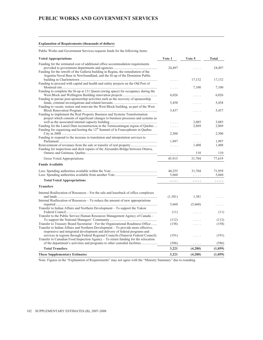#### **Explanation of Requirements (thousands of dollars)**

Public Works and Government Services requests funds for the following items:

| <b>Voted Appropriations</b>                                                                                                                                                                                                                        | Vote 1   | Vote 5                         | Total   |
|----------------------------------------------------------------------------------------------------------------------------------------------------------------------------------------------------------------------------------------------------|----------|--------------------------------|---------|
| Funding for the estimated cost of additional office accommodation requirements                                                                                                                                                                     | 24,497   |                                | 24,497  |
| Funding for the retrofit of the Galleria building in Regina, the remediation of the<br>Argentia Naval Base in Newfoundland, and the fit-up of the Dominion Public                                                                                  | .        | 17,132                         | 17,132  |
| Funding to proceed with capital and health and safety projects on the Old Port of                                                                                                                                                                  | .        | 7,100                          | 7,100   |
| Funding to complete the fit-up at 131 Queen (swing space) for occupancy during the                                                                                                                                                                 |          |                                |         |
| Funding to pursue post-sponsorship activities such as the recovery of sponsorship                                                                                                                                                                  | 6,026    | .                              | 6,026   |
| Funding to vacate, restore and renovate the West Block building, as part of the West                                                                                                                                                               | 5,458    | .                              | 5,458   |
|                                                                                                                                                                                                                                                    | 5.437    | .                              | 5.437   |
| Funding to implement the Real Property Business and Systems Transformation<br>project which consists of significant changes to business processes and systems as                                                                                   |          |                                |         |
|                                                                                                                                                                                                                                                    | .        | 3,085                          | 3,085   |
| Funding for the Laniel Dam reconstruction in the Temiscamingue region of Quebec<br>Funding for organizing and hosting the 12 <sup>th</sup> Summit of la Francophonie in Quebec                                                                     |          | 2,869                          | 2,869   |
|                                                                                                                                                                                                                                                    | 2,500    | .                              | 2,500   |
| Funding to respond to the increase in translation and interpretation services to                                                                                                                                                                   | 1,997    | .                              | 1,997   |
|                                                                                                                                                                                                                                                    | .        | 1,408                          | 1,408   |
| Funding for inspections and deck repairs of the Alexandra Bridge between Ottawa,                                                                                                                                                                   | $\cdots$ | 110                            | 110     |
| Gross Voted Appropriations                                                                                                                                                                                                                         | 45,915   | 31,704                         | 77,619  |
| <b>Funds Available</b>                                                                                                                                                                                                                             |          |                                |         |
|                                                                                                                                                                                                                                                    | 40,255   | 31,704                         | 71,959  |
|                                                                                                                                                                                                                                                    | 5.660    | $\alpha$ , $\alpha$ , $\alpha$ | 5.660   |
| <b>Total Voted Appropriations</b>                                                                                                                                                                                                                  | .        | .                              | .       |
| <b>Transfers</b>                                                                                                                                                                                                                                   |          |                                |         |
| Internal Reallocation of Resources – For the sale and leaseback of office complexes                                                                                                                                                                |          |                                |         |
| Internal Reallocation of Resources - To reduce the amount of new appropriations                                                                                                                                                                    | (1,381)  | 1,381                          |         |
|                                                                                                                                                                                                                                                    | 5,660    | (5,660)                        |         |
| Transfer to Indian Affairs and Northern Development – To support the Yukon                                                                                                                                                                         | (11)     | .                              | (11)    |
| Transfer to the Public Service Human Resources Management Agency of Canada –                                                                                                                                                                       |          |                                |         |
|                                                                                                                                                                                                                                                    | (112)    |                                | (112)   |
| Transfer to Treasury Board Secretariat - For the Organizational Readiness Office<br>Transfer to Indian Affairs and Northern Development – To provide more effective,<br>responsive and integrated development and delivery of federal programs and | (158)    | .                              | (158)   |
| services in regions through Federal Regional Councils (Nunavut Federal Council).<br>Transfer to Canadian Food Inspection Agency - To return funding for the relocation                                                                             | (191)    | .                              | (191)   |
| of the department's activities and programs to other custodial facilities                                                                                                                                                                          | (586)    | .                              | (586)   |
| <b>Total Transfers</b>                                                                                                                                                                                                                             | 3,221    | (4,280)                        | (1,059) |
| <b>These Supplementary Estimates</b>                                                                                                                                                                                                               | 3,221    | (4,280)                        | (1,059) |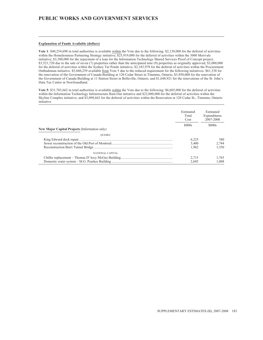#### **Explanation of Funds Available (dollars)**

**Vote 1**: \$40,254,698 in total authorities is available within the Vote due to the following: \$2,130,000 for the deferral of activities within the Homelessness Partnering Strategy initiative; \$25,919,000 for the deferral of activities within the 3000 Merivale initiative; \$3,500,000 for the repayment of a loan for the Information Technology Shared Services Proof of Concept project; \$3,521,720 due to the sale of seven (7) properties rather than the anticipated nine (9) properties as originally approved; \$3,000,000 for the deferral of activities within the Sydney Tar Ponds initiative; \$2,183,978 for the deferral of activities within the Procurement Ombudsman initiative. \$5,660,259 available from Vote 5 due to the reduced requirement for the following initiatives: \$61,338 for the renovation of the Government of Canada Building at 120 Cedar Street in Timmins, Ontario, \$3,950,000 for the renovation of the Government of Canada Building at 11 Station Street in Belleville, Ontario, and \$1,648,921 for the renovations of the St. John's Data Tax Centre in Newfoundland.

**Vote 5**: \$31,703,662 in total authorities is available within the Vote due to the following: \$6,605,000 for the deferral of activities within the Information Technology Infrastructure Rust-Out initiative and \$22,000,000 for the deferral of activities within the Skyline Complex initiative; and \$3,098,662 for the deferral of activities within the Renovation at 120 Cedar St., Timmins, Ontario initiative.

|                                                      | Estimated<br>Total<br>Cost | Estimated<br>Expenditures<br>2007-2008 |  |
|------------------------------------------------------|----------------------------|----------------------------------------|--|
|                                                      | \$000s                     | \$000s                                 |  |
| <b>New Major Capital Projects (Information only)</b> |                            |                                        |  |
| <b>OUEBEC</b>                                        |                            |                                        |  |
|                                                      | 6.225                      | 380                                    |  |
|                                                      | 3.400                      | 2.744                                  |  |
|                                                      | 1.962                      | 1.350                                  |  |
| NATIONAL CAPITAL                                     |                            |                                        |  |
|                                                      | 2.715                      | 1.765                                  |  |
|                                                      | 2.605                      | 1.008                                  |  |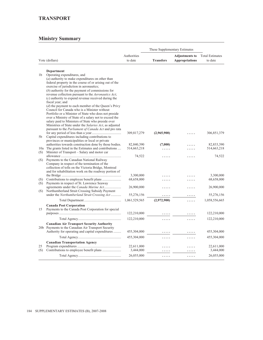|                |                                                                                                               | These Supplementary Estimates |                  |                       |                        |  |
|----------------|---------------------------------------------------------------------------------------------------------------|-------------------------------|------------------|-----------------------|------------------------|--|
|                |                                                                                                               | Authorities                   |                  | <b>Adjustments to</b> | <b>Total Estimates</b> |  |
|                | Vote (dollars)                                                                                                | to date                       | <b>Transfers</b> | <b>Appropriations</b> | to date                |  |
|                |                                                                                                               |                               |                  |                       |                        |  |
|                | Department                                                                                                    |                               |                  |                       |                        |  |
| 1 <sub>b</sub> | Operating expenditures, and                                                                                   |                               |                  |                       |                        |  |
|                | $(a)$ authority to make expenditures on other than                                                            |                               |                  |                       |                        |  |
|                | federal property in the course of or arising out of the                                                       |                               |                  |                       |                        |  |
|                | exercise of jurisdiction in aeronautics;                                                                      |                               |                  |                       |                        |  |
|                | $(b)$ authority for the payment of commissions for<br>revenue collection pursuant to the Aeronautics Act;     |                               |                  |                       |                        |  |
|                | $(c)$ authority to expend revenue received during the                                                         |                               |                  |                       |                        |  |
|                | fiscal year; and                                                                                              |                               |                  |                       |                        |  |
|                | (d) the payment to each member of the Queen's Privy                                                           |                               |                  |                       |                        |  |
|                | Council for Canada who is a Minister without                                                                  |                               |                  |                       |                        |  |
|                | Portfolio or a Minister of State who does not preside                                                         |                               |                  |                       |                        |  |
|                | over a Ministry of State of a salary not to exceed the                                                        |                               |                  |                       |                        |  |
|                | salary paid to Ministers of State who preside over<br>Ministries of State under the Salaries Act, as adjusted |                               |                  |                       |                        |  |
|                | pursuant to the Parliament of Canada Act and pro rata                                                         |                               |                  |                       |                        |  |
|                |                                                                                                               | 309,817,279                   | (2,965,900)      |                       | 306,851,379            |  |
| 5b             | Capital expenditures including contributions to                                                               |                               |                  |                       |                        |  |
|                | provinces or municipalities or local or private                                                               |                               |                  |                       |                        |  |
|                | authorities towards construction done by those bodies.                                                        | 82,840,390                    | (7,000)          |                       | 82,833,390             |  |
| 10a            | The grants listed in the Estimates and contributions                                                          | 514,663,218                   | .                |                       | 514,663,218            |  |
| (S)            | Minister of Transport – Salary and motor car                                                                  | 74,522                        |                  |                       | 74,522                 |  |
| (S)            | Payments to the Canadian National Railway                                                                     |                               | .                | .                     |                        |  |
|                | Company in respect of the termination of the                                                                  |                               |                  |                       |                        |  |
|                | collection of tolls on the Victoria Bridge, Montreal                                                          |                               |                  |                       |                        |  |
|                | and for rehabilitation work on the roadway portion of                                                         |                               |                  |                       |                        |  |
|                |                                                                                                               | 3,300,000                     |                  |                       | 3,300,000              |  |
| (S)            |                                                                                                               | 68,658,000                    | .                | .                     | 68,658,000             |  |
| (S)            | Payments in respect of St. Lawrence Seaway<br>agreements under the Canada Marine Act                          | 26,900,000                    |                  |                       | 26,900,000             |  |
| (S)            | Northumberland Strait Crossing Subsidy Payment                                                                |                               | .                | .                     |                        |  |
|                | under the Northumberland Strait Crossing Act                                                                  | 55,276,156                    |                  |                       | 55,276,156             |  |
|                |                                                                                                               | 1,061,529,565                 | (2,972,900)      | .                     | 1,058,556,665          |  |
|                | <b>Canada Post Corporation</b>                                                                                |                               |                  |                       |                        |  |
| 15             | Payments to the Canada Post Corporation for special                                                           |                               |                  |                       |                        |  |
|                |                                                                                                               | 122,210,000                   |                  |                       | 122,210,000            |  |
|                |                                                                                                               | 122,210,000                   | .                | .                     | 122,210,000            |  |
|                | <b>Canadian Air Transport Security Authority</b>                                                              |                               |                  |                       |                        |  |
|                | 20b Payments to the Canadian Air Transport Security                                                           |                               |                  |                       |                        |  |
|                | Authority for operating and capital expenditures                                                              | 455,304,000                   |                  |                       | 455,304,000            |  |
|                |                                                                                                               | 455,304,000                   | .                | .                     | 455,304,000            |  |
|                | <b>Canadian Transportation Agency</b>                                                                         |                               |                  |                       |                        |  |
| 25             |                                                                                                               | 22,611,000                    |                  |                       | 22,611,000             |  |
| (S)            |                                                                                                               | 3,444,000                     |                  |                       | 3,444,000              |  |
|                |                                                                                                               | 26,055,000                    | .                | .                     | 26,055,000             |  |
|                |                                                                                                               |                               |                  |                       |                        |  |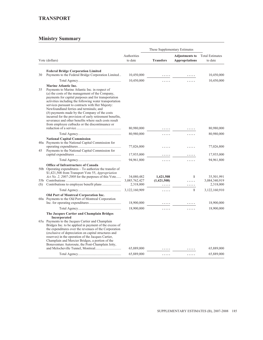|     |                                                                                                                                                                                                                                                                                                                                                                                                                                                                                                                                                                            | These Supplementary Estimates            |                               |                                                |                                          |  |
|-----|----------------------------------------------------------------------------------------------------------------------------------------------------------------------------------------------------------------------------------------------------------------------------------------------------------------------------------------------------------------------------------------------------------------------------------------------------------------------------------------------------------------------------------------------------------------------------|------------------------------------------|-------------------------------|------------------------------------------------|------------------------------------------|--|
|     | Vote (dollars)                                                                                                                                                                                                                                                                                                                                                                                                                                                                                                                                                             | Authorities<br>to date                   | <b>Transfers</b>              | <b>Adjustments to</b><br><b>Appropriations</b> | <b>Total Estimates</b><br>to date        |  |
|     |                                                                                                                                                                                                                                                                                                                                                                                                                                                                                                                                                                            |                                          |                               |                                                |                                          |  |
| 30  | <b>Federal Bridge Corporation Limited</b><br>Payments to the Federal Bridge Corporation Limited                                                                                                                                                                                                                                                                                                                                                                                                                                                                            | 10,450,000                               |                               |                                                | 10,450,000                               |  |
|     |                                                                                                                                                                                                                                                                                                                                                                                                                                                                                                                                                                            | 10,450,000                               |                               |                                                | 10,450,000                               |  |
| 35  | <b>Marine Atlantic Inc.</b><br>Payments to Marine Atlantic Inc. in respect of<br>(a) the costs of the management of the Company,<br>payments for capital purposes and for transportation<br>activities including the following water transportation<br>services pursuant to contracts with Her Majesty:<br>Newfoundland ferries and terminals; and<br>(b) payments made by the Company of the costs<br>incurred for the provision of early retirement benefits,<br>severance and other benefits where such costs result<br>from employee cutbacks or the discontinuance or | 80,980,000                               |                               |                                                | 80,980,000                               |  |
|     |                                                                                                                                                                                                                                                                                                                                                                                                                                                                                                                                                                            |                                          | .                             |                                                |                                          |  |
|     |                                                                                                                                                                                                                                                                                                                                                                                                                                                                                                                                                                            | 80,980,000                               | .                             | .                                              | 80,980,000                               |  |
| 45  | <b>National Capital Commission</b><br>40a Payments to the National Capital Commission for<br>Payments to the National Capital Commission for                                                                                                                                                                                                                                                                                                                                                                                                                               | 77,026,800                               | .                             | .                                              | 77,026,800                               |  |
|     |                                                                                                                                                                                                                                                                                                                                                                                                                                                                                                                                                                            | 17,935,000                               |                               |                                                | 17,935,000                               |  |
|     |                                                                                                                                                                                                                                                                                                                                                                                                                                                                                                                                                                            | 94,961,800                               | .                             | .                                              | 94,961,800                               |  |
| (S) | Office of Infrastructure of Canada<br>50b Operating expenditures – To authorize the transfer of<br>\$1,421,508 from Transport Vote 55, Appropriation<br>Act No. 2, 2007-2008 for the purposes of this Vote                                                                                                                                                                                                                                                                                                                                                                 | 34,080,482<br>3,085,762,427<br>2,318,000 | 1,421,508<br>(1,421,508)<br>. | 1<br>.<br>.                                    | 35,501,991<br>3,084,340,919<br>2,318,000 |  |
|     |                                                                                                                                                                                                                                                                                                                                                                                                                                                                                                                                                                            | 3,122,160,909                            | .                             | $\mathbf{1}$                                   | 3,122,160,910                            |  |
|     | Old Port of Montreal Corporation Inc.<br>60a Payments to the Old Port of Montreal Corporation                                                                                                                                                                                                                                                                                                                                                                                                                                                                              | 18,900,000                               |                               |                                                | 18,900,000                               |  |
|     |                                                                                                                                                                                                                                                                                                                                                                                                                                                                                                                                                                            |                                          |                               |                                                |                                          |  |
|     | The Jacques Cartier and Champlain Bridges<br>Incorporated<br>65a Payments to the Jacques Cartier and Champlain<br>Bridges Inc. to be applied in payment of the excess of<br>the expenditures over the revenues of the Corporation<br>(exclusive of depreciation on capital structures and<br>reserves) in the operation of the Jacques Cartier,<br>Champlain and Mercier Bridges, a portion of the<br>Bonaventure Autoroute, the Pont-Champlain Jetty,                                                                                                                     | 18,900,000                               | .                             | .                                              | 18,900,000                               |  |
|     |                                                                                                                                                                                                                                                                                                                                                                                                                                                                                                                                                                            | 65,889,000                               |                               |                                                | 65,889,000                               |  |
|     |                                                                                                                                                                                                                                                                                                                                                                                                                                                                                                                                                                            | 65,889,000                               | .                             | .                                              | 65,889,000                               |  |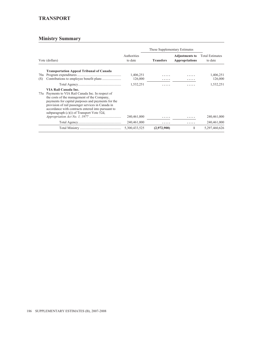## **TRANSPORT**

| Vote (dollars) |                                                                                                                                                                                                                                                                                                                                            |                        |                  | These Supplementary Estimates                  |                                   |  |  |
|----------------|--------------------------------------------------------------------------------------------------------------------------------------------------------------------------------------------------------------------------------------------------------------------------------------------------------------------------------------------|------------------------|------------------|------------------------------------------------|-----------------------------------|--|--|
|                |                                                                                                                                                                                                                                                                                                                                            | Authorities<br>to date | <b>Transfers</b> | <b>Adjustments to</b><br><b>Appropriations</b> | <b>Total Estimates</b><br>to date |  |  |
| 70a<br>(S)     | <b>Transportation Appeal Tribunal of Canada</b>                                                                                                                                                                                                                                                                                            | 1,406,251<br>126,000   | .                |                                                | 1,406,251<br>126,000              |  |  |
|                |                                                                                                                                                                                                                                                                                                                                            | 1,532,251              | .                | .                                              | 1,532,251                         |  |  |
|                | VIA Rail Canada Inc.<br>75a Payments to VIA Rail Canada Inc. In respect of<br>the costs of the management of the Company,<br>payments for capital purposes and payments for the<br>provision of rail passenger services in Canada in<br>accordance with contracts entered into pursuant to<br>subparagraph $(c)(i)$ of Transport Vote 52d, | 240,461,000            | .                | .                                              | 240,461,000                       |  |  |
|                |                                                                                                                                                                                                                                                                                                                                            | 240,461,000            | .                | .                                              | 240,461,000                       |  |  |
|                |                                                                                                                                                                                                                                                                                                                                            | 5,300,433,525          | (2,972,900)      | 1                                              | 5,297,460,626                     |  |  |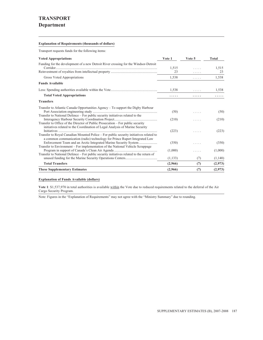### **Explanation of Requirements (thousands of dollars)**

Transport requests funds for the following items:

| <b>Voted Appropriations</b>                                                                                                                                    | Vote 1   | Vote 5 | Total   |
|----------------------------------------------------------------------------------------------------------------------------------------------------------------|----------|--------|---------|
| Funding for the development of a new Detroit River crossing for the Windsor-Detroit                                                                            |          |        |         |
|                                                                                                                                                                | 1,515    |        | 1,515   |
|                                                                                                                                                                | 23       | .      | 23      |
| Gross Voted Appropriations                                                                                                                                     | 1,538    | .      | 1,538   |
| <b>Funds Available</b>                                                                                                                                         |          |        |         |
|                                                                                                                                                                | 1,538    | .      | 1,538   |
| <b>Total Voted Appropriations</b>                                                                                                                              | .        | .      | .       |
| <b>Transfers</b>                                                                                                                                               |          |        |         |
| Transfer to Atlantic Canada Opportunities Agency – To support the Digby Harbour                                                                                |          |        |         |
|                                                                                                                                                                | (50)     | .      | (50)    |
| Transfer to National Defence – For public security initiatives related to the                                                                                  |          |        |         |
|                                                                                                                                                                | (210)    |        | (210)   |
| Transfer to Office of the Director of Public Prosecution – For public security<br>initiatives related to the Coordination of Legal Analysis of Marine Security |          |        |         |
|                                                                                                                                                                | (223)    | .      | (223)   |
| Transfer to Royal Canadian Mounted Police – For public security initiatives related to                                                                         |          |        |         |
| a common communication (radio) technology for Prince Rupert Integrated Law                                                                                     |          |        |         |
|                                                                                                                                                                | (350)    |        | (350)   |
| Transfer to Environment - For implementation of the National Vehicle Scrappage                                                                                 |          |        |         |
|                                                                                                                                                                | (1,000)  | .      | (1,000) |
| Transfer to National Defence – For public security initiatives related to the return of                                                                        |          |        |         |
|                                                                                                                                                                | (1, 133) | (7)    | (1,140) |
| <b>Total Transfers</b>                                                                                                                                         | (2,966)  | (7)    | (2,973) |
| <b>These Supplementary Estimates</b>                                                                                                                           | (2,966)  | (7)    | (2,973) |

### **Explanation of Funds Available (dollars)**

**Vote 1**: \$1,537,970 in total authorities is available within the Vote due to reduced requirements related to the deferral of the Air Cargo Security Program.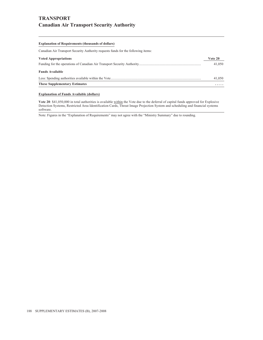# **TRANSPORT Canadian Air Transport Security Authority**

#### **Explanation of Requirements (thousands of dollars)**

Canadian Air Transport Security Authority requests funds for the following items:

| <b>Voted Appropriations</b>          | Vote 20 |
|--------------------------------------|---------|
|                                      | 41,050  |
| <b>Funds Available</b>               |         |
|                                      | 41,050  |
| <b>These Supplementary Estimates</b> | .       |

## **Explanation of Funds Available (dollars)**

**Vote 20**: \$41,050,000 in total authorities is available within the Vote due to the deferral of capital funds approved for Explosive Detection Systems, Restricted Area Identification Cards, Threat Image Projection System and scheduling and financial systems software.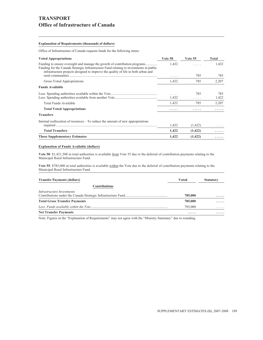# **TRANSPORT Office of Infrastructure of Canada**

#### **Explanation of Requirements (thousands of dollars)**

Office of Infrastructure of Canada requests funds for the following items:

| <b>Voted Appropriations</b>                                                                                                                                                                                                                               | Vote 50 | <b>Vote 55</b> | Total |
|-----------------------------------------------------------------------------------------------------------------------------------------------------------------------------------------------------------------------------------------------------------|---------|----------------|-------|
| Funding to ensure oversight and manage the growth of contribution programs<br>Funding for the Canada Strategic Infrastructure Fund relating to investments in public<br>infrastructure projects designed to improve the quality of life in both urban and | 1,422   |                | 1,422 |
|                                                                                                                                                                                                                                                           | .       | 785            | 785   |
| Gross Voted Appropriations                                                                                                                                                                                                                                | 1,422   | 785            | 2,207 |
| <b>Funds Available</b>                                                                                                                                                                                                                                    |         |                |       |
|                                                                                                                                                                                                                                                           | .       | 785            | 785   |
|                                                                                                                                                                                                                                                           | 1,422   | .              | 1,422 |
| Total Funds Available                                                                                                                                                                                                                                     | 1,422   | 785            | 2,207 |
| <b>Total Voted Appropriations</b>                                                                                                                                                                                                                         | .       | .              |       |
| <b>Transfers</b>                                                                                                                                                                                                                                          |         |                |       |
| Internal reallocation of resources $-$ To reduce the amount of new appropriations                                                                                                                                                                         |         |                |       |
|                                                                                                                                                                                                                                                           | 1,422   | (1, 422)       |       |
| <b>Total Transfers</b>                                                                                                                                                                                                                                    | 1,422   | (1, 422)       |       |
| <b>These Supplementary Estimates</b>                                                                                                                                                                                                                      | 1,422   | (1, 422)       |       |

#### **Explanation of Funds Available (dollars)**

**Vote 50**: \$1,421,508 in total authorities is available from Vote 55 due to the deferral of contribution payments relating to the Municipal Rural Infrastructure Fund.

**Vote 55**: \$785,000 in total authorities is available within the Vote due to the deferral of contribution payments relating to the Municipal Rural Infrastructure Fund.

| <b>Transfer Payments (dollars)</b>   | Voted   | <b>Statutory</b> |
|--------------------------------------|---------|------------------|
| <b>Contributions</b>                 |         |                  |
| Infrastructure Investments           |         |                  |
|                                      | 785,000 | .                |
| <b>Total Gross Transfer Payments</b> | 785,000 | .                |
|                                      | 785,000 | .                |
| <b>Net Transfer Payments</b>         | .       | .                |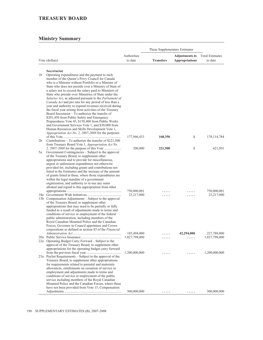## **TREASURY BOARD**

|                |                                                                                                                  | These Supplementary Estimates |                  |                                                |                                   |  |
|----------------|------------------------------------------------------------------------------------------------------------------|-------------------------------|------------------|------------------------------------------------|-----------------------------------|--|
|                | Vote (dollars)                                                                                                   | Authorities<br>to date        | <b>Transfers</b> | <b>Adjustments to</b><br><b>Appropriations</b> | <b>Total Estimates</b><br>to date |  |
|                |                                                                                                                  |                               |                  |                                                |                                   |  |
|                | Secretariat                                                                                                      |                               |                  |                                                |                                   |  |
| 1b             | Operating expenditures and the payment to each                                                                   |                               |                  |                                                |                                   |  |
|                | member of the Queen's Privy Council for Canada                                                                   |                               |                  |                                                |                                   |  |
|                | who is a Minister without Portfolio or a Minister of                                                             |                               |                  |                                                |                                   |  |
|                | State who does not preside over a Ministry of State of<br>a salary not to exceed the salary paid to Ministers of |                               |                  |                                                |                                   |  |
|                | State who preside over Ministries of State under the                                                             |                               |                  |                                                |                                   |  |
|                | Salaries Act, as adjusted pursuant to the Parliament of                                                          |                               |                  |                                                |                                   |  |
|                | Canada Act and pro rata for any period of less than a                                                            |                               |                  |                                                |                                   |  |
|                | year and authority to expend revenues received during                                                            |                               |                  |                                                |                                   |  |
|                | the fiscal year arising from activities of the Treasury                                                          |                               |                  |                                                |                                   |  |
|                | Board Secretariat - To authorize the transfer of                                                                 |                               |                  |                                                |                                   |  |
|                | \$201,450 from Public Safety and Emergency<br>Preparedness Vote 45, \$158,400 from Public Works                  |                               |                  |                                                |                                   |  |
|                | and Government Services Vote 1, and \$30,000 from                                                                |                               |                  |                                                |                                   |  |
|                | Human Resources and Skills Development Vote 1,                                                                   |                               |                  |                                                |                                   |  |
|                | Appropriation Act No. 2, 2007-2008 for the purposes                                                              |                               |                  |                                                |                                   |  |
|                |                                                                                                                  | 177,946,433                   | 168,350          | 1                                              | 178, 114, 784                     |  |
| 2 <sub>b</sub> | Contributions – To authorize the transfer of \$221,500                                                           |                               |                  |                                                |                                   |  |
|                | from Treasury Board Vote 1, Appropriation Act No.                                                                |                               |                  |                                                |                                   |  |
| 5a             | Government Contingencies – Subject to the approval                                                               | 200,000                       | 221,500          | 1                                              | 421,501                           |  |
|                | of the Treasury Board, to supplement other                                                                       |                               |                  |                                                |                                   |  |
|                | appropriations and to provide for miscellaneous,                                                                 |                               |                  |                                                |                                   |  |
|                | urgent or unforeseen expenditures not otherwise                                                                  |                               |                  |                                                |                                   |  |
|                | provided for, including grants and contributions not                                                             |                               |                  |                                                |                                   |  |
|                | listed in the Estimates and the increase of the amount                                                           |                               |                  |                                                |                                   |  |
|                | of grants listed in these, where those expenditures are                                                          |                               |                  |                                                |                                   |  |
|                | within the legal mandate of a government<br>organization, and authority to re-use any sums                       |                               |                  |                                                |                                   |  |
|                | allotted and repaid to this appropriation from other                                                             |                               |                  |                                                |                                   |  |
|                |                                                                                                                  | 750,000,001                   |                  |                                                | 750,000,001                       |  |
|                |                                                                                                                  | 23,217,000                    |                  |                                                | 23,217,000                        |  |
|                | 15b Compensation Adjustments – Subject to the approval                                                           |                               |                  |                                                |                                   |  |
|                | of the Treasury Board, to supplement other                                                                       |                               |                  |                                                |                                   |  |
|                | appropriations that may need to be partially or fully<br>funded as a result of adjustments made to terms and     |                               |                  |                                                |                                   |  |
|                | conditions of service or employment of the federal                                                               |                               |                  |                                                |                                   |  |
|                | public administration, including members of the                                                                  |                               |                  |                                                |                                   |  |
|                | Royal Canadian Mounted Police and the Canadian                                                                   |                               |                  |                                                |                                   |  |
|                | Forces, Governor in Council appointees and Crown                                                                 |                               |                  |                                                |                                   |  |
|                | corporations as defined in section 83 of the Financial                                                           |                               |                  |                                                |                                   |  |
|                |                                                                                                                  | 185,494,000                   | .                | 42,294,000                                     | 227,788,000                       |  |
|                | 22a Operating Budget Carry Forward - Subject to the                                                              |                               |                  |                                                | 1,827,798,000                     |  |
|                | approval of the Treasury Board, to supplement other                                                              |                               |                  |                                                |                                   |  |
|                | appropriations for the operating budget carry forward                                                            |                               |                  |                                                |                                   |  |
|                |                                                                                                                  | 1,200,000,000                 | .                | .                                              | 1,200,000,000                     |  |
|                | 23a Paylist Requirements - Subject to the approval of the                                                        |                               |                  |                                                |                                   |  |
|                | Treasury Board, to supplement other appropriations<br>for requirements related to parental and maternity         |                               |                  |                                                |                                   |  |
|                | allowances, entitlements on cessation of service or                                                              |                               |                  |                                                |                                   |  |
|                | employment and adjustments made to terms and                                                                     |                               |                  |                                                |                                   |  |
|                | conditions of service or employment of the public                                                                |                               |                  |                                                |                                   |  |
|                | service including members of the Royal Canadian                                                                  |                               |                  |                                                |                                   |  |
|                | Mounted Police and the Canadian Forces, where these                                                              |                               |                  |                                                |                                   |  |
|                | have not been provided from Vote 15, Compensation                                                                | 500,000,000                   |                  |                                                | 500,000,000                       |  |
|                |                                                                                                                  |                               |                  |                                                |                                   |  |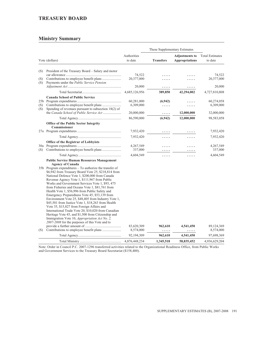## **TREASURY BOARD**

## **Ministry Summary**

|            |                                                                                                                                                                                                                                                                                                                                                                                                                                                                                                                                                                                                                                                                                                                                                                                                                                                                                     |                                       | These Supplementary Estimates |                                                |                                       |  |
|------------|-------------------------------------------------------------------------------------------------------------------------------------------------------------------------------------------------------------------------------------------------------------------------------------------------------------------------------------------------------------------------------------------------------------------------------------------------------------------------------------------------------------------------------------------------------------------------------------------------------------------------------------------------------------------------------------------------------------------------------------------------------------------------------------------------------------------------------------------------------------------------------------|---------------------------------------|-------------------------------|------------------------------------------------|---------------------------------------|--|
|            | Vote (dollars)                                                                                                                                                                                                                                                                                                                                                                                                                                                                                                                                                                                                                                                                                                                                                                                                                                                                      | Authorities<br>to date                | <b>Transfers</b>              | <b>Adjustments to</b><br><b>Appropriations</b> | <b>Total Estimates</b><br>to date     |  |
| (S)        | President of the Treasury Board – Salary and motor                                                                                                                                                                                                                                                                                                                                                                                                                                                                                                                                                                                                                                                                                                                                                                                                                                  | 74,522                                |                               |                                                | 74,522                                |  |
| (S)<br>(S) | Payments under the Public Service Pension                                                                                                                                                                                                                                                                                                                                                                                                                                                                                                                                                                                                                                                                                                                                                                                                                                           | 20,377,000                            |                               |                                                | 20,377,000                            |  |
|            |                                                                                                                                                                                                                                                                                                                                                                                                                                                                                                                                                                                                                                                                                                                                                                                                                                                                                     | 20,000                                | .                             | .                                              | 20,000                                |  |
|            |                                                                                                                                                                                                                                                                                                                                                                                                                                                                                                                                                                                                                                                                                                                                                                                                                                                                                     | 4,685,126,956                         | 389,850                       | 42,294,002                                     | 4,727,810,808                         |  |
| (S)<br>(S) | <b>Canada School of Public Service</b><br>Spending of revenues pursuant to subsection 18(2) of<br>the Canada School of Public Service Act                                                                                                                                                                                                                                                                                                                                                                                                                                                                                                                                                                                                                                                                                                                                           | 60,281,000<br>6,309,000<br>20,000,000 | (6,942)<br>.<br>.             | 12,000,000                                     | 60,274,058<br>6,309,000<br>32,000,000 |  |
|            |                                                                                                                                                                                                                                                                                                                                                                                                                                                                                                                                                                                                                                                                                                                                                                                                                                                                                     | 86,590,000                            | (6,942)                       | 12,000,000                                     | 98,583,058                            |  |
|            | <b>Office of the Public Sector Integrity</b><br>Commissioner                                                                                                                                                                                                                                                                                                                                                                                                                                                                                                                                                                                                                                                                                                                                                                                                                        |                                       |                               |                                                |                                       |  |
|            |                                                                                                                                                                                                                                                                                                                                                                                                                                                                                                                                                                                                                                                                                                                                                                                                                                                                                     | 7,932,420                             |                               |                                                | 7,932,420                             |  |
|            |                                                                                                                                                                                                                                                                                                                                                                                                                                                                                                                                                                                                                                                                                                                                                                                                                                                                                     | 7,932,420                             |                               |                                                | 7,932,420                             |  |
| (S)        | <b>Office of the Registrar of Lobbyists</b><br>Contributions to employee benefit plans                                                                                                                                                                                                                                                                                                                                                                                                                                                                                                                                                                                                                                                                                                                                                                                              | 4,267,549<br>337,000                  | .                             | .<br>.                                         | 4,267,549<br>337,000                  |  |
|            |                                                                                                                                                                                                                                                                                                                                                                                                                                                                                                                                                                                                                                                                                                                                                                                                                                                                                     | 4,604,549                             | .                             | .                                              | 4,604,549                             |  |
|            | <b>Public Service Human Resources Management</b><br><b>Agency of Canada</b><br>35b Program expenditures – To authorize the transfer of<br>\$6,942 from Treasury Board Vote 25, \$218,814 from<br>National Defence Vote 1, \$200,000 from Canada<br>Revenue Agency Vote 1, \$111,967 from Public<br>Works and Government Services Vote 1, \$93, 475<br>from Fisheries and Oceans Vote 1, \$81,761 from<br>Health Vote 1, \$56,996 from Public Safety and<br>Emergency Preparedness Vote 45, \$53,139 from<br>Environment Vote 25, \$48,405 from Industry Vote 1,<br>\$45,501 from Justice Vote 1, \$18,263 from Health<br>Vote 35, \$15,827 from Foreign Affairs and<br>International Trade Vote 20, \$10,020 from Canadian<br>Heritage Vote 45, and \$1,500 from Citizenship and<br>Immigration Vote 10, Appropriation Act No. 2,<br>2007-2008 for the purposes of this Vote and to |                                       |                               |                                                |                                       |  |
| (S)        |                                                                                                                                                                                                                                                                                                                                                                                                                                                                                                                                                                                                                                                                                                                                                                                                                                                                                     | 83,620,309<br>8,574,000               | 962,610<br>.                  | 4,541,450<br>.                                 | 89,124,369<br>8,574,000               |  |
|            |                                                                                                                                                                                                                                                                                                                                                                                                                                                                                                                                                                                                                                                                                                                                                                                                                                                                                     | 92,194,309                            | 962,610                       | 4,541,450                                      | 97,698,369                            |  |
|            |                                                                                                                                                                                                                                                                                                                                                                                                                                                                                                                                                                                                                                                                                                                                                                                                                                                                                     | 4,876,448,234                         | 1,345,518                     | 58,835,452                                     | 4,936,629,204                         |  |

Note: Order in Council P.C. 2007-1296 transferred activities related to the Organizational Readiness Office, from Public Works and Government Services to the Treasury Board Secretariat (\$158,400).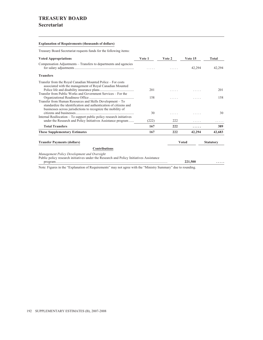## **TREASURY BOARD**

## **Secretariat**

### **Explanation of Requirements (thousands of dollars)**

Treasury Board Secretariat requests funds for the following items:

| <b>Voted Appropriations</b>                                                                                                                                                                    | Vote 1 | Vote 2 | Vote 15      | Total            |
|------------------------------------------------------------------------------------------------------------------------------------------------------------------------------------------------|--------|--------|--------------|------------------|
| Compensation Adjustments – Transfers to departments and agencies                                                                                                                               |        |        | 42.294       | 42,294           |
| <b>Transfers</b>                                                                                                                                                                               |        |        |              |                  |
| Transfer from the Royal Canadian Mounted Police – For costs<br>associated with the management of Royal Canadian Mounted                                                                        |        |        |              |                  |
| Transfer from Public Works and Government Services – For the                                                                                                                                   | 201    |        | $\cdots$     | 201              |
| Transfer from Human Resources and Skills Development - To<br>standardize the identification and authentication of citizens and<br>businesses across jurisdictions to recognize the mobility of | 158    |        |              | 158              |
|                                                                                                                                                                                                | 30     |        |              | 30               |
| Internal Reallocation – To support public policy research initiatives<br>under the Research and Policy Initiatives Assistance program                                                          | (222)  | 222    |              |                  |
| <b>Total Transfers</b>                                                                                                                                                                         | 167    | 222    | .            | 389              |
| <b>These Supplementary Estimates</b>                                                                                                                                                           | 167    | 222    | 42,294       | 42,683           |
| <b>Transfer Payments (dollars)</b>                                                                                                                                                             |        |        | <b>Voted</b> | <b>Statutory</b> |
| <b>Contributions</b>                                                                                                                                                                           |        |        |              |                  |
| Management Policy Development and Oversight<br>Public policy research initiatives under the Research and Policy Initiatives Assistance                                                         |        |        | 221,500      |                  |
| Note: Figures in the "Explanation of Requirements" may not agree with the "Ministry Summary" due to rounding.                                                                                  |        |        |              |                  |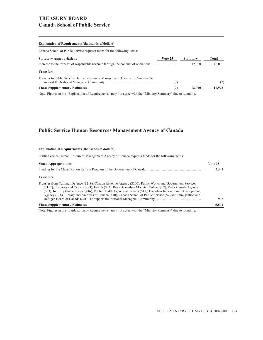## **TREASURY BOARD Canada School of Public Service**

#### **Explanation of Requirements (thousands of dollars)**

Canada School of Public Service requests funds for the following items:

| <b>Statutory Appropriations</b>                                                   | Vote 25 | <b>Statutory</b> | Total  |
|-----------------------------------------------------------------------------------|---------|------------------|--------|
| Increase to the forecast of respendable revenue through the conduct of operations | .       | 12,000           | 12,000 |
| <b>Transfers</b>                                                                  |         |                  |        |
| Transfer to Public Service Human Resources Management Agency of Canada – To       |         | .                | (7)    |
| <b>These Supplementary Estimates</b>                                              |         | 12,000           | 11.993 |

Note: Figures in the "Explanation of Requirements" may not agree with the "Ministry Summary" due to rounding.

## **Public Service Human Resources Management Agency of Canada**

| <b>Explanation of Requirements (thousands of dollars)</b>                                                                                                                                                                                                                                                                                                                                                                                                              |         |
|------------------------------------------------------------------------------------------------------------------------------------------------------------------------------------------------------------------------------------------------------------------------------------------------------------------------------------------------------------------------------------------------------------------------------------------------------------------------|---------|
| Public Service Human Resources Management Agency of Canada requests funds for the following items:                                                                                                                                                                                                                                                                                                                                                                     |         |
| <b>Voted Appropriations</b>                                                                                                                                                                                                                                                                                                                                                                                                                                            | Vote 35 |
|                                                                                                                                                                                                                                                                                                                                                                                                                                                                        | 4.541   |
| <b>Transfers</b>                                                                                                                                                                                                                                                                                                                                                                                                                                                       |         |
| Transfer from National Defence (\$219), Canada Revenue Agency (\$200), Public Works and Government Services<br>(\$112), Fisheries and Oceans (\$93), Health (\$82), Royal Canadian Mounted Police (\$57), Parks Canada Agency<br>(\$53), Industry (\$48), Justice (\$46), Public Health Agency of Canada (\$18), Canadian International Development<br>Agency (\$16), Library and Archives of Canada (\$10), Canada School of Public Service (\$7) and Immigration and | 963     |
| <b>These Supplementary Estimates</b>                                                                                                                                                                                                                                                                                                                                                                                                                                   | 5,504   |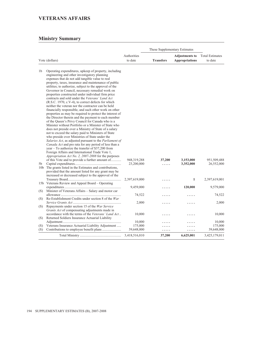# **VETERANS AFFAIRS**

|                 |                                                                                                                                                                                                                                                                                                                                                                                                                                                                                                                                                                                                                                                                                                                                                                                                                                                                                                                                                                                                                                                                                                                                                                                                                                                                                                    |               | These Supplementary Estimates |                       |                        |  |
|-----------------|----------------------------------------------------------------------------------------------------------------------------------------------------------------------------------------------------------------------------------------------------------------------------------------------------------------------------------------------------------------------------------------------------------------------------------------------------------------------------------------------------------------------------------------------------------------------------------------------------------------------------------------------------------------------------------------------------------------------------------------------------------------------------------------------------------------------------------------------------------------------------------------------------------------------------------------------------------------------------------------------------------------------------------------------------------------------------------------------------------------------------------------------------------------------------------------------------------------------------------------------------------------------------------------------------|---------------|-------------------------------|-----------------------|------------------------|--|
|                 |                                                                                                                                                                                                                                                                                                                                                                                                                                                                                                                                                                                                                                                                                                                                                                                                                                                                                                                                                                                                                                                                                                                                                                                                                                                                                                    | Authorities   |                               | <b>Adjustments to</b> | <b>Total Estimates</b> |  |
|                 | Vote (dollars)                                                                                                                                                                                                                                                                                                                                                                                                                                                                                                                                                                                                                                                                                                                                                                                                                                                                                                                                                                                                                                                                                                                                                                                                                                                                                     | to date       | <b>Transfers</b>              | <b>Appropriations</b> | to date                |  |
|                 |                                                                                                                                                                                                                                                                                                                                                                                                                                                                                                                                                                                                                                                                                                                                                                                                                                                                                                                                                                                                                                                                                                                                                                                                                                                                                                    |               |                               |                       |                        |  |
| 1 <sub>b</sub>  | Operating expenditures, upkeep of property, including<br>engineering and other investigatory planning<br>expenses that do not add tangible value to real<br>property, taxes, insurance and maintenance of public<br>utilities; to authorize, subject to the approval of the<br>Governor in Council, necessary remedial work on<br>properties constructed under individual firm price<br>contracts and sold under the Veterans' Land Act<br>(R.S.C. 1970, c.V-4), to correct defects for which<br>neither the veteran nor the contractor can be held<br>financially responsible, and such other work on other<br>properties as may be required to protect the interest of<br>the Director therein and the payment to each member<br>of the Queen's Privy Council for Canada who is a<br>Minister without Portfolio or a Minister of State who<br>does not preside over a Ministry of State of a salary<br>not to exceed the salary paid to Ministers of State<br>who preside over Ministries of State under the<br>Salaries Act, as adjusted pursuant to the Parliament of<br>Canada Act and pro rata for any period of less than a<br>$year - To authorize the transfer of $37,200 from$<br>Foreign Affairs and International Trade Vote 1,<br>Appropriation Act No. 2, 2007-2008 for the purposes |               |                               |                       |                        |  |
|                 | of this Vote and to provide a further amount of                                                                                                                                                                                                                                                                                                                                                                                                                                                                                                                                                                                                                                                                                                                                                                                                                                                                                                                                                                                                                                                                                                                                                                                                                                                    | 948, 319, 288 | 37,200                        | 3,153,000             | 951,509,488            |  |
| 5b              |                                                                                                                                                                                                                                                                                                                                                                                                                                                                                                                                                                                                                                                                                                                                                                                                                                                                                                                                                                                                                                                                                                                                                                                                                                                                                                    | 23,200,000    | .                             | 3,352,000             | 26,552,000             |  |
| 10 <sub>b</sub> | The grants listed in the Estimates and contributions,<br>provided that the amount listed for any grant may be<br>increased or decreased subject to the approval of the                                                                                                                                                                                                                                                                                                                                                                                                                                                                                                                                                                                                                                                                                                                                                                                                                                                                                                                                                                                                                                                                                                                             |               |                               |                       |                        |  |
|                 |                                                                                                                                                                                                                                                                                                                                                                                                                                                                                                                                                                                                                                                                                                                                                                                                                                                                                                                                                                                                                                                                                                                                                                                                                                                                                                    | 2,397,619,000 |                               | $\mathbf{1}$          | 2,397,619,001          |  |
|                 | 15b Veterans Review and Appeal Board – Operating                                                                                                                                                                                                                                                                                                                                                                                                                                                                                                                                                                                                                                                                                                                                                                                                                                                                                                                                                                                                                                                                                                                                                                                                                                                   |               |                               |                       |                        |  |
| (S)             | Minister of Veterans Affairs - Salary and motor car                                                                                                                                                                                                                                                                                                                                                                                                                                                                                                                                                                                                                                                                                                                                                                                                                                                                                                                                                                                                                                                                                                                                                                                                                                                | 9,459,000     |                               | 120,000               | 9,579,000              |  |
|                 |                                                                                                                                                                                                                                                                                                                                                                                                                                                                                                                                                                                                                                                                                                                                                                                                                                                                                                                                                                                                                                                                                                                                                                                                                                                                                                    | 74,522        |                               |                       | 74,522                 |  |
| (S)             | Re-Establishment Credits under section 8 of the War                                                                                                                                                                                                                                                                                                                                                                                                                                                                                                                                                                                                                                                                                                                                                                                                                                                                                                                                                                                                                                                                                                                                                                                                                                                |               |                               |                       |                        |  |
|                 |                                                                                                                                                                                                                                                                                                                                                                                                                                                                                                                                                                                                                                                                                                                                                                                                                                                                                                                                                                                                                                                                                                                                                                                                                                                                                                    | 2,000         |                               |                       | 2,000                  |  |
| (S)             | Repayments under section 15 of the War Service                                                                                                                                                                                                                                                                                                                                                                                                                                                                                                                                                                                                                                                                                                                                                                                                                                                                                                                                                                                                                                                                                                                                                                                                                                                     |               |                               |                       |                        |  |
| (S)             | Grants Act of compensating adjustments made in<br>accordance with the terms of the Veterans' Land Act<br>Returned Soldiers Insurance Actuarial Liability                                                                                                                                                                                                                                                                                                                                                                                                                                                                                                                                                                                                                                                                                                                                                                                                                                                                                                                                                                                                                                                                                                                                           | 10,000        |                               |                       | 10,000                 |  |
|                 |                                                                                                                                                                                                                                                                                                                                                                                                                                                                                                                                                                                                                                                                                                                                                                                                                                                                                                                                                                                                                                                                                                                                                                                                                                                                                                    | 10,000        |                               |                       | 10,000                 |  |
| (S)             | Veterans Insurance Actuarial Liability Adjustment                                                                                                                                                                                                                                                                                                                                                                                                                                                                                                                                                                                                                                                                                                                                                                                                                                                                                                                                                                                                                                                                                                                                                                                                                                                  | 175,000       |                               |                       | 175,000                |  |
| (S)             |                                                                                                                                                                                                                                                                                                                                                                                                                                                                                                                                                                                                                                                                                                                                                                                                                                                                                                                                                                                                                                                                                                                                                                                                                                                                                                    | 39,648,000    | .                             | .                     | 39,648,000             |  |
|                 |                                                                                                                                                                                                                                                                                                                                                                                                                                                                                                                                                                                                                                                                                                                                                                                                                                                                                                                                                                                                                                                                                                                                                                                                                                                                                                    | 3,418,516,810 | 37,200                        | 6,625,001             | 3,425,179,011          |  |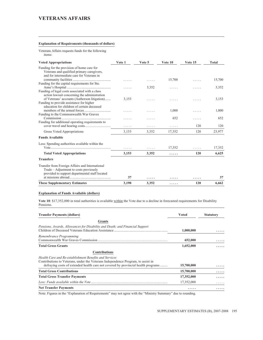## **VETERANS AFFAIRS**

#### **Explanation of Requirements (thousands of dollars)**

Veterans Affairs requests funds for the following items:

| <b>Voted Appropriations</b>                                                                                                                                                            | Vote 1 | Vote 5 | Vote 10 | Vote 15 | Total  |
|----------------------------------------------------------------------------------------------------------------------------------------------------------------------------------------|--------|--------|---------|---------|--------|
| Funding for the provision of home care for<br>Veterans and qualified primary caregivers,<br>and for intermediate care for Veterans in                                                  |        |        |         |         |        |
| Funding for the capital requirements for Ste.                                                                                                                                          |        | .      | 15,700  | .       | 15,700 |
| Funding of legal costs associated with a class                                                                                                                                         | .      | 3,352  | .       | .       | 3,352  |
| action lawsuit concerning the administration<br>of Veterans' accounts (Authorson litigation)<br>Funding to provide assistance for higher<br>education for children of certain deceased | 3,153  |        |         |         | 3,153  |
| Funding to the Commonwealth War Graves                                                                                                                                                 | 1.1.1  | .      | 1,000   | .       | 1,000  |
| Funding for additional operating requirements to                                                                                                                                       | .      | .      | 652     | .       | 652    |
|                                                                                                                                                                                        | .      | .      | .       | 120     | 120    |
| Gross Voted Appropriations                                                                                                                                                             | 3,153  | 3,352  | 17,352  | 120     | 23,977 |
| <b>Funds Available</b>                                                                                                                                                                 |        |        |         |         |        |
| Less: Spending authorities available within the                                                                                                                                        |        | .      | 17,352  | .       | 17,352 |
| <b>Total Voted Appropriations</b>                                                                                                                                                      | 3,153  | 3,352  | .       | 120     | 6,625  |
| <b>Transfers</b>                                                                                                                                                                       |        |        |         |         |        |
| Transfer from Foreign Affairs and International<br>Trade – Adjustment to costs previously<br>provided to support departmental staff located                                            | 37     | .      |         | .       | 37     |
| <b>These Supplementary Estimates</b>                                                                                                                                                   | 3,190  | 3,352  | .       | 120     | 6.662  |

## **Explanation of Funds Available (dollars)**

**Vote 10**: \$17,352,000 in total authorities is available within the Vote due to a decline in forecasted requirements for Disability Pensions.

| <b>Transfer Payments (dollars)</b>                                                                                                                                                                                              | <b>Voted</b> | <b>Statutory</b> |
|---------------------------------------------------------------------------------------------------------------------------------------------------------------------------------------------------------------------------------|--------------|------------------|
| <b>Grants</b>                                                                                                                                                                                                                   |              |                  |
| Pensions, Awards, Allowances for Disability and Death; and Financial Support                                                                                                                                                    | 1,000,000    |                  |
| Remembrance Programming<br>Commonwealth War Graves Commission                                                                                                                                                                   | 652,000      |                  |
| <b>Total Gross Grants</b>                                                                                                                                                                                                       | 1,652,000    |                  |
| <b>Contributions</b>                                                                                                                                                                                                            |              |                  |
| Health Care and Re-establishment Benefits and Services<br>Contributions to Veterans, under the Veterans Independence Program, to assist in<br>defraying costs of extended health care not covered by provincial health programs | 15,700,000   |                  |
| <b>Total Gross Contributions</b>                                                                                                                                                                                                | 15,700,000   |                  |
| <b>Total Gross Transfer Payments</b>                                                                                                                                                                                            | 17,352,000   |                  |
|                                                                                                                                                                                                                                 | 17,352,000   |                  |
| <b>Net Transfer Payments</b>                                                                                                                                                                                                    |              |                  |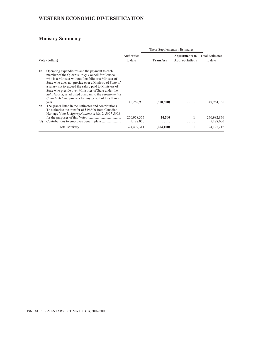# **WESTERN ECONOMIC DIVERSIFICATION**

|                |                                                                                                                                                                                                                                                                                                                                                                                                                                                                                |                        | These Supplementary Estimates |                                                |                                   |
|----------------|--------------------------------------------------------------------------------------------------------------------------------------------------------------------------------------------------------------------------------------------------------------------------------------------------------------------------------------------------------------------------------------------------------------------------------------------------------------------------------|------------------------|-------------------------------|------------------------------------------------|-----------------------------------|
| Vote (dollars) |                                                                                                                                                                                                                                                                                                                                                                                                                                                                                | Authorities<br>to date | <b>Transfers</b>              | <b>Adjustments to</b><br><b>Appropriations</b> | <b>Total Estimates</b><br>to date |
| 1 <sub>b</sub> | Operating expenditures and the payment to each<br>member of the Queen's Privy Council for Canada<br>who is a Minister without Portfolio or a Minister of<br>State who does not preside over a Ministry of State of<br>a salary not to exceed the salary paid to Ministers of<br>State who preside over Ministries of State under the<br><i>Salaries Act</i> , as adjusted pursuant to the <i>Parliament of</i><br><i>Canada Act</i> and pro rata for any period of less than a | 48,262,936             | (308,600)                     | .                                              | 47,954,336                        |
| 5b             | The grants listed in the Estimates and contributions –<br>To authorize the transfer of \$49,500 from Canadian<br>Heritage Vote 5, <i>Appropriation Act No. 2, 2007-2008</i>                                                                                                                                                                                                                                                                                                    |                        |                               |                                                |                                   |
|                |                                                                                                                                                                                                                                                                                                                                                                                                                                                                                | 270,958,375            | 24,500                        | 1                                              | 270,982,876                       |
| (S)            |                                                                                                                                                                                                                                                                                                                                                                                                                                                                                | 5,188,000              | .                             | .                                              | 5,188,000                         |
|                |                                                                                                                                                                                                                                                                                                                                                                                                                                                                                | 324,409,311            | (284, 100)                    | 1                                              | 324, 125, 212                     |